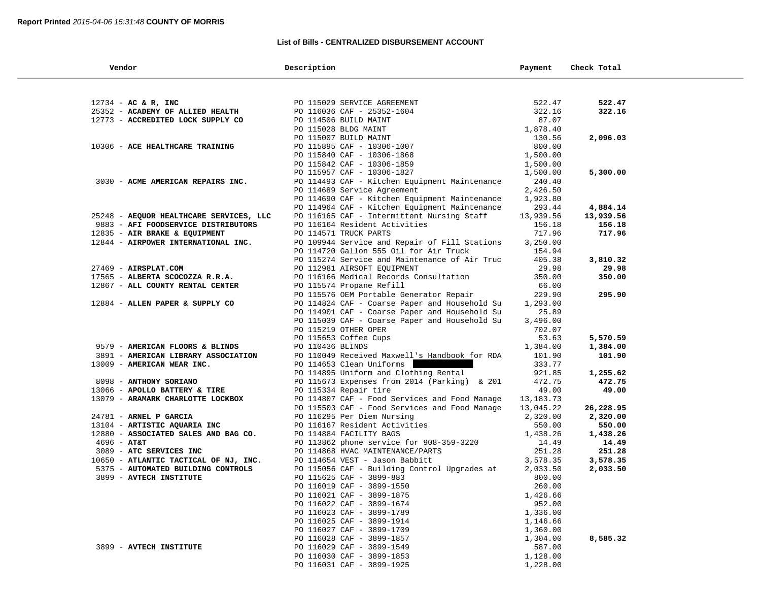## **List of Bills - CENTRALIZED DISBURSEMENT ACCOUNT**

| Vendor                                  | Description                                   | Payment     | Check Total |
|-----------------------------------------|-----------------------------------------------|-------------|-------------|
|                                         |                                               |             |             |
| 12734 - AC & R, INC                     | PO 115029 SERVICE AGREEMENT                   | 522.47      | 522.47      |
| 25352 - ACADEMY OF ALLIED HEALTH        | PO 116036 CAF - 25352-1604                    | 322.16      | 322.16      |
| 12773 - ACCREDITED LOCK SUPPLY CO       | PO 114506 BUILD MAINT                         | 87.07       |             |
|                                         | PO 115028 BLDG MAINT                          | 1,878.40    |             |
|                                         | PO 115007 BUILD MAINT                         | 130.56      | 2,096.03    |
| 10306 - ACE HEALTHCARE TRAINING         | PO 115895 CAF - 10306-1007                    | 800.00      |             |
|                                         | PO 115840 CAF - 10306-1868                    | 1,500.00    |             |
|                                         | PO 115842 CAF - 10306-1859                    | 1,500.00    |             |
|                                         | PO 115957 CAF - 10306-1827                    | 1,500.00    | 5,300.00    |
| 3030 - ACME AMERICAN REPAIRS INC.       | PO 114493 CAF - Kitchen Equipment Maintenance | 240.40      |             |
|                                         | PO 114689 Service Agreement                   | 2,426.50    |             |
|                                         | PO 114690 CAF - Kitchen Equipment Maintenance | 1,923.80    |             |
|                                         | PO 114964 CAF - Kitchen Equipment Maintenance | 293.44      | 4,884.14    |
| 25248 - AEQUOR HEALTHCARE SERVICES, LLC | PO 116165 CAF - Intermittent Nursing Staff    | 13,939.56   | 13,939.56   |
| 9883 - AFI FOODSERVICE DISTRIBUTORS     | PO 116164 Resident Activities                 | 156.18      | 156.18      |
| 12835 - AIR BRAKE & EQUIPMENT           | PO 114571 TRUCK PARTS                         | 717.96      | 717.96      |
| 12844 - AIRPOWER INTERNATIONAL INC.     | PO 109944 Service and Repair of Fill Stations | 3,250.00    |             |
|                                         | PO 114720 Gallon 555 Oil for Air Truck        | 154.94      |             |
|                                         | PO 115274 Service and Maintenance of Air Truc | 405.38      | 3,810.32    |
| 27469 - AIRSPLAT.COM                    | PO 112981 AIRSOFT EQUIPMENT                   | 29.98       | 29.98       |
| 17565 - ALBERTA SCOCOZZA R.R.A.         | PO 116166 Medical Records Consultation        | 350.00      | 350.00      |
| 12867 - ALL COUNTY RENTAL CENTER        | PO 115574 Propane Refill                      | 66.00       |             |
|                                         | PO 115576 OEM Portable Generator Repair       | 229.90      | 295.90      |
| 12884 - ALLEN PAPER & SUPPLY CO         | PO 114824 CAF - Coarse Paper and Household Su | 1,293.00    |             |
|                                         | PO 114901 CAF - Coarse Paper and Household Su | 25.89       |             |
|                                         | PO 115039 CAF - Coarse Paper and Household Su | 3,496.00    |             |
|                                         | PO 115219 OTHER OPER                          | 702.07      |             |
|                                         | PO 115653 Coffee Cups                         | 53.63       | 5,570.59    |
| 9579 - AMERICAN FLOORS & BLINDS         | PO 110436 BLINDS                              | 1,384.00    | 1,384.00    |
| 3891 - AMERICAN LIBRARY ASSOCIATION     | PO 110049 Received Maxwell's Handbook for RDA | 101.90      | 101.90      |
| 13009 - AMERICAN WEAR INC.              | PO 114653 Clean Uniforms                      | 333.77      |             |
|                                         | PO 114895 Uniform and Clothing Rental         | 921.85      | 1,255.62    |
| 8098 - ANTHONY SORIANO                  | PO 115673 Expenses from 2014 (Parking) & 201  | 472.75      | 472.75      |
| 13066 - APOLLO BATTERY & TIRE           | PO 115334 Repair tire                         | 49.00       | 49.00       |
| 13079 - ARAMARK CHARLOTTE LOCKBOX       | PO 114807 CAF - Food Services and Food Manage | 13, 183. 73 |             |
|                                         | PO 115503 CAF - Food Services and Food Manage | 13,045.22   | 26,228.95   |
| 24781 - ARNEL P GARCIA                  | PO 116295 Per Diem Nursing                    | 2,320.00    | 2,320.00    |
| 13104 - ARTISTIC AQUARIA INC            | PO 116167 Resident Activities                 | 550.00      | 550.00      |
| 12880 - ASSOCIATED SALES AND BAG CO.    | PO 114884 FACILITY BAGS                       | 1,438.26    | 1,438.26    |
| $4696 - AT&T$                           | PO 113862 phone service for 908-359-3220      | 14.49       | 14.49       |
| 3089 - ATC SERVICES INC                 | PO 114868 HVAC MAINTENANCE/PARTS              | 251.28      | 251.28      |
| 10650 - ATLANTIC TACTICAL OF NJ, INC.   | PO 114654 VEST - Jason Babbitt                | 3,578.35    | 3,578.35    |
| 5375 - AUTOMATED BUILDING CONTROLS      | PO 115056 CAF - Building Control Upgrades at  | 2,033.50    | 2,033.50    |
| 3899 - AVTECH INSTITUTE                 | PO 115625 CAF - 3899-883                      | 800.00      |             |
|                                         | PO 116019 CAF - 3899-1550                     | 260.00      |             |
|                                         | PO 116021 CAF - 3899-1875                     | 1,426.66    |             |
|                                         | PO 116022 CAF - 3899-1674                     | 952.00      |             |
|                                         | PO 116023 CAF - 3899-1789                     | 1,336.00    |             |
|                                         | PO 116025 CAF - 3899-1914                     | 1,146.66    |             |
|                                         | PO 116027 CAF - 3899-1709                     | 1,360.00    |             |
|                                         | PO 116028 CAF - 3899-1857                     | 1,304.00    | 8,585.32    |
| 3899 - AVTECH INSTITUTE                 | PO 116029 CAF - 3899-1549                     | 587.00      |             |
|                                         | PO 116030 CAF - 3899-1853                     | 1,128.00    |             |
|                                         | PO 116031 CAF - 3899-1925                     | 1,228.00    |             |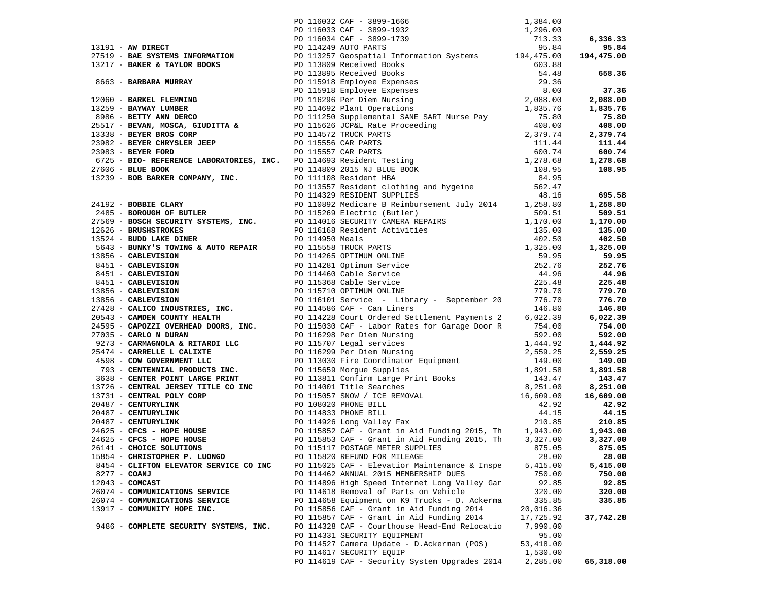|                             |                                        | 26141 - CHOICE SOLUTIONS PO 115117 POSTAGE METER SUPPLIES 875.05 875.05 875.05 |           |           |
|-----------------------------|----------------------------------------|--------------------------------------------------------------------------------|-----------|-----------|
|                             | 15854 - CHRISTOPHER P. LUONGO          | PO 115820 REFUND FOR MILEAGE                                                   | 28.00     | 28.00     |
|                             | 8454 - CLIFTON ELEVATOR SERVICE CO INC | PO 115025 CAF - Elevatior Maintenance & Inspe                                  | 5,415.00  | 5,415.00  |
| 8277 - COANJ                |                                        | PO 114462 ANNUAL 2015 MEMBERSHIP DUES                                          | 750.00    | 750.00    |
| $12043$ - COMCAST           |                                        | PO 114896 High Speed Internet Long Valley Gar                                  | 92.85     | 92.85     |
|                             | 26074 - COMMUNICATIONS SERVICE         | PO 114618 Removal of Parts on Vehicle                                          | 320.00    | 320.00    |
|                             | 26074 - COMMUNICATIONS SERVICE         | PO 114658 Equipment on K9 Trucks - D. Ackerma                                  | 335.85    | 335.85    |
| 13917 - COMMUNITY HOPE INC. |                                        | PO 115856 CAF - Grant in Aid Funding 2014                                      | 20,016.36 |           |
|                             |                                        | PO 115857 CAF - Grant in Aid Funding 2014                                      | 17,725.92 | 37,742.28 |
|                             | 9486 - COMPLETE SECURITY SYSTEMS, INC. | PO 114328 CAF - Courthouse Head-End Relocatio                                  | 7,990.00  |           |
|                             |                                        | PO 114331 SECURITY EQUIPMENT                                                   | 95.00     |           |
|                             |                                        | PO 114527 Camera Update - D.Ackerman (POS)                                     | 53,418.00 |           |
|                             |                                        | PO 114617 SECURITY EQUIP                                                       | 1,530.00  |           |
|                             |                                        | PO 114619 CAF - Security System Upgrades 2014                                  | 2,285.00  | 65,318.00 |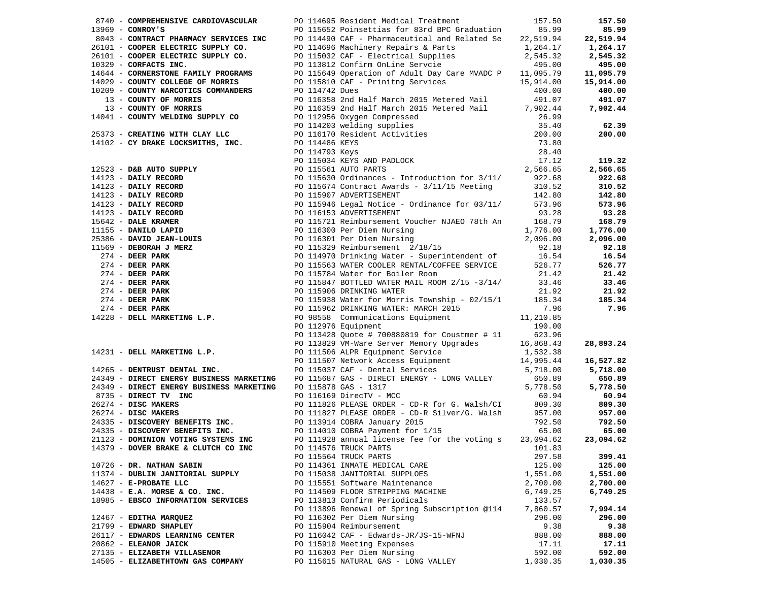|                                     | 8740 - COMPREHENSIVE CARDIOVASCULAR PO 114695 Resident Medical Treatment 157.50                                                                                                                                                                                                                                                                                                                                                        |          | 157.50   |
|-------------------------------------|----------------------------------------------------------------------------------------------------------------------------------------------------------------------------------------------------------------------------------------------------------------------------------------------------------------------------------------------------------------------------------------------------------------------------------------|----------|----------|
|                                     |                                                                                                                                                                                                                                                                                                                                                                                                                                        |          |          |
|                                     |                                                                                                                                                                                                                                                                                                                                                                                                                                        |          |          |
|                                     |                                                                                                                                                                                                                                                                                                                                                                                                                                        |          |          |
|                                     |                                                                                                                                                                                                                                                                                                                                                                                                                                        |          |          |
|                                     |                                                                                                                                                                                                                                                                                                                                                                                                                                        |          |          |
|                                     |                                                                                                                                                                                                                                                                                                                                                                                                                                        |          |          |
|                                     |                                                                                                                                                                                                                                                                                                                                                                                                                                        |          |          |
|                                     |                                                                                                                                                                                                                                                                                                                                                                                                                                        |          |          |
|                                     |                                                                                                                                                                                                                                                                                                                                                                                                                                        |          |          |
|                                     |                                                                                                                                                                                                                                                                                                                                                                                                                                        |          |          |
|                                     |                                                                                                                                                                                                                                                                                                                                                                                                                                        |          |          |
|                                     |                                                                                                                                                                                                                                                                                                                                                                                                                                        |          |          |
|                                     |                                                                                                                                                                                                                                                                                                                                                                                                                                        |          |          |
|                                     |                                                                                                                                                                                                                                                                                                                                                                                                                                        |          |          |
|                                     |                                                                                                                                                                                                                                                                                                                                                                                                                                        |          |          |
|                                     |                                                                                                                                                                                                                                                                                                                                                                                                                                        |          |          |
|                                     |                                                                                                                                                                                                                                                                                                                                                                                                                                        |          |          |
|                                     |                                                                                                                                                                                                                                                                                                                                                                                                                                        |          |          |
|                                     |                                                                                                                                                                                                                                                                                                                                                                                                                                        |          |          |
|                                     |                                                                                                                                                                                                                                                                                                                                                                                                                                        |          |          |
|                                     |                                                                                                                                                                                                                                                                                                                                                                                                                                        |          |          |
|                                     |                                                                                                                                                                                                                                                                                                                                                                                                                                        |          |          |
|                                     |                                                                                                                                                                                                                                                                                                                                                                                                                                        |          |          |
|                                     |                                                                                                                                                                                                                                                                                                                                                                                                                                        |          |          |
|                                     |                                                                                                                                                                                                                                                                                                                                                                                                                                        |          |          |
|                                     |                                                                                                                                                                                                                                                                                                                                                                                                                                        |          |          |
|                                     |                                                                                                                                                                                                                                                                                                                                                                                                                                        |          |          |
|                                     |                                                                                                                                                                                                                                                                                                                                                                                                                                        |          |          |
|                                     |                                                                                                                                                                                                                                                                                                                                                                                                                                        |          |          |
|                                     |                                                                                                                                                                                                                                                                                                                                                                                                                                        |          |          |
|                                     |                                                                                                                                                                                                                                                                                                                                                                                                                                        |          |          |
|                                     |                                                                                                                                                                                                                                                                                                                                                                                                                                        |          |          |
|                                     |                                                                                                                                                                                                                                                                                                                                                                                                                                        |          |          |
|                                     |                                                                                                                                                                                                                                                                                                                                                                                                                                        |          |          |
|                                     |                                                                                                                                                                                                                                                                                                                                                                                                                                        |          |          |
|                                     |                                                                                                                                                                                                                                                                                                                                                                                                                                        |          |          |
|                                     |                                                                                                                                                                                                                                                                                                                                                                                                                                        |          |          |
|                                     |                                                                                                                                                                                                                                                                                                                                                                                                                                        |          |          |
|                                     |                                                                                                                                                                                                                                                                                                                                                                                                                                        |          |          |
|                                     |                                                                                                                                                                                                                                                                                                                                                                                                                                        |          |          |
|                                     |                                                                                                                                                                                                                                                                                                                                                                                                                                        |          |          |
|                                     |                                                                                                                                                                                                                                                                                                                                                                                                                                        |          |          |
|                                     |                                                                                                                                                                                                                                                                                                                                                                                                                                        |          |          |
|                                     | 19740 <b>-COMPERIENTIVE CARD 19740</b> - 1971-1983 Amelies Iraquest Weiler (1975) 1975 - 208<br>1986 - COMPART WARROW (2002) 1975 Amelies (1976) 1975 (1976) 1975 - 208 1983<br>1986 - COMPART WARROW (2002) 1976 - 1976 (1976) 1976 -                                                                                                                                                                                                 |          |          |
|                                     |                                                                                                                                                                                                                                                                                                                                                                                                                                        |          |          |
|                                     |                                                                                                                                                                                                                                                                                                                                                                                                                                        |          |          |
|                                     |                                                                                                                                                                                                                                                                                                                                                                                                                                        |          |          |
|                                     |                                                                                                                                                                                                                                                                                                                                                                                                                                        |          |          |
|                                     |                                                                                                                                                                                                                                                                                                                                                                                                                                        |          |          |
|                                     |                                                                                                                                                                                                                                                                                                                                                                                                                                        |          |          |
|                                     |                                                                                                                                                                                                                                                                                                                                                                                                                                        |          |          |
|                                     |                                                                                                                                                                                                                                                                                                                                                                                                                                        |          |          |
|                                     | $[14231 - \text{DELL MARKETING L.P.} {\tt DRLL MARKETING L.P.} {\tt DRLL MARKETING L.P.} {\tt DRLL MARKETING L.P.} {\tt DRLL MARKETING L.P.} {\tt DRLL RARKETING L.P.} {\tt DRLRURIST DENTAL INC.} {\tt DRLRSTURS} {\tt DRLRSTURS} {\tt DLRRSTURS} {\tt DLRRSTURS} {\tt DLRRSTURS} {\tt DLRRSTURS} {\tt DLRRSTURS} {\tt DLRRSTURS} {\tt DLRRSTURS} {\tt DLRRSTURS} {\tt DLRRSTURS} {\tt DLRRSTURS} {\tt DLRRSTURS} {\tt DLRRSTURS} {\$ |          |          |
|                                     |                                                                                                                                                                                                                                                                                                                                                                                                                                        |          |          |
|                                     |                                                                                                                                                                                                                                                                                                                                                                                                                                        |          |          |
|                                     |                                                                                                                                                                                                                                                                                                                                                                                                                                        |          |          |
|                                     |                                                                                                                                                                                                                                                                                                                                                                                                                                        |          |          |
|                                     |                                                                                                                                                                                                                                                                                                                                                                                                                                        |          |          |
| 14379 - DOVER BRAKE & CLUTCH CO INC | PO 114576 TRUCK PARTS                                                                                                                                                                                                                                                                                                                                                                                                                  | 101.83   |          |
|                                     | PO 115564 TRUCK PARTS                                                                                                                                                                                                                                                                                                                                                                                                                  | 297.58   | 399.41   |
| 10726 - DR. NATHAN SABIN            | PO 114361 INMATE MEDICAL CARE                                                                                                                                                                                                                                                                                                                                                                                                          | 125.00   | 125.00   |
|                                     |                                                                                                                                                                                                                                                                                                                                                                                                                                        |          |          |
| 11374 - DUBLIN JANITORIAL SUPPLY    | PO 115038 JANITORIAL SUPPLOES                                                                                                                                                                                                                                                                                                                                                                                                          | 1,551.00 | 1,551.00 |
| 14627 - E-PROBATE LLC               | PO 115551 Software Maintenance                                                                                                                                                                                                                                                                                                                                                                                                         | 2,700.00 | 2,700.00 |
| $14438$ - E.A. MORSE & CO. INC.     | PO 114509 FLOOR STRIPPING MACHINE                                                                                                                                                                                                                                                                                                                                                                                                      | 6,749.25 | 6,749.25 |
| 18985 - EBSCO INFORMATION SERVICES  | PO 113813 Confirm Periodicals                                                                                                                                                                                                                                                                                                                                                                                                          | 133.57   |          |
|                                     | PO 113896 Renewal of Spring Subscription @114                                                                                                                                                                                                                                                                                                                                                                                          | 7,860.57 | 7,994.14 |
|                                     |                                                                                                                                                                                                                                                                                                                                                                                                                                        |          |          |
| 12467 - EDITHA MARQUEZ              | PO 116302 Per Diem Nursing                                                                                                                                                                                                                                                                                                                                                                                                             | 296.00   | 296.00   |
| 21799 - EDWARD SHAPLEY              | PO 115904 Reimbursement                                                                                                                                                                                                                                                                                                                                                                                                                | 9.38     | 9.38     |
| 26117 - EDWARDS LEARNING CENTER     | PO 116042 CAF - Edwards-JR/JS-15-WFNJ                                                                                                                                                                                                                                                                                                                                                                                                  | 888.00   | 888.00   |
| 20862 - ELEANOR JAICK               | PO 115910 Meeting Expenses                                                                                                                                                                                                                                                                                                                                                                                                             | 17.11    | 17.11    |
| 27135 - ELIZABETH VILLASENOR        | PO 116303 Per Diem Nursing                                                                                                                                                                                                                                                                                                                                                                                                             | 592.00   | 592.00   |
|                                     |                                                                                                                                                                                                                                                                                                                                                                                                                                        |          |          |
| 14505 - ELIZABETHTOWN GAS COMPANY   | PO 115615 NATURAL GAS - LONG VALLEY                                                                                                                                                                                                                                                                                                                                                                                                    | 1,030.35 | 1,030.35 |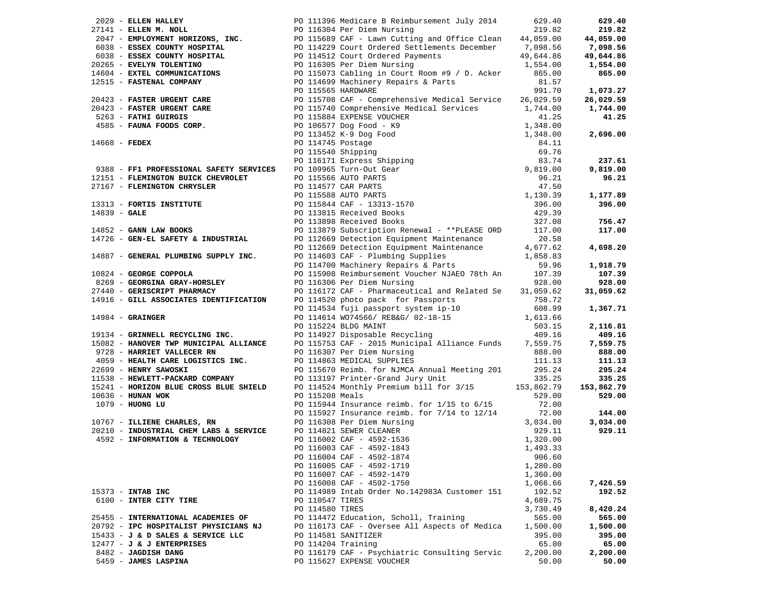| 2029 - ELLEN HALLEY<br>27141 - ELLEN M. NOLL<br>27141 - ELLEN M. NOLL<br>27141 - ELLEN M. NOLL<br>2047 - EMPLOYMENT HORIZONS, INC.<br>20265 - ESSEX COUNTY HOSPITAL<br>20265 - EVELYN TOLENTINO<br>20265 - EVELYN TOLENTINO<br>20265 - EVELYN<br>27141 - ELLEN M. NOLL                                  | 629.40            |
|---------------------------------------------------------------------------------------------------------------------------------------------------------------------------------------------------------------------------------------------------------------------------------------------------------|-------------------|
|                                                                                                                                                                                                                                                                                                         | 219.82            |
|                                                                                                                                                                                                                                                                                                         | 44,059.00         |
|                                                                                                                                                                                                                                                                                                         | 7,098.56          |
| 49,644.86                                                                                                                                                                                                                                                                                               | 49,644.86         |
| 20265 - EVELYN TOLENTINO                                                                                                                                                                                                                                                                                | 1,554.00          |
| 14604 - EXTEL COMMUNICATIONS                                                                                                                                                                                                                                                                            | 865.00            |
| 12515 - FASTENAL COMPANY<br>PO 114699 Machinery Repairs & Parts<br>81.57                                                                                                                                                                                                                                |                   |
| 991.70                                                                                                                                                                                                                                                                                                  | 1,073.27          |
| 20423 - FASTER URGENT CARE<br>20423 - FASTER URGENT CARE<br>20423 - FASTER URGENT CARE<br>20115708 CAF - Comprehensive Medical Services<br>20115708 CAF - Comprehensive Medical Services<br>20115884 EXPENSE VOUCHER<br>20106577 Dog Food<br>PO 115708 CAF - Comprehensive Medical Service<br>26,029.59 | 26,029.59         |
| 1,744.00                                                                                                                                                                                                                                                                                                | 1,744.00          |
| 41.25                                                                                                                                                                                                                                                                                                   | 41.25             |
|                                                                                                                                                                                                                                                                                                         |                   |
|                                                                                                                                                                                                                                                                                                         | 2,696.00          |
| $14668$ - FEDEX                                                                                                                                                                                                                                                                                         |                   |
|                                                                                                                                                                                                                                                                                                         |                   |
| PO 115884 EXPENSE VOUCHER<br>PO 106577 Dog Food - K9<br>PO 113452 K-9 Dog Food<br>PO 114745 Postage<br>PO 114745 Postage<br>PO 115452 K-9 Dog Food<br>PO 114745 Postage<br>PO 116171 Express Shipping<br>PO 116171 Express Shipping<br>PO 116171                                                        | 237.61            |
| 9388 - FF1 PROFESSIONAL SAFETY SERVICES                                                                                                                                                                                                                                                                 | 9,819.00          |
| 12151 - FLEMINGTON BUICK CHEVROLET                                                                                                                                                                                                                                                                      | 96.21             |
| 27167 - FLEMINGTON CHRYSLER                                                                                                                                                                                                                                                                             |                   |
| 13313 - FORTIS INSTITUTE                                                                                                                                                                                                                                                                                | 1,177.89          |
|                                                                                                                                                                                                                                                                                                         | 396.00            |
| $14839 - GALE$<br>14839 - GALE<br>14852 - GANN LAW BOOKS                                                                                                                                                                                                                                                |                   |
| 327.08<br>PO 113898 Received Books                                                                                                                                                                                                                                                                      | 756.47            |
| 117.00<br>PO 113879 Subscription Renewal - **PLEASE ORD                                                                                                                                                                                                                                                 | 117.00            |
| 14726 - GEN-EL SAFETY & INDUSTRIAL<br>PO 112669 Detection Equipment Maintenance<br>20.58                                                                                                                                                                                                                |                   |
| PO 112669 Detection Equipment Maintenance<br>4,677.62<br>1,858.83                                                                                                                                                                                                                                       | 4,698.20          |
| PO 114603 CAF - Plumbing Supplies<br>PO 114700 Machinery Repairs & Parts<br>14887 - GENERAL PLUMBING SUPPLY INC.                                                                                                                                                                                        |                   |
| 59.96                                                                                                                                                                                                                                                                                                   | 1,918.79          |
| 10824 - GEORGE COPPOLA<br>PO 115908 Reimbursement Voucher NJAEO 78th An 107.39                                                                                                                                                                                                                          | 107.39            |
| PO 116306 Per Diem Nursing<br>8269 - GEORGINA GRAY-HORSLEY<br>928.00                                                                                                                                                                                                                                    | 928.00            |
| 27440 - GERISCRIPT PHARMACY<br>PO 116172 CAF - Pharmaceutical and Related Se 31,059.62                                                                                                                                                                                                                  | 31,059.62         |
| 14916 - GILL ASSOCIATES IDENTIFICATION<br>PO 114520 photo pack for Passports<br>758.72                                                                                                                                                                                                                  |                   |
| 608.99                                                                                                                                                                                                                                                                                                  | 1,367.71          |
|                                                                                                                                                                                                                                                                                                         |                   |
| 1,613.66<br>$14984 -$ GRAINGER                                                                                                                                                                                                                                                                          |                   |
| 503.15                                                                                                                                                                                                                                                                                                  | 2,116.81          |
| 409.16                                                                                                                                                                                                                                                                                                  | 409.16            |
| PO 114534 fuji passport system ip-10<br>PO 114614 WO74566/ REB&G/ 02-18-15<br>PO 115224 BLDG MAINT<br>PO 114927 Disposable Recycling<br>PO 115753 CAF - 2015 Municipal Alliance Funds 7,559.75                                                                                                          | 7,559.75          |
| PO 116307 Per Diem Nursing<br>888.00                                                                                                                                                                                                                                                                    | 888.00            |
| 19134 - GRINNELL RECYCLING INC.<br>15082 - HANOVER TWP MUNICIPAL ALLIANCE<br>9728 - HARRIET VALLECER RN<br>4059 - HEALTH CARE LOGISTICS INC.<br>PO 114863 MEDICAL SUPPLIES<br>111.13                                                                                                                    | 111.13            |
| 22699 - HENRY SAWOSKI<br>PO 115670 Reimb. for NJMCA Annual Meeting 201<br>295.24                                                                                                                                                                                                                        | 295.24            |
| 11538 - HEWLETT-PACKARD COMPANY<br>PO 113197 Printer-Grand Jury Unit<br>335.25                                                                                                                                                                                                                          | 335.25            |
| 15241 - HORIZON BLUE CROSS BLUE SHIELD<br>PO 114524 Monthly Premium bill for 3/15 153,862.79                                                                                                                                                                                                            | 153,862.79        |
| PO 115208 Meals<br>529.00<br>10636 - HUNAN WOK                                                                                                                                                                                                                                                          | 529.00            |
| PO 115944 Insurance reimb. for 1/15 to 6/15<br>72.00<br>1079 - HUONG LU                                                                                                                                                                                                                                 |                   |
| PO 115927 Insurance reimb. for 7/14 to 12/14<br>72.00                                                                                                                                                                                                                                                   | 144.00            |
| 3,034.00                                                                                                                                                                                                                                                                                                | 3,034.00          |
| 10767 - ILLIENE CHARLES, RN<br>20210 - INDUSTRIAL CHEM LABS & SERVICE<br>929.11                                                                                                                                                                                                                         | 929.11            |
| 4592 - INFORMATION & TECHNOLOGY<br>1,320.00                                                                                                                                                                                                                                                             |                   |
| PO 116308 Per Diem Nursing<br>PO 114821 SEWER CLEANER<br>PO 116002 CAF - 4592-1536<br>CO 116000 CAF - 4590 1942<br>PO 116003 CAF - 4592-1843<br>1,493.33                                                                                                                                                |                   |
| PO 116004 CAF - 4592-1874<br>906.60                                                                                                                                                                                                                                                                     |                   |
| PO 116005 CAF - 4592-1719<br>1,280.00                                                                                                                                                                                                                                                                   |                   |
| PO 116007 CAF - 4592-1479<br>1,360.00                                                                                                                                                                                                                                                                   |                   |
| PO 116008 CAF - 4592-1750<br>1,066.66                                                                                                                                                                                                                                                                   | 7,426.59          |
| 15373 - INTAB INC<br>PO 114989 Intab Order No.142983A Customer 151<br>192.52                                                                                                                                                                                                                            | 192.52            |
| 6100 - INTER CITY TIRE<br>PO 110547 TIRES<br>4,689.75                                                                                                                                                                                                                                                   |                   |
| PO 114580 TIRES<br>3,730.49                                                                                                                                                                                                                                                                             | 8,420.24          |
| 25455 - INTERNATIONAL ACADEMIES OF<br>PO 114472 Education, Scholl, Training<br>565.00                                                                                                                                                                                                                   | 565.00            |
| 20792 - IPC HOSPITALIST PHYSICIANS NJ<br>PO 116173 CAF - Oversee All Aspects of Medica<br>1,500.00                                                                                                                                                                                                      | 1,500.00          |
| 15433 - J & D SALES & SERVICE LLC<br>PO 114581 SANITIZER<br>395.00                                                                                                                                                                                                                                      | 395.00            |
| PO 114204 Training<br>$12477 - J & J$ ENTERPRISES<br>65.00<br>PO 116179 CAF - Psychiatric Consulting Servic<br>2,200.00<br>8482 - JAGDISH DANG                                                                                                                                                          | 65.00<br>2,200.00 |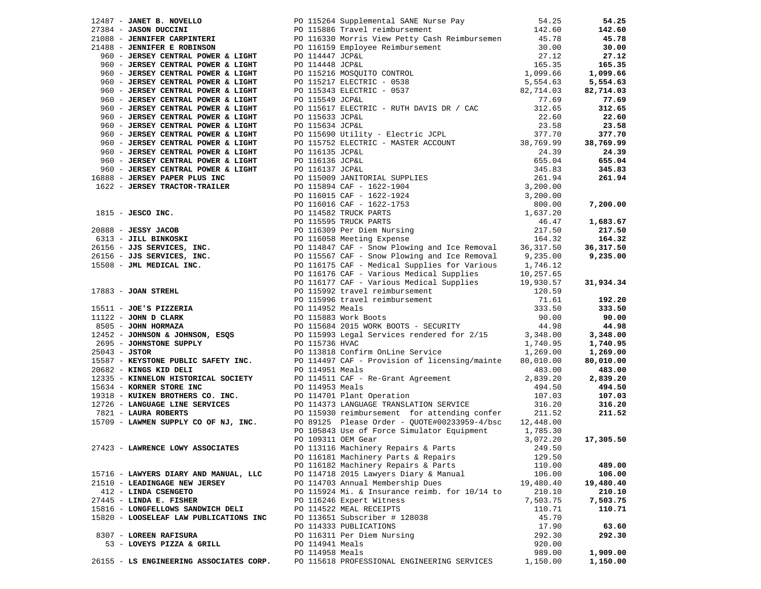|                                         |                                                                                                                                                                                                                                                                                           |           | 54.25      |
|-----------------------------------------|-------------------------------------------------------------------------------------------------------------------------------------------------------------------------------------------------------------------------------------------------------------------------------------------|-----------|------------|
|                                         | 12487 <b>JANET B. NOVELLO</b><br>27384 <b>JANET B. NOVELLO</b><br>27384 <b>JANET CARPINTERI</b><br>27384 <b>JANET CARPINTERI</b><br>27.18<br>27.18<br>27.19<br>27.12<br>27.12<br>27.12<br>27.12<br>27.12<br>27.12<br>27.12<br>27.12<br>27.12<br>27.12<br>27.12<br>27.12<br>27.12<br>27.12 |           | 142.60     |
|                                         |                                                                                                                                                                                                                                                                                           |           | 45.78      |
|                                         |                                                                                                                                                                                                                                                                                           |           | 30.00      |
|                                         |                                                                                                                                                                                                                                                                                           |           | 27.12      |
|                                         |                                                                                                                                                                                                                                                                                           |           |            |
|                                         |                                                                                                                                                                                                                                                                                           |           | 165.35     |
|                                         |                                                                                                                                                                                                                                                                                           |           | 1,099.66   |
|                                         |                                                                                                                                                                                                                                                                                           |           | 5,554.63   |
|                                         |                                                                                                                                                                                                                                                                                           |           | 82,714.03  |
|                                         |                                                                                                                                                                                                                                                                                           |           | 77.69      |
| 960 - JERSEY CENTRAL POWER & LIGHT      | PO 115617 ELECTRIC - RUTH DAVIS DR / CAC 312.65                                                                                                                                                                                                                                           |           | 312.65     |
| 960 - JERSEY CENTRAL POWER & LIGHT      | PO 115633 JCP&L                                                                                                                                                                                                                                                                           | 22.60     | 22.60      |
| 960 - JERSEY CENTRAL POWER & LIGHT      | PO 115634 JCP&L                                                                                                                                                                                                                                                                           | 23.58     | 23.58      |
|                                         |                                                                                                                                                                                                                                                                                           |           |            |
|                                         |                                                                                                                                                                                                                                                                                           |           | 377.70     |
|                                         |                                                                                                                                                                                                                                                                                           |           | 38,769.99  |
|                                         |                                                                                                                                                                                                                                                                                           |           | 24.39      |
|                                         |                                                                                                                                                                                                                                                                                           |           | 655.04     |
|                                         |                                                                                                                                                                                                                                                                                           |           | 345.83     |
|                                         |                                                                                                                                                                                                                                                                                           |           | 261.94     |
|                                         |                                                                                                                                                                                                                                                                                           |           |            |
|                                         |                                                                                                                                                                                                                                                                                           |           |            |
|                                         |                                                                                                                                                                                                                                                                                           |           |            |
|                                         |                                                                                                                                                                                                                                                                                           |           | 7,200.00   |
|                                         |                                                                                                                                                                                                                                                                                           |           |            |
|                                         |                                                                                                                                                                                                                                                                                           |           | 1,683.67   |
|                                         |                                                                                                                                                                                                                                                                                           |           | 217.50     |
|                                         |                                                                                                                                                                                                                                                                                           |           | 164.32     |
|                                         |                                                                                                                                                                                                                                                                                           |           | 36, 317.50 |
|                                         |                                                                                                                                                                                                                                                                                           |           | 9,235.00   |
|                                         |                                                                                                                                                                                                                                                                                           |           |            |
|                                         |                                                                                                                                                                                                                                                                                           |           |            |
|                                         |                                                                                                                                                                                                                                                                                           |           |            |
|                                         |                                                                                                                                                                                                                                                                                           |           | 31,934.34  |
|                                         | 360 - JEROSTY CHORRAL POWER & LIGHT<br>360 - JEROSTY CHORRAL POWER & LIGHT<br>360 - JEROSTY CHORRAL POWER & LIGHT<br>360 - JEROSTY CHORRAL POWER & LIGHT<br>360 - JEROSTY CHORRAL POWER & LIGHT<br>360 - JEROSTY CHORRAL POWER & LIGHT<br>                                                |           |            |
|                                         |                                                                                                                                                                                                                                                                                           |           | 192.20     |
|                                         |                                                                                                                                                                                                                                                                                           |           | 333.50     |
|                                         |                                                                                                                                                                                                                                                                                           |           | 90.00      |
|                                         |                                                                                                                                                                                                                                                                                           |           | 44.98      |
|                                         |                                                                                                                                                                                                                                                                                           |           | 3,348.00   |
|                                         |                                                                                                                                                                                                                                                                                           |           | 1,740.95   |
|                                         |                                                                                                                                                                                                                                                                                           |           | 1,269.00   |
|                                         |                                                                                                                                                                                                                                                                                           |           |            |
|                                         |                                                                                                                                                                                                                                                                                           |           | 80,010.00  |
|                                         |                                                                                                                                                                                                                                                                                           |           | 483.00     |
|                                         |                                                                                                                                                                                                                                                                                           |           | 2,839.20   |
|                                         |                                                                                                                                                                                                                                                                                           |           | 494.50     |
|                                         |                                                                                                                                                                                                                                                                                           |           | 107.03     |
|                                         |                                                                                                                                                                                                                                                                                           |           | 316.20     |
|                                         |                                                                                                                                                                                                                                                                                           |           | 211.52     |
|                                         |                                                                                                                                                                                                                                                                                           |           |            |
|                                         |                                                                                                                                                                                                                                                                                           |           |            |
|                                         |                                                                                                                                                                                                                                                                                           |           | 17,305.50  |
|                                         | PO 109311 OEM Gear                                                                                                                                                                                                                                                                        | 3,072.20  |            |
| 27423 - LAWRENCE LOWY ASSOCIATES        | PO 113116 Machinery Repairs & Parts                                                                                                                                                                                                                                                       | 249.50    |            |
|                                         | PO 116181 Machinery Parts & Repairs                                                                                                                                                                                                                                                       | 129.50    |            |
|                                         | PO 116182 Machinery Repairs & Parts                                                                                                                                                                                                                                                       | 110.00    | 489.00     |
| 15716 - LAWYERS DIARY AND MANUAL, LLC   | PO 114718 2015 Lawyers Diary & Manual                                                                                                                                                                                                                                                     | 106.00    | 106.00     |
| 21510 - LEADINGAGE NEW JERSEY           | PO 114703 Annual Membership Dues                                                                                                                                                                                                                                                          | 19,480.40 | 19,480.40  |
| 412 - LINDA CSENGETO                    | PO 115924 Mi. & Insurance reimb. for 10/14 to                                                                                                                                                                                                                                             | 210.10    | 210.10     |
| 27445 - LINDA E. FISHER                 | PO 116246 Expert Witness                                                                                                                                                                                                                                                                  | 7,503.75  | 7,503.75   |
| 15816 - LONGFELLOWS SANDWICH DELI       | PO 114522 MEAL RECEIPTS                                                                                                                                                                                                                                                                   | 110.71    | 110.71     |
|                                         |                                                                                                                                                                                                                                                                                           |           |            |
| 15820 - LOOSELEAF LAW PUBLICATIONS INC  | PO 113651 Subscriber # 128038                                                                                                                                                                                                                                                             | 45.70     |            |
|                                         | PO 114333 PUBLICATIONS                                                                                                                                                                                                                                                                    | 17.90     | 63.60      |
| 8307 - LOREEN RAFISURA                  | PO 116311 Per Diem Nursing                                                                                                                                                                                                                                                                | 292.30    | 292.30     |
| 53 - LOVEYS PIZZA & GRILL               | PO 114941 Meals                                                                                                                                                                                                                                                                           | 920.00    |            |
|                                         | PO 114958 Meals                                                                                                                                                                                                                                                                           | 989.00    | 1,909.00   |
| 26155 - LS ENGINEERING ASSOCIATES CORP. | PO 115618 PROFESSIONAL ENGINEERING SERVICES                                                                                                                                                                                                                                               | 1,150.00  | 1,150.00   |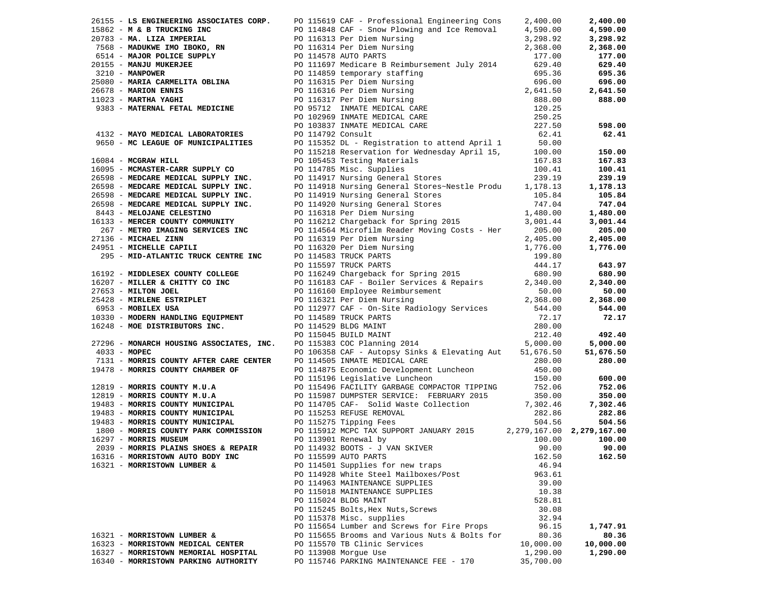|                                      | 26155 - LS ENGINEERING ASSOCIATES CORP. PO 115619 CAF - Professional Engineering Cons                                                                                                                                                  | 2,400.00  | 2,400.00  |
|--------------------------------------|----------------------------------------------------------------------------------------------------------------------------------------------------------------------------------------------------------------------------------------|-----------|-----------|
|                                      |                                                                                                                                                                                                                                        |           |           |
|                                      |                                                                                                                                                                                                                                        |           |           |
|                                      |                                                                                                                                                                                                                                        |           |           |
|                                      |                                                                                                                                                                                                                                        |           |           |
|                                      |                                                                                                                                                                                                                                        |           |           |
|                                      |                                                                                                                                                                                                                                        |           |           |
|                                      |                                                                                                                                                                                                                                        |           |           |
|                                      |                                                                                                                                                                                                                                        |           |           |
|                                      |                                                                                                                                                                                                                                        |           |           |
|                                      |                                                                                                                                                                                                                                        |           |           |
|                                      |                                                                                                                                                                                                                                        |           |           |
|                                      |                                                                                                                                                                                                                                        |           |           |
|                                      |                                                                                                                                                                                                                                        |           |           |
|                                      |                                                                                                                                                                                                                                        |           |           |
|                                      |                                                                                                                                                                                                                                        |           |           |
|                                      |                                                                                                                                                                                                                                        |           |           |
|                                      |                                                                                                                                                                                                                                        |           |           |
|                                      |                                                                                                                                                                                                                                        |           |           |
|                                      |                                                                                                                                                                                                                                        |           |           |
|                                      |                                                                                                                                                                                                                                        |           |           |
|                                      |                                                                                                                                                                                                                                        |           |           |
|                                      |                                                                                                                                                                                                                                        |           |           |
|                                      |                                                                                                                                                                                                                                        |           |           |
|                                      |                                                                                                                                                                                                                                        |           |           |
|                                      |                                                                                                                                                                                                                                        |           |           |
|                                      |                                                                                                                                                                                                                                        |           |           |
|                                      |                                                                                                                                                                                                                                        |           |           |
|                                      |                                                                                                                                                                                                                                        |           |           |
|                                      |                                                                                                                                                                                                                                        |           |           |
|                                      |                                                                                                                                                                                                                                        |           |           |
|                                      | 2018) An Experimento AMORATORIS CORP. Pricing the international corp.<br>The same of the same of the same of the same of the same of the same of the same of the same of the same of the same of the same of the same of the sa        |           |           |
|                                      |                                                                                                                                                                                                                                        |           |           |
|                                      |                                                                                                                                                                                                                                        |           |           |
|                                      |                                                                                                                                                                                                                                        |           |           |
|                                      |                                                                                                                                                                                                                                        |           |           |
|                                      |                                                                                                                                                                                                                                        |           |           |
|                                      |                                                                                                                                                                                                                                        |           |           |
|                                      |                                                                                                                                                                                                                                        |           |           |
|                                      |                                                                                                                                                                                                                                        |           |           |
|                                      |                                                                                                                                                                                                                                        |           |           |
|                                      |                                                                                                                                                                                                                                        |           |           |
|                                      |                                                                                                                                                                                                                                        |           |           |
|                                      | 19478 - MORRIS COUNTY AFTER CARE CENTER<br>19478 - MORRIS COUNTY CHAMBER OF PO 114575 ECONOMIC Development Luncheon<br>19478 - MORRIS COUNTY MUNDER OF PO 114575 ECONOMIC Development Luncheon<br>1968 - MORRIS COUNTY MUNICIPAL<br>19 |           |           |
|                                      |                                                                                                                                                                                                                                        |           |           |
|                                      |                                                                                                                                                                                                                                        |           |           |
|                                      |                                                                                                                                                                                                                                        |           |           |
|                                      |                                                                                                                                                                                                                                        |           |           |
|                                      |                                                                                                                                                                                                                                        |           |           |
|                                      |                                                                                                                                                                                                                                        |           |           |
|                                      |                                                                                                                                                                                                                                        |           |           |
|                                      |                                                                                                                                                                                                                                        |           |           |
| 16316 - MORRISTOWN AUTO BODY INC     | PO 115599 AUTO PARTS                                                                                                                                                                                                                   | 162.50    | 162.50    |
|                                      |                                                                                                                                                                                                                                        |           |           |
| 16321 - MORRISTOWN LUMBER &          | PO 114501 Supplies for new traps                                                                                                                                                                                                       | 46.94     |           |
|                                      | PO 114928 White Steel Mailboxes/Post                                                                                                                                                                                                   | 963.61    |           |
|                                      | PO 114963 MAINTENANCE SUPPLIES                                                                                                                                                                                                         | 39.00     |           |
|                                      | PO 115018 MAINTENANCE SUPPLIES                                                                                                                                                                                                         | 10.38     |           |
|                                      | PO 115024 BLDG MAINT                                                                                                                                                                                                                   | 528.81    |           |
|                                      | PO 115245 Bolts, Hex Nuts, Screws                                                                                                                                                                                                      | 30.08     |           |
|                                      | PO 115378 Misc. supplies                                                                                                                                                                                                               | 32.94     |           |
|                                      | PO 115654 Lumber and Screws for Fire Props                                                                                                                                                                                             | 96.15     | 1,747.91  |
| 16321 - MORRISTOWN LUMBER &          | PO 115655 Brooms and Various Nuts & Bolts for                                                                                                                                                                                          | 80.36     | 80.36     |
| 16323 - MORRISTOWN MEDICAL CENTER    | PO 115570 TB Clinic Services                                                                                                                                                                                                           | 10,000.00 | 10,000.00 |
| 16327 - MORRISTOWN MEMORIAL HOSPITAL | PO 113908 Morque Use                                                                                                                                                                                                                   | 1,290.00  | 1,290.00  |
| 16340 - MORRISTOWN PARKING AUTHORITY | PO 115746 PARKING MAINTENANCE FEE - 170                                                                                                                                                                                                | 35,700.00 |           |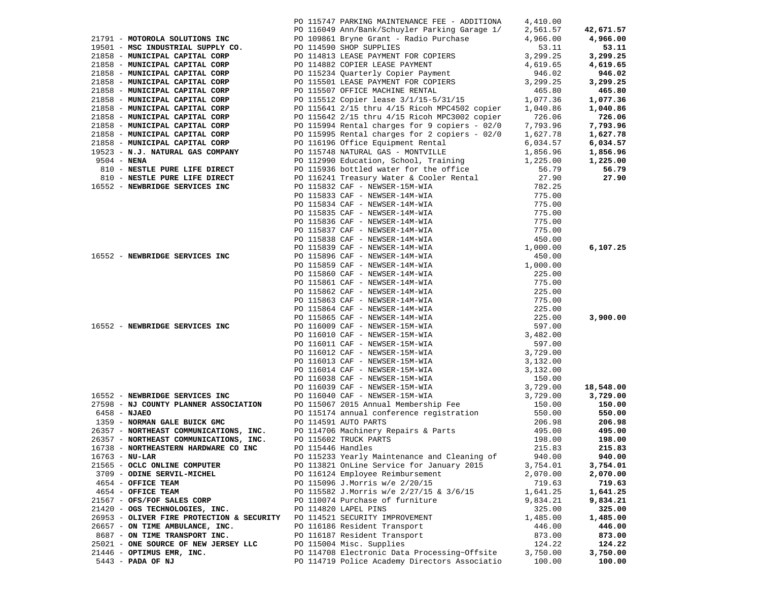|                                                                                                                                                                                                                               | PO 115747 PARKING MAINTENANCE FEE - ADDITIONA | 4,410.00 |           |
|-------------------------------------------------------------------------------------------------------------------------------------------------------------------------------------------------------------------------------|-----------------------------------------------|----------|-----------|
|                                                                                                                                                                                                                               |                                               |          | 42,671.57 |
|                                                                                                                                                                                                                               |                                               |          | 4,966.00  |
|                                                                                                                                                                                                                               |                                               |          | 53.11     |
|                                                                                                                                                                                                                               |                                               |          | 3,299.25  |
|                                                                                                                                                                                                                               |                                               |          | 4,619.65  |
|                                                                                                                                                                                                                               |                                               |          | 946.02    |
|                                                                                                                                                                                                                               |                                               |          | 3,299.25  |
|                                                                                                                                                                                                                               |                                               |          | 465.80    |
|                                                                                                                                                                                                                               |                                               |          | 1,077.36  |
|                                                                                                                                                                                                                               |                                               |          |           |
|                                                                                                                                                                                                                               |                                               |          | 1,040.86  |
|                                                                                                                                                                                                                               |                                               |          | 726.06    |
|                                                                                                                                                                                                                               |                                               |          | 7,793.96  |
|                                                                                                                                                                                                                               |                                               |          | 1,627.78  |
|                                                                                                                                                                                                                               |                                               |          | 6,034.57  |
|                                                                                                                                                                                                                               |                                               |          | 1,856.96  |
|                                                                                                                                                                                                                               |                                               |          | 1,225.00  |
|                                                                                                                                                                                                                               |                                               |          | 56.79     |
|                                                                                                                                                                                                                               |                                               |          | 27.90     |
|                                                                                                                                                                                                                               |                                               |          |           |
|                                                                                                                                                                                                                               |                                               |          |           |
|                                                                                                                                                                                                                               |                                               |          |           |
|                                                                                                                                                                                                                               |                                               |          |           |
|                                                                                                                                                                                                                               |                                               |          |           |
|                                                                                                                                                                                                                               |                                               |          |           |
|                                                                                                                                                                                                                               |                                               |          |           |
|                                                                                                                                                                                                                               |                                               |          | 6,107.25  |
|                                                                                                                                                                                                                               |                                               |          |           |
|                                                                                                                                                                                                                               |                                               |          |           |
|                                                                                                                                                                                                                               |                                               |          |           |
|                                                                                                                                                                                                                               |                                               |          |           |
|                                                                                                                                                                                                                               |                                               |          |           |
|                                                                                                                                                                                                                               |                                               |          |           |
|                                                                                                                                                                                                                               |                                               |          |           |
|                                                                                                                                                                                                                               |                                               |          | 3,900.00  |
|                                                                                                                                                                                                                               |                                               |          |           |
|                                                                                                                                                                                                                               |                                               |          |           |
|                                                                                                                                                                                                                               |                                               |          |           |
|                                                                                                                                                                                                                               |                                               |          |           |
|                                                                                                                                                                                                                               |                                               |          |           |
|                                                                                                                                                                                                                               |                                               |          |           |
|                                                                                                                                                                                                                               |                                               |          |           |
|                                                                                                                                                                                                                               |                                               |          | 18,548.00 |
| 71711 - MOTORINA SOLUTION DVC - 2012-07412 PALICIDATE PRICE - ARCHIVES - 2012-0742 - 2012-0742 - 2012-0742 - 2012-0742 - 2012-0742 - 2012-0742 - 2012-0742 - 2012-0742 - 2012-0742 - 2012-0742 - 2012-0742 - 2012-0742 - 2012 |                                               |          | 3,729.00  |
|                                                                                                                                                                                                                               |                                               |          | 150.00    |
|                                                                                                                                                                                                                               |                                               |          | 550.00    |
|                                                                                                                                                                                                                               |                                               |          | 206.98    |
|                                                                                                                                                                                                                               |                                               |          | 495.00    |
|                                                                                                                                                                                                                               |                                               |          | 198.00    |
| 16738 - NORTHEASTERN HARDWARE CO INC                                                                                                                                                                                          | PO 115446 Handles                             | 215.83   | 215.83    |
| $16763 - NU-LAR$                                                                                                                                                                                                              | PO 115233 Yearly Maintenance and Cleaning of  | 940.00   | 940.00    |
| 21565 - OCLC ONLINE COMPUTER                                                                                                                                                                                                  | PO 113821 OnLine Service for January 2015     | 3,754.01 | 3,754.01  |
| 3709 - ODINE SERVIL-MICHEL                                                                                                                                                                                                    | PO 116124 Employee Reimbursement              | 2,070.00 | 2,070.00  |
| 4654 - OFFICE TEAM                                                                                                                                                                                                            | PO 115096 J.Morris w/e 2/20/15                | 719.63   | 719.63    |
| 4654 - OFFICE TEAM                                                                                                                                                                                                            | PO 115582 J.Morris w/e 2/27/15 & 3/6/15       | 1,641.25 | 1,641.25  |
| 21567 - OFS/FOF SALES CORP                                                                                                                                                                                                    | PO 110074 Purchase of furniture               | 9,834.21 | 9,834.21  |
| 21420 - OGS TECHNOLOGIES, INC.                                                                                                                                                                                                | PO 114820 LAPEL PINS                          | 325.00   | 325.00    |
| 26953 - OLIVER FIRE PROTECTION & SECURITY                                                                                                                                                                                     | PO 114521 SECURITY IMPROVEMENT                | 1,485.00 | 1,485.00  |
| 26657 - ON TIME AMBULANCE, INC.                                                                                                                                                                                               | PO 116186 Resident Transport                  | 446.00   | 446.00    |
| 8687 - ON TIME TRANSPORT INC.                                                                                                                                                                                                 | PO 116187 Resident Transport                  | 873.00   | 873.00    |
| 25021 - ONE SOURCE OF NEW JERSEY LLC                                                                                                                                                                                          | PO 115004 Misc. Supplies                      | 124.22   | 124.22    |
| 21446 - OPTIMUS EMR, INC.                                                                                                                                                                                                     | PO 114708 Electronic Data Processing~Offsite  | 3,750.00 | 3,750.00  |
| 5443 - PADA OF NJ                                                                                                                                                                                                             | PO 114719 Police Academy Directors Associatio | 100.00   | 100.00    |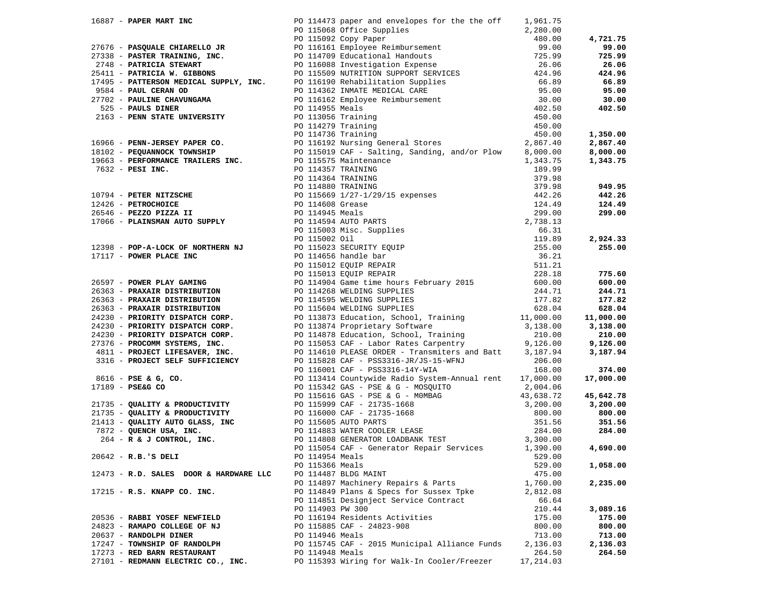|                     |                                        |                  | 1968) - PAPER AND MARTIN (1971-1972) - 1971-1972) - 1972-1973 - 1972-1973 - 1972-1973 - 1972-1973 - 1972-1973 - 1972-1973 - 1972-1973 - 1972-1973 - 1972-1973 - 1972-1973 - 1972-1973 - 1972-1973 - 1972-1973 - 1972-1973 - 1 |           |          |
|---------------------|----------------------------------------|------------------|-------------------------------------------------------------------------------------------------------------------------------------------------------------------------------------------------------------------------------|-----------|----------|
|                     |                                        |                  |                                                                                                                                                                                                                               |           |          |
|                     |                                        |                  |                                                                                                                                                                                                                               |           |          |
|                     |                                        |                  |                                                                                                                                                                                                                               |           |          |
|                     |                                        |                  |                                                                                                                                                                                                                               |           |          |
|                     |                                        |                  |                                                                                                                                                                                                                               |           |          |
|                     |                                        |                  |                                                                                                                                                                                                                               |           |          |
| 20642 - R.B.'S DELI |                                        | PO 114954 Meals  |                                                                                                                                                                                                                               | 529.00    |          |
|                     |                                        | PO 115366 Meals  |                                                                                                                                                                                                                               | 529.00    | 1,058.00 |
|                     | 12473 - R.D. SALES DOOR & HARDWARE LLC |                  | PO 114487 BLDG MAINT                                                                                                                                                                                                          | 475.00    |          |
|                     |                                        |                  | PO 114897 Machinery Repairs & Parts                                                                                                                                                                                           | 1,760.00  | 2,235.00 |
|                     | $17215$ - R.S. KNAPP CO. INC.          |                  | PO 114849 Plans & Specs for Sussex Tpke                                                                                                                                                                                       | 2,812.08  |          |
|                     |                                        |                  | PO 114851 Designject Service Contract                                                                                                                                                                                         | 66.64     |          |
|                     |                                        | PO 114903 PW 300 |                                                                                                                                                                                                                               | 210.44    | 3,089.16 |
|                     | 20536 - RABBI YOSEF NEWFIELD           |                  | PO 116194 Residents Activities                                                                                                                                                                                                | 175.00    | 175.00   |
|                     | 24823 - RAMAPO COLLEGE OF NJ           |                  | PO 115885 CAF - 24823-908                                                                                                                                                                                                     | 800.00    | 800.00   |
|                     | 20637 - RANDOLPH DINER                 | PO 114946 Meals  |                                                                                                                                                                                                                               | 713.00    | 713.00   |
|                     | 17247 - TOWNSHIP OF RANDOLPH           |                  | PO 115745 CAF - 2015 Municipal Alliance Funds                                                                                                                                                                                 | 2,136.03  | 2,136.03 |
|                     | 17273 - RED BARN RESTAURANT            | PO 114948 Meals  |                                                                                                                                                                                                                               | 264.50    | 264.50   |
|                     | 27101 - REDMANN ELECTRIC CO., INC.     |                  | PO 115393 Wiring for Walk-In Cooler/Freezer                                                                                                                                                                                   | 17,214.03 |          |
|                     |                                        |                  |                                                                                                                                                                                                                               |           |          |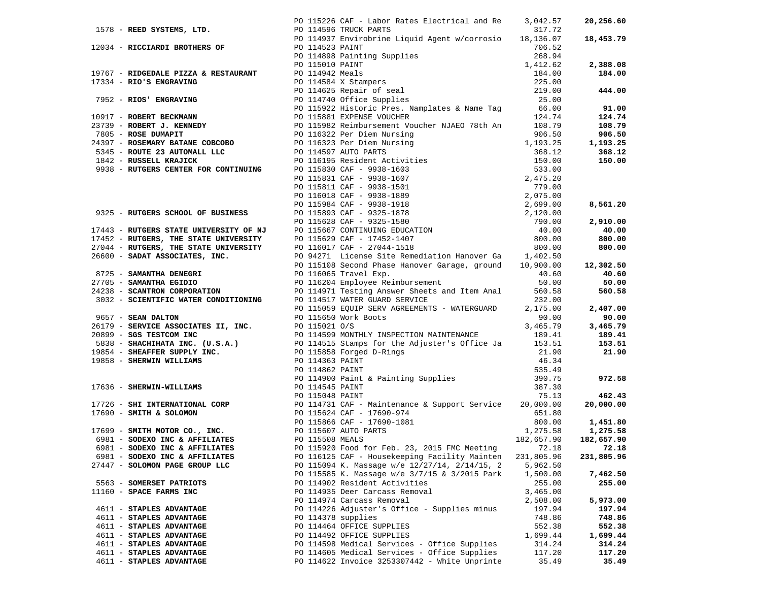|                                | PO 115226 CAF - Labor Rates Electrical and Re                                                                                                                                                                                                                                              | 3,042.57   | 20,256.60       |
|--------------------------------|--------------------------------------------------------------------------------------------------------------------------------------------------------------------------------------------------------------------------------------------------------------------------------------------|------------|-----------------|
|                                |                                                                                                                                                                                                                                                                                            |            |                 |
|                                |                                                                                                                                                                                                                                                                                            |            | 18,453.79       |
|                                |                                                                                                                                                                                                                                                                                            |            |                 |
|                                |                                                                                                                                                                                                                                                                                            |            |                 |
|                                |                                                                                                                                                                                                                                                                                            |            | 2,388.08        |
|                                |                                                                                                                                                                                                                                                                                            |            | 184.00          |
|                                |                                                                                                                                                                                                                                                                                            |            |                 |
|                                |                                                                                                                                                                                                                                                                                            |            | 444.00          |
|                                |                                                                                                                                                                                                                                                                                            |            |                 |
|                                |                                                                                                                                                                                                                                                                                            |            | 91.00           |
|                                |                                                                                                                                                                                                                                                                                            |            | 124.74          |
|                                |                                                                                                                                                                                                                                                                                            |            | 108.79          |
|                                |                                                                                                                                                                                                                                                                                            |            | 906.50          |
|                                |                                                                                                                                                                                                                                                                                            |            | 1,193.25        |
|                                |                                                                                                                                                                                                                                                                                            |            | 368.12          |
|                                |                                                                                                                                                                                                                                                                                            |            | 150.00          |
|                                |                                                                                                                                                                                                                                                                                            |            |                 |
|                                |                                                                                                                                                                                                                                                                                            |            |                 |
|                                |                                                                                                                                                                                                                                                                                            |            |                 |
|                                |                                                                                                                                                                                                                                                                                            |            |                 |
|                                |                                                                                                                                                                                                                                                                                            |            |                 |
|                                |                                                                                                                                                                                                                                                                                            |            | 8,561.20        |
|                                |                                                                                                                                                                                                                                                                                            |            |                 |
|                                |                                                                                                                                                                                                                                                                                            |            | 2,910.00        |
|                                |                                                                                                                                                                                                                                                                                            |            | 40.00           |
|                                |                                                                                                                                                                                                                                                                                            |            | 800.00          |
|                                |                                                                                                                                                                                                                                                                                            |            | 800.00          |
|                                |                                                                                                                                                                                                                                                                                            |            |                 |
|                                | PO 115108 Second Phase Hanover Garage, ground 10,900.00 12,302.50                                                                                                                                                                                                                          |            |                 |
|                                |                                                                                                                                                                                                                                                                                            |            | 40.60           |
|                                |                                                                                                                                                                                                                                                                                            |            | 50.00           |
|                                |                                                                                                                                                                                                                                                                                            |            | 560.58          |
|                                |                                                                                                                                                                                                                                                                                            |            |                 |
|                                |                                                                                                                                                                                                                                                                                            |            | 2,407.00        |
|                                |                                                                                                                                                                                                                                                                                            |            | 90.00           |
|                                |                                                                                                                                                                                                                                                                                            |            |                 |
|                                |                                                                                                                                                                                                                                                                                            |            | 3,465.79        |
|                                |                                                                                                                                                                                                                                                                                            |            | 189.41          |
|                                |                                                                                                                                                                                                                                                                                            |            | 153.51          |
|                                |                                                                                                                                                                                                                                                                                            |            | 21.90           |
|                                |                                                                                                                                                                                                                                                                                            |            |                 |
|                                |                                                                                                                                                                                                                                                                                            |            |                 |
|                                |                                                                                                                                                                                                                                                                                            |            | 972.58          |
|                                |                                                                                                                                                                                                                                                                                            |            |                 |
|                                |                                                                                                                                                                                                                                                                                            |            | 462.43          |
|                                |                                                                                                                                                                                                                                                                                            |            | 20,000.00       |
|                                |                                                                                                                                                                                                                                                                                            |            |                 |
|                                |                                                                                                                                                                                                                                                                                            |            | 800.00 1,451.80 |
|                                |                                                                                                                                                                                                                                                                                            |            | 1,275.58        |
|                                |                                                                                                                                                                                                                                                                                            |            | 182,657.90      |
|                                |                                                                                                                                                                                                                                                                                            |            | 72.18           |
| 6981 - SODEXO INC & AFFILIATES | 1599 - RIOCHARD INCORRECTS (19).<br>1699 - RIOCHARD RESULTER (19).<br>1699 - RIOCHARD RESULTER (19).<br>1699 - RIOCHARD RESULTER (19).<br>1699 - RIOCHARD RESULTER (19).<br>1699 - RIOCHARD RESULTER (19).<br>1699 - RIOCHARD RESULTER (1<br>PO 116125 CAF - Housekeeping Facility Mainten | 231,805.96 | 231,805.96      |
| 27447 - SOLOMON PAGE GROUP LLC | PO 115094 K. Massage w/e 12/27/14, 2/14/15, 2                                                                                                                                                                                                                                              | 5,962.50   |                 |
|                                | PO 115585 K. Massage w/e 3/7/15 & 3/2015 Park                                                                                                                                                                                                                                              | 1,500.00   | 7,462.50        |
| 5563 - SOMERSET PATRIOTS       | PO 114902 Resident Activities                                                                                                                                                                                                                                                              | 255.00     | 255.00          |
| 11160 - SPACE FARMS INC        | PO 114935 Deer Carcass Removal                                                                                                                                                                                                                                                             | 3,465.00   |                 |
|                                | PO 114974 Carcass Removal                                                                                                                                                                                                                                                                  | 2,508.00   | 5,973.00        |
| 4611 - STAPLES ADVANTAGE       | PO 114226 Adjuster's Office - Supplies minus                                                                                                                                                                                                                                               |            | 197.94          |
|                                |                                                                                                                                                                                                                                                                                            | 197.94     |                 |
| 4611 - STAPLES ADVANTAGE       | PO 114378 supplies                                                                                                                                                                                                                                                                         | 748.86     | 748.86          |
| 4611 - STAPLES ADVANTAGE       | PO 114464 OFFICE SUPPLIES                                                                                                                                                                                                                                                                  | 552.38     | 552.38          |
| 4611 - STAPLES ADVANTAGE       | PO 114492 OFFICE SUPPLIES                                                                                                                                                                                                                                                                  | 1,699.44   | 1,699.44        |
| 4611 - STAPLES ADVANTAGE       | PO 114598 Medical Services - Office Supplies                                                                                                                                                                                                                                               | 314.24     | 314.24          |
| 4611 - STAPLES ADVANTAGE       | PO 114605 Medical Services - Office Supplies                                                                                                                                                                                                                                               | 117.20     | 117.20          |
| 4611 - STAPLES ADVANTAGE       | PO 114622 Invoice 3253307442 - White Unprinte                                                                                                                                                                                                                                              | 35.49      | 35.49           |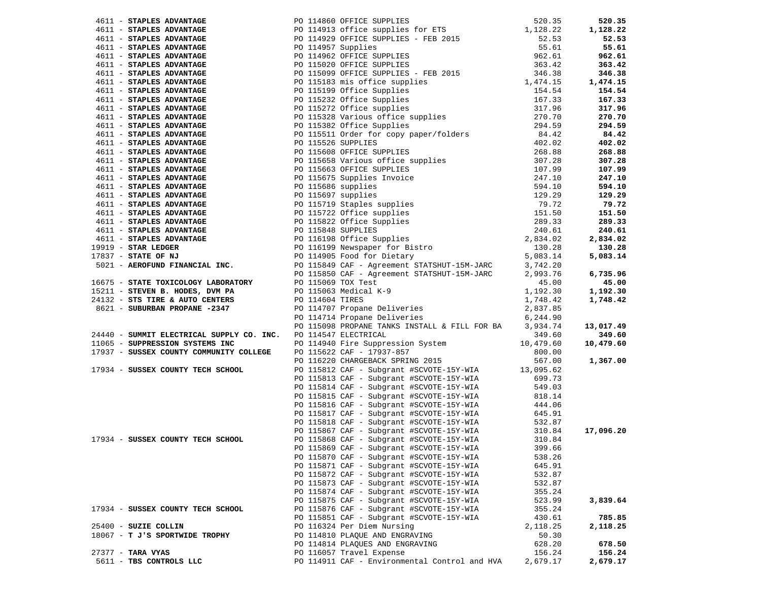|                                                                | 46111 <b>STANDER ANYANTAGE</b><br>46111 <b>STANDER ANYANTAGE</b><br>46111 <b>STANDER ANYANTAGE</b><br>46111 <b>STANDER ANYANTAGE</b><br>46111 <b>STANDER ANYANTAGE</b><br>46111 <b>STANDER ANYANTAGE</b><br>46111 <b>STANDER ANYANTAGE</b><br>46111 <b>STANDER ANYANTAGE</b><br>46111 |          | 520.35    |
|----------------------------------------------------------------|---------------------------------------------------------------------------------------------------------------------------------------------------------------------------------------------------------------------------------------------------------------------------------------|----------|-----------|
|                                                                |                                                                                                                                                                                                                                                                                       |          | 1,128.22  |
|                                                                |                                                                                                                                                                                                                                                                                       |          | 52.53     |
|                                                                |                                                                                                                                                                                                                                                                                       |          | 55.61     |
|                                                                |                                                                                                                                                                                                                                                                                       |          | 962.61    |
|                                                                |                                                                                                                                                                                                                                                                                       |          | 363.42    |
|                                                                |                                                                                                                                                                                                                                                                                       |          | 346.38    |
|                                                                |                                                                                                                                                                                                                                                                                       |          | 1,474.15  |
|                                                                |                                                                                                                                                                                                                                                                                       |          | 154.54    |
|                                                                |                                                                                                                                                                                                                                                                                       |          | 167.33    |
|                                                                |                                                                                                                                                                                                                                                                                       |          | 317.96    |
|                                                                |                                                                                                                                                                                                                                                                                       |          | 270.70    |
|                                                                |                                                                                                                                                                                                                                                                                       |          | 294.59    |
|                                                                |                                                                                                                                                                                                                                                                                       |          | 84.42     |
|                                                                |                                                                                                                                                                                                                                                                                       |          | 402.02    |
|                                                                |                                                                                                                                                                                                                                                                                       |          | 268.88    |
|                                                                |                                                                                                                                                                                                                                                                                       |          | 307.28    |
|                                                                |                                                                                                                                                                                                                                                                                       |          | 107.99    |
|                                                                |                                                                                                                                                                                                                                                                                       |          | 247.10    |
|                                                                |                                                                                                                                                                                                                                                                                       |          | 594.10    |
|                                                                |                                                                                                                                                                                                                                                                                       |          | 129.29    |
|                                                                |                                                                                                                                                                                                                                                                                       |          | 79.72     |
|                                                                |                                                                                                                                                                                                                                                                                       |          | 151.50    |
|                                                                |                                                                                                                                                                                                                                                                                       |          | 289.33    |
|                                                                |                                                                                                                                                                                                                                                                                       |          | 240.61    |
|                                                                |                                                                                                                                                                                                                                                                                       |          | 2,834.02  |
|                                                                |                                                                                                                                                                                                                                                                                       |          | 130.28    |
|                                                                |                                                                                                                                                                                                                                                                                       |          | 5,083.14  |
|                                                                |                                                                                                                                                                                                                                                                                       |          |           |
|                                                                |                                                                                                                                                                                                                                                                                       |          | 6,735.96  |
|                                                                |                                                                                                                                                                                                                                                                                       |          | 45.00     |
|                                                                |                                                                                                                                                                                                                                                                                       |          | 1,192.30  |
|                                                                |                                                                                                                                                                                                                                                                                       |          | 1,748.42  |
|                                                                |                                                                                                                                                                                                                                                                                       |          |           |
|                                                                |                                                                                                                                                                                                                                                                                       |          |           |
|                                                                |                                                                                                                                                                                                                                                                                       |          | 13,017.49 |
| 24440 - SUMMIT ELECTRICAL SUPPLY CO. INC. PO 114547 ELECTRICAL |                                                                                                                                                                                                                                                                                       | 349.60   | 349.60    |
|                                                                |                                                                                                                                                                                                                                                                                       |          | 10,479.60 |
|                                                                |                                                                                                                                                                                                                                                                                       |          |           |
|                                                                |                                                                                                                                                                                                                                                                                       |          | 1,367.00  |
|                                                                |                                                                                                                                                                                                                                                                                       |          |           |
|                                                                |                                                                                                                                                                                                                                                                                       |          |           |
|                                                                |                                                                                                                                                                                                                                                                                       |          |           |
|                                                                |                                                                                                                                                                                                                                                                                       |          |           |
|                                                                |                                                                                                                                                                                                                                                                                       |          |           |
|                                                                |                                                                                                                                                                                                                                                                                       |          |           |
|                                                                |                                                                                                                                                                                                                                                                                       |          |           |
|                                                                |                                                                                                                                                                                                                                                                                       |          | 17,096.20 |
|                                                                |                                                                                                                                                                                                                                                                                       |          |           |
|                                                                | PO 115869 CAF - Subgrant #SCVOTE-15Y-WIA 399.66                                                                                                                                                                                                                                       |          |           |
|                                                                | PO 115870 CAF - Subgrant #SCVOTE-15Y-WIA                                                                                                                                                                                                                                              | 538.26   |           |
|                                                                | PO 115871 CAF - Subgrant #SCVOTE-15Y-WIA                                                                                                                                                                                                                                              | 645.91   |           |
|                                                                | PO 115872 CAF - Subgrant #SCVOTE-15Y-WIA                                                                                                                                                                                                                                              | 532.87   |           |
|                                                                | PO 115873 CAF - Subgrant #SCVOTE-15Y-WIA                                                                                                                                                                                                                                              | 532.87   |           |
|                                                                | PO 115874 CAF - Subgrant #SCVOTE-15Y-WIA                                                                                                                                                                                                                                              | 355.24   |           |
|                                                                | PO 115875 CAF - Subgrant #SCVOTE-15Y-WIA                                                                                                                                                                                                                                              | 523.99   | 3,839.64  |
| 17934 - SUSSEX COUNTY TECH SCHOOL                              | PO 115876 CAF - Subgrant #SCVOTE-15Y-WIA                                                                                                                                                                                                                                              | 355.24   |           |
|                                                                | PO 115851 CAF - Subgrant #SCVOTE-15Y-WIA                                                                                                                                                                                                                                              | 430.61   | 785.85    |
| 25400 - SUZIE COLLIN                                           | PO 116324 Per Diem Nursing                                                                                                                                                                                                                                                            | 2,118.25 | 2,118.25  |
| 18067 - T J'S SPORTWIDE TROPHY                                 | PO 114810 PLAQUE AND ENGRAVING                                                                                                                                                                                                                                                        | 50.30    |           |
|                                                                | PO 114814 PLAQUES AND ENGRAVING                                                                                                                                                                                                                                                       | 628.20   | 678.50    |
| 27377 - TARA VYAS                                              | PO 116057 Travel Expense                                                                                                                                                                                                                                                              | 156.24   | 156.24    |
|                                                                | PO 114911 CAF - Environmental Control and HVA                                                                                                                                                                                                                                         | 2,679.17 | 2,679.17  |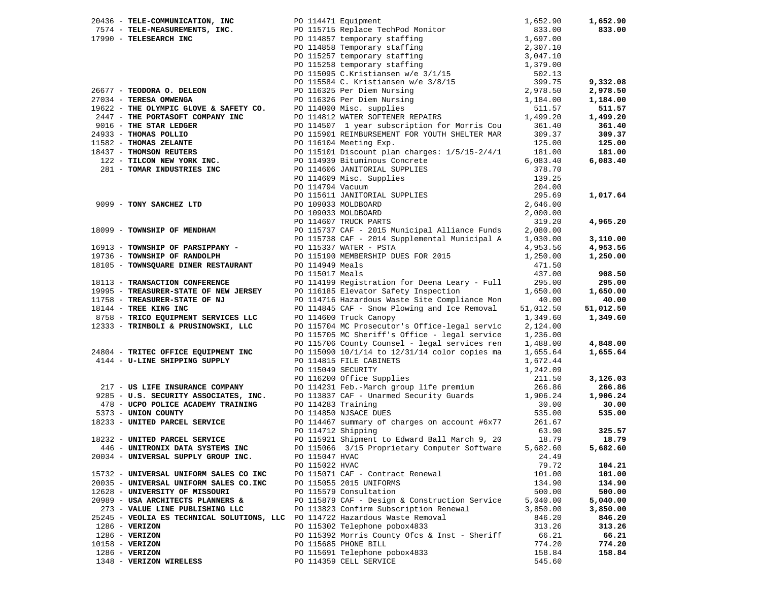|                                | 20436 - TELE-COMMUNICATION, INC                                              |                 | PO 114471 Equipment                                                                                                                | 1,652.90  | 1,652.90  |
|--------------------------------|------------------------------------------------------------------------------|-----------------|------------------------------------------------------------------------------------------------------------------------------------|-----------|-----------|
|                                |                                                                              |                 | 7574 - TELE-MEASUREMENTS, INC.<br>17990 - TELESEARCH INC<br>PO 114857 temporary staffing                                           | 833.00    | 833.00    |
| 17990 - TELESEARCH INC         |                                                                              |                 |                                                                                                                                    | 1,697.00  |           |
|                                |                                                                              |                 |                                                                                                                                    | 2,307.10  |           |
|                                |                                                                              |                 |                                                                                                                                    | 3,047.10  |           |
|                                |                                                                              |                 |                                                                                                                                    | 1,379.00  |           |
|                                |                                                                              |                 | PO 114858 Temporary staffing<br>PO 115257 temporary staffing<br>PO 115258 temporary staffing<br>PO 115095 C.Kristiansen w/e 3/1/15 | 502.13    |           |
|                                |                                                                              |                 |                                                                                                                                    | 399.75    | 9,332.08  |
| 26677 - TEODORA O. DELEON      |                                                                              |                 | PO 115584 C. Kristiansen w/e 3/8/15<br>PO 116325 Per Diem Nursing                                                                  | 2,978.50  | 2,978.50  |
| 27034 - TERESA OMWENGA         |                                                                              |                 | PO 116326 Per Diem Nursing                                                                                                         | 1,184.00  | 1,184.00  |
|                                | 19622 - THE OLYMPIC GLOVE & SAFETY CO.                                       |                 | PO 114000 Misc. supplies                                                                                                           | 511.57    | 511.57    |
|                                | 2447 - THE PORTASOFT COMPANY INC                                             |                 | PO 114812 WATER SOFTENER REPAIRS                                                                                                   | 1,499.20  | 1,499.20  |
| 9016 - THE STAR LEDGER         |                                                                              |                 | PO 114507 1 year subscription for Morris Cou                                                                                       | 361.40    | 361.40    |
| 24933 - THOMAS POLLIO          |                                                                              |                 | PO 115901 REIMBURSEMENT FOR YOUTH SHELTER MAR                                                                                      | 309.37    | 309.37    |
| 11582 - THOMAS ZELANTE         |                                                                              |                 | PO 116104 Meeting Exp.                                                                                                             | 125.00    | 125.00    |
| 18437 - THOMSON REUTERS        |                                                                              |                 | PO 115101 Discount plan charges: 1/5/15-2/4/1                                                                                      | 181.00    | 181.00    |
|                                | 122 - TILCON NEW YORK INC.                                                   |                 | PO 114939 Bituminous Concrete                                                                                                      | 6,083.40  | 6,083.40  |
|                                | 281 - TOMAR INDUSTRIES INC                                                   |                 | PO 114606 JANITORIAL SUPPLIES                                                                                                      | 378.70    |           |
|                                |                                                                              |                 | PO 114000 Units<br>PO 114609 Misc. Supplies                                                                                        | 139.25    |           |
|                                |                                                                              |                 | PO 114794 Vacuum                                                                                                                   | 204.00    |           |
|                                |                                                                              |                 |                                                                                                                                    | 295.69    | 1,017.64  |
|                                | 9099 - TONY SANCHEZ LTD                                                      |                 | PO 115611 JANITORIAL SUPPLIES<br>PO 109033 MOLDBOARD                                                                               | 2,646.00  |           |
|                                |                                                                              |                 | PO 109033 MOLDBOARD                                                                                                                | 2,000.00  |           |
|                                |                                                                              |                 | PO 114607 TRUCK PARTS                                                                                                              | 319.20    | 4,965.20  |
|                                | 18099 - TOWNSHIP OF MENDHAM                                                  |                 | PO 115737 CAF - 2015 Municipal Alliance Funds                                                                                      | 2,080.00  |           |
|                                |                                                                              |                 | PO 115738 CAF - 2014 Supplemental Municipal A                                                                                      | 1,030.00  | 3,110.00  |
|                                | 16913 - TOWNSHIP OF PARSIPPANY -                                             |                 | PO 115337 WATER - PSTA                                                                                                             | 4,953.56  | 4,953.56  |
| 19736 - TOWNSHIP OF RANDOLPH   |                                                                              |                 | PO 115190 MEMBERSHIP DUES FOR 2015                                                                                                 | 1,250.00  | 1,250.00  |
|                                | 18105 - TOWNSQUARE DINER RESTAURANT                                          | PO 114949 Meals |                                                                                                                                    | 471.50    |           |
|                                |                                                                              | PO 115017 Meals |                                                                                                                                    | 437.00    | 908.50    |
| 18113 - TRANSACTION CONFERENCE |                                                                              |                 | PO 114199 Registration for Deena Leary - Full                                                                                      | 295.00    | 295.00    |
|                                | 19995 - TREASURER-STATE OF NEW JERSEY                                        |                 | PO 116185 Elevator Safety Inspection                                                                                               | 1,650.00  | 1,650.00  |
| 11758 - TREASURER-STATE OF NJ  |                                                                              |                 | PO 114716 Hazardous Waste Site Compliance Mon                                                                                      | 40.00     | 40.00     |
| 18144 - TREE KING INC          |                                                                              |                 |                                                                                                                                    | 51,012.50 | 51,012.50 |
|                                | 8758 - TRICO EQUIPMENT SERVICES LLC                                          |                 | PO 114845 CAF - Snow Plowing and Ice Removal<br>PO 114600 Truck Canopy                                                             | 1,349.60  | 1,349.60  |
|                                | 12333 - TRIMBOLI & PRUSINOWSKI, LLC                                          |                 | PO 115704 MC Prosecutor's Office-legal servic                                                                                      | 2,124.00  |           |
|                                |                                                                              |                 | PO 115705 MC Sheriff's Office - legal service                                                                                      | 1,236.00  |           |
|                                |                                                                              |                 | PO 115706 County Counsel - legal services ren                                                                                      | 1,488.00  | 4,848.00  |
|                                | 24804 - TRITEC OFFICE EQUIPMENT INC                                          |                 | PO 115090 10/1/14 to 12/31/14 color copies ma                                                                                      | 1,655.64  | 1,655.64  |
|                                | 4144 - U-LINE SHIPPING SUPPLY                                                |                 | PO 114815 FILE CABINETS                                                                                                            | 1,672.44  |           |
|                                |                                                                              |                 | PO 115049 SECURITY                                                                                                                 | 1,242.09  |           |
|                                |                                                                              |                 | PO 116200 Office Supplies                                                                                                          | 211.50    | 3,126.03  |
|                                | 217 - US LIFE INSURANCE COMPANY                                              |                 | PO 114231 Feb.-March group life premium                                                                                            | 266.86    | 266.86    |
|                                | 9285 - U.S. SECURITY ASSOCIATES, INC.                                        |                 | PO 113837 CAF - Unarmed Security Guards                                                                                            | 1,906.24  | 1,906.24  |
|                                | 478 - UCPO POLICE ACADEMY TRAINING                                           |                 | PO 114283 Training                                                                                                                 | 30.00     | 30.00     |
| 5373 - UNION COUNTY            |                                                                              |                 | PO 114850 NJSACE DUES                                                                                                              | 535.00    | 535.00    |
|                                | 18233 - UNITED PARCEL SERVICE                                                |                 | PO 114467 summary of charges on account #6x77                                                                                      | 261.67    |           |
|                                |                                                                              |                 | PO 114712 Shipping                                                                                                                 | 63.90     | 325.57    |
| 18232 - UNITED PARCEL SERVICE  |                                                                              |                 | PO 115921 Shipment to Edward Ball March 9, 20                                                                                      | 18.79     | 18.79     |
|                                | 446 - UNITRONIX DATA SYSTEMS INC                                             |                 | PO 115066 3/15 Proprietary Computer Software                                                                                       | 5,682.60  | 5,682.60  |
|                                | 20034 - UNIVERSAL SUPPLY GROUP INC.                                          | PO 115047 HVAC  |                                                                                                                                    | 24.49     |           |
|                                |                                                                              | PO 115022 HVAC  |                                                                                                                                    | 79.72     | 104.21    |
|                                | 15732 - UNIVERSAL UNIFORM SALES CO INC                                       |                 | PO 115071 CAF - Contract Renewal                                                                                                   | 101.00    | 101.00    |
|                                | 20035 - UNIVERSAL UNIFORM SALES CO.INC                                       |                 | PO 115055 2015 UNIFORMS                                                                                                            | 134.90    | 134.90    |
| 12628 - UNIVERSITY OF MISSOURI |                                                                              |                 | PO 115579 Consultation                                                                                                             | 500.00    | 500.00    |
|                                | 20989 - USA ARCHITECTS PLANNERS &                                            |                 | PO 115879 CAF - Design & Construction Service                                                                                      | 5,040.00  | 5,040.00  |
|                                | 273 - VALUE LINE PUBLISHING LLC                                              |                 |                                                                                                                                    |           |           |
|                                | 25245 - VEOLIA ES TECHNICAL SOLUTIONS, LLC PO 114722 Hazardous Waste Removal |                 | PO 113823 Confirm Subscription Renewal                                                                                             | 3,850.00  | 3,850.00  |
|                                |                                                                              |                 | PO 115302 Telephone pobox4833                                                                                                      | 846.20    | 846.20    |
| $1286$ - VERIZON               |                                                                              |                 |                                                                                                                                    | 313.26    | 313.26    |
| $1286$ - VERIZON               |                                                                              |                 | PO 115392 Morris County Ofcs & Inst - Sheriff                                                                                      | 66.21     | 66.21     |
| 10158 - VERIZON                |                                                                              |                 | PO 115685 PHONE BILL                                                                                                               | 774.20    | 774.20    |
| $1286$ - VERIZON               |                                                                              |                 | PO 115691 Telephone pobox4833                                                                                                      | 158.84    | 158.84    |
| 1348 - VERIZON WIRELESS        |                                                                              |                 | PO 114359 CELL SERVICE                                                                                                             | 545.60    |           |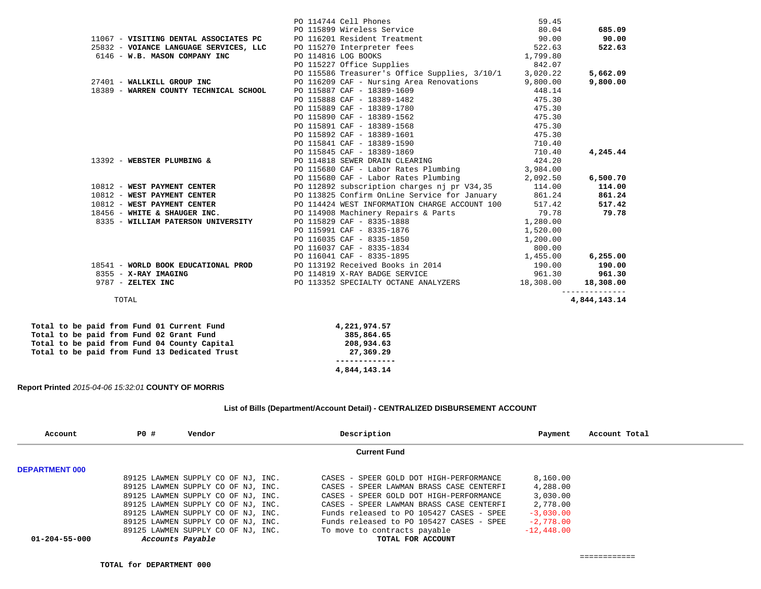|                                        |                                        | PO 114744 Cell Phones                               | 59.45    |              |
|----------------------------------------|----------------------------------------|-----------------------------------------------------|----------|--------------|
|                                        |                                        | PO 115899 Wireless Service                          | 80.04    | 685.09       |
|                                        | 11067 - VISITING DENTAL ASSOCIATES PC  | PO 116201 Resident Treatment                        | 90.00    | 90.00        |
|                                        | 25832 - VOIANCE LANGUAGE SERVICES, LLC | PO 115270 Interpreter fees                          | 522.63   | 522.63       |
| 6146 - W.B. MASON COMPANY INC          |                                        | PO 114816 LOG BOOKS                                 | 1,799.80 |              |
|                                        |                                        | PO 115227 Office Supplies                           | 842.07   |              |
|                                        |                                        | PO 115586 Treasurer's Office Supplies, 3/10/1       | 3,020.22 | 5,662.09     |
| 27401 - WALLKILL GROUP INC             |                                        | PO 116209 CAF - Nursing Area Renovations            | 9,800.00 | 9,800.00     |
| 18389 - WARREN COUNTY TECHNICAL SCHOOL |                                        | PO 115887 CAF - 18389-1609                          | 448.14   |              |
|                                        |                                        | PO 115888 CAF - 18389-1482                          | 475.30   |              |
|                                        |                                        | PO 115889 CAF - 18389-1780                          | 475.30   |              |
|                                        |                                        | PO 115890 CAF - 18389-1562                          | 475.30   |              |
|                                        |                                        | PO 115891 CAF - 18389-1568                          | 475.30   |              |
|                                        |                                        | PO 115892 CAF - 18389-1601                          | 475.30   |              |
|                                        |                                        | PO 115841 CAF - 18389-1590                          | 710.40   |              |
|                                        |                                        | PO 115845 CAF - 18389-1869                          | 710.40   | 4,245.44     |
| 13392 - WEBSTER PLUMBING &             |                                        | PO 114818 SEWER DRAIN CLEARING                      | 424.20   |              |
|                                        |                                        | PO 115680 CAF - Labor Rates Plumbing 3,984.00       |          |              |
|                                        |                                        | PO 115680 CAF - Labor Rates Plumbing 2,092.50       |          | 6,500.70     |
| 10812 - WEST PAYMENT CENTER            |                                        | PO 112892 subscription charges nj pr V34,35 114.00  |          | 114.00       |
| 10812 - WEST PAYMENT CENTER            |                                        | PO 113825 Confirm OnLine Service for January 861.24 |          | 861.24       |
| 10812 - WEST PAYMENT CENTER            |                                        | PO 114424 WEST INFORMATION CHARGE ACCOUNT 100       | 517.42   | 517.42       |
| 18456 - WHITE & SHAUGER INC.           |                                        | PO 114908 Machinery Repairs & Parts                 | 79.78    | 79.78        |
| 8335 - WILLIAM PATERSON UNIVERSITY     |                                        | PO 115829 CAF - 8335-1888                           | 1,280.00 |              |
|                                        |                                        | PO 115991 CAF - 8335-1876                           | 1,520.00 |              |
|                                        |                                        | PO 116035 CAF - 8335-1850                           | 1,200.00 |              |
|                                        |                                        | PO 116037 CAF - 8335-1834                           | 800.00   |              |
|                                        |                                        | PO 116041 CAF - 8335-1895                           | 1,455.00 | 6, 255.00    |
|                                        | 18541 - WORLD BOOK EDUCATIONAL PROD    | PO 113192 Received Books in 2014                    | 190.00   | 190.00       |
| 8355 - X-RAY IMAGING                   |                                        | PO 114819 X-RAY BADGE SERVICE                       | 961.30   | 961.30       |
| 9787 - ZELTEX INC                      |                                        | PO 113352 SPECIALTY OCTANE ANALYZERS 18,308.00      |          | 18,308.00    |
| TOTAL                                  |                                        |                                                     |          | 4,844,143.14 |
|                                        |                                        |                                                     |          |              |

|  |  |  |  | Total to be paid from Fund 01 Current Fund    | 4,221,974.57 |
|--|--|--|--|-----------------------------------------------|--------------|
|  |  |  |  | Total to be paid from Fund 02 Grant Fund      | 385,864.65   |
|  |  |  |  | Total to be paid from Fund 04 County Capital  | 208,934.63   |
|  |  |  |  | Total to be paid from Fund 13 Dedicated Trust | 27,369.29    |
|  |  |  |  |                                               |              |
|  |  |  |  |                                               | 4,844,143.14 |

# **Report Printed** *2015-04-06 15:32:01* **COUNTY OF MORRIS**

# **List of Bills (Department/Account Detail) - CENTRALIZED DISBURSEMENT ACCOUNT**

| Account               | <b>PO #</b>      | Vendor                             | Description                              | Payment      | Account Total |
|-----------------------|------------------|------------------------------------|------------------------------------------|--------------|---------------|
|                       |                  |                                    | <b>Current Fund</b>                      |              |               |
| <b>DEPARTMENT 000</b> |                  |                                    |                                          |              |               |
|                       |                  | 89125 LAWMEN SUPPLY CO OF NJ, INC. | CASES - SPEER GOLD DOT HIGH-PERFORMANCE  | 8,160.00     |               |
|                       |                  | 89125 LAWMEN SUPPLY CO OF NJ, INC. | CASES - SPEER LAWMAN BRASS CASE CENTERFI | 4,288.00     |               |
|                       |                  | 89125 LAWMEN SUPPLY CO OF NJ, INC. | CASES - SPEER GOLD DOT HIGH-PERFORMANCE  | 3,030.00     |               |
|                       |                  | 89125 LAWMEN SUPPLY CO OF NJ, INC. | CASES - SPEER LAWMAN BRASS CASE CENTERFI | 2,778.00     |               |
|                       |                  | 89125 LAWMEN SUPPLY CO OF NJ, INC. | Funds released to PO 105427 CASES - SPEE | $-3,030,00$  |               |
|                       |                  | 89125 LAWMEN SUPPLY CO OF NJ, INC. | Funds released to PO 105427 CASES - SPEE | $-2,778,00$  |               |
|                       |                  | 89125 LAWMEN SUPPLY CO OF NJ, INC. | To move to contracts payable             | $-12,448.00$ |               |
| $01 - 204 - 55 - 000$ | Accounts Payable |                                    | TOTAL FOR ACCOUNT                        |              |               |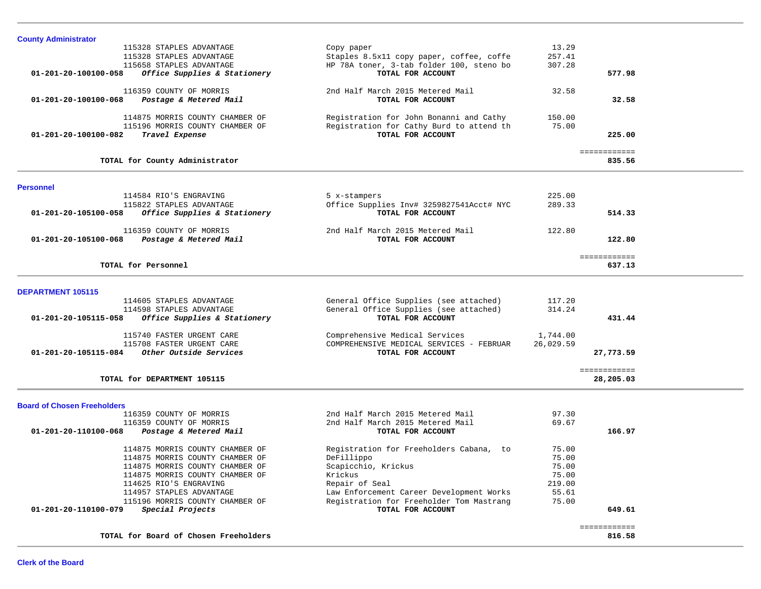| <b>County Administrator</b>                          |                                          |           |              |  |
|------------------------------------------------------|------------------------------------------|-----------|--------------|--|
| 115328 STAPLES ADVANTAGE                             | Copy paper                               | 13.29     |              |  |
| 115328 STAPLES ADVANTAGE                             | Staples 8.5x11 copy paper, coffee, coffe | 257.41    |              |  |
| 115658 STAPLES ADVANTAGE                             | HP 78A toner, 3-tab folder 100, steno bo | 307.28    |              |  |
| 01-201-20-100100-058<br>Office Supplies & Stationery | TOTAL FOR ACCOUNT                        |           | 577.98       |  |
|                                                      |                                          |           |              |  |
| 116359 COUNTY OF MORRIS                              | 2nd Half March 2015 Metered Mail         | 32.58     |              |  |
| 01-201-20-100100-068<br>Postage & Metered Mail       | TOTAL FOR ACCOUNT                        |           | 32.58        |  |
|                                                      |                                          |           |              |  |
| 114875 MORRIS COUNTY CHAMBER OF                      | Registration for John Bonanni and Cathy  |           |              |  |
|                                                      |                                          | 150.00    |              |  |
| 115196 MORRIS COUNTY CHAMBER OF                      | Registration for Cathy Burd to attend th | 75.00     |              |  |
| 01-201-20-100100-082<br>Travel Expense               | TOTAL FOR ACCOUNT                        |           | 225.00       |  |
|                                                      |                                          |           |              |  |
|                                                      |                                          |           | ============ |  |
| TOTAL for County Administrator                       |                                          |           | 835.56       |  |
|                                                      |                                          |           |              |  |
| <b>Personnel</b>                                     |                                          |           |              |  |
| 114584 RIO'S ENGRAVING                               |                                          | 225.00    |              |  |
|                                                      | 5 x-stampers                             |           |              |  |
| 115822 STAPLES ADVANTAGE                             | Office Supplies Inv# 3259827541Acct# NYC | 289.33    |              |  |
| Office Supplies & Stationery<br>01-201-20-105100-058 | TOTAL FOR ACCOUNT                        |           | 514.33       |  |
|                                                      |                                          |           |              |  |
| 116359 COUNTY OF MORRIS                              | 2nd Half March 2015 Metered Mail         | 122.80    |              |  |
| Postage & Metered Mail<br>01-201-20-105100-068       | TOTAL FOR ACCOUNT                        |           | 122.80       |  |
|                                                      |                                          |           |              |  |
|                                                      |                                          |           | ============ |  |
| TOTAL for Personnel                                  |                                          |           | 637.13       |  |
|                                                      |                                          |           |              |  |
|                                                      |                                          |           |              |  |
| <b>DEPARTMENT 105115</b>                             |                                          |           |              |  |
| 114605 STAPLES ADVANTAGE                             | General Office Supplies (see attached)   | 117.20    |              |  |
| 114598 STAPLES ADVANTAGE                             | General Office Supplies (see attached)   | 314.24    |              |  |
| Office Supplies & Stationery<br>01-201-20-105115-058 | TOTAL FOR ACCOUNT                        |           | 431.44       |  |
|                                                      |                                          |           |              |  |
| 115740 FASTER URGENT CARE                            | Comprehensive Medical Services           | 1,744.00  |              |  |
| 115708 FASTER URGENT CARE                            | COMPREHENSIVE MEDICAL SERVICES - FEBRUAR | 26,029.59 |              |  |
|                                                      |                                          |           |              |  |
| Other Outside Services<br>01-201-20-105115-084       | TOTAL FOR ACCOUNT                        |           | 27,773.59    |  |
|                                                      |                                          |           |              |  |
|                                                      |                                          |           | ============ |  |
| TOTAL for DEPARTMENT 105115                          |                                          |           | 28,205.03    |  |
|                                                      |                                          |           |              |  |
| <b>Board of Chosen Freeholders</b>                   |                                          |           |              |  |
| 116359 COUNTY OF MORRIS                              | 2nd Half March 2015 Metered Mail         | 97.30     |              |  |
|                                                      |                                          |           |              |  |
| 116359 COUNTY OF MORRIS                              | 2nd Half March 2015 Metered Mail         | 69.67     |              |  |
| 01-201-20-110100-068 Postage & Metered Mail          | TOTAL FOR ACCOUNT                        |           | 166.97       |  |
|                                                      |                                          |           |              |  |
| 114875 MORRIS COUNTY CHAMBER OF                      | Registration for Freeholders Cabana, to  | 75.00     |              |  |
| 114875 MORRIS COUNTY CHAMBER OF                      | DeFillippo                               | 75.00     |              |  |
| 114875 MORRIS COUNTY CHAMBER OF                      | Scapicchio, Krickus                      | 75.00     |              |  |
| 114875 MORRIS COUNTY CHAMBER OF                      | Krickus                                  | 75.00     |              |  |
| 114625 RIO'S ENGRAVING                               | Repair of Seal                           | 219.00    |              |  |
| 114957 STAPLES ADVANTAGE                             | Law Enforcement Career Development Works | 55.61     |              |  |
| 115196 MORRIS COUNTY CHAMBER OF                      | Registration for Freeholder Tom Mastrang | 75.00     |              |  |
| 01-201-20-110100-079<br>Special Projects             | TOTAL FOR ACCOUNT                        |           | 649.61       |  |
|                                                      |                                          |           |              |  |
|                                                      |                                          |           | ============ |  |
| TOTAL for Board of Chosen Freeholders                |                                          |           | 816.58       |  |
|                                                      |                                          |           |              |  |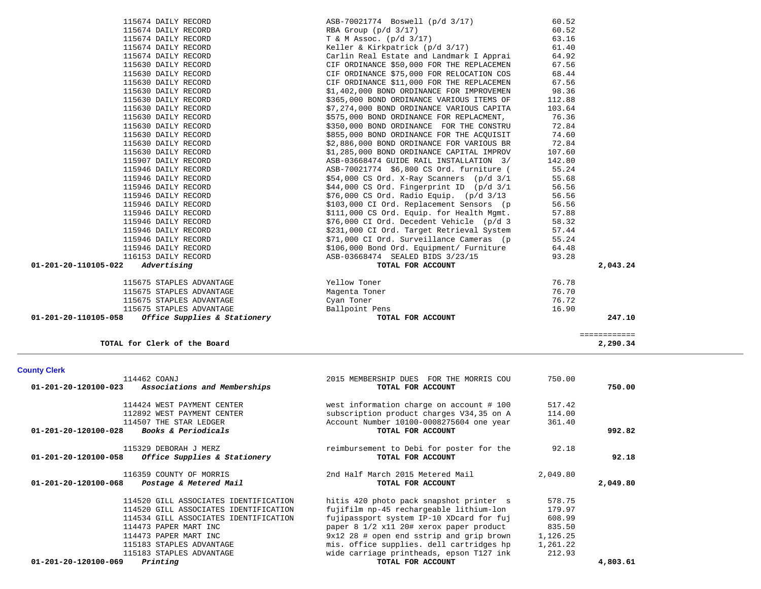| 01-201-20-120100-023           | Associations and Memberships                          | TOTAL FOR ACCOUNT                                             |          | 750.00   |
|--------------------------------|-------------------------------------------------------|---------------------------------------------------------------|----------|----------|
|                                | 114424 WEST PAYMENT CENTER                            | west information charge on account # 100                      | 517.42   |          |
|                                | 112892 WEST PAYMENT CENTER                            | subscription product charges V34,35 on A                      | 114.00   |          |
|                                | 114507 THE STAR LEDGER                                | Account Number 10100-0008275604 one year                      | 361.40   |          |
| 01-201-20-120100-028           | Books & Periodicals                                   | TOTAL FOR ACCOUNT                                             |          | 992.82   |
| 01-201-20-120100-058           | 115329 DEBORAH J MERZ<br>Office Supplies & Stationery | reimbursement to Debi for poster for the<br>TOTAL FOR ACCOUNT | 92.18    | 92.18    |
|                                | 116359 COUNTY OF MORRIS                               | 2nd Half March 2015 Metered Mail                              | 2,049.80 |          |
| $01 - 201 - 20 - 120100 - 068$ | Postage & Metered Mail                                | TOTAL FOR ACCOUNT                                             |          | 2,049.80 |
|                                | 114520 GILL ASSOCIATES IDENTIFICATION                 | hitis 420 photo pack snapshot printer s                       | 578.75   |          |
|                                | 114520 GILL ASSOCIATES IDENTIFICATION                 | fujifilm np-45 rechargeable lithium-lon                       | 179.97   |          |
|                                | 114534 GILL ASSOCIATES IDENTIFICATION                 | fujipassport system IP-10 XDcard for fuj                      | 608.99   |          |
|                                | 114473 PAPER MART INC                                 | paper 8 1/2 x11 20# xerox paper product                       | 835.50   |          |
|                                | 114473 PAPER MART INC                                 | 9x12 28 # open end sstrip and grip brown                      | 1,126.25 |          |
|                                | 115183 STAPLES ADVANTAGE                              | mis. office supplies. dell cartridges hp                      | 1,261.22 |          |
|                                | 115183 STAPLES ADVANTAGE                              | wide carriage printheads, epson T127 ink                      | 212.93   |          |
| 01-201-20-120100-069           | Printing                                              | TOTAL FOR ACCOUNT                                             |          | 4,803.61 |

114462 COANJ 2015 MEMBERSHIP DUES FOR THE MORRIS COU 750.00

**County Clerk** 

| _____________<br>____________ |                              |
|-------------------------------|------------------------------|
| 2,290.34                      | TOTAL for Clerk of the Board |

| 115630 DAILY RECORD                                 | \$350,000 BOND ORDINANCE FOR THE CONSTRU          | 72.84    |  |
|-----------------------------------------------------|---------------------------------------------------|----------|--|
| 115630 DAILY RECORD                                 | \$855,000 BOND ORDINANCE FOR THE ACQUISIT         | 74.60    |  |
| 115630 DAILY RECORD                                 | \$2,886,000 BOND ORDINANCE FOR VARIOUS BR         | 72.84    |  |
| 115630 DAILY RECORD                                 | \$1,285,000 BOND ORDINANCE CAPITAL IMPROV         | 107.60   |  |
| 115907 DAILY RECORD                                 | ASB-03668474 GUIDE RAIL INSTALLATION 3/           | 142.80   |  |
| 115946 DAILY RECORD                                 | ASB-70021774 \$6,800 CS Ord. furniture (          | 55.24    |  |
| 115946 DAILY RECORD                                 | $$54,000 \text{ CS}$ Ord. X-Ray Scanners (p/d 3/1 | 55.68    |  |
| 115946 DAILY RECORD                                 | \$44,000 CS Ord. Fingerprint ID (p/d 3/1          | 56.56    |  |
| 115946 DAILY RECORD                                 | $$76,000$ CS Ord. Radio Equip. (p/d $3/13$        | 56.56    |  |
| 115946 DAILY RECORD                                 | \$103,000 CI Ord. Replacement Sensors (p          | 56.56    |  |
| 115946 DAILY RECORD                                 | \$111,000 CS Ord. Equip. for Health Mgmt.         | 57.88    |  |
| 115946 DAILY RECORD                                 | \$76,000 CI Ord. Decedent Vehicle (p/d 3          | 58.32    |  |
| 115946 DAILY RECORD                                 | \$231,000 CI Ord. Target Retrieval System         | 57.44    |  |
| 115946 DAILY RECORD                                 | \$71,000 CI Ord. Surveillance Cameras (p          | 55.24    |  |
| 115946 DAILY RECORD                                 | \$106,000 Bond Ord. Equipment/ Furniture          | 64.48    |  |
| 116153 DAILY RECORD                                 | ASB-03668474 SEALED BIDS 3/23/15                  | 93.28    |  |
| 01-201-20-110105-022<br>Advertising                 | TOTAL FOR ACCOUNT                                 | 2,043.24 |  |
| 115675 STAPLES ADVANTAGE                            | Yellow Toner                                      | 76.78    |  |
| 115675 STAPLES ADVANTAGE                            | Magenta Toner                                     | 76.70    |  |
| 115675 STAPLES ADVANTAGE                            | Cyan Toner                                        | 76.72    |  |
| 115675 STAPLES ADVANTAGE                            | Ballpoint Pens                                    | 16.90    |  |
| $01-201-20-110105-058$ Office Supplies & Stationery | TOTAL FOR ACCOUNT                                 | 247.10   |  |
|                                                     |                                                   |          |  |

| 115674 DAILY RECORD | ASB-70021774 Boswell (p/d 3/17)                                                                      | 60.52  |
|---------------------|------------------------------------------------------------------------------------------------------|--------|
| 115674 DAILY RECORD | RBA Group (p/d 3/17) 60.52<br>T & M Assoc. (p/d 3/17) 63.16<br>Keller & Kirkpatrick (p/d 3/17) 63.16 |        |
| 115674 DAILY RECORD |                                                                                                      |        |
| 115674 DAILY RECORD |                                                                                                      |        |
| 115674 DAILY RECORD | Carlin Real Estate and Landmark I Apprai 64.92                                                       |        |
| 115630 DAILY RECORD | CIF ORDINANCE \$50,000 FOR THE REPLACEMEN 67.56                                                      |        |
| 115630 DAILY RECORD | CIF ORDINANCE \$75,000 FOR RELOCATION COS                                                            | 68.44  |
| 115630 DAILY RECORD | CIF ORDINANCE \$11,000 FOR THE REPLACEMEN 67.56                                                      |        |
| 115630 DAILY RECORD | $$1,402,000$ BOND ORDINANCE FOR IMPROVEMEN $$98.36$$                                                 |        |
| 115630 DAILY RECORD | \$365,000 BOND ORDINANCE VARIOUS ITEMS OF 112.88                                                     |        |
| 115630 DAILY RECORD | \$7,274,000 BOND ORDINANCE VARIOUS CAPITA 103.64                                                     |        |
| 115630 DAILY RECORD | \$575,000 BOND ORDINANCE FOR REPLACMENT, 76.36                                                       |        |
| 115630 DAILY RECORD | \$350,000 BOND ORDINANCE FOR THE CONSTRU 72.84                                                       |        |
| 115630 DAILY RECORD | \$855,000 BOND ORDINANCE FOR THE ACQUISIT 74.60                                                      |        |
| 115630 DAILY RECORD | \$2,886,000 BOND ORDINANCE FOR VARIOUS BR 72.84                                                      |        |
| 115630 DAILY RECORD | \$1,285,000 BOND ORDINANCE CAPITAL IMPROV                                                            | 107.60 |
| 115907 DAILY RECORD | ASB-03668474 GUIDE RAIL INSTALLATION 3/ 142.80                                                       |        |
| 115946 DAILY RECORD | ASB-70021774 \$6,800 CS Ord. furniture (55.24                                                        |        |
| 115946 DAILY RECORD | \$54,000 CS Ord. X-Ray Scanners (p/d 3/1 55.68<br>\$44,000 CS Ord. Fingerprint ID (p/d 3/1 56.56     |        |
| 115946 DAILY RECORD |                                                                                                      |        |
| 115946 DAILY RECORD | \$76,000 CS Ord. Radio Equip. (p/d 3/13                                                              | 56.56  |
| 115946 DAILY RECORD | \$103,000 CI Ord. Replacement Sensors (p 56.56<br>\$111,000 CS Ord. Equip. for Health Mgmt. 57.88    |        |
| 115946 DAILY RECORD |                                                                                                      |        |
| 115946 DAILY RECORD | \$76,000 CI Ord. Decedent Vehicle (p/d 3                                                             | 58.32  |
| 115946 DAILY RECORD | \$231,000 CI Ord. Target Retrieval System                                                            | 57.44  |
| 115946 DAILY RECORD | \$71,000 CI Ord. Surveillance Cameras (p                                                             | 55.24  |
| 115946 DAILY RECORD | \$106,000 Bond Ord. Equipment/ Furniture                                                             | 64.48  |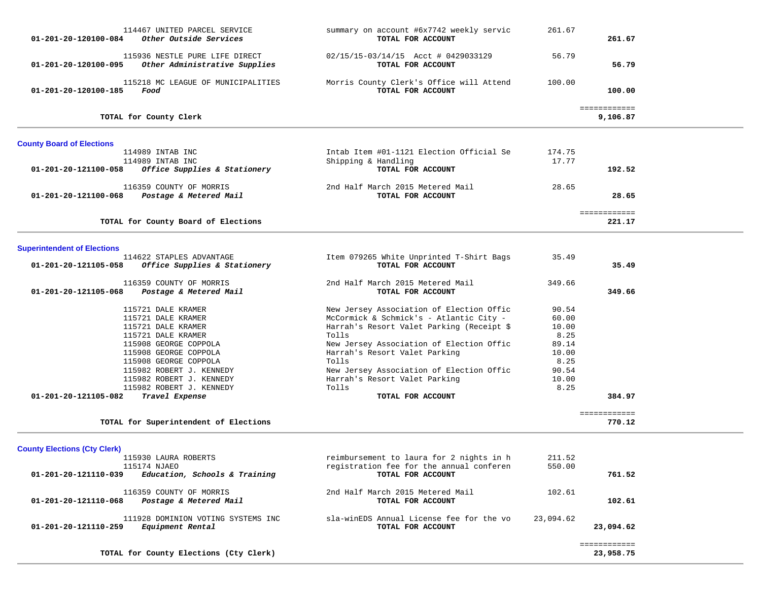| 114467 UNITED PARCEL SERVICE<br>Other Outside Services<br>01-201-20-120100-084          | summary on account #6x7742 weekly servic<br>TOTAL FOR ACCOUNT | 261.67    | 261.67                   |  |
|-----------------------------------------------------------------------------------------|---------------------------------------------------------------|-----------|--------------------------|--|
| 115936 NESTLE PURE LIFE DIRECT<br>Other Administrative Supplies<br>01-201-20-120100-095 | 02/15/15-03/14/15 Acct # 0429033129<br>TOTAL FOR ACCOUNT      | 56.79     | 56.79                    |  |
| 115218 MC LEAGUE OF MUNICIPALITIES<br>01-201-20-120100-185<br>Food                      | Morris County Clerk's Office will Attend<br>TOTAL FOR ACCOUNT | 100.00    | 100.00                   |  |
| TOTAL for County Clerk                                                                  |                                                               |           | ============<br>9,106.87 |  |
| <b>County Board of Elections</b>                                                        |                                                               |           |                          |  |
| 114989 INTAB INC                                                                        | Intab Item #01-1121 Election Official Se                      | 174.75    |                          |  |
| 114989 INTAB INC                                                                        | Shipping & Handling                                           | 17.77     |                          |  |
| Office Supplies & Stationery<br>01-201-20-121100-058                                    | TOTAL FOR ACCOUNT                                             |           | 192.52                   |  |
| 116359 COUNTY OF MORRIS                                                                 | 2nd Half March 2015 Metered Mail                              | 28.65     |                          |  |
| 01-201-20-121100-068<br>Postage & Metered Mail                                          | TOTAL FOR ACCOUNT                                             |           | 28.65                    |  |
|                                                                                         |                                                               |           |                          |  |
|                                                                                         |                                                               |           | <b>EEEEEEEEEEE</b>       |  |
| TOTAL for County Board of Elections                                                     |                                                               |           | 221.17                   |  |
|                                                                                         |                                                               |           |                          |  |
| <b>Superintendent of Elections</b>                                                      |                                                               |           |                          |  |
| 114622 STAPLES ADVANTAGE                                                                | Item 079265 White Unprinted T-Shirt Bags                      | 35.49     |                          |  |
| 01-201-20-121105-058<br>Office Supplies & Stationery                                    | TOTAL FOR ACCOUNT                                             |           | 35.49                    |  |
| 116359 COUNTY OF MORRIS                                                                 | 2nd Half March 2015 Metered Mail                              | 349.66    |                          |  |
| Postage & Metered Mail<br>01-201-20-121105-068                                          | TOTAL FOR ACCOUNT                                             |           | 349.66                   |  |
|                                                                                         |                                                               |           |                          |  |
| 115721 DALE KRAMER                                                                      | New Jersey Association of Election Offic                      | 90.54     |                          |  |
| 115721 DALE KRAMER                                                                      | McCormick & Schmick's - Atlantic City -                       | 60.00     |                          |  |
| 115721 DALE KRAMER                                                                      | Harrah's Resort Valet Parking (Receipt \$                     | 10.00     |                          |  |
| 115721 DALE KRAMER                                                                      | Tolls                                                         | 8.25      |                          |  |
| 115908 GEORGE COPPOLA                                                                   | New Jersey Association of Election Offic                      | 89.14     |                          |  |
| 115908 GEORGE COPPOLA                                                                   | Harrah's Resort Valet Parking                                 | 10.00     |                          |  |
| 115908 GEORGE COPPOLA                                                                   | Tolls                                                         | 8.25      |                          |  |
| 115982 ROBERT J. KENNEDY                                                                | New Jersey Association of Election Offic                      | 90.54     |                          |  |
| 115982 ROBERT J. KENNEDY                                                                | Harrah's Resort Valet Parking                                 | 10.00     |                          |  |
| 115982 ROBERT J. KENNEDY                                                                | Tolls                                                         | 8.25      |                          |  |
| 01-201-20-121105-082<br>Travel Expense                                                  | TOTAL FOR ACCOUNT                                             |           | 384.97                   |  |
|                                                                                         |                                                               |           | ============             |  |
| TOTAL for Superintendent of Elections                                                   |                                                               |           | 770.12                   |  |
|                                                                                         |                                                               |           |                          |  |
| <b>County Elections (Cty Clerk)</b>                                                     |                                                               |           |                          |  |
| 115930 LAURA ROBERTS                                                                    | reimbursement to laura for 2 nights in h                      | 211.52    |                          |  |
| 115174 NJAEO                                                                            | registration fee for the annual conferen                      | 550.00    |                          |  |
| Education, Schools & Training<br>01-201-20-121110-039                                   | TOTAL FOR ACCOUNT                                             |           | 761.52                   |  |
|                                                                                         |                                                               |           |                          |  |
| 116359 COUNTY OF MORRIS                                                                 | 2nd Half March 2015 Metered Mail                              | 102.61    |                          |  |
| 01-201-20-121110-068<br>Postage & Metered Mail                                          | TOTAL FOR ACCOUNT                                             |           | 102.61                   |  |
| 111928 DOMINION VOTING SYSTEMS INC                                                      | sla-winEDS Annual License fee for the vo                      | 23,094.62 |                          |  |
| 01-201-20-121110-259<br>Equipment Rental                                                | TOTAL FOR ACCOUNT                                             |           | 23,094.62                |  |
|                                                                                         |                                                               |           |                          |  |
|                                                                                         |                                                               |           | ============             |  |
| TOTAL for County Elections (Cty Clerk)                                                  |                                                               |           | 23,958.75                |  |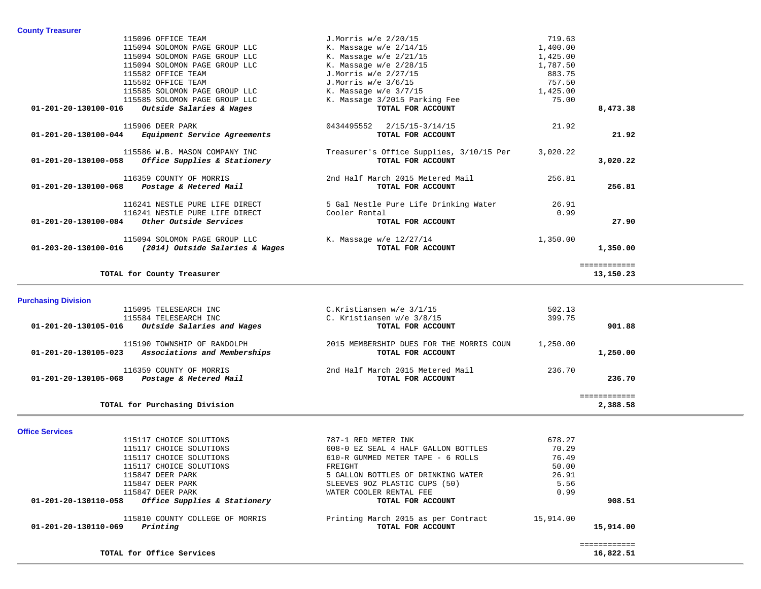|                      | 115096 OFFICE TEAM                                   | J.Morris w/e 2/20/15                     | 719.63   |              |
|----------------------|------------------------------------------------------|------------------------------------------|----------|--------------|
|                      | 115094 SOLOMON PAGE GROUP LLC                        | K. Massage $w/e$ 2/14/15                 | 1,400.00 |              |
|                      |                                                      |                                          |          |              |
|                      | 115094 SOLOMON PAGE GROUP LLC                        | K. Massage $w/e$ 2/21/15                 | 1,425.00 |              |
|                      | 115094 SOLOMON PAGE GROUP LLC                        | K. Massage $w/e$ 2/28/15                 | 1,787.50 |              |
|                      | 115582 OFFICE TEAM                                   | J.Morris w/e 2/27/15                     | 883.75   |              |
|                      | 115582 OFFICE TEAM                                   | J.Morris w/e 3/6/15                      | 757.50   |              |
|                      | 115585 SOLOMON PAGE GROUP LLC                        | K. Massage $w/e$ 3/7/15                  | 1,425.00 |              |
|                      | 115585 SOLOMON PAGE GROUP LLC                        | K. Massage 3/2015 Parking Fee            | 75.00    |              |
|                      | $01-201-20-130100-016$ Outside Salaries & Wages      | TOTAL FOR ACCOUNT                        |          | 8,473.38     |
|                      | 115906 DEER PARK                                     | 0434495552 2/15/15-3/14/15               | 21.92    |              |
| 01-201-20-130100-044 | <i>Equipment Service Agreements</i>                  | TOTAL FOR ACCOUNT                        |          | 21.92        |
|                      | 115586 W.B. MASON COMPANY INC                        | Treasurer's Office Supplies, 3/10/15 Per | 3,020.22 |              |
| 01-201-20-130100-058 | Office Supplies & Stationery                         | TOTAL FOR ACCOUNT                        |          | 3,020.22     |
|                      | 116359 COUNTY OF MORRIS                              | 2nd Half March 2015 Metered Mail         | 256.81   |              |
|                      | 01-201-20-130100-068 Postage & Metered Mail          | TOTAL FOR ACCOUNT                        |          | 256.81       |
|                      | 116241 NESTLE PURE LIFE DIRECT                       | 5 Gal Nestle Pure Life Drinking Water    | 26.91    |              |
|                      | 116241 NESTLE PURE LIFE DIRECT                       | Cooler Rental                            | 0.99     |              |
| 01-201-20-130100-084 | Other Outside Services                               | TOTAL FOR ACCOUNT                        |          | 27.90        |
|                      | 115094 SOLOMON PAGE GROUP LLC                        | K. Massage w/e 12/27/14                  | 1,350.00 |              |
|                      | 01-203-20-130100-016 (2014) Outside Salaries & Wages | TOTAL FOR ACCOUNT                        |          | 1,350.00     |
|                      |                                                      |                                          |          | ============ |
|                      | TOTAL for County Treasurer                           |                                          |          | 13,150.23    |

# **Purchasing Division**

| 115095 TELESEARCH INC                                | C.Kristiansen w/e 3/1/15                 | 502.13   |          |
|------------------------------------------------------|------------------------------------------|----------|----------|
| 115584 TELESEARCH INC                                | C. Kristiansen w/e 3/8/15                | 399.75   |          |
| Outside Salaries and Wages<br>01-201-20-130105-016   | TOTAL FOR ACCOUNT                        |          | 901.88   |
| 115190 TOWNSHIP OF RANDOLPH                          | 2015 MEMBERSHIP DUES FOR THE MORRIS COUN | 1,250.00 |          |
| Associations and Memberships<br>01-201-20-130105-023 | TOTAL FOR ACCOUNT                        |          | 1,250.00 |
| 116359 COUNTY OF MORRIS                              | 2nd Half March 2015 Metered Mail         | 236.70   |          |
| Postage & Metered Mail<br>01-201-20-130105-068       | TOTAL FOR ACCOUNT                        |          | 236.70   |
|                                                      |                                          |          |          |
| TOTAL for Purchasing Division                        |                                          |          | 2,388.58 |

**Office Services** 

 115117 CHOICE SOLUTIONS 787-1 RED METER INK 678.27 115117 CHOICE SOLUTIONS 608-0 EZ SEAL 4 HALF GALLON BOTTLES 70.29 115117 CHOICE SOLUTIONS 610-R GUMMED METER TAPE - 6 ROLLS 76.49 115117 CHOICE SOLUTIONS FREIGHT 50.00 115847 DEER PARK 6 (26.91 STATER 5 GALLON BOTTLES OF DRINKING WATER 26.91 5.56 115847 DEER PARK SLEEVES 90Z PLASTIC CUPS (50) 115847 DEER PARK WATER COOLER RENTAL FEE 0.99  **01-201-20-130110-058** *Office Supplies & Stationery* **TOTAL FOR ACCOUNT 908.51** 115810 COUNTY COLLEGE OF MORRIS **Printing March 2015 as per Contract** 15,914.00<br>**Printing 15,914.00 Printing POTAL FOR ACCOUNT 01-201-20-130110-069** *Printing* **TOTAL FOR ACCOUNT 15,914.00**

 ============ **TOTAL for Office Services 16,822.51**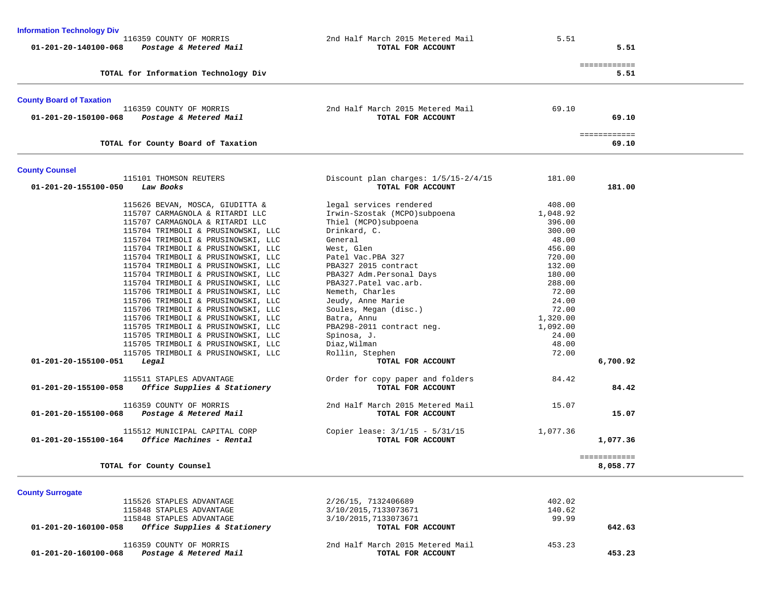| <b>Information Technology Div</b>                                         |                                                       |          |                          |
|---------------------------------------------------------------------------|-------------------------------------------------------|----------|--------------------------|
| 116359 COUNTY OF MORRIS<br>01-201-20-140100-068<br>Postage & Metered Mail | 2nd Half March 2015 Metered Mail<br>TOTAL FOR ACCOUNT | 5.51     | 5.51                     |
| TOTAL for Information Technology Div                                      |                                                       |          | ============<br>5.51     |
| <b>County Board of Taxation</b>                                           |                                                       |          |                          |
| 116359 COUNTY OF MORRIS                                                   | 2nd Half March 2015 Metered Mail                      | 69.10    |                          |
| 01-201-20-150100-068<br>Postage & Metered Mail                            | TOTAL FOR ACCOUNT                                     |          | 69.10                    |
| TOTAL for County Board of Taxation                                        |                                                       |          | ============<br>69.10    |
| <b>County Counsel</b>                                                     |                                                       |          |                          |
| 115101 THOMSON REUTERS                                                    | Discount plan charges: 1/5/15-2/4/15                  | 181.00   |                          |
| 01-201-20-155100-050<br>Law Books                                         | TOTAL FOR ACCOUNT                                     |          | 181.00                   |
| 115626 BEVAN, MOSCA, GIUDITTA &                                           | legal services rendered                               | 408.00   |                          |
| 115707 CARMAGNOLA & RITARDI LLC                                           | Irwin-Szostak (MCPO) subpoena                         | 1,048.92 |                          |
| 115707 CARMAGNOLA & RITARDI LLC                                           | Thiel (MCPO) subpoena                                 | 396.00   |                          |
| 115704 TRIMBOLI & PRUSINOWSKI, LLC                                        | Drinkard, C.                                          | 300.00   |                          |
| 115704 TRIMBOLI & PRUSINOWSKI, LLC                                        | General                                               | 48.00    |                          |
| 115704 TRIMBOLI & PRUSINOWSKI, LLC                                        | West, Glen                                            | 456.00   |                          |
| 115704 TRIMBOLI & PRUSINOWSKI, LLC                                        | Patel Vac.PBA 327                                     | 720.00   |                          |
| 115704 TRIMBOLI & PRUSINOWSKI, LLC                                        | PBA327 2015 contract                                  | 132.00   |                          |
| 115704 TRIMBOLI & PRUSINOWSKI, LLC                                        | PBA327 Adm.Personal Days                              | 180.00   |                          |
| 115704 TRIMBOLI & PRUSINOWSKI, LLC                                        | PBA327. Patel vac.arb.                                | 288.00   |                          |
| 115706 TRIMBOLI & PRUSINOWSKI, LLC                                        | Nemeth, Charles                                       | 72.00    |                          |
| 115706 TRIMBOLI & PRUSINOWSKI, LLC                                        | Jeudy, Anne Marie                                     | 24.00    |                          |
| 115706 TRIMBOLI & PRUSINOWSKI, LLC                                        | Soules, Megan (disc.)                                 | 72.00    |                          |
|                                                                           |                                                       |          |                          |
| 115706 TRIMBOLI & PRUSINOWSKI, LLC                                        | Batra, Annu                                           | 1,320.00 |                          |
| 115705 TRIMBOLI & PRUSINOWSKI, LLC                                        | PBA298-2011 contract neg.                             | 1,092.00 |                          |
| 115705 TRIMBOLI & PRUSINOWSKI, LLC                                        | Spinosa, J.                                           | 24.00    |                          |
| 115705 TRIMBOLI & PRUSINOWSKI, LLC                                        | Diaz, Wilman                                          | 48.00    |                          |
| 115705 TRIMBOLI & PRUSINOWSKI, LLC                                        | Rollin, Stephen                                       | 72.00    |                          |
| 01-201-20-155100-051<br>Legal                                             | TOTAL FOR ACCOUNT                                     |          | 6,700.92                 |
| 115511 STAPLES ADVANTAGE                                                  | Order for copy paper and folders                      | 84.42    |                          |
| 01-201-20-155100-058<br>Office Supplies & Stationery                      | TOTAL FOR ACCOUNT                                     |          | 84.42                    |
| 116359 COUNTY OF MORRIS                                                   | 2nd Half March 2015 Metered Mail                      | 15.07    |                          |
| 01-201-20-155100-068<br>Postage & Metered Mail                            | TOTAL FOR ACCOUNT                                     |          | 15.07                    |
| 115512 MUNICIPAL CAPITAL CORP                                             | Copier lease: $3/1/15 - 5/31/15$                      | 1,077.36 |                          |
| Office Machines - Rental<br>01-201-20-155100-164                          | TOTAL FOR ACCOUNT                                     |          | 1,077.36                 |
| TOTAL for County Counsel                                                  |                                                       |          | ============<br>8,058.77 |
|                                                                           |                                                       |          |                          |
| <b>County Surrogate</b>                                                   |                                                       |          |                          |
| 115526 STAPLES ADVANTAGE                                                  | 2/26/15, 7132406689                                   | 402.02   |                          |
| 115848 STAPLES ADVANTAGE                                                  | 3/10/2015, 7133073671                                 | 140.62   |                          |
| 115848 STAPLES ADVANTAGE                                                  | 3/10/2015, 7133073671                                 | 99.99    |                          |
| 01-201-20-160100-058<br>Office Supplies & Stationery                      | TOTAL FOR ACCOUNT                                     |          | 642.63                   |
| 116359 COUNTY OF MORRIS                                                   | 2nd Half March 2015 Metered Mail                      | 453.23   |                          |
| Postage & Metered Mail<br>01-201-20-160100-068                            | TOTAL FOR ACCOUNT                                     |          | 453.23                   |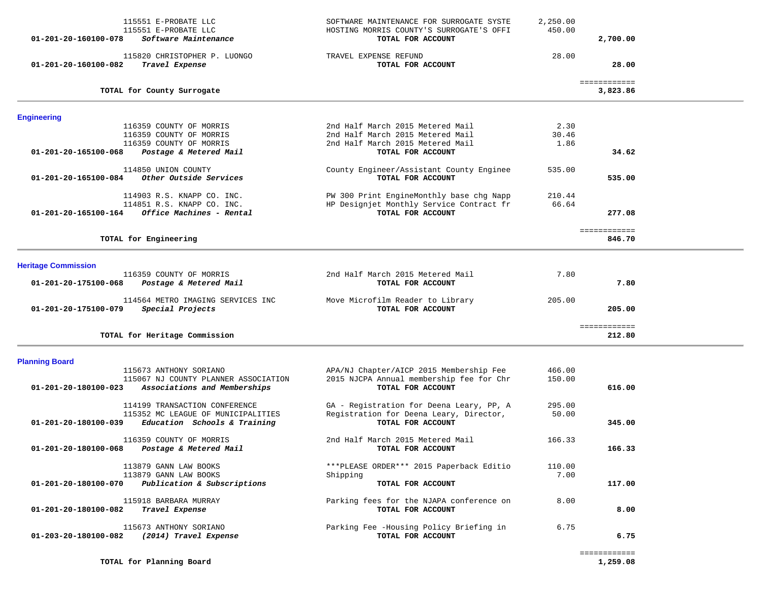| 01-201-20-160100-078       | 115551 E-PROBATE LLC<br>115551 E-PROBATE LLC<br>Software Maintenance | SOFTWARE MAINTENANCE FOR SURROGATE SYSTE<br>HOSTING MORRIS COUNTY'S SURROGATE'S OFFI<br>TOTAL FOR ACCOUNT | 2,250.00<br>450.00 | 2,700.00                 |  |
|----------------------------|----------------------------------------------------------------------|-----------------------------------------------------------------------------------------------------------|--------------------|--------------------------|--|
| 01-201-20-160100-082       | 115820 CHRISTOPHER P. LUONGO<br>Travel Expense                       | TRAVEL EXPENSE REFUND<br>TOTAL FOR ACCOUNT                                                                | 28.00              | 28.00                    |  |
|                            | TOTAL for County Surrogate                                           |                                                                                                           |                    | ============<br>3,823.86 |  |
| <b>Engineering</b>         |                                                                      |                                                                                                           |                    |                          |  |
|                            | 116359 COUNTY OF MORRIS                                              | 2nd Half March 2015 Metered Mail<br>2nd Half March 2015 Metered Mail                                      | 2.30<br>30.46      |                          |  |
|                            | 116359 COUNTY OF MORRIS<br>116359 COUNTY OF MORRIS                   | 2nd Half March 2015 Metered Mail                                                                          | 1.86               |                          |  |
| 01-201-20-165100-068       | Postage & Metered Mail                                               | TOTAL FOR ACCOUNT                                                                                         |                    | 34.62                    |  |
|                            | 114850 UNION COUNTY                                                  | County Engineer/Assistant County Enginee                                                                  | 535.00             |                          |  |
| 01-201-20-165100-084       | Other Outside Services                                               | TOTAL FOR ACCOUNT                                                                                         |                    | 535.00                   |  |
|                            | 114903 R.S. KNAPP CO. INC.                                           | PW 300 Print EngineMonthly base chg Napp                                                                  | 210.44             |                          |  |
|                            | 114851 R.S. KNAPP CO. INC.                                           | HP Designjet Monthly Service Contract fr                                                                  | 66.64              |                          |  |
| 01-201-20-165100-164       | Office Machines - Rental                                             | TOTAL FOR ACCOUNT                                                                                         |                    | 277.08                   |  |
|                            |                                                                      |                                                                                                           |                    | ============             |  |
|                            | TOTAL for Engineering                                                |                                                                                                           |                    | 846.70                   |  |
| <b>Heritage Commission</b> |                                                                      |                                                                                                           |                    |                          |  |
|                            | 116359 COUNTY OF MORRIS                                              | 2nd Half March 2015 Metered Mail                                                                          | 7.80               |                          |  |
| 01-201-20-175100-068       | Postage & Metered Mail                                               | TOTAL FOR ACCOUNT                                                                                         |                    | 7.80                     |  |
| 01-201-20-175100-079       | 114564 METRO IMAGING SERVICES INC<br>Special Projects                | Move Microfilm Reader to Library<br>TOTAL FOR ACCOUNT                                                     | 205.00             | 205.00                   |  |
|                            |                                                                      |                                                                                                           |                    |                          |  |
|                            | TOTAL for Heritage Commission                                        |                                                                                                           |                    | ============<br>212.80   |  |
| <b>Planning Board</b>      |                                                                      |                                                                                                           |                    |                          |  |
|                            | 115673 ANTHONY SORIANO                                               | APA/NJ Chapter/AICP 2015 Membership Fee                                                                   | 466.00             |                          |  |
| 01-201-20-180100-023       | 115067 NJ COUNTY PLANNER ASSOCIATION<br>Associations and Memberships | 2015 NJCPA Annual membership fee for Chr<br>TOTAL FOR ACCOUNT                                             | 150.00             | 616.00                   |  |
|                            | 114199 TRANSACTION CONFERENCE                                        | GA - Registration for Deena Leary, PP, A                                                                  | 295.00             |                          |  |
|                            | 115352 MC LEAGUE OF MUNICIPALITIES                                   | Registration for Deena Leary, Director,                                                                   | 50.00              |                          |  |
| 01-201-20-180100-039       | Education Schools & Training                                         | TOTAL FOR ACCOUNT                                                                                         |                    | 345.00                   |  |
|                            | 116359 COUNTY OF MORRIS                                              | 2nd Half March 2015 Metered Mail                                                                          | 166.33             |                          |  |
| 01-201-20-180100-068       | Postage & Metered Mail                                               | TOTAL FOR ACCOUNT                                                                                         |                    | 166.33                   |  |
|                            | 113879 GANN LAW BOOKS                                                | ***PLEASE ORDER*** 2015 Paperback Editio                                                                  | 110.00             |                          |  |
| 01-201-20-180100-070       | 113879 GANN LAW BOOKS                                                | Shipping                                                                                                  | 7.00               |                          |  |
|                            | Publication & Subscriptions                                          | TOTAL FOR ACCOUNT                                                                                         |                    | 117.00                   |  |
| 01-201-20-180100-082       | 115918 BARBARA MURRAY<br>Travel Expense                              | Parking fees for the NJAPA conference on<br>TOTAL FOR ACCOUNT                                             | 8.00               | 8.00                     |  |
| 01-203-20-180100-082       | 115673 ANTHONY SORIANO<br>(2014) Travel Expense                      | Parking Fee -Housing Policy Briefing in<br>TOTAL FOR ACCOUNT                                              | 6.75               | 6.75                     |  |
|                            |                                                                      |                                                                                                           |                    |                          |  |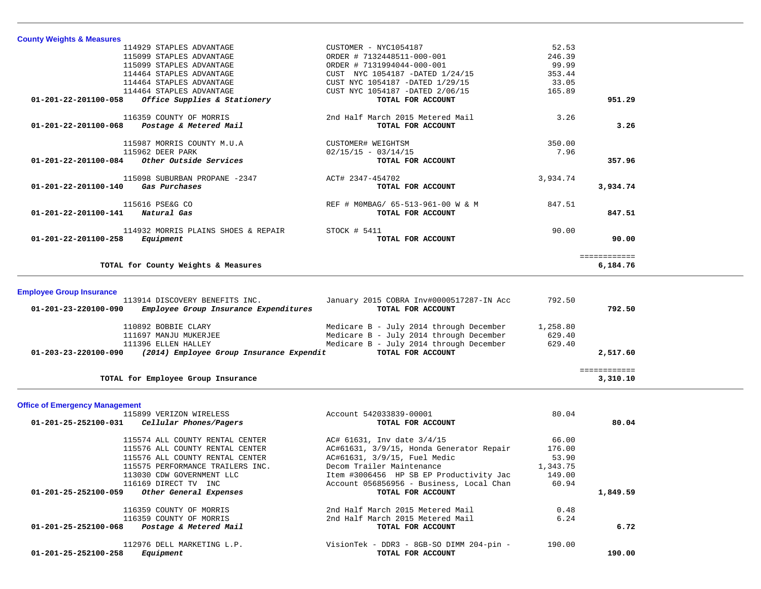| <b>County Weights &amp; Measures</b>                              |                                          |          |                          |  |
|-------------------------------------------------------------------|------------------------------------------|----------|--------------------------|--|
| 114929 STAPLES ADVANTAGE                                          | CUSTOMER - NYC1054187                    | 52.53    |                          |  |
| 115099 STAPLES ADVANTAGE                                          | ORDER # 7132448511-000-001               | 246.39   |                          |  |
| 115099 STAPLES ADVANTAGE                                          | ORDER # 7131994044-000-001               | 99.99    |                          |  |
| 114464 STAPLES ADVANTAGE                                          | CUST NYC 1054187 -DATED 1/24/15          | 353.44   |                          |  |
| 114464 STAPLES ADVANTAGE                                          | CUST NYC 1054187 -DATED 1/29/15          | 33.05    |                          |  |
| 114464 STAPLES ADVANTAGE                                          | CUST NYC 1054187 -DATED 2/06/15          | 165.89   |                          |  |
| Office Supplies & Stationery<br>01-201-22-201100-058              | TOTAL FOR ACCOUNT                        |          | 951.29                   |  |
| 116359 COUNTY OF MORRIS                                           | 2nd Half March 2015 Metered Mail         | 3.26     |                          |  |
| 01-201-22-201100-068<br>Postage & Metered Mail                    | TOTAL FOR ACCOUNT                        |          | 3.26                     |  |
| 115987 MORRIS COUNTY M.U.A                                        | CUSTOMER# WEIGHTSM                       | 350.00   |                          |  |
| 115962 DEER PARK                                                  | $02/15/15 - 03/14/15$                    | 7.96     |                          |  |
| Other Outside Services<br>01-201-22-201100-084                    | TOTAL FOR ACCOUNT                        |          | 357.96                   |  |
| 115098 SUBURBAN PROPANE -2347                                     | ACT# 2347-454702                         | 3,934.74 |                          |  |
| Gas Purchases<br>01-201-22-201100-140                             | TOTAL FOR ACCOUNT                        |          | 3,934.74                 |  |
| 115616 PSE&G CO                                                   | REF # MOMBAG/ 65-513-961-00 W & M        | 847.51   |                          |  |
| 01-201-22-201100-141 Natural Gas                                  | TOTAL FOR ACCOUNT                        |          | 847.51                   |  |
| 114932 MORRIS PLAINS SHOES & REPAIR                               | $STOCK$ # 5411                           | 90.00    |                          |  |
| 01-201-22-201100-258<br>Equipment                                 | TOTAL FOR ACCOUNT                        |          | 90.00                    |  |
| TOTAL for County Weights & Measures                               |                                          |          | ============<br>6,184.76 |  |
|                                                                   |                                          |          |                          |  |
| <b>Employee Group Insurance</b><br>113914 DISCOVERY BENEFITS INC. | January 2015 COBRA Inv#0000517287-IN Acc | 792.50   |                          |  |
| 01-201-23-220100-090<br>Employee Group Insurance Expenditures     | TOTAL FOR ACCOUNT                        |          | 792.50                   |  |
| 110892 BOBBIE CLARY                                               | Medicare B - July 2014 through December  | 1,258.80 |                          |  |
| 111697 MANJU MUKERJEE                                             | Medicare B - July 2014 through December  | 629.40   |                          |  |
| 111396 ELLEN HALLEY                                               | Medicare B - July 2014 through December  | 629.40   |                          |  |
| (2014) Employee Group Insurance Expendit<br>01-203-23-220100-090  | TOTAL FOR ACCOUNT                        |          | 2,517.60                 |  |
| TOTAL for Employee Group Insurance                                |                                          |          | ============<br>3,310.10 |  |
|                                                                   |                                          |          |                          |  |
| <b>Office of Emergency Management</b>                             |                                          |          |                          |  |
| 115899 VERIZON WIRELESS                                           | Account 542033839-00001                  | 80.04    |                          |  |
| 01-201-25-252100-031<br>Cellular Phones/Pagers                    | TOTAL FOR ACCOUNT                        |          | 80.04                    |  |
| 115574 ALL COUNTY RENTAL CENTER                                   | AC# 61631, Inv date 3/4/15               | 66.00    |                          |  |
| 115576 ALL COUNTY RENTAL CENTER                                   | AC#61631, 3/9/15, Honda Generator Repair | 176.00   |                          |  |
| 115576 ALL COUNTY RENTAL CENTER                                   | AC#61631, 3/9/15, Fuel Medic             | 53.90    |                          |  |
| 115575 PERFORMANCE TRAILERS INC.                                  | Decom Trailer Maintenance                | 1,343.75 |                          |  |
| 113030 CDW GOVERNMENT LLC                                         | Item #3006456 HP SB EP Productivity Jac  | 149.00   |                          |  |

| 116169 DIRECT TV INC<br>Other General Expenses<br>01-201-25-252100-059 | Account 056856956 - Business, Local Chan<br>TOTAL FOR ACCOUNT | 60.94  | 1,849.59 |
|------------------------------------------------------------------------|---------------------------------------------------------------|--------|----------|
| 116359 COUNTY OF MORRIS                                                | 2nd Half March 2015 Metered Mail                              | 0.48   |          |
| 116359 COUNTY OF MORRIS                                                | 2nd Half March 2015 Metered Mail                              | 6.24   |          |
| Postage & Metered Mail<br>01-201-25-252100-068                         | TOTAL FOR ACCOUNT                                             |        | 6.72     |
| 112976 DELL MARKETING L.P.                                             | VisionTek - DDR3 - 8GB-SO DIMM 204-pin -                      | 190.00 |          |
| Equipment<br>01-201-25-252100-258                                      | TOTAL FOR ACCOUNT                                             |        | 190.00   |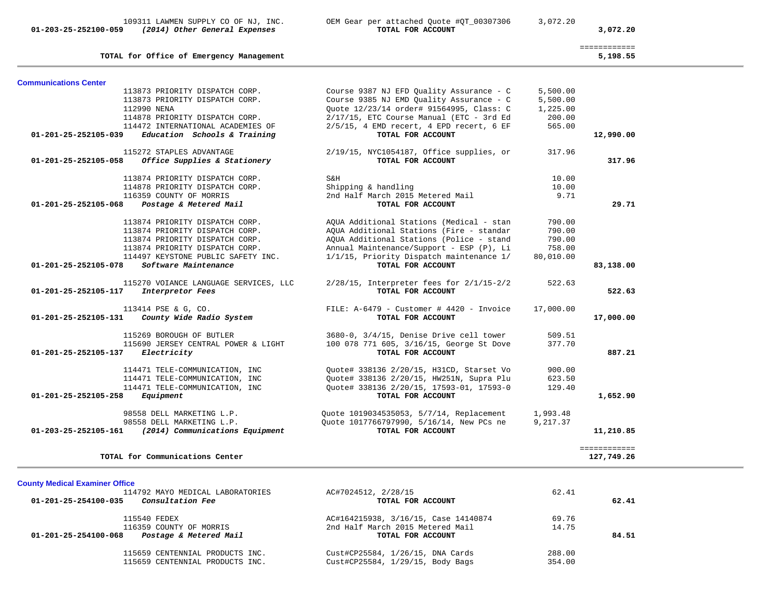**01-203-25-252100-059** *(2014) Other General Expenses* **TOTAL FOR ACCOUNT 3,072.20**

109311 LAWMEN SUPPLY CO OF NJ, INC. OEM Gear per attached Quote #QT\_00307306 3,072.20

| TOTAL for Office of Emergency Management                |                                             |           | ============<br>5,198.55 |
|---------------------------------------------------------|---------------------------------------------|-----------|--------------------------|
| <b>Communications Center</b>                            |                                             |           |                          |
| 113873 PRIORITY DISPATCH CORP.                          | Course 9387 NJ EFD Quality Assurance - C    | 5,500.00  |                          |
| 113873 PRIORITY DISPATCH CORP.                          | Course 9385 NJ EMD Quality Assurance - C    | 5,500.00  |                          |
| 112990 NENA                                             | Ouote 12/23/14 order# 91564995, Class: C    | 1,225.00  |                          |
| 114878 PRIORITY DISPATCH CORP.                          | 2/17/15, ETC Course Manual (ETC - 3rd Ed    | 200.00    |                          |
| 114472 INTERNATIONAL ACADEMIES OF                       | $2/5/15$ , 4 EMD recert, 4 EPD recert, 6 EF | 565.00    |                          |
| Education Schools & Training<br>01-201-25-252105-039    | TOTAL FOR ACCOUNT                           |           | 12,990.00                |
| 115272 STAPLES ADVANTAGE                                | 2/19/15, NYC1054187, Office supplies, or    | 317.96    |                          |
| 01-201-25-252105-058<br>Office Supplies & Stationery    | TOTAL FOR ACCOUNT                           |           | 317.96                   |
| 113874 PRIORITY DISPATCH CORP.                          | S&H                                         | 10.00     |                          |
| 114878 PRIORITY DISPATCH CORP.                          | Shipping & handling                         | 10.00     |                          |
| 116359 COUNTY OF MORRIS                                 | 2nd Half March 2015 Metered Mail            | 9.71      |                          |
| 01-201-25-252105-068<br>Postage & Metered Mail          | TOTAL FOR ACCOUNT                           |           | 29.71                    |
| 113874 PRIORITY DISPATCH CORP.                          | AQUA Additional Stations (Medical - stan    | 790.00    |                          |
| 113874 PRIORITY DISPATCH CORP.                          | AQUA Additional Stations (Fire - standar    | 790.00    |                          |
| 113874 PRIORITY DISPATCH CORP.                          | AOUA Additional Stations (Police - stand    | 790.00    |                          |
| 113874 PRIORITY DISPATCH CORP.                          | Annual Maintenance/Support - ESP (P), Li    | 758.00    |                          |
| 114497 KEYSTONE PUBLIC SAFETY INC.                      | 1/1/15, Priority Dispatch maintenance 1/    | 80,010.00 |                          |
| Software Maintenance<br>01-201-25-252105-078            | TOTAL FOR ACCOUNT                           |           | 83,138.00                |
| 115270 VOIANCE LANGUAGE SERVICES, LLC                   | 2/28/15, Interpreter fees for 2/1/15-2/2    | 522.63    |                          |
| $01 - 201 - 25 - 252105 - 117$<br>Interpretor Fees      | TOTAL FOR ACCOUNT                           |           | 522.63                   |
| 113414 PSE & G, CO.                                     | FILE: $A-6479$ - Customer # 4420 - Invoice  | 17,000.00 |                          |
| County Wide Radio System<br>01-201-25-252105-131        | TOTAL FOR ACCOUNT                           |           | 17,000.00                |
| 115269 BOROUGH OF BUTLER                                | 3680-0, 3/4/15, Denise Drive cell tower     | 509.51    |                          |
| 115690 JERSEY CENTRAL POWER & LIGHT                     | 100 078 771 605, 3/16/15, George St Dove    | 377.70    |                          |
| 01-201-25-252105-137<br>Electricity                     | TOTAL FOR ACCOUNT                           |           | 887.21                   |
| 114471 TELE-COMMUNICATION, INC                          | Quote# 338136 2/20/15, H31CD, Starset Vo    | 900.00    |                          |
| 114471 TELE-COMMUNICATION, INC                          | Quote# 338136 2/20/15, HW251N, Supra Plu    | 623.50    |                          |
| 114471 TELE-COMMUNICATION, INC                          | Quote# 338136 2/20/15, 17593-01, 17593-0    | 129.40    |                          |
| 01-201-25-252105-258<br>Equipment                       | TOTAL FOR ACCOUNT                           |           | 1,652.90                 |
| 98558 DELL MARKETING L.P.                               | Quote 1019034535053, 5/7/14, Replacement    | 1,993.48  |                          |
| 98558 DELL MARKETING L.P.                               | Quote 1017766797990, 5/16/14, New PCs ne    | 9,217.37  |                          |
| (2014) Communications Equipment<br>01-203-25-252105-161 | TOTAL FOR ACCOUNT                           |           | 11,210.85                |
|                                                         |                                             |           | ============             |
| TOTAL for Communications Center                         |                                             |           | 127,749.26               |

# **County Medical Examiner Office**

| 114792 MAYO MEDICAL LABORATORIES<br><i>Consultation Fee</i><br>01-201-25-254100-035 | AC#7024512, 2/28/15<br>TOTAL FOR ACCOUNT | 62.41  | 62.41 |
|-------------------------------------------------------------------------------------|------------------------------------------|--------|-------|
| 115540 FEDEX                                                                        | AC#164215938, 3/16/15, Case 14140874     | 69.76  |       |
| 116359 COUNTY OF MORRIS                                                             | 2nd Half March 2015 Metered Mail         | 14.75  |       |
| Postage & Metered Mail<br>01-201-25-254100-068                                      | TOTAL FOR ACCOUNT                        |        | 84.51 |
| 115659 CENTENNIAL PRODUCTS INC.                                                     | Cust#CP25584, 1/26/15, DNA Cards         | 288.00 |       |
| 115659 CENTENNIAL PRODUCTS INC.                                                     | Cust#CP25584, 1/29/15, Body Bags         | 354.00 |       |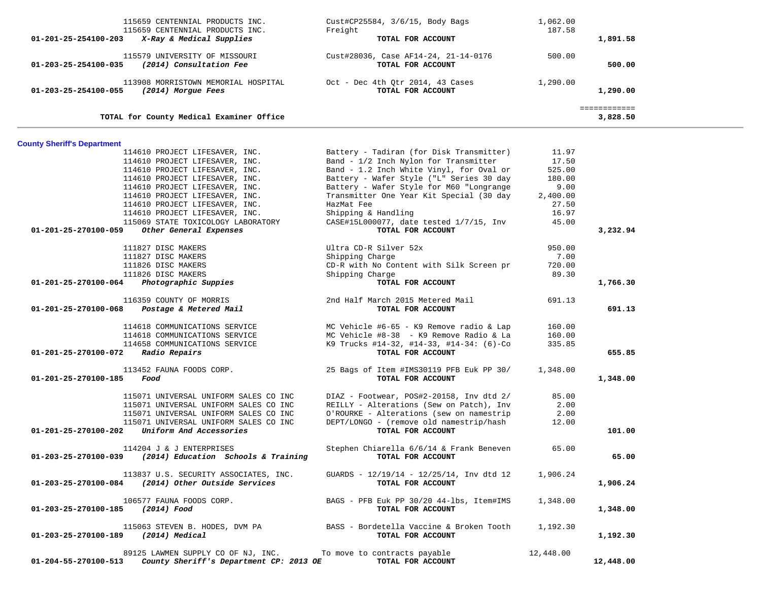| TOTAL for County Medical Examiner Office                                                                                         |                                                                     | 3,828.50                       |
|----------------------------------------------------------------------------------------------------------------------------------|---------------------------------------------------------------------|--------------------------------|
| 113908 MORRISTOWN MEMORIAL HOSPITAL<br>01-203-25-254100-055<br>(2014) Morgue Fees                                                | Oct - Dec 4th Otr 2014, 43 Cases<br>TOTAL FOR ACCOUNT               | 1,290.00<br>1,290.00           |
| 115579 UNIVERSITY OF MISSOURI<br>$01 - 203 - 25 - 254100 - 035$<br>(2014) Consultation Fee                                       | Cust#28036, Case AF14-24, 21-14-0176<br>TOTAL FOR ACCOUNT           | 500.00<br>500.00               |
| 115659 CENTENNIAL PRODUCTS INC.<br>115659 CENTENNIAL PRODUCTS INC.<br>$01 - 201 - 25 - 254100 - 203$<br>X-Ray & Medical Supplies | $Cust \#CP25584, 3/6/15, Body Bags$<br>Freight<br>TOTAL FOR ACCOUNT | 1,062.00<br>187.58<br>1,891.58 |

# **County Sheriff's Department**

|                                     | 114610 PROJECT LIFESAVER, INC.<br>114610 PROJECT LIFESAVER, INC. | Battery - Tadiran (for Disk Transmitter)<br>Band - 1/2 Inch Nylon for Transmitter | 11.97<br>17.50 |           |
|-------------------------------------|------------------------------------------------------------------|-----------------------------------------------------------------------------------|----------------|-----------|
|                                     | 114610 PROJECT LIFESAVER, INC.                                   | Band - 1.2 Inch White Vinyl, for Oval or                                          | 525.00         |           |
|                                     | 114610 PROJECT LIFESAVER, INC.                                   | Battery - Wafer Style ("L" Series 30 day                                          | 180.00         |           |
|                                     | 114610 PROJECT LIFESAVER, INC.                                   | Battery - Wafer Style for M60 "Longrange                                          | 9.00           |           |
|                                     | 114610 PROJECT LIFESAVER, INC.                                   | Transmitter One Year Kit Special (30 day                                          | 2,400.00       |           |
|                                     | 114610 PROJECT LIFESAVER, INC.                                   | HazMat Fee                                                                        | 27.50          |           |
|                                     | 114610 PROJECT LIFESAVER, INC.                                   | Shipping & Handling                                                               | 16.97          |           |
|                                     | 115069 STATE TOXICOLOGY LABORATORY                               | CASE#15L000077, date tested 1/7/15, Inv                                           | 45.00          |           |
| 01-201-25-270100-059                | Other General Expenses                                           | TOTAL FOR ACCOUNT                                                                 |                | 3,232.94  |
|                                     | 111827 DISC MAKERS                                               | Ultra CD-R Silver 52x                                                             | 950.00         |           |
|                                     | 111827 DISC MAKERS                                               | Shipping Charge                                                                   | 7.00           |           |
|                                     | 111826 DISC MAKERS                                               | CD-R with No Content with Silk Screen pr                                          | 720.00         |           |
|                                     | 111826 DISC MAKERS                                               | Shipping Charge                                                                   | 89.30          |           |
| 01-201-25-270100-064                | Photographic Suppies                                             | TOTAL FOR ACCOUNT                                                                 |                | 1,766.30  |
|                                     | 116359 COUNTY OF MORRIS                                          | 2nd Half March 2015 Metered Mail                                                  | 691.13         |           |
| 01-201-25-270100-068                | Postage & Metered Mail                                           | TOTAL FOR ACCOUNT                                                                 |                | 691.13    |
|                                     | 114618 COMMUNICATIONS SERVICE                                    | MC Vehicle #6-65 - K9 Remove radio & Lap                                          | 160.00         |           |
|                                     | 114618 COMMUNICATIONS SERVICE                                    | MC Vehicle #8-38 - K9 Remove Radio & La                                           | 160.00         |           |
|                                     | 114658 COMMUNICATIONS SERVICE                                    | K9 Trucks #14-32, #14-33, #14-34: (6)-Co                                          | 335.85         |           |
| 01-201-25-270100-072                | Radio Repairs                                                    | TOTAL FOR ACCOUNT                                                                 |                | 655.85    |
|                                     | 113452 FAUNA FOODS CORP.                                         | 25 Bags of Item #IMS30119 PFB Euk PP 30/                                          | 1,348.00       |           |
| 01-201-25-270100-185                | Food                                                             | TOTAL FOR ACCOUNT                                                                 |                | 1,348.00  |
|                                     | 115071 UNIVERSAL UNIFORM SALES CO INC                            | DIAZ - Footwear, POS#2-20158, Inv dtd 2/                                          | 85.00          |           |
|                                     | 115071 UNIVERSAL UNIFORM SALES CO INC                            | REILLY - Alterations (Sew on Patch), Inv                                          | 2.00           |           |
|                                     | 115071 UNIVERSAL UNIFORM SALES CO INC                            | O'ROURKE - Alterations (sew on namestrip                                          | 2.00           |           |
|                                     | 115071 UNIVERSAL UNIFORM SALES CO INC                            | DEPT/LONGO - (remove old namestrip/hash                                           | 12.00          |           |
|                                     | $01-201-25-270100-202$ Uniform And Accessories                   | TOTAL FOR ACCOUNT                                                                 |                | 101.00    |
|                                     | 114204 J & J ENTERPRISES                                         | Stephen Chiarella 6/6/14 & Frank Beneven                                          | 65.00          |           |
|                                     | $01-203-25-270100-039$ (2014) Education Schools & Training       | TOTAL FOR ACCOUNT                                                                 |                | 65.00     |
|                                     | 113837 U.S. SECURITY ASSOCIATES, INC.                            | GUARDS - $12/19/14$ - $12/25/14$ , Inv dtd 12                                     | 1,906.24       |           |
|                                     | 01-203-25-270100-084 (2014) Other Outside Services               | TOTAL FOR ACCOUNT                                                                 |                | 1,906.24  |
|                                     | 106577 FAUNA FOODS CORP.                                         | BAGS - PFB Euk PP 30/20 44-lbs, Item#IMS                                          | 1,348.00       |           |
| 01-203-25-270100-185 (2014) Food    |                                                                  | TOTAL FOR ACCOUNT                                                                 |                | 1,348.00  |
|                                     |                                                                  | 115063 STEVEN B. HODES, DVM PA BASS - Bordetella Vaccine & Broken Tooth           | 1,192.30       |           |
| 01-203-25-270100-189 (2014) Medical |                                                                  | TOTAL FOR ACCOUNT                                                                 |                | 1,192.30  |
|                                     | 89125 LAWMEN SUPPLY CO OF NJ, INC. To move to contracts payable  |                                                                                   | 12,448.00      |           |
| 01-204-55-270100-513                | County Sheriff's Department CP: 2013 OE                          | TOTAL FOR ACCOUNT                                                                 |                | 12,448.00 |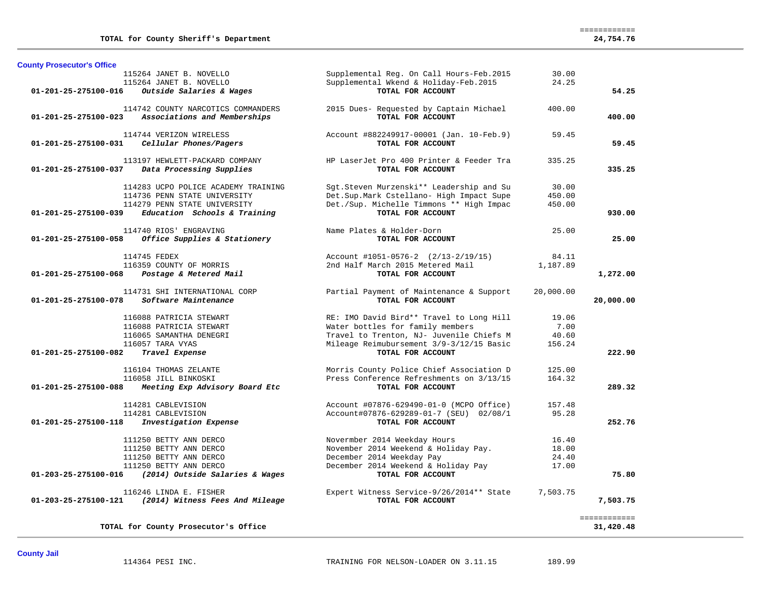| <b>County Prosecutor's Office</b> |                                                                                                                                         |                                                                                                                                                               |                                  |                           |
|-----------------------------------|-----------------------------------------------------------------------------------------------------------------------------------------|---------------------------------------------------------------------------------------------------------------------------------------------------------------|----------------------------------|---------------------------|
|                                   | 115264 JANET B. NOVELLO<br>115264 JANET B. NOVELLO                                                                                      | Supplemental Reg. On Call Hours-Feb. 2015<br>Supplemental Wkend & Holiday-Feb. 2015<br>TOTAL FOR ACCOUNT                                                      | 30.00<br>24.25                   |                           |
| 01-201-25-275100-016              | Outside Salaries & Wages                                                                                                                |                                                                                                                                                               |                                  | 54.25                     |
| $01 - 201 - 25 - 275100 - 023$    | 114742 COUNTY NARCOTICS COMMANDERS<br>Associations and Memberships                                                                      | 2015 Dues- Requested by Captain Michael<br>TOTAL FOR ACCOUNT                                                                                                  | 400.00                           | 400.00                    |
| 01-201-25-275100-031              | 114744 VERIZON WIRELESS<br>Cellular Phones/Pagers                                                                                       | Account #882249917-00001 (Jan. 10-Feb.9)<br>TOTAL FOR ACCOUNT                                                                                                 | 59.45                            | 59.45                     |
| 01-201-25-275100-037              | 113197 HEWLETT-PACKARD COMPANY<br>Data Processing Supplies                                                                              | HP LaserJet Pro 400 Printer & Feeder Tra<br>TOTAL FOR ACCOUNT                                                                                                 | 335.25                           | 335.25                    |
|                                   | 114283 UCPO POLICE ACADEMY TRAINING<br>114736 PENN STATE UNIVERSITY<br>114279 PENN STATE UNIVERSITY                                     | Sgt.Steven Murzenski** Leadership and Su<br>Det.Sup.Mark Cstellano- High Impact Supe<br>Det./Sup. Michelle Timmons ** High Impac                              | 30.00<br>450.00<br>450.00        |                           |
| 01-201-25-275100-039              | Education Schools & Training                                                                                                            | TOTAL FOR ACCOUNT                                                                                                                                             |                                  | 930.00                    |
| 01-201-25-275100-058              | 114740 RIOS' ENGRAVING<br>Office Supplies & Stationery                                                                                  | Name Plates & Holder-Dorn<br>TOTAL FOR ACCOUNT                                                                                                                | 25.00                            | 25.00                     |
| $01 - 201 - 25 - 275100 - 068$    | 114745 FEDEX<br>116359 COUNTY OF MORRIS<br>Postage & Metered Mail                                                                       | Account #1051-0576-2 (2/13-2/19/15)<br>2nd Half March 2015 Metered Mail<br>TOTAL FOR ACCOUNT                                                                  | 84.11<br>1,187.89                | 1,272.00                  |
| 01-201-25-275100-078              | 114731 SHI INTERNATIONAL CORP<br>Software Maintenance                                                                                   | Partial Payment of Maintenance & Support<br>TOTAL FOR ACCOUNT                                                                                                 | 20,000.00                        | 20,000.00                 |
|                                   | 116088 PATRICIA STEWART<br>116088 PATRICIA STEWART<br>116065 SAMANTHA DENEGRI                                                           | RE: IMO David Bird** Travel to Long Hill<br>Water bottles for family members<br>Travel to Trenton, NJ- Juvenile Chiefs M                                      | 19.06<br>7.00<br>40.60           |                           |
| 01-201-25-275100-082              | 116057 TARA VYAS<br>Travel Expense                                                                                                      | Mileage Reimubursement 3/9-3/12/15 Basic<br>TOTAL FOR ACCOUNT                                                                                                 | 156.24                           | 222.90                    |
| $01 - 201 - 25 - 275100 - 088$    | 116104 THOMAS ZELANTE<br>116058 JILL BINKOSKI<br>Meeting Exp Advisory Board Etc                                                         | Morris County Police Chief Association D<br>Press Conference Refreshments on 3/13/15<br>TOTAL FOR ACCOUNT                                                     | 125.00<br>164.32                 | 289.32                    |
|                                   | 114281 CABLEVISION<br>114281 CABLEVISION                                                                                                | Account #07876-629490-01-0 (MCPO Office)<br>Account#07876-629289-01-7 (SEU) 02/08/1                                                                           | 157.48<br>95.28                  |                           |
| 01-201-25-275100-118              | Investigation Expense                                                                                                                   | TOTAL FOR ACCOUNT                                                                                                                                             |                                  | 252.76                    |
| 01-203-25-275100-016              | 111250 BETTY ANN DERCO<br>111250 BETTY ANN DERCO<br>111250 BETTY ANN DERCO<br>111250 BETTY ANN DERCO<br>(2014) Outside Salaries & Wages | Novermber 2014 Weekday Hours<br>November 2014 Weekend & Holiday Pay.<br>December 2014 Weekday Pay<br>December 2014 Weekend & Holiday Pay<br>TOTAL FOR ACCOUNT | 16.40<br>18.00<br>24.40<br>17.00 | 75.80                     |
| 01-203-25-275100-121              | 116246 LINDA E. FISHER<br>(2014) Witness Fees And Mileage                                                                               | Expert Witness Service-9/26/2014** State<br>TOTAL FOR ACCOUNT                                                                                                 | 7,503.75                         | 7,503.75                  |
|                                   | TOTAL for County Prosecutor's Office                                                                                                    |                                                                                                                                                               |                                  | ============<br>31,420.48 |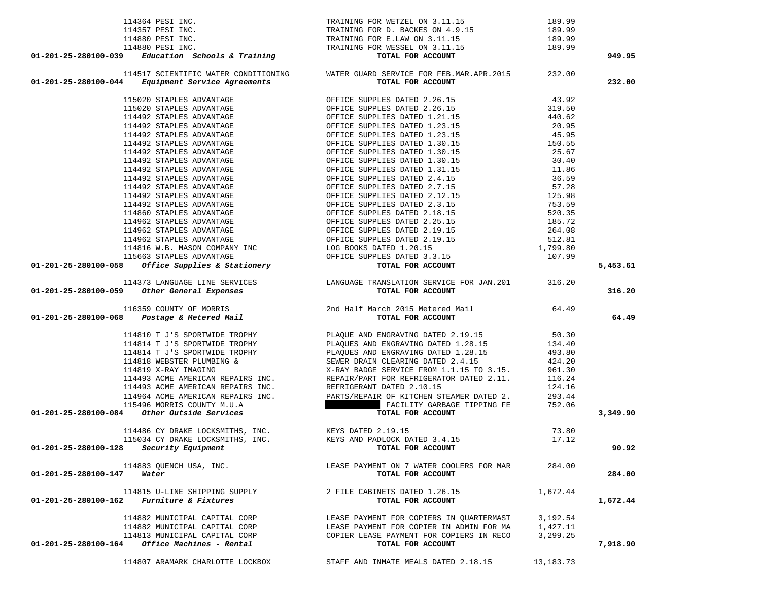| 114364 PESI INC.<br>114364 PESI INC.<br>114357 PESI INC.<br>114880 PESI INC.<br>114880 PESI INC.<br>114880 PESI INC.<br>114880 PESI INC.<br>114880 PESI INC.<br>114880 PESI INC.<br>114880 PESI INC.<br>114880 PESI INC.<br>114880 PESI INC.<br>114880 |                                                                                                                                                            |           | 949.95   |
|--------------------------------------------------------------------------------------------------------------------------------------------------------------------------------------------------------------------------------------------------------|------------------------------------------------------------------------------------------------------------------------------------------------------------|-----------|----------|
|                                                                                                                                                                                                                                                        |                                                                                                                                                            |           |          |
| 01-201-25-280100-044                                                                                                                                                                                                                                   | 114517 SCIENTIFIC WATER CONDITIONING WATER GUARD SERVICE FOR FEB.MAR.APR.2015 232.00<br><b>4</b> Equipment Service Agreements <b>100 TOTAL FOR ACCOUNT</b> |           | 232.00   |
|                                                                                                                                                                                                                                                        |                                                                                                                                                            |           |          |
|                                                                                                                                                                                                                                                        |                                                                                                                                                            |           |          |
|                                                                                                                                                                                                                                                        |                                                                                                                                                            |           |          |
|                                                                                                                                                                                                                                                        |                                                                                                                                                            |           |          |
|                                                                                                                                                                                                                                                        |                                                                                                                                                            |           |          |
|                                                                                                                                                                                                                                                        |                                                                                                                                                            |           |          |
|                                                                                                                                                                                                                                                        |                                                                                                                                                            |           |          |
|                                                                                                                                                                                                                                                        |                                                                                                                                                            |           |          |
|                                                                                                                                                                                                                                                        |                                                                                                                                                            |           |          |
|                                                                                                                                                                                                                                                        |                                                                                                                                                            |           |          |
|                                                                                                                                                                                                                                                        |                                                                                                                                                            |           |          |
|                                                                                                                                                                                                                                                        |                                                                                                                                                            |           |          |
|                                                                                                                                                                                                                                                        |                                                                                                                                                            |           |          |
|                                                                                                                                                                                                                                                        |                                                                                                                                                            |           |          |
|                                                                                                                                                                                                                                                        |                                                                                                                                                            |           |          |
|                                                                                                                                                                                                                                                        |                                                                                                                                                            |           |          |
|                                                                                                                                                                                                                                                        |                                                                                                                                                            |           |          |
|                                                                                                                                                                                                                                                        |                                                                                                                                                            |           |          |
|                                                                                                                                                                                                                                                        |                                                                                                                                                            |           |          |
|                                                                                                                                                                                                                                                        |                                                                                                                                                            |           |          |
|                                                                                                                                                                                                                                                        |                                                                                                                                                            |           | 5,453.61 |
|                                                                                                                                                                                                                                                        |                                                                                                                                                            |           |          |
|                                                                                                                                                                                                                                                        |                                                                                                                                                            |           |          |
|                                                                                                                                                                                                                                                        |                                                                                                                                                            |           | 316.20   |
| 01-201-25-200100-044 Maptipenet Service Aprelenting particle of the California Context (1910) or and the California Context Service Service Service Service Service Service Service Service Service Service Service Service S                          |                                                                                                                                                            |           |          |
|                                                                                                                                                                                                                                                        |                                                                                                                                                            |           | 64.49    |
|                                                                                                                                                                                                                                                        |                                                                                                                                                            |           |          |
|                                                                                                                                                                                                                                                        |                                                                                                                                                            |           |          |
|                                                                                                                                                                                                                                                        |                                                                                                                                                            |           |          |
|                                                                                                                                                                                                                                                        |                                                                                                                                                            |           |          |
|                                                                                                                                                                                                                                                        |                                                                                                                                                            |           |          |
|                                                                                                                                                                                                                                                        |                                                                                                                                                            |           |          |
|                                                                                                                                                                                                                                                        |                                                                                                                                                            |           |          |
|                                                                                                                                                                                                                                                        |                                                                                                                                                            |           |          |
|                                                                                                                                                                                                                                                        |                                                                                                                                                            |           |          |
|                                                                                                                                                                                                                                                        |                                                                                                                                                            |           | 3,349.90 |
|                                                                                                                                                                                                                                                        |                                                                                                                                                            |           |          |
| 114486 CY DRAKE LOCKSMITHS, INC.<br>11503 CY DRAKE LOCKSMITHS, INC.<br>2006 CHARL AND PADLOCK DATED 3.4.15                                                                                                                                             |                                                                                                                                                            | 73.80     |          |
|                                                                                                                                                                                                                                                        |                                                                                                                                                            | 17.12     |          |
| 01-201-25-280100-128 $Security$ Equipment TOTAL FOR ACCOUNT                                                                                                                                                                                            |                                                                                                                                                            |           | 90.92    |
| 114883 QUENCH USA, INC.                                                                                                                                                                                                                                | LEASE PAYMENT ON 7 WATER COOLERS FOR MAR                                                                                                                   | 284.00    |          |
| 01-201-25-280100-147<br>Water                                                                                                                                                                                                                          | TOTAL FOR ACCOUNT                                                                                                                                          |           | 284.00   |
|                                                                                                                                                                                                                                                        |                                                                                                                                                            |           |          |
| 114815 U-LINE SHIPPING SUPPLY                                                                                                                                                                                                                          | 2 FILE CABINETS DATED 1.26.15                                                                                                                              | 1,672.44  |          |
| <i>Furniture &amp; Fixtures</i><br>01-201-25-280100-162                                                                                                                                                                                                | TOTAL FOR ACCOUNT                                                                                                                                          |           | 1,672.44 |
| 114882 MUNICIPAL CAPITAL CORP                                                                                                                                                                                                                          | LEASE PAYMENT FOR COPIERS IN OUARTERMAST                                                                                                                   | 3,192.54  |          |
| 114882 MUNICIPAL CAPITAL CORP                                                                                                                                                                                                                          | LEASE PAYMENT FOR COPIER IN ADMIN FOR MA                                                                                                                   | 1,427.11  |          |
| 114813 MUNICIPAL CAPITAL CORP                                                                                                                                                                                                                          | COPIER LEASE PAYMENT FOR COPIERS IN RECO                                                                                                                   | 3,299.25  |          |
| Office Machines - Rental<br>01-201-25-280100-164                                                                                                                                                                                                       | TOTAL FOR ACCOUNT                                                                                                                                          |           | 7,918.90 |
|                                                                                                                                                                                                                                                        |                                                                                                                                                            |           |          |
| 114807 ARAMARK CHARLOTTE LOCKBOX                                                                                                                                                                                                                       | STAFF AND INMATE MEALS DATED 2.18.15                                                                                                                       | 13,183.73 |          |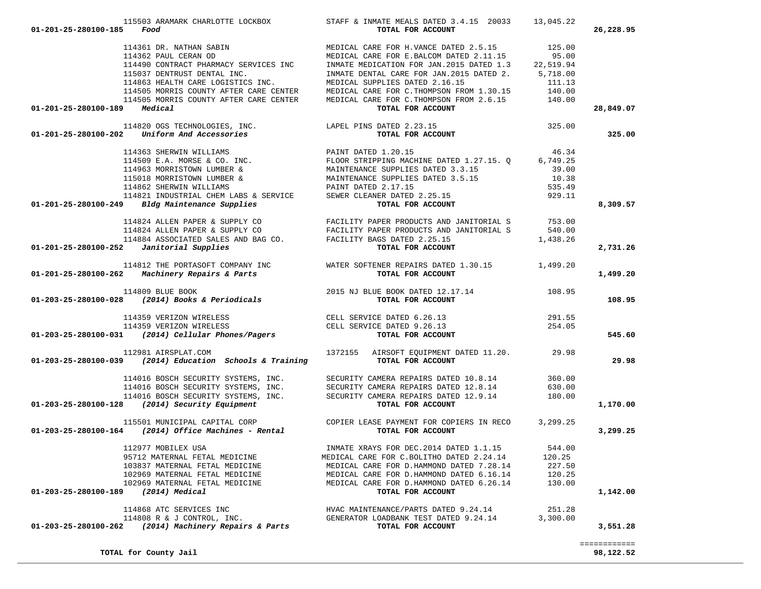| 01-201-25-280100-185<br>Food                                                                                                                                                                                                                     | 115503 ARAMARK CHARLOTTE LOCKBOX STAFF & INMATE MEALS DATED $3.4.15$ 20033 13,045.22<br>TOTAL FOR ACCOUNT                                                                                                                                  |          | 26,228.95 |
|--------------------------------------------------------------------------------------------------------------------------------------------------------------------------------------------------------------------------------------------------|--------------------------------------------------------------------------------------------------------------------------------------------------------------------------------------------------------------------------------------------|----------|-----------|
|                                                                                                                                                                                                                                                  | 114361 DR. NATHAN SABIN                           MEDICAL CARE FOR H.VANCE DATED 2.5.15           125.00<br>114362 PAUL CERAN OD                             MEDICAL CARE FOR E.BALCOM DATED 2.11.15           95.00<br>114490 CONTR       |          |           |
|                                                                                                                                                                                                                                                  | 115037 DENTRUST DENTAL INC.<br>114863 HEALTH CARE LOGISTICS INC.<br>114863 HEALTH CARE LOGISTICS INC.<br>114505 MORRIS COUNTY AFTER CARE CENTER<br>114505 MORRIS COUNTY AFTER CARE CENTER<br>114505 MORRIS COUNTY AFTER CARE CENTER<br>140 |          |           |
|                                                                                                                                                                                                                                                  |                                                                                                                                                                                                                                            |          | 28,849.07 |
| 110.00 TOTAL FOR ACCOUNT<br>114820 OGS TECHNOLOGIES, INC.<br>114820 OGS TECHNOLOGIES, INC.<br>1201-25-280100-202 Uniform And Accessories<br>125.00 TOTAL FOR ACCOUNT                                                                             |                                                                                                                                                                                                                                            |          | 325.00    |
|                                                                                                                                                                                                                                                  |                                                                                                                                                                                                                                            |          |           |
|                                                                                                                                                                                                                                                  |                                                                                                                                                                                                                                            |          |           |
|                                                                                                                                                                                                                                                  |                                                                                                                                                                                                                                            |          |           |
|                                                                                                                                                                                                                                                  |                                                                                                                                                                                                                                            |          |           |
|                                                                                                                                                                                                                                                  |                                                                                                                                                                                                                                            |          |           |
|                                                                                                                                                                                                                                                  |                                                                                                                                                                                                                                            |          |           |
| 114363 SHERWIN WILLIAMS<br>114509 E.A. MORSE & CO. INC.<br>114509 E.A. MORSE & CO. INC.<br>114963 MORRISTOWN LUMBER & MAINTENANCE SUPPLIES DATED 1.27.15. Q 6,749.25<br>115018 MORRISTOWN LUMBER & MAINTENANCE SUPPLIES DATED 3.3.15<br>         |                                                                                                                                                                                                                                            |          | 8,309.57  |
|                                                                                                                                                                                                                                                  |                                                                                                                                                                                                                                            |          |           |
|                                                                                                                                                                                                                                                  |                                                                                                                                                                                                                                            |          |           |
|                                                                                                                                                                                                                                                  |                                                                                                                                                                                                                                            |          |           |
| $01-201-25-280100-252$ Janitorial Supplies                                                                                                                                                                                                       | 114824 ALLEN PAPER & SUPPLY CO<br>114824 ALLEN PAPER & SUPPLY CO<br>114884 ASSOCIATED SALES AND BAG CO. FACILITY PAPER PRODUCTS AND JANITORIAL S<br>1,438.26<br>2 Janitorial Supplies<br>1,438.26<br>TOTAL FOR ACCOUNT                     |          | 2,731.26  |
| 114812 THE PORTASOFT COMPANY INC WATER SOFTENER REPAIRS DATED 1.30.15 1,499.20<br><b>01-201-25-280100-262</b> Machinery Repairs & Parts TOTAL FOR ACCOUNT                                                                                        |                                                                                                                                                                                                                                            |          | 1,499.20  |
| 114809 BLUE BOOK 2015 NJ BLUE BOOK DATED 12.17.14 108.95<br>108.95 108.95 108.95 108.95 108.95 108.95 108.95 108.95 108.95 108.95 108.95 108.95 108.95 108.95                                                                                    |                                                                                                                                                                                                                                            |          |           |
|                                                                                                                                                                                                                                                  |                                                                                                                                                                                                                                            |          | 108.95    |
| 114359 VERIZON WIRELESS CELL SERVICE DATED 6.26.13 114359 VERIZON WIRELESS 114359 VERIZON WIRELESS CELL SERVICE DATED 9.26.13 114359 VERIZON WIRELESS CELL SERVICE DATED 9.26.13 254.05                                                          |                                                                                                                                                                                                                                            |          |           |
|                                                                                                                                                                                                                                                  |                                                                                                                                                                                                                                            |          |           |
|                                                                                                                                                                                                                                                  |                                                                                                                                                                                                                                            |          | 545.60    |
| 112981 AIRSPLAT.COM 1372155 AIRSOFT EQUIPMENT DATED 11.20. 112981 AIRSPLAT.COM 1372155 112981 2014)                                                                                                                                              |                                                                                                                                                                                                                                            |          | 29.98     |
|                                                                                                                                                                                                                                                  |                                                                                                                                                                                                                                            |          |           |
|                                                                                                                                                                                                                                                  |                                                                                                                                                                                                                                            |          |           |
|                                                                                                                                                                                                                                                  |                                                                                                                                                                                                                                            |          |           |
| 114016 BOSCH SECURITY SYSTEMS, INC.<br>114016 BOSCH SECURITY SYSTEMS, INC.<br>114016 BOSCH SECURITY SYSTEMS, INC.<br>114016 BOSCH SECURITY SYSTEMS, INC.<br>114016 BOSCH SECURITY SYSTEMS, INC.<br>114016 BOSCH SECURITY SYSTEMS, INC.<br>114016 |                                                                                                                                                                                                                                            |          | 1,170.00  |
| 115501 MUNICIPAL CAPITAL CORP COPIER LEASE PAYMENT FOR COPIERS IN RECO 3,299.25<br><b>115501 MUNICIPAL CAPITAL CORP</b> COPIER LEASE PAYMENT FOR COPIERS IN RECO 3,299.25                                                                        |                                                                                                                                                                                                                                            |          | 3,299.25  |
| 112977 MOBILEX USA                                                                                                                                                                                                                               | INMATE XRAYS FOR DEC. 2014 DATED 1.1.15 544.00                                                                                                                                                                                             |          |           |
| 95712 MATERNAL FETAL MEDICINE                                                                                                                                                                                                                    | MEDICAL CARE FOR C.BOLITHO DATED 2.24.14                                                                                                                                                                                                   | 120.25   |           |
| 103837 MATERNAL FETAL MEDICINE                                                                                                                                                                                                                   | MEDICAL CARE FOR D. HAMMOND DATED 7.28.14                                                                                                                                                                                                  | 227.50   |           |
| 102969 MATERNAL FETAL MEDICINE                                                                                                                                                                                                                   | MEDICAL CARE FOR D. HAMMOND DATED 6.16.14                                                                                                                                                                                                  | 120.25   |           |
| 102969 MATERNAL FETAL MEDICINE<br>01-203-25-280100-189<br>(2014) Medical                                                                                                                                                                         | MEDICAL CARE FOR D. HAMMOND DATED 6.26.14<br>TOTAL FOR ACCOUNT                                                                                                                                                                             | 130.00   | 1,142.00  |
|                                                                                                                                                                                                                                                  |                                                                                                                                                                                                                                            |          |           |
| 114868 ATC SERVICES INC                                                                                                                                                                                                                          | HVAC MAINTENANCE/PARTS DATED 9.24.14                                                                                                                                                                                                       | 251.28   |           |
| 114808 R & J CONTROL, INC.<br>(2014) Machinery Repairs & Parts<br>01-203-25-280100-262                                                                                                                                                           | GENERATOR LOADBANK TEST DATED 9.24.14<br>TOTAL FOR ACCOUNT                                                                                                                                                                                 | 3,300.00 | 3,551.28  |
|                                                                                                                                                                                                                                                  |                                                                                                                                                                                                                                            |          |           |

============

**TOTAL for County Jail 98,122.52**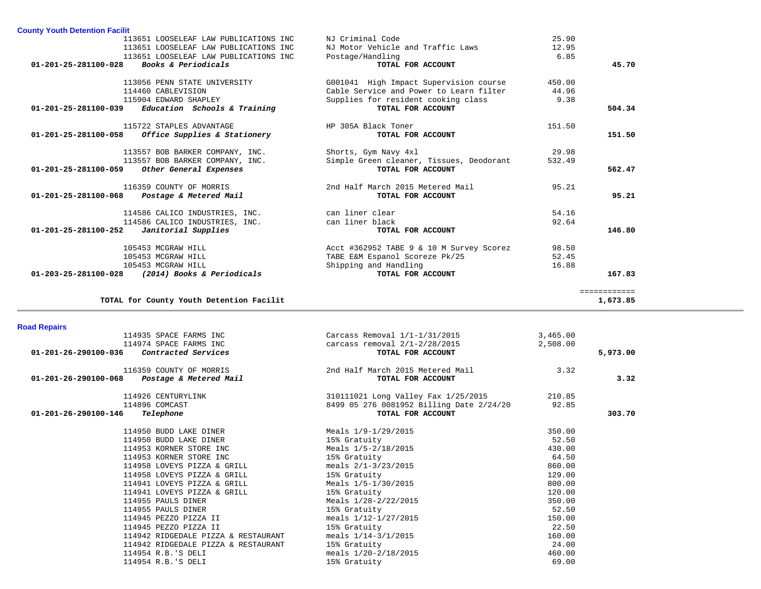| <b>County Youth Detention Facilit</b>                 |                                          |        |              |
|-------------------------------------------------------|------------------------------------------|--------|--------------|
| 113651 LOOSELEAF LAW PUBLICATIONS INC                 | NJ Criminal Code                         | 25.90  |              |
| 113651 LOOSELEAF LAW PUBLICATIONS INC                 | NJ Motor Vehicle and Traffic Laws        | 12.95  |              |
| 113651 LOOSELEAF LAW PUBLICATIONS INC                 | Postage/Handling                         | 6.85   |              |
| Books & Periodicals<br>$01 - 201 - 25 - 281100 - 028$ | TOTAL FOR ACCOUNT                        |        | 45.70        |
| 113056 PENN STATE UNIVERSITY                          | G001041 High Impact Supervision course   | 450.00 |              |
| 114460 CABLEVISION                                    | Cable Service and Power to Learn filter  | 44.96  |              |
| 115904 EDWARD SHAPLEY                                 | Supplies for resident cooking class      | 9.38   |              |
| Education Schools & Training<br>01-201-25-281100-039  | TOTAL FOR ACCOUNT                        |        | 504.34       |
| 115722 STAPLES ADVANTAGE                              | HP 305A Black Toner                      | 151.50 |              |
| 01-201-25-281100-058<br>Office Supplies & Stationery  | TOTAL FOR ACCOUNT                        |        | 151.50       |
| 113557 BOB BARKER COMPANY, INC.                       | Shorts, Gym Navy 4xl                     | 29.98  |              |
| 113557 BOB BARKER COMPANY, INC.                       | Simple Green cleaner, Tissues, Deodorant | 532.49 |              |
| Other General Expenses<br>01-201-25-281100-059        | TOTAL FOR ACCOUNT                        |        | 562.47       |
| 116359 COUNTY OF MORRIS                               | 2nd Half March 2015 Metered Mail         | 95.21  |              |
| Postage & Metered Mail<br>01-201-25-281100-068        | TOTAL FOR ACCOUNT                        |        | 95.21        |
| 114586 CALICO INDUSTRIES, INC.                        | can liner clear                          | 54.16  |              |
| 114586 CALICO INDUSTRIES, INC.                        | can liner black                          | 92.64  |              |
| 01-201-25-281100-252<br>Janitorial Supplies           | TOTAL FOR ACCOUNT                        |        | 146.80       |
| 105453 MCGRAW HILL                                    | Acct #362952 TABE 9 & 10 M Survey Scorez | 98.50  |              |
| 105453 MCGRAW HILL                                    | TABE E&M Espanol Scoreze Pk/25           | 52.45  |              |
| 105453 MCGRAW HILL                                    | Shipping and Handling                    | 16.88  |              |
| (2014) Books & Periodicals<br>01-203-25-281100-028    | TOTAL FOR ACCOUNT                        |        | 167.83       |
|                                                       |                                          |        | ============ |
| TOTAL for County Youth Detention Facilit              |                                          |        | 1,673.85     |

# **Road Repairs**

|                      | 114935 SPACE FARMS INC<br>114974 SPACE FARMS INC<br>$01-201-26-290100-036$ Contracted Services | Carcass Removal $1/1-1/31/2015$<br>carcass removal 2/1-2/28/2015<br>TOTAL FOR ACCOUNT | 3,465.00<br>2,508.00 | 5,973.00 |
|----------------------|------------------------------------------------------------------------------------------------|---------------------------------------------------------------------------------------|----------------------|----------|
|                      |                                                                                                |                                                                                       |                      |          |
|                      | 116359 COUNTY OF MORRIS<br>01-201-26-290100-068 Postage & Metered Mail                         | 2nd Half March 2015 Metered Mail<br>TOTAL FOR ACCOUNT                                 | 3.32                 | 3.32     |
|                      | 114926 CENTURYLINK                                                                             | 310111021 Long Valley Fax 1/25/2015                                                   | 210.85               |          |
|                      | 114896 COMCAST                                                                                 | 8499 05 276 0081952 Billing Date 2/24/20 92.85                                        |                      |          |
| 01-201-26-290100-146 | Telephone                                                                                      | TOTAL FOR ACCOUNT                                                                     |                      | 303.70   |
|                      | 114950 BUDD LAKE DINER                                                                         | Meals 1/9-1/29/2015                                                                   | 350.00               |          |
|                      | 114950 BUDD LAKE DINER                                                                         | 15% Gratuity                                                                          | 52.50                |          |
|                      | 114953 KORNER STORE INC                                                                        | Meals 1/5-2/18/2015                                                                   | 430.00               |          |
|                      | 114953 KORNER STORE INC                                                                        | 15% Gratuity                                                                          | 64.50                |          |
|                      | 114958 LOVEYS PIZZA & GRILL                                                                    | meals $2/1-3/23/2015$                                                                 | 860.00               |          |
|                      | 114958 LOVEYS PIZZA & GRILL                                                                    | 15% Gratuity                                                                          | 129.00               |          |
|                      | 114941 LOVEYS PIZZA & GRILL                                                                    | Meals 1/5-1/30/2015                                                                   | 800.00               |          |
|                      | 114941 LOVEYS PIZZA & GRILL                                                                    | 15% Gratuity                                                                          | 120.00               |          |
|                      | 114955 PAULS DINER                                                                             | Meals 1/28-2/22/2015                                                                  | 350.00               |          |
|                      | 114955 PAULS DINER                                                                             | 15% Gratuity                                                                          | 52.50                |          |
|                      | 114945 PEZZO PIZZA II                                                                          | meals 1/12-1/27/2015                                                                  | 150.00               |          |
|                      | 114945 PEZZO PIZZA II                                                                          | 15% Gratuity                                                                          | 22.50                |          |
|                      | 114942 RIDGEDALE PIZZA & RESTAURANT                                                            | meals $1/14-3/1/2015$                                                                 | 160.00               |          |
|                      | 114942 RIDGEDALE PIZZA & RESTAURANT                                                            | 15% Gratuity                                                                          | 24.00                |          |
|                      | 114954 R.B.'S DELI                                                                             | meals 1/20-2/18/2015                                                                  | 460.00               |          |
|                      | 114954 R.B.'S DELI                                                                             | 15% Gratuity                                                                          | 69.00                |          |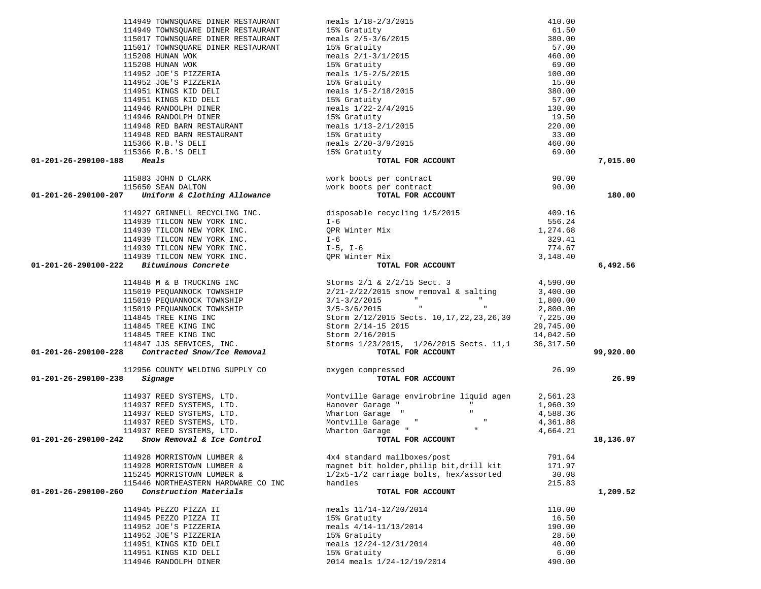|                                      | 114949 TOWNSOUARE DINER RESTAURANT                                                                           | meals 1/18-2/3/2015<br>15% Gratuity<br>meals 2/5-3/6/2015<br>15% Gratuity<br>meals 2/1-3/1/2015<br>15% Gratuity<br>meals 1/5-2/5/2015                                                                     | 410.00     |           |
|--------------------------------------|--------------------------------------------------------------------------------------------------------------|-----------------------------------------------------------------------------------------------------------------------------------------------------------------------------------------------------------|------------|-----------|
|                                      | 114949 TOWNSQUARE DINER RESTAURANT                                                                           |                                                                                                                                                                                                           | 61.50      |           |
|                                      | 115017 TOWNSQUARE DINER RESTAURANT                                                                           |                                                                                                                                                                                                           | 380.00     |           |
|                                      | 115017 TOWNSQUARE DINER RESTAURANT                                                                           |                                                                                                                                                                                                           | 57.00      |           |
|                                      |                                                                                                              |                                                                                                                                                                                                           | 460.00     |           |
|                                      | EXTERNAL PROPERTY OF A SAMPLE PARTY.<br>114952 JOE'S PIZZERIA<br>114952 JOE'S PIZZERIA<br>114951 MARTY       |                                                                                                                                                                                                           | 69.00      |           |
|                                      |                                                                                                              |                                                                                                                                                                                                           | 100.00     |           |
|                                      |                                                                                                              | 15% Gratuity                                                                                                                                                                                              | 15.00      |           |
|                                      |                                                                                                              | meals 1/5-2/18/2015                                                                                                                                                                                       | 380.00     |           |
|                                      | 2000 S PIZZERIA<br>114952 JOE'S PIZZERIA<br>114951 KINGS KID DELI<br>114951 KINGS KID DELI                   | 15% Gratuity                                                                                                                                                                                              | 57.00      |           |
|                                      | 114946 RANDOLPH DINER                                                                                        | meals $1/22 - 2/4/2015$                                                                                                                                                                                   | 130.00     |           |
|                                      | 114946 RANDOLPH DINER<br>114948 RED BARN RESTAURANT                                                          | 15% Gratuity                                                                                                                                                                                              | 19.50      |           |
|                                      |                                                                                                              | meals 1/13-2/1/2015                                                                                                                                                                                       | 220.00     |           |
|                                      | 114948 RED BARN RESTAURANT                                                                                   | 15% Gratuity                                                                                                                                                                                              | 33.00      |           |
|                                      | 115366 R.B.'S DELI                                                                                           | meals $2/20-3/9/2015$                                                                                                                                                                                     | 460.00     |           |
|                                      | 115366 R.B.'S DELI                                                                                           | 15% Gratuity                                                                                                                                                                                              | 69.00      |           |
| $01 - 201 - 26 - 290100 - 188$ Meals |                                                                                                              | TOTAL FOR ACCOUNT                                                                                                                                                                                         |            | 7,015.00  |
|                                      |                                                                                                              |                                                                                                                                                                                                           |            |           |
|                                      |                                                                                                              |                                                                                                                                                                                                           | 90.00      |           |
|                                      |                                                                                                              | 115883 JOHN D CLARK<br>115650 SEAN DALTON<br>7 Thifarm 6 Clatting Microsoft Clarence work boots per contract                                                                                              | 90.00      |           |
|                                      | 01-201-26-290100-207 Uniform & Clothing Allowance                                                            | TOTAL FOR ACCOUNT                                                                                                                                                                                         |            | 180.00    |
|                                      | 114927 GRINNELL RECYCLING INC.                                                                               | disposable recycling 1/5/2015<br>I-6<br>QPR Winter Mix                                                                                                                                                    | 409.16     |           |
|                                      | 114939 TILCON NEW YORK INC. I-6                                                                              |                                                                                                                                                                                                           | 556.24     |           |
|                                      | 114939 TILCON NEW YORK INC.                                                                                  |                                                                                                                                                                                                           | 1,274.68   |           |
|                                      | 114939 TILCON NEW YORK INC.                                                                                  | $I - 6$                                                                                                                                                                                                   | 329.41     |           |
|                                      |                                                                                                              |                                                                                                                                                                                                           | 774.67     |           |
|                                      | 114939 TILCON NEW YORK INC.<br>114939 TILCON NEW YORK INC.<br>114939 TILCON NEW YORK INC. OPR Winter Mix     |                                                                                                                                                                                                           | 3,148.40   |           |
|                                      | 01-201-26-290100-222 Bituminous Concrete                                                                     | TOTAL FOR ACCOUNT                                                                                                                                                                                         |            | 6,492.56  |
|                                      |                                                                                                              |                                                                                                                                                                                                           |            |           |
|                                      |                                                                                                              | 114848 M & B TRUCKING INC<br>115019 PEQUANNOCK TOWNSHIP<br>115019 PEQUANNOCK TOWNSHIP<br>115019 PEQUANNOCK TOWNSHIP<br>2/21-2/22/2015 movemoval & salting<br>3/1-3/2/2015 movemoval & salting<br>1,800.00 |            |           |
|                                      |                                                                                                              |                                                                                                                                                                                                           |            |           |
|                                      |                                                                                                              |                                                                                                                                                                                                           |            |           |
|                                      |                                                                                                              | 115019 PEQUANNOCK TOWNSHIP $3/5-3/6/2015$ "<br>114845 TREE KING INC Storm $2/12/2015$ Sects. 10, 17, 22, 23, 26, 30                                                                                       | 2,800.00   |           |
|                                      |                                                                                                              |                                                                                                                                                                                                           | 7,225.00   |           |
|                                      | 114845 TREE KING INC                                                                                         | Storm 2/14-15 2015                                                                                                                                                                                        | 29,745.00  |           |
|                                      | 114845 TREE KING INC                                                                                         | Storm 2/16/2015                                                                                                                                                                                           | 14,042.50  |           |
|                                      | 114845 TREE KING INC<br>114847 JJS SERVICES, INC.<br><b>01-201-26-290100-228</b> Contracted Snow/Ice Removal | Storms 1/23/2015, 1/26/2015 Sects. 11,1                                                                                                                                                                   | 36, 317.50 |           |
|                                      |                                                                                                              | TOTAL FOR ACCOUNT                                                                                                                                                                                         |            | 99,920.00 |
|                                      | 112956 COUNTY WELDING SUPPLY CO oxygen compressed                                                            |                                                                                                                                                                                                           | 26.99      |           |
| 01-201-26-290100-238                 | Signage                                                                                                      | TOTAL FOR ACCOUNT                                                                                                                                                                                         |            | 26.99     |
|                                      |                                                                                                              |                                                                                                                                                                                                           |            |           |
|                                      | 114937 REED SYSTEMS, LTD.                                                                                    | Montville Garage envirobrine liquid agen 2,561.23                                                                                                                                                         |            |           |
|                                      |                                                                                                              | Hanover Garage "<br>the contract of the contract of                                                                                                                                                       | 1,960.39   |           |
|                                      | 114937 REED SYSTEMS, LTD.<br>114937 REED SYSTEMS, LTD.                                                       | Wharton Garage "<br><b>In the contract of the contract</b>                                                                                                                                                | 4,588.36   |           |
|                                      | 11493/ KEED SYSTEMS, ITD.<br>114937 REED SYSTEMS, LTD.<br>114027 PFFD SYSTEMS, LTD.                          | Montville Garage "<br><b>Contract Manager</b>                                                                                                                                                             | 4,361.88   |           |
|                                      |                                                                                                              | Wharton Garage "<br>$\mathbf{H}$                                                                                                                                                                          | 4,664.21   |           |
| 01-201-26-290100-242                 | Snow Removal & Ice Control                                                                                   | TOTAL FOR ACCOUNT                                                                                                                                                                                         |            | 18,136.07 |
|                                      |                                                                                                              |                                                                                                                                                                                                           |            |           |
|                                      | 114928 MORRISTOWN LUMBER &                                                                                   | 4x4 standard mailboxes/post                                                                                                                                                                               | 791.64     |           |
|                                      | 114928 MORRISTOWN LUMBER &                                                                                   | magnet bit holder, philip bit, drill kit                                                                                                                                                                  | 171.97     |           |
|                                      | 115245 MORRISTOWN LUMBER &<br>115446 NORTHEASTERN HARDWARE CO INC                                            | $1/2x5-1/2$ carriage bolts, hex/assorted                                                                                                                                                                  | 30.08      |           |
| 01-201-26-290100-260                 | Construction Materials                                                                                       | handles<br>TOTAL FOR ACCOUNT                                                                                                                                                                              | 215.83     | 1,209.52  |
|                                      |                                                                                                              |                                                                                                                                                                                                           |            |           |
|                                      | 114945 PEZZO PIZZA II                                                                                        | meals $11/14-12/20/2014$                                                                                                                                                                                  | 110.00     |           |
|                                      | 114945 PEZZO PIZZA II                                                                                        | 15% Gratuity                                                                                                                                                                                              | 16.50      |           |
|                                      | 114952 JOE'S PIZZERIA                                                                                        | meals $4/14-11/13/2014$                                                                                                                                                                                   | 190.00     |           |
|                                      | 114952 JOE'S PIZZERIA                                                                                        | 15% Gratuity                                                                                                                                                                                              | 28.50      |           |
|                                      | 114951 KINGS KID DELI                                                                                        | meals $12/24-12/31/2014$                                                                                                                                                                                  | 40.00      |           |
|                                      | 114951 KINGS KID DELI                                                                                        | 15% Gratuity                                                                                                                                                                                              | 6.00       |           |
|                                      | 114946 RANDOLPH DINER                                                                                        | 2014 meals 1/24-12/19/2014                                                                                                                                                                                | 490.00     |           |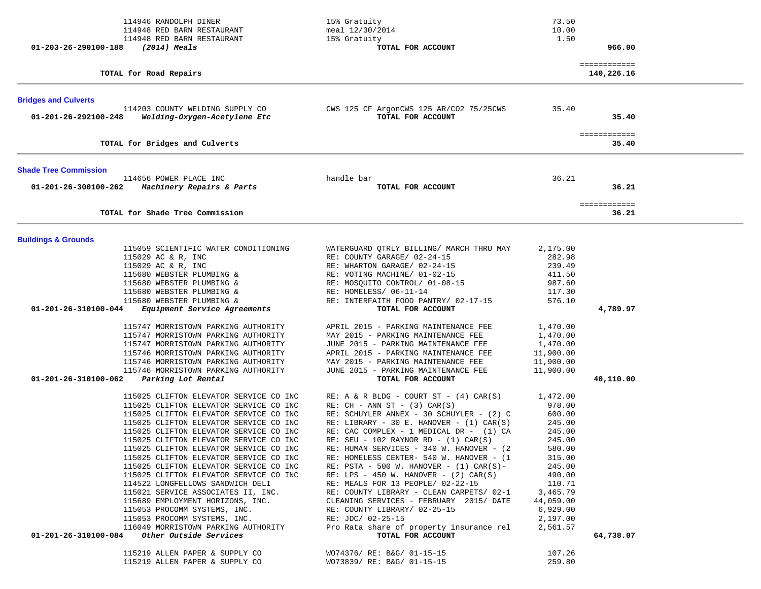|                                | 114946 RANDOLPH DINER<br>114948 RED BARN RESTAURANT<br>114948 RED BARN RESTAURANT | 15% Gratuity<br>meal 12/30/2014<br>15% Gratuity                                          | 73.50<br>10.00<br>1.50 |                            |  |
|--------------------------------|-----------------------------------------------------------------------------------|------------------------------------------------------------------------------------------|------------------------|----------------------------|--|
| 01-203-26-290100-188           | (2014) Meals                                                                      | TOTAL FOR ACCOUNT                                                                        |                        | 966.00                     |  |
|                                | TOTAL for Road Repairs                                                            |                                                                                          |                        | ============<br>140,226.16 |  |
| <b>Bridges and Culverts</b>    |                                                                                   |                                                                                          |                        |                            |  |
| 01-201-26-292100-248           | 114203 COUNTY WELDING SUPPLY CO<br>Welding-Oxygen-Acetylene Etc                   | CWS 125 CF ArgonCWS 125 AR/CO2 75/25CWS<br>TOTAL FOR ACCOUNT                             | 35.40                  | 35.40                      |  |
|                                | TOTAL for Bridges and Culverts                                                    |                                                                                          |                        | ============<br>35.40      |  |
| <b>Shade Tree Commission</b>   |                                                                                   |                                                                                          |                        |                            |  |
| 01-201-26-300100-262           | 114656 POWER PLACE INC<br>Machinery Repairs & Parts                               | handle bar<br>TOTAL FOR ACCOUNT                                                          | 36.21                  | 36.21                      |  |
|                                | TOTAL for Shade Tree Commission                                                   |                                                                                          |                        | ============<br>36.21      |  |
|                                |                                                                                   |                                                                                          |                        |                            |  |
| <b>Buildings &amp; Grounds</b> | 115059 SCIENTIFIC WATER CONDITIONING<br>115029 AC & R, INC                        | WATERGUARD QTRLY BILLING/ MARCH THRU MAY<br>RE: COUNTY GARAGE/ 02-24-15                  | 2,175.00               |                            |  |
|                                | 115029 AC & R, INC                                                                | RE: WHARTON GARAGE/ 02-24-15                                                             | 282.98<br>239.49       |                            |  |
|                                | 115680 WEBSTER PLUMBING &                                                         | RE: VOTING MACHINE/ 01-02-15                                                             | 411.50                 |                            |  |
|                                | 115680 WEBSTER PLUMBING &                                                         | RE: MOSQUITO CONTROL/ 01-08-15                                                           | 987.60                 |                            |  |
|                                | 115680 WEBSTER PLUMBING &                                                         | RE: HOMELESS/ 06-11-14                                                                   | 117.30                 |                            |  |
| 01-201-26-310100-044           | 115680 WEBSTER PLUMBING &<br>Equipment Service Agreements                         | RE: INTERFAITH FOOD PANTRY/ 02-17-15<br>TOTAL FOR ACCOUNT                                | 576.10                 | 4,789.97                   |  |
|                                | 115747 MORRISTOWN PARKING AUTHORITY                                               | APRIL 2015 - PARKING MAINTENANCE FEE                                                     | 1,470.00               |                            |  |
|                                | 115747 MORRISTOWN PARKING AUTHORITY                                               | MAY 2015 - PARKING MAINTENANCE FEE                                                       | 1,470.00               |                            |  |
|                                | 115747 MORRISTOWN PARKING AUTHORITY                                               | JUNE 2015 - PARKING MAINTENANCE FEE                                                      | 1,470.00               |                            |  |
|                                | 115746 MORRISTOWN PARKING AUTHORITY                                               | APRIL 2015 - PARKING MAINTENANCE FEE                                                     | 11,900.00              |                            |  |
|                                | 115746 MORRISTOWN PARKING AUTHORITY<br>115746 MORRISTOWN PARKING AUTHORITY        | MAY 2015 - PARKING MAINTENANCE FEE<br>JUNE 2015 - PARKING MAINTENANCE FEE                | 11,900.00<br>11,900.00 |                            |  |
| 01-201-26-310100-062           | Parking Lot Rental                                                                | TOTAL FOR ACCOUNT                                                                        |                        | 40,110.00                  |  |
|                                | 115025 CLIFTON ELEVATOR SERVICE CO INC                                            | $RE: A & R BLDG - COURT ST - (4) CAR(S)$                                                 | 1,472.00               |                            |  |
|                                | 115025 CLIFTON ELEVATOR SERVICE CO INC                                            | $RE: CH - ANN ST - (3) CAR(S)$                                                           | 978.00                 |                            |  |
|                                | 115025 CLIFTON ELEVATOR SERVICE CO INC                                            | RE: SCHUYLER ANNEX - 30 SCHUYLER - (2) C                                                 | 600.00                 |                            |  |
|                                | 115025 CLIFTON ELEVATOR SERVICE CO INC<br>115025 CLIFTON ELEVATOR SERVICE CO INC  | RE: LIBRARY - 30 E. HANOVER - $(1)$ CAR $(S)$<br>RE: CAC COMPLEX - 1 MEDICAL DR - (1) CA | 245.00<br>245.00       |                            |  |
|                                | 115025 CLIFTON ELEVATOR SERVICE CO INC                                            | RE: SEU - 102 RAYNOR RD - $(1)$ CAR $(S)$                                                | 245.00                 |                            |  |
|                                | 115025 CLIFTON ELEVATOR SERVICE CO INC                                            | RE: HUMAN SERVICES - 340 W. HANOVER - (2)                                                | 580.00                 |                            |  |
|                                | 115025 CLIFTON ELEVATOR SERVICE CO INC                                            | RE: HOMELESS CENTER- 540 W. HANOVER - (1                                                 | 315.00                 |                            |  |
|                                | 115025 CLIFTON ELEVATOR SERVICE CO INC                                            | RE: PSTA - 500 W. HANOVER - $(1)$ CAR $(S)$ -                                            | 245.00                 |                            |  |
|                                | 115025 CLIFTON ELEVATOR SERVICE CO INC<br>114522 LONGFELLOWS SANDWICH DELI        | RE: LPS - 450 W. HANOVER - $(2)$ CAR $(S)$<br>RE: MEALS FOR 13 PEOPLE/ 02-22-15          | 490.00<br>110.71       |                            |  |
|                                | 115021 SERVICE ASSOCIATES II, INC.                                                | RE: COUNTY LIBRARY - CLEAN CARPETS/ 02-1                                                 | 3,465.79               |                            |  |
|                                | 115689 EMPLOYMENT HORIZONS, INC.                                                  | CLEANING SERVICES - FEBRUARY 2015/ DATE                                                  | 44,059.00              |                            |  |
|                                | 115053 PROCOMM SYSTEMS, INC.                                                      | RE: COUNTY LIBRARY/ 02-25-15                                                             | 6,929.00               |                            |  |
|                                | 115053 PROCOMM SYSTEMS, INC.<br>116049 MORRISTOWN PARKING AUTHORITY               | RE: JDC/ 02-25-15<br>Pro Rata share of property insurance rel                            | 2,197.00<br>2,561.57   |                            |  |
| 01-201-26-310100-084           | Other Outside Services                                                            | TOTAL FOR ACCOUNT                                                                        |                        | 64,738.07                  |  |
|                                | 115219 ALLEN PAPER & SUPPLY CO                                                    | WO74376/ RE: B&G/ 01-15-15                                                               | 107.26                 |                            |  |
|                                | 115219 ALLEN PAPER & SUPPLY CO                                                    | WO73839/ RE: B&G/ 01-15-15                                                               | 259.80                 |                            |  |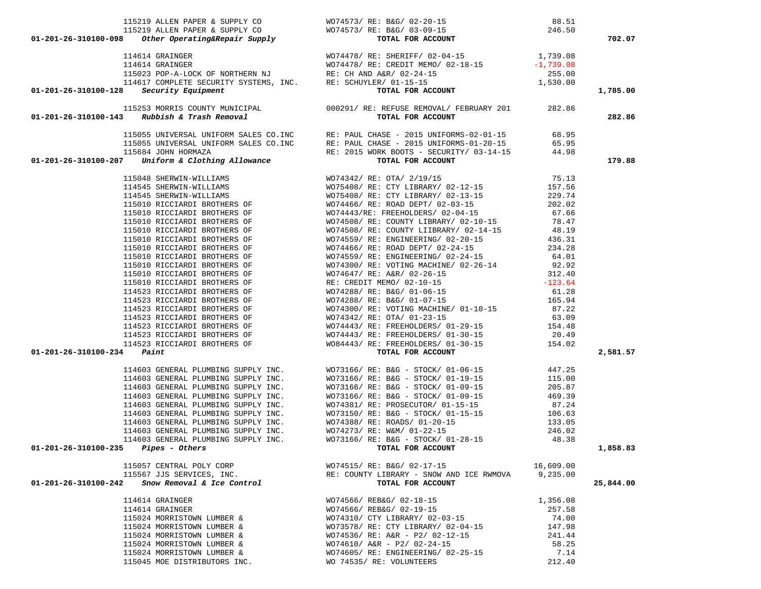|                                                                                                                                                                                                                                                                                                                                                                                                            |                                          |           | 702.07    |
|------------------------------------------------------------------------------------------------------------------------------------------------------------------------------------------------------------------------------------------------------------------------------------------------------------------------------------------------------------------------------------------------------------|------------------------------------------|-----------|-----------|
|                                                                                                                                                                                                                                                                                                                                                                                                            |                                          |           |           |
|                                                                                                                                                                                                                                                                                                                                                                                                            |                                          |           |           |
|                                                                                                                                                                                                                                                                                                                                                                                                            |                                          |           |           |
|                                                                                                                                                                                                                                                                                                                                                                                                            |                                          |           |           |
|                                                                                                                                                                                                                                                                                                                                                                                                            |                                          |           |           |
| $\begin{tabular}{c c c c c} \multicolumn{1}{c}{115219} \multicolumn{1}{c}{\textbf{ALLEN PAPER & SUPPLY} & \multicolumn{1}{c}{01-201-26-310100-098} & \multicolumn{1}{c}{\textbf{246.50}} & \multicolumn{1}{c}{88.51} \\ \multicolumn{1}{c}{115219} \multicolumn{1}{c}{\textbf{ALLEN PAPER & SUPPLY} & \multicolumn{1}{c}{0074573/ RE: BAG/ 02-20-15} & \multicolumn{1}{c}{246.50} \\ \multicolumn{1}{c}{1$ |                                          |           | 1,785.00  |
| 115253 MORRIS COUNTY MUNICIPAL 000291/RE: REFUSE REMOVAL/ FEBRUARY 201 282.86<br>115055 UNIVERSAL UNIFORM SALES CO.INC RE: PAUL CHASE - 2015 UNIFORMS-02-01-15 68.95<br>115055 UNIVERSAL UNIFORM SALES CO.INC RE: PAUL CHASE - 20                                                                                                                                                                          |                                          |           | 282.86    |
|                                                                                                                                                                                                                                                                                                                                                                                                            |                                          |           |           |
|                                                                                                                                                                                                                                                                                                                                                                                                            |                                          |           |           |
|                                                                                                                                                                                                                                                                                                                                                                                                            |                                          |           |           |
|                                                                                                                                                                                                                                                                                                                                                                                                            |                                          |           |           |
|                                                                                                                                                                                                                                                                                                                                                                                                            |                                          |           | 179.88    |
|                                                                                                                                                                                                                                                                                                                                                                                                            |                                          |           |           |
|                                                                                                                                                                                                                                                                                                                                                                                                            |                                          |           |           |
|                                                                                                                                                                                                                                                                                                                                                                                                            |                                          |           |           |
|                                                                                                                                                                                                                                                                                                                                                                                                            |                                          |           |           |
|                                                                                                                                                                                                                                                                                                                                                                                                            |                                          |           |           |
|                                                                                                                                                                                                                                                                                                                                                                                                            |                                          |           |           |
|                                                                                                                                                                                                                                                                                                                                                                                                            |                                          |           |           |
|                                                                                                                                                                                                                                                                                                                                                                                                            |                                          |           |           |
|                                                                                                                                                                                                                                                                                                                                                                                                            |                                          |           |           |
|                                                                                                                                                                                                                                                                                                                                                                                                            |                                          |           |           |
|                                                                                                                                                                                                                                                                                                                                                                                                            |                                          |           |           |
|                                                                                                                                                                                                                                                                                                                                                                                                            |                                          |           |           |
|                                                                                                                                                                                                                                                                                                                                                                                                            |                                          |           |           |
|                                                                                                                                                                                                                                                                                                                                                                                                            |                                          |           |           |
|                                                                                                                                                                                                                                                                                                                                                                                                            |                                          |           |           |
|                                                                                                                                                                                                                                                                                                                                                                                                            |                                          |           |           |
|                                                                                                                                                                                                                                                                                                                                                                                                            |                                          |           |           |
|                                                                                                                                                                                                                                                                                                                                                                                                            |                                          |           |           |
|                                                                                                                                                                                                                                                                                                                                                                                                            |                                          |           |           |
|                                                                                                                                                                                                                                                                                                                                                                                                            |                                          |           |           |
| 01-201-26-310100-27 <sup>1</sup> Prices (105 Movies (105 Movies (107 Movies (107 Movies 2012) 1914 1912<br>191416 2008 MINI-1912 (107 Movies 2012) 22: 07 AV 212/12<br>191516 2008 MINI-1912 (107 Movies 2012) 22: 07 AV 21/2/12<br>191510 31                                                                                                                                                              |                                          |           | 2,581.57  |
|                                                                                                                                                                                                                                                                                                                                                                                                            |                                          |           |           |
|                                                                                                                                                                                                                                                                                                                                                                                                            |                                          |           |           |
|                                                                                                                                                                                                                                                                                                                                                                                                            |                                          |           |           |
|                                                                                                                                                                                                                                                                                                                                                                                                            |                                          |           |           |
|                                                                                                                                                                                                                                                                                                                                                                                                            |                                          |           |           |
|                                                                                                                                                                                                                                                                                                                                                                                                            |                                          |           |           |
|                                                                                                                                                                                                                                                                                                                                                                                                            |                                          |           |           |
|                                                                                                                                                                                                                                                                                                                                                                                                            |                                          |           |           |
|                                                                                                                                                                                                                                                                                                                                                                                                            |                                          |           |           |
|                                                                                                                                                                                                                                                                                                                                                                                                            |                                          |           | 1,858.83  |
|                                                                                                                                                                                                                                                                                                                                                                                                            |                                          |           |           |
| 115057 CENTRAL POLY CORP                                                                                                                                                                                                                                                                                                                                                                                   | WO74515/ RE: B&G/ 02-17-15               | 16,609.00 |           |
| 115567 JJS SERVICES, INC.                                                                                                                                                                                                                                                                                                                                                                                  | RE: COUNTY LIBRARY - SNOW AND ICE RWMOVA | 9,235.00  |           |
| Snow Removal & Ice Control<br>01-201-26-310100-242                                                                                                                                                                                                                                                                                                                                                         | TOTAL FOR ACCOUNT                        |           | 25,844.00 |
| 114614 GRAINGER                                                                                                                                                                                                                                                                                                                                                                                            | WO74566/ REB&G/ 02-18-15                 | 1,356.08  |           |
| 114614 GRAINGER                                                                                                                                                                                                                                                                                                                                                                                            | WO74566/ REB&G/ 02-19-15                 | 257.58    |           |
| 115024 MORRISTOWN LUMBER &                                                                                                                                                                                                                                                                                                                                                                                 | WO74310/ CTY LIBRARY/ 02-03-15           | 74.00     |           |
| 115024 MORRISTOWN LUMBER &                                                                                                                                                                                                                                                                                                                                                                                 | WO73578/ RE: CTY LIBRARY/ 02-04-15       | 147.98    |           |
| 115024 MORRISTOWN LUMBER &                                                                                                                                                                                                                                                                                                                                                                                 | WO74536/ RE: A&R - P2/ 02-12-15          | 241.44    |           |
| 115024 MORRISTOWN LUMBER &                                                                                                                                                                                                                                                                                                                                                                                 | WO74610/ A&R - P2/ 02-24-15              | 58.25     |           |
| 115024 MORRISTOWN LUMBER &                                                                                                                                                                                                                                                                                                                                                                                 | WO74605/ RE: ENGINEERING/ 02-25-15       | 7.14      |           |

115045 MOE DISTRIBUTORS INC. WO 74535/ RE: VOLUNTEERS 212.40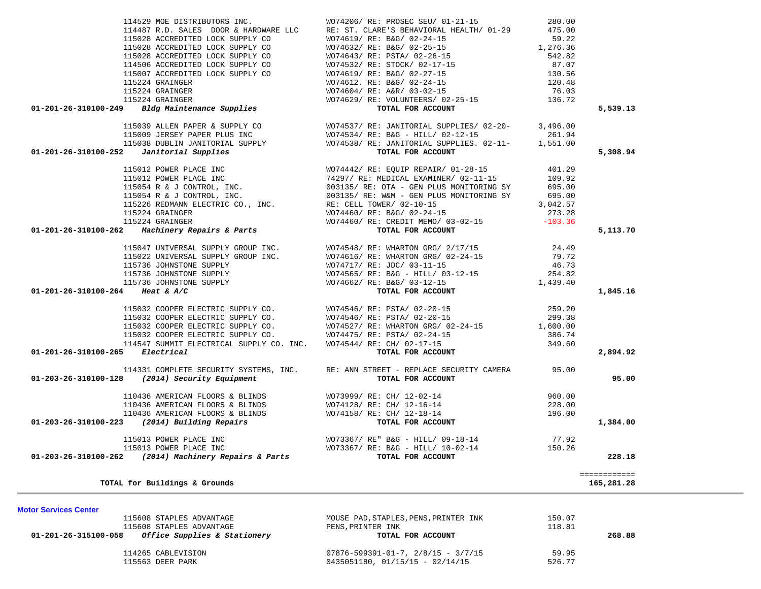|                                                                                                                                                                                                                                            |                                                                                       |        | ============ |
|--------------------------------------------------------------------------------------------------------------------------------------------------------------------------------------------------------------------------------------------|---------------------------------------------------------------------------------------|--------|--------------|
|                                                                                                                                                                                                                                            |                                                                                       |        |              |
|                                                                                                                                                                                                                                            |                                                                                       |        | 228.18       |
|                                                                                                                                                                                                                                            |                                                                                       |        |              |
| 110436 AMERICAN FLOORS & BLINDS<br>110436 AMERICAN FLOORS & BLINDS<br>110436 AMERICAN FLOORS & BLINDS<br>110436 AMERICAN FLOORS & BLINDS<br>110436 AMERICAN FLOORS & BLINDS<br>110436 AMERICAN FLOORS & BLINDS<br>110436 AMERICAN FLOORS & |                                                                                       |        |              |
|                                                                                                                                                                                                                                            |                                                                                       |        | 1,384.00     |
|                                                                                                                                                                                                                                            |                                                                                       |        |              |
|                                                                                                                                                                                                                                            |                                                                                       |        |              |
|                                                                                                                                                                                                                                            |                                                                                       |        |              |
| 01-203-26-310100-128 (2014) Security Equipment                                                                                                                                                                                             | TOTAL FOR ACCOUNT                                                                     |        | 95.00        |
|                                                                                                                                                                                                                                            | 114331 COMPLETE SECURITY SYSTEMS, INC. RE: ANN STREET - REPLACE SECURITY CAMERA 95.00 |        |              |
| 01-201-26-310100-265 Electrical                                                                                                                                                                                                            |                                                                                       |        | 2,894.92     |
|                                                                                                                                                                                                                                            |                                                                                       |        |              |
|                                                                                                                                                                                                                                            |                                                                                       |        |              |
|                                                                                                                                                                                                                                            |                                                                                       |        |              |
|                                                                                                                                                                                                                                            |                                                                                       |        |              |
|                                                                                                                                                                                                                                            |                                                                                       |        |              |
| 01-201-26-310100-264 Heat & A/C                                                                                                                                                                                                            |                                                                                       |        | 1,845.16     |
|                                                                                                                                                                                                                                            |                                                                                       |        |              |
|                                                                                                                                                                                                                                            |                                                                                       |        |              |
|                                                                                                                                                                                                                                            |                                                                                       |        |              |
|                                                                                                                                                                                                                                            |                                                                                       |        |              |
|                                                                                                                                                                                                                                            |                                                                                       |        |              |
|                                                                                                                                                                                                                                            |                                                                                       |        | 5,113.70     |
|                                                                                                                                                                                                                                            |                                                                                       |        |              |
|                                                                                                                                                                                                                                            |                                                                                       |        |              |
|                                                                                                                                                                                                                                            |                                                                                       |        |              |
|                                                                                                                                                                                                                                            |                                                                                       |        |              |
|                                                                                                                                                                                                                                            |                                                                                       |        |              |
|                                                                                                                                                                                                                                            |                                                                                       |        |              |
|                                                                                                                                                                                                                                            |                                                                                       |        |              |
|                                                                                                                                                                                                                                            |                                                                                       |        |              |
|                                                                                                                                                                                                                                            |                                                                                       |        | 5,308.94     |
|                                                                                                                                                                                                                                            |                                                                                       |        |              |
|                                                                                                                                                                                                                                            |                                                                                       |        |              |
|                                                                                                                                                                                                                                            |                                                                                       |        |              |
| 114529 MOR INSTRIBUTIONS INC. No. 1974206 (REP. PROSECTS OF 101-211-15 100.001<br>115028 ACCREDITED LOCK SUPPLY CONTROL (REP. PROSECTS OF 101-115 1200.001<br>115028 ACCREDITED LOCK SUPPLY CONTROL (REP. 1976)<br>115028 ACCREDITE        |                                                                                       |        | 5,539.13     |
|                                                                                                                                                                                                                                            |                                                                                       |        |              |
|                                                                                                                                                                                                                                            |                                                                                       |        |              |
|                                                                                                                                                                                                                                            |                                                                                       |        |              |
|                                                                                                                                                                                                                                            |                                                                                       |        |              |
|                                                                                                                                                                                                                                            |                                                                                       |        |              |
|                                                                                                                                                                                                                                            |                                                                                       |        |              |
|                                                                                                                                                                                                                                            |                                                                                       |        |              |
|                                                                                                                                                                                                                                            |                                                                                       |        |              |
|                                                                                                                                                                                                                                            | WO74206/ RE: PROSEC SEU/ 01-21-15                                                     |        |              |
| 114529 MOE DISTRIBUTORS INC.                                                                                                                                                                                                               |                                                                                       | 280.00 |              |

115608 STAPLES ADVANTAGE 150.07<br>115608 STAPLES ADVANTAGE 118.81<br>PENS,PRINTER INK 118.81 115608 STAPLES ADVANTAGE PENS, PRINTER INK  **01-201-26-315100-058** *Office Supplies & Stationery* **TOTAL FOR ACCOUNT 268.88** 114265 CABLEVISION 07876-599391-01-7, 2/8/15 - 3/7/15 59.95 115563 DEER PARK 626.77 (1991) 0435051180, 01/15/15 - 02/14/15 526.77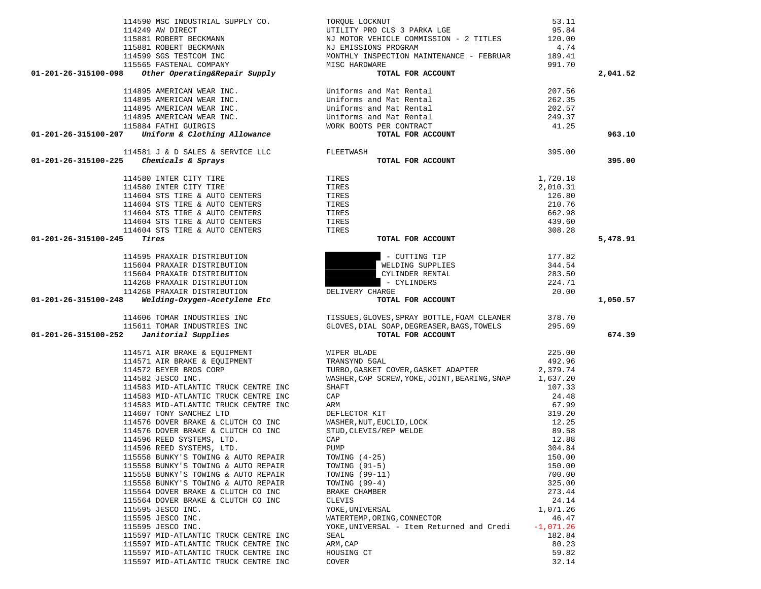| 114606 TOMAR INDUSTRIES INC<br>115611 TOMAR INDUSTRIES INC<br>$01-201-26-315100-252$ Janitorial Supplies | TISSUES, GLOVES, SPRAY BOTTLE, FOAM CLEANER<br>GLOVES, DIAL SOAP, DEGREASER, BAGS, TOWELS<br>TOTAL FOR ACCOUNT | 378.70<br>295.69 |
|----------------------------------------------------------------------------------------------------------|----------------------------------------------------------------------------------------------------------------|------------------|
| 114571 AIR BRAKE & EQUIPMENT                                                                             | WIPER BLADE                                                                                                    | 225.00           |
| 114571 AIR BRAKE & EQUIPMENT                                                                             | TRANSYND 5GAL                                                                                                  | 492.96           |
| 114572 BEYER BROS CORP                                                                                   | TURBO, GASKET COVER, GASKET ADAPTER 2, 379.74                                                                  |                  |
| 114582 JESCO INC.                                                                                        | WASHER, CAP SCREW, YOKE, JOINT, BEARING, SNAP                                                                  | 1,637.20         |
| 114583 MID-ATLANTIC TRUCK CENTRE INC                                                                     | <b>SHAFT</b>                                                                                                   | 107.33           |
| 114583 MID-ATLANTIC TRUCK CENTRE INC                                                                     | CAP                                                                                                            | 24.48            |
| 114583 MID-ATLANTIC TRUCK CENTRE INC                                                                     | ARM                                                                                                            | 67.99            |
| 114607 TONY SANCHEZ LTD                                                                                  | DEFLECTOR KIT                                                                                                  | 319.20           |
| 114576 DOVER BRAKE & CLUTCH CO INC                                                                       | WASHER, NUT, EUCLID, LOCK                                                                                      | 12.25            |
| 114576 DOVER BRAKE & CLUTCH CO INC                                                                       | STUD, CLEVIS/REP WELDE                                                                                         | 89.58            |
| 114596 REED SYSTEMS, LTD.                                                                                | CAP                                                                                                            | 12.88            |
| 114596 REED SYSTEMS, LTD.                                                                                | PUMP                                                                                                           | 304.84           |
| 115558 BUNKY'S TOWING & AUTO REPAIR                                                                      | TOWING $(4-25)$                                                                                                | 150.00           |
| 115558 BUNKY'S TOWING & AUTO REPAIR                                                                      | TOWING (91-5)                                                                                                  | 150.00           |
| 115558 BUNKY'S TOWING & AUTO REPAIR                                                                      | TOWING (99-11)                                                                                                 | 700.00           |
| 115558 BUNKY'S TOWING & AUTO REPAIR                                                                      | TOWING (99-4)                                                                                                  | 325.00           |
| 115564 DOVER BRAKE & CLUTCH CO INC                                                                       | BRAKE CHAMBER                                                                                                  | 273.44           |
| 115564 DOVER BRAKE & CLUTCH CO INC                                                                       | CLEVIS                                                                                                         | 24.14            |
| 115595 JESCO INC.                                                                                        | YOKE, UNIVERSAL                                                                                                | 1,071.26         |
| 115595 JESCO INC.                                                                                        | WATERTEMP, ORING, CONNECTOR                                                                                    | 46.47            |
| 115595 JESCO INC.                                                                                        | YOKE, UNIVERSAL - Item Returned and Credi -1,071.26                                                            |                  |
| 115597 MID-ATLANTIC TRUCK CENTRE INC                                                                     | SEAL                                                                                                           | 182.84           |
| 115597 MID-ATLANTIC TRUCK CENTRE INC                                                                     | ARM, CAP                                                                                                       | 80.23            |
| 115597 MID-ATLANTIC TRUCK CENTRE INC                                                                     | HOUSING CT                                                                                                     | 59.82            |
| 115597 MID-ATLANTIC TRUCK CENTRE INC                                                                     | COVER                                                                                                          | 32.14            |

- 114595 PRAXAIR DISTRIBUTION 115604 PRAXAIR DISTRIBUTION 115604 PRAXAIR DISTRIBUTION 114268 PRAXAIR DISTRIBUTION 114268 PRAXAIR DISTRIBUTION D
- 
- 
- 114590 MSC INDUSTRIAL SUPPLY CO. TORQUE LOCKNUT 53.11 114249 AW DIRECT UTILITY PRO CLS 3 PARKA LGE 95.84 115881 ROBERT BECKMANN NJ MOTOR VEHICLE COMMISSION - 2 TITLES 120.00 115881 ROBERT BECKMANN NJ EMISSIONS PROGRAM 4.74 114599 SGS TESTCOM INC MONTHLY INSPECTION MAINTENANCE - FEBRUAR 189.41 115565 FASTENAL COMPANY MISC HARDWARE 991.70  **01-201-26-315100-098** *Other Operating&Repair Supply* **TOTAL FOR ACCOUNT 2,041.52** 114895 AMERICAN WEAR INC.<br>
114895 AMERICAN WEAR INC. 114895 AMERICAN WEAR INC. Uniforms and Mat Rental 262.35 114895 AMERICAN WEAR INC. Uniforms and Mat Rental 202.57 114895 AMERICAN WEAR INC. Uniforms and Mat Rental 249.37 115884 FATHI GUIRGIS WORK BOOTS PER CONTRACT 41.25  **01-201-26-315100-207** *Uniform & Clothing Allowance* **TOTAL FOR ACCOUNT 963.10**  $114581$  J & D SALES & SERVICE LLC FI  **01-201-26-315100-225** *Chemicals & Sprays* **TOTAL FOR ACCOUNT 395.00**

|                      | TT4749 AW DIKECT                                                          | ATTITI ARO CP2 2 RAKVA PAR                                       | 99.84       |          |
|----------------------|---------------------------------------------------------------------------|------------------------------------------------------------------|-------------|----------|
|                      | 115881 ROBERT BECKMANN                                                    | NJ MOTOR VEHICLE COMMISSION - 2 TITLES                           | 120.00      |          |
|                      |                                                                           |                                                                  | 4.74        |          |
|                      | 115881 ROBERT BECKMANN                                                    | NJ EMISSIONS PROGRAM<br>MONTHLY INSPECTION MAINTENANCE - FEBRUAR |             |          |
|                      | 114599 SGS TESTCOM INC                                                    |                                                                  | 189.41      |          |
|                      |                                                                           | MISC HARDWARE                                                    | 991.70      |          |
| 01-201-26-315100-098 | 115565 FASTENAL COMPANY<br>3 Other Operating&Repair Supply                | TOTAL FOR ACCOUNT                                                |             | 2,041.52 |
|                      | 114895 AMERICAN WEAR INC.                                                 | Uniforms and Mat Rental                                          | 207.56      |          |
|                      |                                                                           |                                                                  |             |          |
|                      | 114895 AMERICAN WEAR INC.                                                 | Uniforms and Mat Rental<br>Uniforms and Mat Rental               | 262.35      |          |
|                      | 114895 AMERICAN WEAR INC.                                                 |                                                                  | 202.57      |          |
|                      | 114895 AMERICAN WEAR INC.                                                 |                                                                  | 249.37      |          |
|                      | 115884 FATHI GUIRGIS                                                      | Uniforms and Mat Rental<br>WORK BOOTS PER CONTRACT               | 41.25       |          |
|                      | $01-201-26-315100-207$ Uniform & Clothing Allowance                       | TOTAL FOR ACCOUNT                                                |             | 963.10   |
|                      | 114581 J & D SALES & SERVICE LLC                                          | FLEETWASH                                                        | 395.00      |          |
|                      | 01-201-26-315100-225 Chemicals & Sprays                                   | TOTAL FOR ACCOUNT                                                |             | 395.00   |
|                      |                                                                           |                                                                  |             |          |
|                      | 114580 INTER CITY TIRE                                                    | TIRES                                                            | 1,720.18    |          |
|                      | 114580 INTER CITY TIRE                                                    | TIRES                                                            | 2,010.31    |          |
|                      | 114604 STS TIRE & AUTO CENTERS                                            | TIRES                                                            | 126.80      |          |
|                      |                                                                           |                                                                  |             |          |
|                      | 114604 STS TIRE & AUTO CENTERS                                            | TIRES                                                            | 210.76      |          |
|                      | 114604 STS TIRE & AUTO CENTERS                                            | TIRES                                                            | 662.98      |          |
|                      | 114604 STS TIRE & AUTO CENTERS                                            | TIRES                                                            | 439.60      |          |
|                      | 114604 STS TIRE & AUTO CENTERS                                            | TIRES                                                            | 308.28      |          |
| 01-201-26-315100-245 | Tires                                                                     | TOTAL FOR ACCOUNT                                                |             | 5,478.91 |
|                      |                                                                           |                                                                  |             |          |
|                      | 114595 PRAXAIR DISTRIBUTION                                               | - CUTTING TIP                                                    | 177.82      |          |
|                      | 115604 PRAXAIR DISTRIBUTION                                               | WELDING SUPPLIES                                                 | 344.54      |          |
|                      | 115604 PRAXAIR DISTRIBUTION                                               | CYLINDER RENTAL                                                  | 283.50      |          |
|                      | 114268 PRAXAIR DISTRIBUTION                                               | - CYLINDERS                                                      | 224.71      |          |
|                      | 114268 PRAXAIR DISTRIBUTION                                               | DELIVERY CHARGE                                                  | 20.00       |          |
|                      |                                                                           |                                                                  |             |          |
|                      | 01-201-26-315100-248 Welding-Oxygen-Acetylene Etc                         | TOTAL FOR ACCOUNT                                                |             | 1,050.57 |
|                      |                                                                           |                                                                  |             |          |
|                      | 114606 TOMAR INDUSTRIES INC                                               | TISSUES, GLOVES, SPRAY BOTTLE, FOAM CLEANER                      | 378.70      |          |
|                      |                                                                           | GLOVES, DIAL SOAP, DEGREASER, BAGS, TOWELS                       | 295.69      |          |
|                      | 115611 TOMAR INDUSTRIES INC<br>$01-201-26-315100-252$ Janitorial Supplies | TOTAL FOR ACCOUNT                                                |             | 674.39   |
|                      |                                                                           |                                                                  |             |          |
|                      | 114571 AIR BRAKE & EQUIPMENT                                              | WIPER BLADE                                                      | 225.00      |          |
|                      | 114571 AIR BRAKE & EQUIPMENT                                              | TRANSYND 5GAL                                                    | 492.96      |          |
|                      | 114572 BEYER BROS CORP                                                    | TURBO, GASKET COVER, GASKET ADAPTER 2, 379.74                    |             |          |
|                      | 114582 JESCO INC.                                                         | WASHER, CAP SCREW, YOKE, JOINT, BEARING, SNAP 1, 637.20          |             |          |
|                      | 114583 MID-ATLANTIC TRUCK CENTRE INC                                      | SHAFT                                                            | 107.33      |          |
|                      |                                                                           | CAP                                                              | 24.48       |          |
|                      | 114583 MID-ATLANTIC TRUCK CENTRE INC                                      |                                                                  |             |          |
|                      | 114583 MID-ATLANTIC TRUCK CENTRE INC                                      | ARM                                                              | 67.99       |          |
|                      | 114607 TONY SANCHEZ LTD                                                   | DEFLECTOR KIT                                                    | 319.20      |          |
|                      | 114576 DOVER BRAKE & CLUTCH CO INC                                        |                                                                  | 12.25       |          |
|                      | 114576 DOVER BRAKE & CLUTCH CO INC                                        |                                                                  | 89.58       |          |
|                      | 114596 REED SYSTEMS, LTD.                                                 | WASHER, NUT, EUCLID, LOCK<br>STUD, CLEVIS/REP WELDE<br>CAP       | 12.88       |          |
|                      |                                                                           |                                                                  |             |          |
|                      | 114596 REED SYSTEMS, LTD.                                                 | PUMP                                                             | 304.84      |          |
|                      | 115558 BUNKY'S TOWING & AUTO REPAIR                                       | TOWING $(4-25)$                                                  | 150.00      |          |
|                      | 115558 BUNKY'S TOWING & AUTO REPAIR                                       | TOWING $(91-5)$                                                  | 150.00      |          |
|                      | 115558 BUNKY'S TOWING & AUTO REPAIR                                       | TOWING (99-11)                                                   | 700.00      |          |
|                      | 115558 BUNKY'S TOWING & AUTO REPAIR                                       | TOWING $(99-4)$                                                  | 325.00      |          |
|                      | 115564 DOVER BRAKE & CLUTCH CO INC                                        | BRAKE CHAMBER                                                    | 273.44      |          |
|                      |                                                                           |                                                                  |             |          |
|                      | 115564 DOVER BRAKE & CLUTCH CO INC                                        | CLEVIS                                                           | 24.14       |          |
|                      | 115595 JESCO INC.                                                         | YOKE, UNIVERSAL                                                  | 1,071.26    |          |
|                      | 115595 JESCO INC.                                                         | WATERTEMP, ORING, CONNECTOR                                      | 46.47       |          |
|                      | 115595 JESCO INC.                                                         | YOKE, UNIVERSAL - Item Returned and Credi                        | $-1,071.26$ |          |
|                      | 115597 MID-ATLANTIC TRUCK CENTRE INC                                      | SEAL                                                             | 182.84      |          |
|                      | 115597 MID-ATLANTIC TRUCK CENTRE INC                                      | ARM, CAP                                                         | 80.23       |          |
|                      | 115597 MID-ATLANTIC TRUCK CENTRE INC                                      | HOUSING CT                                                       | 59.82       |          |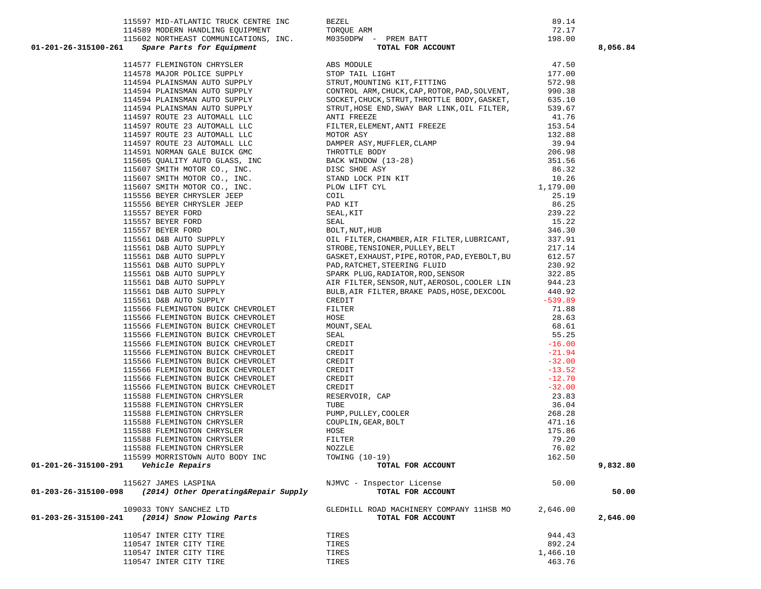| 110547 INTER CITY TIRE | TIRES | 944.43   |
|------------------------|-------|----------|
| 110547 INTER CITY TIRE | TIRES | 892.24   |
| 110547 INTER CITY TIRE | TIRES | 1,466.10 |
| 110547 INTER CITY TIRE | TIRES | 463.76   |

|                          | 090<br><b>THT</b><br>SANCHEZ.<br>LONA | 1HSB MO<br>COMPANY<br>MACHINERY<br>ROAD. | <b>h</b> 4h |
|--------------------------|---------------------------------------|------------------------------------------|-------------|
| ៱។<br>-203-26-315100-241 | 2014)<br>Snow Plowing<br>Parts        | FOR<br>TOTAL<br>ACCOUNT                  |             |

|                      | 109033 TONY SANCHEZ LTD   | GLEDHILL ROAD MACHINERY COMPANY 11HSB MO | 2,646.00 |          |
|----------------------|---------------------------|------------------------------------------|----------|----------|
| 01-203-26-315100-241 | (2014) Snow Plowing Parts | TOTAL FOR ACCOUNT                        |          | 2,646.00 |
|                      |                           |                                          |          |          |

|                      | 115627 JAMES LASPINA                 | NJMVC - Inspector License | 50.00 |
|----------------------|--------------------------------------|---------------------------|-------|
| 01-203-26-315100-098 | (2014) Other Operating&Repair Supply | TOTAL FOR ACCOUNT         |       |

| J-∡b⊥ |                                   | spare rarts for Equipment |  |           |     |  |
|-------|-----------------------------------|---------------------------|--|-----------|-----|--|
|       | 114577 FLEMINGTON CHRYSLER        |                           |  |           |     |  |
|       | 114578 MAJOR POLICE SUPPLY        |                           |  |           |     |  |
|       | 114594 PLAINSMAN AUTO SUPPLY      |                           |  |           |     |  |
|       | 114594 PLAINSMAN AUTO SUPPLY      |                           |  |           |     |  |
|       |                                   |                           |  |           |     |  |
|       | 114594 PLAINSMAN AUTO SUPPLY      |                           |  |           |     |  |
|       | 114594 PLAINSMAN AUTO SUPPLY      |                           |  |           |     |  |
|       | 114597                            | ROUTE 23 AUTOMALL LLC     |  |           |     |  |
|       | 114597                            | ROUTE 23 AUTOMALL LLC     |  |           |     |  |
|       | 114597                            | ROUTE 23 AUTOMALL LLC     |  |           |     |  |
|       | 114597                            | ROUTE 23 AUTOMALL LLC     |  |           |     |  |
|       | 114591                            | NORMAN GALE BUICK GMC     |  |           |     |  |
|       | 115605 QUALITY AUTO GLASS, INC    |                           |  |           |     |  |
|       | 115607 SMITH MOTOR CO., INC.      |                           |  |           |     |  |
|       | 115607                            | SMITH MOTOR CO., INC.     |  |           |     |  |
|       | 115607 SMITH MOTOR CO., INC.      |                           |  |           |     |  |
|       | 115556 BEYER CHRYSLER JEEP        |                           |  |           |     |  |
|       | 115556 BEYER CHRYSLER JEEP        |                           |  |           |     |  |
|       | 115557 BEYER FORD                 |                           |  |           |     |  |
|       | 115557 BEYER FORD                 |                           |  |           |     |  |
|       | 115557                            | BEYER FORD                |  |           |     |  |
|       | 115561                            | D&B AUTO SUPPLY           |  |           |     |  |
|       | 115561                            | D&B AUTO SUPPLY           |  |           |     |  |
|       | 115561                            | D&B AUTO SUPPLY           |  |           |     |  |
|       | 115561 D&B AUTO SUPPLY            |                           |  |           |     |  |
|       | 115561                            | D&B AUTO SUPPLY           |  |           |     |  |
|       | 115561                            | D&B AUTO SUPPLY           |  |           |     |  |
|       | 115561                            | D&B AUTO SUPPLY           |  |           |     |  |
|       | 115561                            | D&B AUTO SUPPLY           |  |           |     |  |
|       | 115566 FLEMINGTON BUICK CHEVROLET |                           |  |           |     |  |
|       | 115566 FLEMINGTON BUICK CHEVROLET |                           |  |           |     |  |
|       |                                   |                           |  |           |     |  |
|       | 115566 FLEMINGTON BUICK CHEVROLET |                           |  |           |     |  |
|       | 115566 FLEMINGTON BUICK CHEVROLET |                           |  |           |     |  |
|       | 115566 FLEMINGTON BUICK CHEVROLET |                           |  |           |     |  |
|       | 115566 FLEMINGTON BUICK CHEVROLET |                           |  |           |     |  |
|       | 115566 FLEMINGTON BUICK CHEVROLET |                           |  |           |     |  |
|       | 115566 FLEMINGTON BUICK CHEVROLET |                           |  |           |     |  |
|       | 115566 FLEMINGTON BUICK CHEVROLET |                           |  |           |     |  |
|       | 115566 FLEMINGTON BUICK CHEVROLET |                           |  |           |     |  |
|       | 115588                            | FLEMINGTON CHRYSLER       |  |           |     |  |
|       | 115588                            | FLEMINGTON CHRYSLER       |  |           |     |  |
|       | 115588 FLEMINGTON CHRYSLER        |                           |  |           |     |  |
|       | 115588 FLEMINGTON CHRYSLER        |                           |  |           |     |  |
|       | 115588 FLEMINGTON CHRYSLER        |                           |  |           |     |  |
|       | 115588 FLEMINGTON CHRYSLER        |                           |  |           |     |  |
|       | 115588 FLEMINGTON CHRYSLER        |                           |  |           |     |  |
|       | 115599                            | MORRISTOWN                |  | AUTO BODY | INC |  |

| 115602 NORTHEAST COMMUNICATIONS, INC.<br>Spare Parts for Equipment<br>01-201-26-315100-261                                                     | - PREM BATT<br><b>TOTAL FOR ACCOUNT</b><br>M0350DPW - PREM BATT                                                                                                                                                                                                                                  | 198.00    | 8,056.84 |
|------------------------------------------------------------------------------------------------------------------------------------------------|--------------------------------------------------------------------------------------------------------------------------------------------------------------------------------------------------------------------------------------------------------------------------------------------------|-----------|----------|
| 114577 FLEMINGTON CHRYSLER                                                                                                                     | ABS MODULE                                                                                                                                                                                                                                                                                       | 47.50     |          |
| 114578 MAJOR POLICE SUPPLY                                                                                                                     | STOP TAIL LIGHT                                                                                                                                                                                                                                                                                  | 177.00    |          |
| 114594 PLAINSMAN AUTO SUPPLY                                                                                                                   | STRUT, MOUNTING KIT, FITTING                                                                                                                                                                                                                                                                     | 572.98    |          |
| 114594 PLAINSMAN AUTO SUPPLY                                                                                                                   | CONTROL ARM, CHUCK, CAP, ROTOR, PAD, SOLVENT,                                                                                                                                                                                                                                                    | 990.38    |          |
| 114594 PLAINSMAN AUTO SUPPLY                                                                                                                   | SOCKET, CHUCK, STRUT, THROTTLE BODY, GASKET,                                                                                                                                                                                                                                                     | 635.10    |          |
| 114594 PLAINSMAN AUTO SUPPLY                                                                                                                   | STRUT, HOSE END, SWAY BAR LINK, OIL FILTER,                                                                                                                                                                                                                                                      | 539.67    |          |
| 114597 ROUTE 23 AUTOMALL LLC                                                                                                                   | ANTI FREEZE                                                                                                                                                                                                                                                                                      | 41.76     |          |
| 114597 ROUTE 23 AUTOMALL LLC                                                                                                                   | FILTER, ELEMENT, ANTI FREEZE                                                                                                                                                                                                                                                                     | 153.54    |          |
| 114597 ROUTE 23 AUTOMALL LLC                                                                                                                   | MOTOR ASY                                                                                                                                                                                                                                                                                        | 132.88    |          |
| 114597 ROUTE 23 AUTOMALL LLC                                                                                                                   | DAMPER ASY, MUFFLER, CLAMP<br>THROTTLE BODY<br>BACK WINDOW (13-28)<br>DISC SHOE ASY<br>STAND LOCK PIN KIT<br>PLOW LIFT CYL<br>COIL<br>PAD KIT                                                                                                                                                    | 39.94     |          |
| 114591 NORMAN GALE BUICK GMC                                                                                                                   |                                                                                                                                                                                                                                                                                                  | 206.98    |          |
| 115605 QUALITY AUTO GLASS, INC                                                                                                                 |                                                                                                                                                                                                                                                                                                  | 351.56    |          |
| 115607 SMITH MOTOR CO., INC.                                                                                                                   |                                                                                                                                                                                                                                                                                                  | 86.32     |          |
| 115607 SMITH MOTOR CO., INC.                                                                                                                   |                                                                                                                                                                                                                                                                                                  | 10.26     |          |
| 115607 SMITH MOTOR CO., INC.                                                                                                                   |                                                                                                                                                                                                                                                                                                  | 1,179.00  |          |
| 115556 BEYER CHRYSLER JEEP                                                                                                                     |                                                                                                                                                                                                                                                                                                  | 25.19     |          |
| 115556 BEYER CHRYSLER JEEP                                                                                                                     |                                                                                                                                                                                                                                                                                                  | 86.25     |          |
| 115557 BEYER FORD                                                                                                                              | SEAL, KIT                                                                                                                                                                                                                                                                                        | 239.22    |          |
| 115557 BEYER FORD                                                                                                                              | SEAL                                                                                                                                                                                                                                                                                             | 15.22     |          |
|                                                                                                                                                | BOLT, NUT, HUB                                                                                                                                                                                                                                                                                   | 346.30    |          |
|                                                                                                                                                | OIL FILTER, CHAMBER, AIR FILTER, LUBRICANT,                                                                                                                                                                                                                                                      | 337.91    |          |
| 115557 BEYER FORD<br>115557 BEYER FORD<br>115561 D&B AUTO SUPPLY<br>115561 D&B AUTO SUPPLY<br>115561 D&B AUTO SUPPLY<br>115561 D&B AUTO SUPPLY | STROBE, TENSIONER, PULLEY, BELT                                                                                                                                                                                                                                                                  | 217.14    |          |
|                                                                                                                                                | GASKET, EXHAUST, PIPE, ROTOR, PAD, EYEBOLT, BU                                                                                                                                                                                                                                                   | 612.57    |          |
|                                                                                                                                                | PAD, RATCHET, STEERING FLUID                                                                                                                                                                                                                                                                     | 230.92    |          |
| 115561 D&B AUTO SUPPLY                                                                                                                         | SPARK PLUG, RADIATOR, ROD, SENSOR                                                                                                                                                                                                                                                                | 322.85    |          |
| 115561 D&B AUTO SUPPLY                                                                                                                         | AIR FILTER, SENSOR, NUT, AEROSOL, COOLER LIN                                                                                                                                                                                                                                                     | 944.23    |          |
| 115561 D&B AUTO SUPPLY                                                                                                                         | BULB, AIR FILTER, BRAKE PADS, HOSE, DEXCOOL                                                                                                                                                                                                                                                      | 440.92    |          |
| 115561 D&B AUTO SUPPLY                                                                                                                         | CREDIT                                                                                                                                                                                                                                                                                           | $-539.89$ |          |
| 115566 FLEMINGTON BUICK CHEVROLET                                                                                                              |                                                                                                                                                                                                                                                                                                  | 71.88     |          |
| 115566 FLEMINGTON BUICK CHEVROLET                                                                                                              |                                                                                                                                                                                                                                                                                                  | 28.63     |          |
| 115566 FLEMINGTON BUICK CHEVROLET                                                                                                              |                                                                                                                                                                                                                                                                                                  | 68.61     |          |
| 115566 FLEMINGTON BUICK CHEVROLET                                                                                                              |                                                                                                                                                                                                                                                                                                  | 55.25     |          |
| 115566 FLEMINGTON BUICK CHEVROLET                                                                                                              |                                                                                                                                                                                                                                                                                                  | $-16.00$  |          |
| 115566 FLEMINGTON BUICK CHEVROLET                                                                                                              |                                                                                                                                                                                                                                                                                                  | $-21.94$  |          |
| 115566 FLEMINGTON BUICK CHEVROLET                                                                                                              |                                                                                                                                                                                                                                                                                                  | $-32.00$  |          |
| 115566 FLEMINGTON BUICK CHEVROLET                                                                                                              |                                                                                                                                                                                                                                                                                                  | $-13.52$  |          |
| 115566 FLEMINGTON BUICK CHEVROLET                                                                                                              |                                                                                                                                                                                                                                                                                                  | $-12.70$  |          |
| 115566 FLEMINGTON BUICK CHEVROLET                                                                                                              |                                                                                                                                                                                                                                                                                                  | $-32.00$  |          |
| 115588 FLEMINGTON CHRYSLER                                                                                                                     |                                                                                                                                                                                                                                                                                                  | 23.83     |          |
| 115588 FLEMINGTON CHRYSLER                                                                                                                     |                                                                                                                                                                                                                                                                                                  | 36.04     |          |
| 115588 FLEMINGTON CHRYSLER                                                                                                                     |                                                                                                                                                                                                                                                                                                  | 268.28    |          |
| 115588 FLEMINGTON CHRYSLER                                                                                                                     | CREDIT<br>FILITER<br>HOSE<br>MOUNT, SEAL<br>CREDIT<br>CREDIT<br>CREDIT<br>CREDIT<br>CREDIT<br>CREDIT<br>RESERVOIR, CAP<br>TUBE<br>PUMP, PULLEY, COOLER<br>COUPLIN, GEAR, BOLT<br>HOSE<br>FIUBE<br>FUMP, PULLEY, COOLER<br>FOUPLIN, GEAR, BOLT<br>HOSE<br>FILITER<br>NOZZLE<br>TONING (10-19)<br> | 471.16    |          |
| 115588 FLEMINGTON CHRYSLER                                                                                                                     |                                                                                                                                                                                                                                                                                                  | 175.86    |          |
| 115588 FLEMINGTON CHRYSLER                                                                                                                     |                                                                                                                                                                                                                                                                                                  | 79.20     |          |
| 115588 FLEMINGTON CHRYSLER                                                                                                                     |                                                                                                                                                                                                                                                                                                  | 76.02     |          |
| 115599 MORRISTOWN AUTO BODY INC                                                                                                                | TOWING (10-19)                                                                                                                                                                                                                                                                                   | 162.50    |          |
| 01-201-26-315100-291<br><i><b>Vehicle Repairs</b></i>                                                                                          | TOTAL FOR ACCOUNT                                                                                                                                                                                                                                                                                |           | 9,832.80 |
| 115627 JAMES LASPINA<br>01-203-26-315100-098                                                                                                   | NJMVC - Inspector License                                                                                                                                                                                                                                                                        | 50.00     | 50.00    |
| (2014) Other Operating&Repair Supply                                                                                                           | TOTAL FOR ACCOUNT                                                                                                                                                                                                                                                                                |           |          |

| Spare Parts for Equipment             | TOTAL FOR ACCOUNT    | 8,05   |
|---------------------------------------|----------------------|--------|
| 115602 NORTHEAST COMMUNICATIONS, INC. | M0350DPW - PREM BATT | 198.00 |
| 114589 MODERN HANDLING EOUIPMENT      | TOROUE ARM           | 72.17  |
| 115597 MID-ATLANTIC TRUCK CENTRE INC  | BEZEL                | 89.14  |
|                                       |                      |        |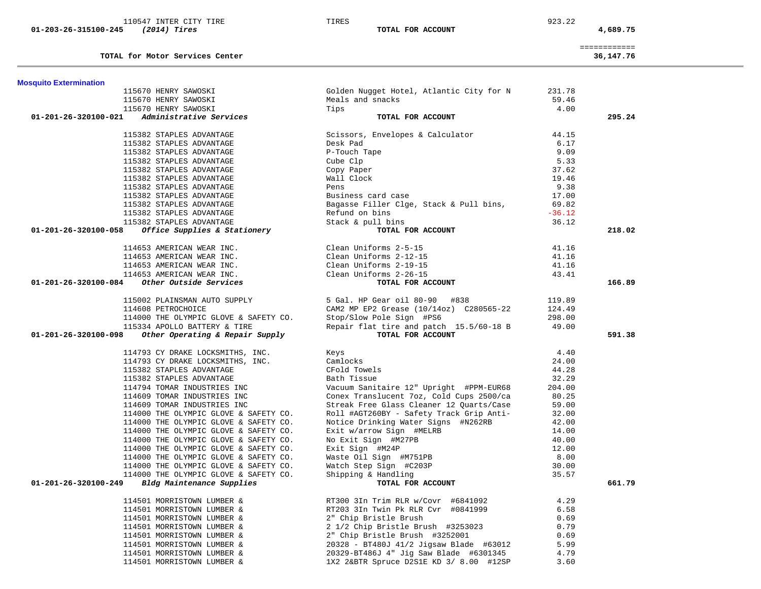| 110547 INTER CITY TIRE                                  | TIRES                                    | 923.22   |              |
|---------------------------------------------------------|------------------------------------------|----------|--------------|
| 01-203-26-315100-245<br>(2014) Tires                    | TOTAL FOR ACCOUNT                        |          | 4,689.75     |
|                                                         |                                          |          | ============ |
| TOTAL for Motor Services Center                         |                                          |          | 36,147.76    |
| <b>Mosquito Extermination</b>                           |                                          |          |              |
| 115670 HENRY SAWOSKI                                    | Golden Nugget Hotel, Atlantic City for N | 231.78   |              |
| 115670 HENRY SAWOSKI                                    | Meals and snacks                         | 59.46    |              |
| 115670 HENRY SAWOSKI                                    | Tips                                     | 4.00     |              |
| 01-201-26-320100-021<br>Administrative Services         | TOTAL FOR ACCOUNT                        |          | 295.24       |
| 115382 STAPLES ADVANTAGE                                | Scissors, Envelopes & Calculator         | 44.15    |              |
| 115382 STAPLES ADVANTAGE                                | Desk Pad                                 | 6.17     |              |
| 115382 STAPLES ADVANTAGE                                | P-Touch Tape                             | 9.09     |              |
| 115382 STAPLES ADVANTAGE                                | Cube Clp                                 | 5.33     |              |
| 115382 STAPLES ADVANTAGE                                | Copy Paper                               | 37.62    |              |
| 115382 STAPLES ADVANTAGE                                | Wall Clock                               | 19.46    |              |
| 115382 STAPLES ADVANTAGE                                | Pens                                     | 9.38     |              |
| 115382 STAPLES ADVANTAGE                                | Business card case                       | 17.00    |              |
| 115382 STAPLES ADVANTAGE                                | Bagasse Filler Clge, Stack & Pull bins,  | 69.82    |              |
| 115382 STAPLES ADVANTAGE                                | Refund on bins                           | $-36.12$ |              |
| 115382 STAPLES ADVANTAGE                                | Stack & pull bins                        | 36.12    |              |
| Office Supplies & Stationery<br>01-201-26-320100-058    | TOTAL FOR ACCOUNT                        |          | 218.02       |
| 114653 AMERICAN WEAR INC.                               | Clean Uniforms 2-5-15                    | 41.16    |              |
| 114653 AMERICAN WEAR INC.                               | Clean Uniforms 2-12-15                   | 41.16    |              |
| 114653 AMERICAN WEAR INC.                               | Clean Uniforms 2-19-15                   | 41.16    |              |
| 114653 AMERICAN WEAR INC.                               | Clean Uniforms 2-26-15                   | 43.41    |              |
| Other Outside Services<br>01-201-26-320100-084          | TOTAL FOR ACCOUNT                        |          | 166.89       |
| 115002 PLAINSMAN AUTO SUPPLY                            | 5 Gal. HP Gear oil 80-90 #838            | 119.89   |              |
| 114608 PETROCHOICE                                      | CAM2 MP EP2 Grease (10/14oz) C280565-22  | 124.49   |              |
| 114000 THE OLYMPIC GLOVE & SAFETY CO.                   | Stop/Slow Pole Sign #PS6                 | 298.00   |              |
| 115334 APOLLO BATTERY & TIRE                            | Repair flat tire and patch 15.5/60-18 B  | 49.00    |              |
| 01-201-26-320100-098<br>Other Operating & Repair Supply | TOTAL FOR ACCOUNT                        |          | 591.38       |
|                                                         |                                          |          |              |
| 114793 CY DRAKE LOCKSMITHS, INC.                        | Keys                                     | 4.40     |              |
| 114793 CY DRAKE LOCKSMITHS, INC.                        | Camlocks                                 | 24.00    |              |
| 115382 STAPLES ADVANTAGE                                | CFold Towels                             | 44.28    |              |
| 115382 STAPLES ADVANTAGE                                | Bath Tissue                              | 32.29    |              |
| 114794 TOMAR INDUSTRIES INC                             | Vacuum Sanitaire 12" Upright #PPM-EUR68  | 204.00   |              |
| 114609 TOMAR INDUSTRIES INC                             | Conex Translucent 7oz, Cold Cups 2500/ca | 80.25    |              |
| 114609 TOMAR INDUSTRIES INC                             | Streak Free Glass Cleaner 12 Quarts/Case | 59.00    |              |
| 114000 THE OLYMPIC GLOVE & SAFETY CO.                   | Roll #AGT260BY - Safety Track Grip Anti- | 32.00    |              |
| 114000 THE OLYMPIC GLOVE & SAFETY CO.                   | Notice Drinking Water Signs #N262RB      | 42.00    |              |
| 114000 THE OLYMPIC GLOVE & SAFETY CO.                   | Exit w/arrow Sign #MELRB                 | 14.00    |              |
| 114000 THE OLYMPIC GLOVE & SAFETY CO.                   | No Exit Sign #M27PB                      | 40.00    |              |
| 114000 THE OLYMPIC GLOVE & SAFETY CO.                   | Exit Sign #M24P                          | 12.00    |              |
| 114000 THE OLYMPIC GLOVE & SAFETY CO.                   | Waste Oil Sign #M751PB                   | 8.00     |              |
| 114000 THE OLYMPIC GLOVE & SAFETY CO.                   | Watch Step Sign #C203P                   | 30.00    |              |
| 114000 THE OLYMPIC GLOVE & SAFETY CO.                   | Shipping & Handling                      | 35.57    |              |
| Bldg Maintenance Supplies<br>01-201-26-320100-249       | TOTAL FOR ACCOUNT                        |          | 661.79       |
| 114501 MORRISTOWN LUMBER &                              | RT300 3In Trim RLR w/Covr #6841092       | 4.29     |              |
| 114501 MORRISTOWN LUMBER &                              | RT203 3In Twin Pk RLR Cvr #0841999       | 6.58     |              |
| 114501 MORRISTOWN LUMBER &                              | 2" Chip Bristle Brush                    | 0.69     |              |
| 114501 MORRISTOWN LUMBER &                              | 2 1/2 Chip Bristle Brush #3253023        | 0.79     |              |
| 114501 MORRISTOWN LUMBER &                              | 2" Chip Bristle Brush #3252001           | 0.69     |              |
| 114501 MORRISTOWN LUMBER &                              | 20328 - BT480J 41/2 Jigsaw Blade #63012  | 5.99     |              |
| 114501 MORRISTOWN LUMBER &                              | 20329-BT486J 4" Jig Saw Blade #6301345   | 4.79     |              |
| 114501 MORRISTOWN LUMBER &                              | 1X2 2&BTR Spruce D2S1E KD 3/ 8.00 #12SP  | 3.60     |              |

 $\overline{\phantom{a}}$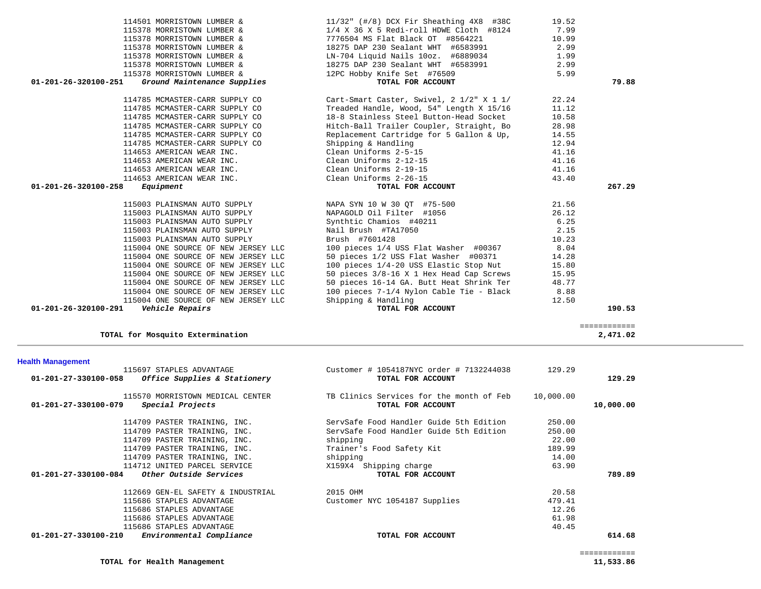| 01-201-27-330100-079 | Special Projects                  | TOTAL FOR ACCOUNT                       |        | 10,000.00 |
|----------------------|-----------------------------------|-----------------------------------------|--------|-----------|
|                      | 114709 PASTER TRAINING, INC.      | ServSafe Food Handler Guide 5th Edition | 250.00 |           |
|                      | 114709 PASTER TRAINING, INC.      | ServSafe Food Handler Guide 5th Edition | 250.00 |           |
|                      | 114709 PASTER TRAINING, INC.      | shipping                                | 22.00  |           |
|                      | 114709 PASTER TRAINING, INC.      | Trainer's Food Safety Kit               | 189.99 |           |
|                      | 114709 PASTER TRAINING, INC.      | shipping                                | 14.00  |           |
|                      | 114712 UNITED PARCEL SERVICE      | X159X4 Shipping charge                  | 63.90  |           |
| 01-201-27-330100-084 | Other Outside Services            | TOTAL FOR ACCOUNT                       |        | 789.89    |
|                      | 112669 GEN-EL SAFETY & INDUSTRIAL | 2015 OHM                                | 20.58  |           |
|                      | 115686 STAPLES ADVANTAGE          | Customer NYC 1054187 Supplies           | 479.41 |           |
|                      | 115686 STAPLES ADVANTAGE          |                                         | 12.26  |           |
|                      | 115686 STAPLES ADVANTAGE          |                                         | 61.98  |           |
|                      | 115686 STAPLES ADVANTAGE          |                                         | 40.45  |           |
| 01-201-27-330100-210 | Environmental Compliance          | TOTAL FOR ACCOUNT                       |        | 614.68    |

## **Health Management**

| 114785 MCMASTER-CARR SUPPLY CO      | Shipping & Handling                      | 12.94                                                                                                                                        |
|-------------------------------------|------------------------------------------|----------------------------------------------------------------------------------------------------------------------------------------------|
| 114653 AMERICAN WEAR INC.           | Clean Uniforms 2-5-15                    | 41.16                                                                                                                                        |
| 114653 AMERICAN WEAR INC.           | Clean Uniforms 2-12-15                   | 41.16                                                                                                                                        |
| 114653 AMERICAN WEAR INC.           | Clean Uniforms 2-19-15                   | 41.16                                                                                                                                        |
| 114653 AMERICAN WEAR INC.           | Clean Uniforms 2-26-15                   | 43.40                                                                                                                                        |
|                                     | TOTAL FOR ACCOUNT                        | 267.29                                                                                                                                       |
| 115003 PLAINSMAN AUTO SUPPLY        | NAPA SYN 10 W 30 OT #75-500              | 21.56                                                                                                                                        |
| 115003 PLAINSMAN AUTO SUPPLY        | NAPAGOLD Oil Filter #1056                | 26.12                                                                                                                                        |
| 115003 PLAINSMAN AUTO SUPPLY        | Synthtic Chamios #40211                  | 6.25                                                                                                                                         |
| 115003 PLAINSMAN AUTO SUPPLY        | Nail Brush #TA17050                      | 2.15                                                                                                                                         |
| 115003 PLAINSMAN AUTO SUPPLY        | Brush #7601428                           | 10.23                                                                                                                                        |
| 115004 ONE SOURCE OF NEW JERSEY LLC | 100 pieces 1/4 USS Flat Washer #00367    | 8.04                                                                                                                                         |
| 115004 ONE SOURCE OF NEW JERSEY LLC |                                          |                                                                                                                                              |
| 115004 ONE SOURCE OF NEW JERSEY LLC |                                          |                                                                                                                                              |
| 115004 ONE SOURCE OF NEW JERSEY LLC |                                          |                                                                                                                                              |
| 115004 ONE SOURCE OF NEW JERSEY LLC | 50 pieces 16-14 GA. Butt Heat Shrink Ter | 48.77                                                                                                                                        |
|                                     | $01 - 201 - 26 - 320100 - 258$ Equipment | 50 pieces 1/2 USS Flat Washer #00371 14.28<br>100 pieces 1/4-20 USS Elastic Stop Nut 15.80<br>50 pieces 3/8-16 X 1 Hex Head Cap Screws 15.95 |

============

 115004 ONE SOURCE OF NEW JERSEY LLC 100 pieces 7-1/4 Nylon Cable Tie - Black 8.88 115004 ONE SOURCE OF NEW JERSEY LLC Shipping & Handling 12.50<br>12.50 **Vehicle Repairs** 12.50  **01-201-26-320100-291** *Vehicle Repairs* **TOTAL FOR ACCOUNT 190.53**

 115697 STAPLES ADVANTAGE Customer # 1054187NYC order # 7132244038 129.29  **01-201-27-330100-058** *Office Supplies & Stationery* **TOTAL FOR ACCOUNT 129.29**

115570 MORRISTOWN MEDICAL CENTER TB Clinics Services for the month of Feb 10,000.00

**TOTAL for Mosquito Extermination 2,471.02**

|                      | 114501 MORRISTOWN LUMBER &     | $11/32$ " (#/8) DCX Fir Sheathing $4X8$ #38C | 19.52 |       |
|----------------------|--------------------------------|----------------------------------------------|-------|-------|
|                      | 115378 MORRISTOWN LUMBER &     | $1/4$ X 36 X 5 Redi-roll HDWE Cloth #8124    | 7.99  |       |
|                      | 115378 MORRISTOWN LUMBER &     | 7776504 MS Flat Black OT #8564221            | 10.99 |       |
|                      | 115378 MORRISTOWN LUMBER &     | 18275 DAP 230 Sealant WHT #6583991           | 2.99  |       |
|                      | 115378 MORRISTOWN LUMBER &     | LN-704 Liquid Nails 10oz. #6889034           | 1.99  |       |
|                      | 115378 MORRISTOWN LUMBER &     | 18275 DAP 230 Sealant WHT #6583991           | 2.99  |       |
|                      | 115378 MORRISTOWN LUMBER &     | 12PC Hobby Knife Set #76509                  | 5.99  |       |
| 01-201-26-320100-251 | Ground Maintenance Supplies    | TOTAL FOR ACCOUNT                            |       | 79.88 |
|                      | 114785 MCMASTER-CARR SUPPLY CO | Cart-Smart Caster, Swivel, 2 1/2" X 1 1/     | 22.24 |       |
|                      |                                |                                              |       |       |
|                      | 114785 MCMASTER-CARR SUPPLY CO | Treaded Handle, Wood, 54" Length X 15/16     | 11.12 |       |
|                      | 114785 MCMASTER-CARR SUPPLY CO | 18-8 Stainless Steel Button-Head Socket      | 10.58 |       |
|                      | 114785 MCMASTER-CARR SUPPLY CO | Hitch-Ball Trailer Coupler, Straight, Bo     | 28.98 |       |
|                      | 114785 MCMASTER-CARR SUPPLY CO | Replacement Cartridge for 5 Gallon & Up,     | 14.55 |       |
|                      | 114785 MCMASTER-CARR SUPPLY CO | Shipping & Handling                          | 12.94 |       |
|                      | 114653 AMFRICAN WFAR INC       | Clean Uniforms 2-5-15                        | 41 16 |       |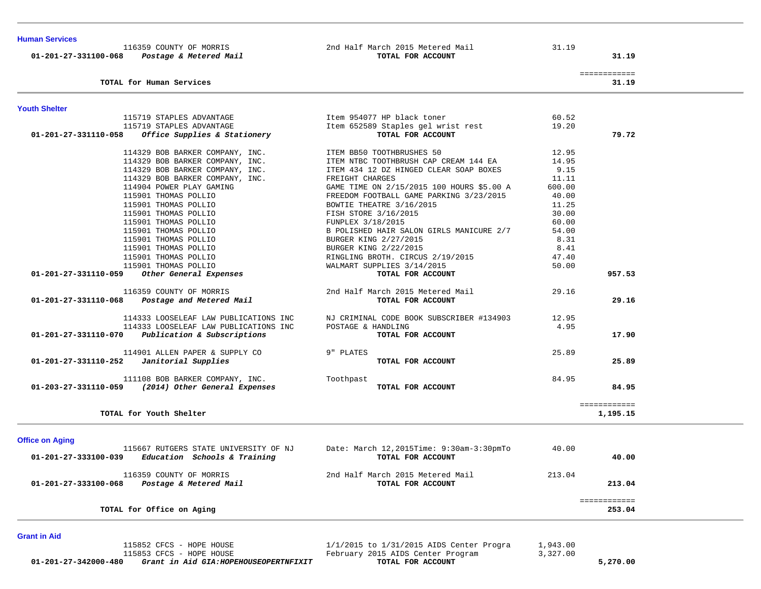| <b>Human Services</b><br>116359 COUNTY OF MORRIS<br>01-201-27-331100-068  Postage & Metered Mail | 2nd Half March 2015 Metered Mail<br>TOTAL FOR ACCOUNT | 31.19  | 31.19                    |
|--------------------------------------------------------------------------------------------------|-------------------------------------------------------|--------|--------------------------|
|                                                                                                  |                                                       |        | ============             |
| TOTAL for Human Services                                                                         |                                                       |        | 31.19                    |
| <b>Youth Shelter</b>                                                                             |                                                       |        |                          |
| 115719 STAPLES ADVANTAGE<br>115719 STAPLES ADVANTAGE                                             | Item 954077 HP black toner                            | 60.52  |                          |
|                                                                                                  | Item 652589 Staples gel wrist rest                    | 19.20  |                          |
| $01-201-27-331110-058$ Office Supplies & Stationery                                              | TOTAL FOR ACCOUNT                                     |        | 79.72                    |
| 114329 BOB BARKER COMPANY, INC. TEM BB50 TOOTHBRUSHES 50                                         |                                                       | 12.95  |                          |
| 114329 BOB BARKER COMPANY, INC.                                                                  | ITEM NTBC TOOTHBRUSH CAP CREAM 144 EA                 | 14.95  |                          |
| 114329 BOB BARKER COMPANY, INC.                                                                  | ITEM 434 12 DZ HINGED CLEAR SOAP BOXES                | 9.15   |                          |
| 114329 BOB BARKER COMPANY, INC.                                                                  | FREIGHT CHARGES                                       | 11.11  |                          |
| 114904 POWER PLAY GAMING                                                                         | GAME TIME ON 2/15/2015 100 HOURS \$5.00 A             | 600.00 |                          |
| 115901 THOMAS POLLIO                                                                             | FREEDOM FOOTBALL GAME PARKING 3/23/2015               | 40.00  |                          |
| 115901 THOMAS POLLIO                                                                             | BOWTIE THEATRE 3/16/2015                              | 11.25  |                          |
| 115901 THOMAS POLLIO                                                                             | FISH STORE 3/16/2015                                  | 30.00  |                          |
| 115901 THOMAS POLLIO                                                                             | FUNPLEX 3/18/2015                                     | 60.00  |                          |
| 115901 THOMAS POLLIO                                                                             | B POLISHED HAIR SALON GIRLS MANICURE 2/7              | 54.00  |                          |
| 115901 THOMAS POLLIO                                                                             | BURGER KING 2/27/2015                                 | 8.31   |                          |
| 115901 THOMAS POLLIO                                                                             | BURGER KING 2/22/2015                                 | 8.41   |                          |
| 115901 THOMAS POLLIO                                                                             | RINGLING BROTH. CIRCUS 2/19/2015                      | 47.40  |                          |
| 115901 THOMAS POLLIO                                                                             | WALMART SUPPLIES 3/14/2015                            | 50.00  |                          |
| 01-201-27-331110-059 Other General Expenses                                                      | TOTAL FOR ACCOUNT                                     |        | 957.53                   |
| 116359 COUNTY OF MORRIS                                                                          | 2nd Half March 2015 Metered Mail                      | 29.16  |                          |
| 01-201-27-331110-068 Postage and Metered Mail                                                    | TOTAL FOR ACCOUNT                                     |        | 29.16                    |
| 114333 LOOSELEAF LAW PUBLICATIONS INC                                                            | NJ CRIMINAL CODE BOOK SUBSCRIBER #134903              | 12.95  |                          |
| 114333 LOOSELEAF LAW PUBLICATIONS INC                                                            | POSTAGE & HANDLING                                    | 4.95   |                          |
| 01-201-27-331110-070 Publication & Subscriptions                                                 | TOTAL FOR ACCOUNT                                     |        | 17.90                    |
| 114901 ALLEN PAPER & SUPPLY CO                                                                   | 9" PLATES                                             | 25.89  |                          |
| 01-201-27-331110-252 Janitorial Supplies                                                         | TOTAL FOR ACCOUNT                                     |        | 25.89                    |
| 111108 BOB BARKER COMPANY, INC.                                                                  | Toothpast                                             | 84.95  |                          |
| 01-203-27-331110-059 (2014) Other General Expenses                                               | TOTAL FOR ACCOUNT                                     |        | 84.95                    |
| TOTAL for Youth Shelter                                                                          |                                                       |        | ============<br>1,195.15 |

| TOTAL for Office on Aging                                                                     |                                                                |        | 253.04 |
|-----------------------------------------------------------------------------------------------|----------------------------------------------------------------|--------|--------|
| 116359 COUNTY OF MORRIS<br>Postage & Metered Mail<br>01-201-27-333100-068                     | 2nd Half March 2015 Metered Mail<br>TOTAL FOR ACCOUNT          | 213.04 | 213.04 |
| 115667 RUTGERS STATE UNIVERSITY OF NJ<br>Education Schools & Training<br>01-201-27-333100-039 | Date: March 12, 2015Time: 9:30am-3:30pmTo<br>TOTAL FOR ACCOUNT | 40.00  | 40.00  |

**Grant in Aid** 

 115852 CFCS - HOPE HOUSE 1/1/2015 to 1/31/2015 AIDS Center Progra 1,943.00 115853 CFCS - HOPE HOUSE February 2015 AIDS Center Program 3,327.00<br> **Grant in Aid GIA:HOPEHOUSEOPERTNFIXIT TOTAL FOR ACCOUNT 01-201-27-342000-480** *Grant in Aid GIA:HOPEHOUSEOPERTNFIXIT* **TOTAL FOR ACCOUNT 5,270.00**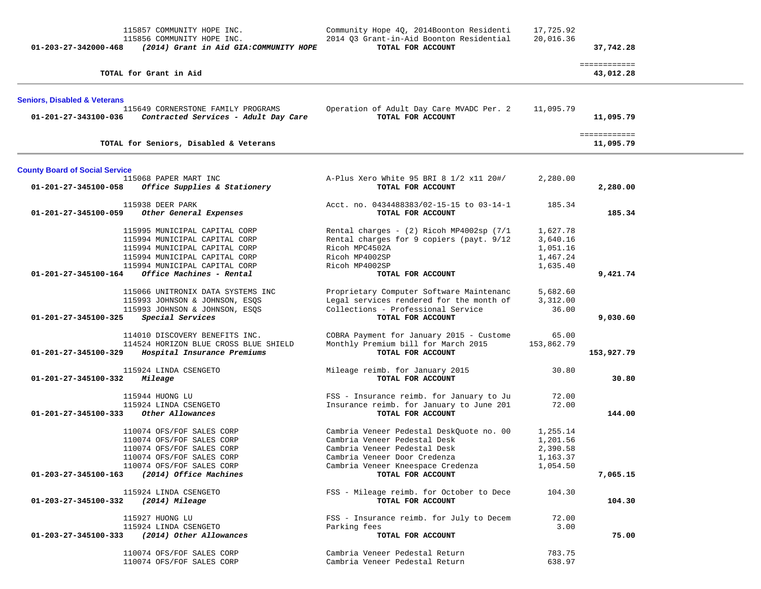| 01-203-27-342000-468                    | 115857 COMMUNITY HOPE INC.<br>115856 COMMUNITY HOPE INC.<br>(2014) Grant in Aid GIA:COMMUNITY HOPE                                                                                            | Community Hope 4Q, 2014Boonton Residenti<br>2014 Q3 Grant-in-Aid Boonton Residential<br>TOTAL FOR ACCOUNT                                                                                          | 17,725.92<br>20,016.36                                   | 37,742.28                 |  |
|-----------------------------------------|-----------------------------------------------------------------------------------------------------------------------------------------------------------------------------------------------|----------------------------------------------------------------------------------------------------------------------------------------------------------------------------------------------------|----------------------------------------------------------|---------------------------|--|
|                                         | TOTAL for Grant in Aid                                                                                                                                                                        |                                                                                                                                                                                                    |                                                          | ============<br>43,012.28 |  |
| <b>Seniors, Disabled &amp; Veterans</b> |                                                                                                                                                                                               |                                                                                                                                                                                                    |                                                          |                           |  |
| 01-201-27-343100-036                    | 115649 CORNERSTONE FAMILY PROGRAMS<br>Contracted Services - Adult Day Care                                                                                                                    | Operation of Adult Day Care MVADC Per. 2<br>TOTAL FOR ACCOUNT                                                                                                                                      | 11,095.79                                                | 11,095.79                 |  |
|                                         | TOTAL for Seniors, Disabled & Veterans                                                                                                                                                        |                                                                                                                                                                                                    |                                                          | ============<br>11,095.79 |  |
| <b>County Board of Social Service</b>   |                                                                                                                                                                                               |                                                                                                                                                                                                    |                                                          |                           |  |
| 01-201-27-345100-058                    | 115068 PAPER MART INC<br>Office Supplies & Stationery                                                                                                                                         | A-Plus Xero White 95 BRI 8 1/2 x11 20#/<br>TOTAL FOR ACCOUNT                                                                                                                                       | 2,280.00                                                 | 2,280.00                  |  |
| 01-201-27-345100-059                    | 115938 DEER PARK<br>Other General Expenses                                                                                                                                                    | Acct. no. 0434488383/02-15-15 to 03-14-1<br>TOTAL FOR ACCOUNT                                                                                                                                      | 185.34                                                   | 185.34                    |  |
| 01-201-27-345100-164                    | 115995 MUNICIPAL CAPITAL CORP<br>115994 MUNICIPAL CAPITAL CORP<br>115994 MUNICIPAL CAPITAL CORP<br>115994 MUNICIPAL CAPITAL CORP<br>115994 MUNICIPAL CAPITAL CORP<br>Office Machines - Rental | Rental charges - (2) Ricoh MP4002sp (7/1<br>Rental charges for 9 copiers (payt. 9/12<br>Ricoh MPC4502A<br>Ricoh MP4002SP<br>Ricoh MP4002SP<br>TOTAL FOR ACCOUNT                                    | 1,627.78<br>3,640.16<br>1,051.16<br>1,467.24<br>1,635.40 | 9,421.74                  |  |
| 01-201-27-345100-325                    | 115066 UNITRONIX DATA SYSTEMS INC<br>115993 JOHNSON & JOHNSON, ESQS<br>115993 JOHNSON & JOHNSON, ESQS<br>Special Services                                                                     | Proprietary Computer Software Maintenanc<br>Legal services rendered for the month of<br>Collections - Professional Service<br>TOTAL FOR ACCOUNT                                                    | 5,682.60<br>3,312.00<br>36.00                            | 9,030.60                  |  |
| 01-201-27-345100-329                    | 114010 DISCOVERY BENEFITS INC.<br>114524 HORIZON BLUE CROSS BLUE SHIELD<br>Hospital Insurance Premiums                                                                                        | COBRA Payment for January 2015 - Custome<br>Monthly Premium bill for March 2015<br>TOTAL FOR ACCOUNT                                                                                               | 65.00<br>153,862.79                                      | 153,927.79                |  |
| 01-201-27-345100-332                    | 115924 LINDA CSENGETO<br>Mileage                                                                                                                                                              | Mileage reimb. for January 2015<br>TOTAL FOR ACCOUNT                                                                                                                                               | 30.80                                                    | 30.80                     |  |
| 01-201-27-345100-333                    | 115944 HUONG LU<br>115924 LINDA CSENGETO<br>Other Allowances                                                                                                                                  | FSS - Insurance reimb. for January to Ju<br>Insurance reimb. for January to June 201<br>TOTAL FOR ACCOUNT                                                                                          | 72.00<br>72.00                                           | 144.00                    |  |
| 01-203-27-345100-163                    | 110074 OFS/FOF SALES CORP<br>110074 OFS/FOF SALES CORP<br>110074 OFS/FOF SALES CORP<br>110074 OFS/FOF SALES CORP<br>110074 OFS/FOF SALES CORP<br>(2014) Office Machines                       | Cambria Veneer Pedestal DeskQuote no. 00<br>Cambria Veneer Pedestal Desk<br>Cambria Veneer Pedestal Desk<br>Cambria Veneer Door Credenza<br>Cambria Veneer Kneespace Credenza<br>TOTAL FOR ACCOUNT | 1,255.14<br>1,201.56<br>2,390.58<br>1,163.37<br>1,054.50 | 7,065.15                  |  |
| 01-203-27-345100-332                    | 115924 LINDA CSENGETO<br>(2014) Mileage                                                                                                                                                       | FSS - Mileage reimb. for October to Dece<br>TOTAL FOR ACCOUNT                                                                                                                                      | 104.30                                                   | 104.30                    |  |
| 01-203-27-345100-333                    | 115927 HUONG LU<br>115924 LINDA CSENGETO<br>(2014) Other Allowances                                                                                                                           | FSS - Insurance reimb. for July to Decem<br>Parking fees<br>TOTAL FOR ACCOUNT                                                                                                                      | 72.00<br>3.00                                            | 75.00                     |  |
|                                         | 110074 OFS/FOF SALES CORP<br>110074 OFS/FOF SALES CORP                                                                                                                                        | Cambria Veneer Pedestal Return<br>Cambria Veneer Pedestal Return                                                                                                                                   | 783.75<br>638.97                                         |                           |  |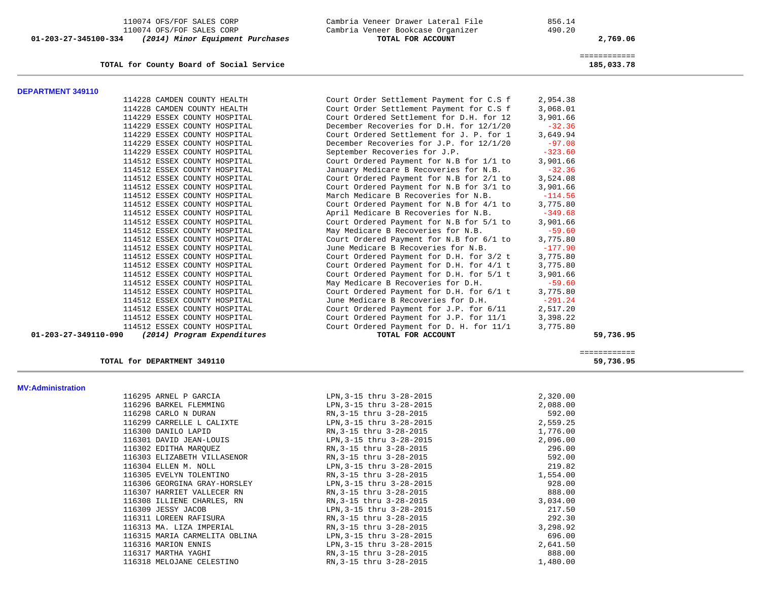110074 OFS/FOF SALES CORP Cambria Veneer Drawer Lateral File 856.14 110074 OFS/FOF SALES CORP Cambria Veneer Bookcase Organizer 490.20<br>4 (2014) Minor Equipment Purchases TOTAL FOR ACCOUNT  **01-203-27-345100-334** *(2014) Minor Equipment Purchases* **TOTAL FOR ACCOUNT 2,769.06**

**TOTAL for County Board of Social Service 185,033.78**

============

| <b>DEPARTMENT 349110</b>       |                             |                                          |           |           |
|--------------------------------|-----------------------------|------------------------------------------|-----------|-----------|
| 114228 CAMDEN COUNTY HEALTH    |                             | Court Order Settlement Payment for C.S f | 2,954.38  |           |
| 114228 CAMDEN COUNTY HEALTH    |                             | Court Order Settlement Payment for C.S f | 3,068.01  |           |
| 114229 ESSEX COUNTY HOSPITAL   |                             | Court Ordered Settlement for D.H. for 12 | 3,901.66  |           |
| 114229 ESSEX COUNTY HOSPITAL   |                             | December Recoveries for D.H. for 12/1/20 | $-32.36$  |           |
| 114229 ESSEX COUNTY HOSPITAL   |                             | Court Ordered Settlement for J. P. for 1 | 3,649.94  |           |
| 114229 ESSEX COUNTY HOSPITAL   |                             | December Recoveries for J.P. for 12/1/20 | $-97.08$  |           |
| 114229 ESSEX COUNTY HOSPITAL   |                             | September Recoveries for J.P.            | $-323.60$ |           |
| 114512 ESSEX COUNTY HOSPITAL   |                             | Court Ordered Payment for N.B for 1/1 to | 3,901.66  |           |
| 114512 ESSEX COUNTY HOSPITAL   |                             | January Medicare B Recoveries for N.B.   | $-32.36$  |           |
| 114512 ESSEX COUNTY HOSPITAL   |                             | Court Ordered Payment for N.B for 2/1 to | 3,524.08  |           |
| 114512 ESSEX COUNTY HOSPITAL   |                             | Court Ordered Payment for N.B for 3/1 to | 3,901.66  |           |
| 114512 ESSEX COUNTY HOSPITAL   |                             | March Medicare B Recoveries for N.B.     | $-114.56$ |           |
| 114512 ESSEX COUNTY HOSPITAL   |                             | Court Ordered Payment for N.B for 4/1 to | 3,775.80  |           |
| 114512 ESSEX COUNTY HOSPITAL   |                             | April Medicare B Recoveries for N.B.     | $-349.68$ |           |
| 114512 ESSEX COUNTY HOSPITAL   |                             | Court Ordered Payment for N.B for 5/1 to | 3,901.66  |           |
| 114512 ESSEX COUNTY HOSPITAL   |                             | May Medicare B Recoveries for N.B.       | $-59.60$  |           |
| 114512 ESSEX COUNTY HOSPITAL   |                             | Court Ordered Payment for N.B for 6/1 to | 3,775.80  |           |
| 114512 ESSEX COUNTY HOSPITAL   |                             | June Medicare B Recoveries for N.B.      | $-177.90$ |           |
| 114512 ESSEX COUNTY HOSPITAL   |                             | Court Ordered Payment for D.H. for 3/2 t | 3,775.80  |           |
| 114512 ESSEX COUNTY HOSPITAL   |                             | Court Ordered Payment for D.H. for 4/1 t | 3,775.80  |           |
| 114512 ESSEX COUNTY HOSPITAL   |                             | Court Ordered Payment for D.H. for 5/1 t | 3,901.66  |           |
| 114512 ESSEX COUNTY HOSPITAL   |                             | May Medicare B Recoveries for D.H.       | $-59.60$  |           |
| 114512 ESSEX COUNTY HOSPITAL   |                             | Court Ordered Payment for D.H. for 6/1 t | 3,775.80  |           |
| 114512 ESSEX COUNTY HOSPITAL   |                             | June Medicare B Recoveries for D.H.      | $-291.24$ |           |
| 114512 ESSEX COUNTY HOSPITAL   |                             | Court Ordered Payment for J.P. for 6/11  | 2,517.20  |           |
| 114512 ESSEX COUNTY HOSPITAL   |                             | Court Ordered Payment for J.P. for 11/1  | 3,398.22  |           |
| 114512 ESSEX COUNTY HOSPITAL   |                             | Court Ordered Payment for D. H. for 11/1 | 3,775.80  |           |
| $01 - 203 - 27 - 349110 - 090$ | (2014) Program Expenditures | TOTAL FOR ACCOUNT                        |           | 59,736.95 |
|                                |                             |                                          |           |           |

============

## TOTAL for DEPARTMENT 349110

59,736.95

| <b>MV:Administration</b> |                               |                          |          |
|--------------------------|-------------------------------|--------------------------|----------|
|                          | 116295 ARNEL P GARCIA         | LPN, 3-15 thru 3-28-2015 | 2,320.00 |
|                          | 116296 BARKEL FLEMMING        | LPN, 3-15 thru 3-28-2015 | 2,088.00 |
|                          | 116298 CARLO N DURAN          | RN, 3-15 thru 3-28-2015  | 592.00   |
|                          | 116299 CARRELLE L CALIXTE     | LPN, 3-15 thru 3-28-2015 | 2,559.25 |
|                          | 116300 DANILO LAPID           | RN, 3-15 thru 3-28-2015  | 1,776.00 |
|                          | 116301 DAVID JEAN-LOUIS       | LPN, 3-15 thru 3-28-2015 | 2,096.00 |
|                          | 116302 EDITHA MARQUEZ         | RN, 3-15 thru 3-28-2015  | 296.00   |
|                          | 116303 ELIZABETH VILLASENOR   | RN, 3-15 thru 3-28-2015  | 592.00   |
|                          | 116304 ELLEN M. NOLL          | LPN, 3-15 thru 3-28-2015 | 219.82   |
|                          | 116305 EVELYN TOLENTINO       | RN, 3-15 thru 3-28-2015  | 1,554.00 |
|                          | 116306 GEORGINA GRAY-HORSLEY  | LPN, 3-15 thru 3-28-2015 | 928.00   |
|                          | 116307 HARRIET VALLECER RN    | RN, 3-15 thru 3-28-2015  | 888.00   |
|                          | 116308 ILLIENE CHARLES, RN    | RN, 3-15 thru 3-28-2015  | 3,034.00 |
|                          | 116309 JESSY JACOB            | LPN, 3-15 thru 3-28-2015 | 217.50   |
|                          | 116311 LOREEN RAFISURA        | RN, 3-15 thru 3-28-2015  | 292.30   |
|                          | 116313 MA. LIZA IMPERIAL      | RN, 3-15 thru 3-28-2015  | 3,298.92 |
|                          | 116315 MARIA CARMELITA OBLINA | LPN, 3-15 thru 3-28-2015 | 696.00   |
|                          | 116316 MARION ENNIS           | LPN, 3-15 thru 3-28-2015 | 2,641.50 |
|                          | 116317 MARTHA YAGHI           | RN, 3-15 thru 3-28-2015  | 888.00   |
|                          | 116318 MELOJANE CELESTINO     | RN, 3-15 thru 3-28-2015  | 1,480.00 |
|                          |                               |                          |          |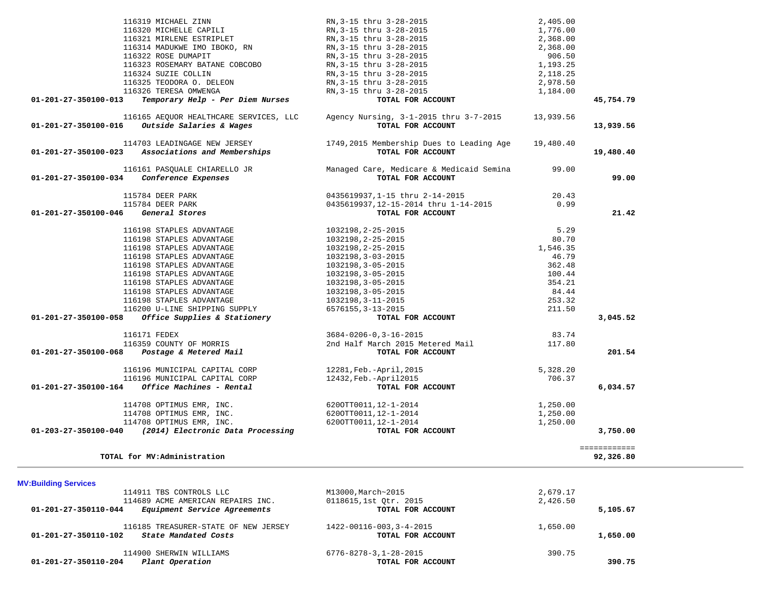| 116319 MICHAEL ZINN                                      | RN, 3-15 thru 3-28-2015                  | 2,405.00  |              |
|----------------------------------------------------------|------------------------------------------|-----------|--------------|
| 116320 MICHELLE CAPILI                                   | RN, 3-15 thru 3-28-2015                  | 1,776.00  |              |
| 116321 MIRLENE ESTRIPLET                                 | RN, 3-15 thru 3-28-2015                  | 2,368.00  |              |
| 116314 MADUKWE IMO IBOKO, RN                             | RN, 3-15 thru 3-28-2015                  | 2,368.00  |              |
| 116322 ROSE DUMAPIT                                      | RN, 3-15 thru 3-28-2015                  | 906.50    |              |
| 116323 ROSEMARY BATANE COBCOBO                           | RN, 3-15 thru 3-28-2015                  | 1,193.25  |              |
|                                                          |                                          |           |              |
| 116324 SUZIE COLLIN                                      | RN, 3-15 thru 3-28-2015                  | 2,118.25  |              |
| 116325 TEODORA O. DELEON                                 | RN, 3-15 thru 3-28-2015                  | 2,978.50  |              |
| 116326 TERESA OMWENGA                                    | RN, 3-15 thru 3-28-2015                  | 1,184.00  |              |
| Temporary Help - Per Diem Nurses<br>01-201-27-350100-013 | TOTAL FOR ACCOUNT                        |           | 45,754.79    |
|                                                          |                                          |           |              |
| 116165 AEOUOR HEALTHCARE SERVICES, LLC                   | Agency Nursing, 3-1-2015 thru 3-7-2015   | 13,939.56 |              |
| 01-201-27-350100-016<br>Outside Salaries & Wages         | TOTAL FOR ACCOUNT                        |           | 13,939.56    |
|                                                          |                                          |           |              |
| 114703 LEADINGAGE NEW JERSEY                             | 1749,2015 Membership Dues to Leading Age |           |              |
|                                                          |                                          | 19,480.40 |              |
| 01-201-27-350100-023 Associations and Memberships        | TOTAL FOR ACCOUNT                        |           | 19,480.40    |
|                                                          |                                          |           |              |
| 116161 PASQUALE CHIARELLO JR                             | Managed Care, Medicare & Medicaid Semina | 99.00     |              |
| 01-201-27-350100-034 Conference Expenses                 | TOTAL FOR ACCOUNT                        |           | 99.00        |
|                                                          |                                          |           |              |
| 115784 DEER PARK                                         | 0435619937, 1-15 thru 2-14-2015          | 20.43     |              |
| 115784 DEER PARK                                         | 0435619937,12-15-2014 thru 1-14-2015     | 0.99      |              |
| 01-201-27-350100-046<br>General Stores                   | TOTAL FOR ACCOUNT                        |           | 21.42        |
|                                                          |                                          |           |              |
|                                                          |                                          |           |              |
| 116198 STAPLES ADVANTAGE                                 | 1032198,2-25-2015                        | 5.29      |              |
| 116198 STAPLES ADVANTAGE                                 | 1032198, 2-25-2015                       | 80.70     |              |
| 116198 STAPLES ADVANTAGE                                 | 1032198, 2-25-2015                       | 1,546.35  |              |
| 116198 STAPLES ADVANTAGE                                 | 1032198, 3-03-2015                       | 46.79     |              |
| 116198 STAPLES ADVANTAGE                                 | 1032198, 3-05-2015                       | 362.48    |              |
| 116198 STAPLES ADVANTAGE                                 | 1032198, 3-05-2015                       | 100.44    |              |
| 116198 STAPLES ADVANTAGE                                 | 1032198, 3-05-2015                       | 354.21    |              |
|                                                          |                                          |           |              |
| 116198 STAPLES ADVANTAGE                                 | 1032198, 3-05-2015                       | 84.44     |              |
| 116198 STAPLES ADVANTAGE                                 | 1032198, 3-11-2015                       | 253.32    |              |
| 116200 U-LINE SHIPPING SUPPLY                            | 6576155, 3-13-2015                       | 211.50    |              |
| Office Supplies & Stationery<br>01-201-27-350100-058     | TOTAL FOR ACCOUNT                        |           | 3,045.52     |
|                                                          |                                          |           |              |
| 116171 FEDEX                                             | $3684 - 0206 - 0, 3 - 16 - 2015$         | 83.74     |              |
| 116359 COUNTY OF MORRIS                                  | 2nd Half March 2015 Metered Mail         | 117.80    |              |
|                                                          |                                          |           | 201.54       |
| 01-201-27-350100-068    Postage & Metered Mail           | TOTAL FOR ACCOUNT                        |           |              |
|                                                          |                                          |           |              |
| 116196 MUNICIPAL CAPITAL CORP                            | 12281, Feb.-April, 2015                  | 5,328.20  |              |
| 116196 MUNICIPAL CAPITAL CORP                            | 12432, Feb. - April 2015                 | 706.37    |              |
| Office Machines - Rental<br>01-201-27-350100-164         | TOTAL FOR ACCOUNT                        |           | 6,034.57     |
|                                                          |                                          |           |              |
| 114708 OPTIMUS EMR, INC.                                 | 6200TT0011, 12-1-2014                    | 1,250.00  |              |
| 114708 OPTIMUS EMR, INC.                                 | 6200TT0011, 12-1-2014                    | 1,250.00  |              |
| 114708 OPTIMUS EMR, INC.                                 | 6200TT0011, 12-1-2014                    | 1,250.00  |              |
|                                                          | TOTAL FOR ACCOUNT                        |           |              |
| 01-203-27-350100-040 (2014) Electronic Data Processing   |                                          |           | 3,750.00     |
|                                                          |                                          |           |              |
|                                                          |                                          |           | ============ |
| TOTAL for MV:Administration                              |                                          |           | 92,326.80    |
|                                                          |                                          |           |              |
|                                                          |                                          |           |              |
| <b>MV:Building Services</b>                              |                                          |           |              |
| 114911 TBS CONTROLS LLC                                  | M13000, March~2015                       | 2,679.17  |              |
| 114689 ACME AMERICAN REPAIRS INC.                        | 0118615,1st Qtr. 2015                    | 2,426.50  |              |
| Equipment Service Agreements<br>01-201-27-350110-044     | TOTAL FOR ACCOUNT                        |           | 5,105.67     |
|                                                          |                                          |           |              |
|                                                          |                                          |           |              |
| 116185 TREASURER-STATE OF NEW JERSEY                     | 1422-00116-003, 3-4-2015                 | 1,650.00  |              |
| State Mandated Costs<br>01-201-27-350110-102             | TOTAL FOR ACCOUNT                        |           | 1,650.00     |
|                                                          |                                          |           |              |
| 114900 SHERWIN WILLIAMS                                  | $6776 - 8278 - 3, 1 - 28 - 2015$         | 390.75    |              |

 **01-201-27-350110-204** *Plant Operation* **TOTAL FOR ACCOUNT 390.75**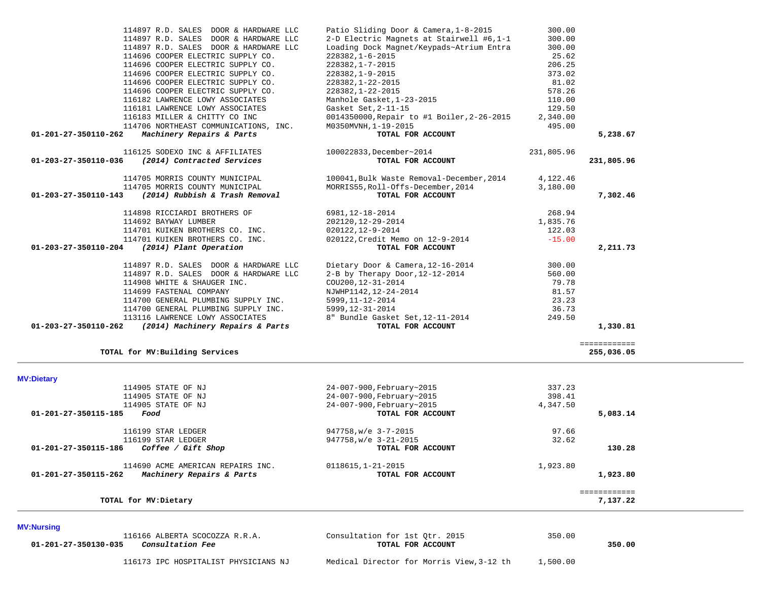| 114897 R.D. SALES DOOR & HARDWARE LLC<br>114696 COOPER ELECTRIC SUPPLY CO.<br>114696 COOPER ELECTRIC SUPPLY CO.<br>114696 COOPER ELECTRIC SUPPLY CO.<br>114696 COOPER ELECTRIC SUPPLY CO.<br>114696 COOPER ELECTRIC SUPPLY CO.<br>116182 LAWRENCE LOWY ASSOCIATES | Loading Dock Magnet/Keypads~Atrium Entra<br>228382, 1-6-2015<br>228382, 1-7-2015<br>228382,1-9-2015<br>228382,1-22-2015<br>228382, 1-22-2015<br>Manhole Gasket, 1-23-2015                      | 300.00<br>25.62<br>206.25<br>373.02<br>81.02<br>578.26<br>110.00 |                            |  |
|-------------------------------------------------------------------------------------------------------------------------------------------------------------------------------------------------------------------------------------------------------------------|------------------------------------------------------------------------------------------------------------------------------------------------------------------------------------------------|------------------------------------------------------------------|----------------------------|--|
| 116181 LAWRENCE LOWY ASSOCIATES<br>116183 MILLER & CHITTY CO INC                                                                                                                                                                                                  | Gasket Set, 2-11-15<br>0014350000, Repair to #1 Boiler, 2-26-2015                                                                                                                              | 129.50<br>2,340.00                                               |                            |  |
| 114706 NORTHEAST COMMUNICATIONS, INC.<br>Machinery Repairs & Parts<br>01-201-27-350110-262                                                                                                                                                                        | M0350MVNH, 1-19-2015<br>TOTAL FOR ACCOUNT                                                                                                                                                      | 495.00                                                           | 5,238.67                   |  |
|                                                                                                                                                                                                                                                                   |                                                                                                                                                                                                |                                                                  |                            |  |
| 116125 SODEXO INC & AFFILIATES<br>01-203-27-350110-036<br>(2014) Contracted Services                                                                                                                                                                              | 100022833, December~2014<br>TOTAL FOR ACCOUNT                                                                                                                                                  | 231,805.96                                                       | 231,805.96                 |  |
| 114705 MORRIS COUNTY MUNICIPAL<br>114705 MORRIS COUNTY MUNICIPAL                                                                                                                                                                                                  | 100041, Bulk Waste Removal-December, 2014<br>MORRIS55, Roll-Offs-December, 2014                                                                                                                | 4,122.46<br>3,180.00                                             |                            |  |
| (2014) Rubbish & Trash Removal<br>01-203-27-350110-143                                                                                                                                                                                                            | TOTAL FOR ACCOUNT                                                                                                                                                                              |                                                                  | 7,302.46                   |  |
| 114898 RICCIARDI BROTHERS OF<br>114692 BAYWAY LUMBER<br>114701 KUIKEN BROTHERS CO. INC.<br>114701 KUIKEN BROTHERS CO. INC.                                                                                                                                        | 6981, 12-18-2014<br>202120, 12-29-2014<br>020122,12-9-2014<br>020122, Credit Memo on 12-9-2014                                                                                                 | 268.94<br>1,835.76<br>122.03<br>$-15.00$                         |                            |  |
| 01-203-27-350110-204 (2014) Plant Operation                                                                                                                                                                                                                       | TOTAL FOR ACCOUNT                                                                                                                                                                              |                                                                  | 2,211.73                   |  |
| 114897 R.D. SALES DOOR & HARDWARE LLC<br>114897 R.D. SALES DOOR & HARDWARE LLC<br>114908 WHITE & SHAUGER INC.<br>114699 FASTENAL COMPANY<br>114700 GENERAL PLUMBING SUPPLY INC.<br>114700 GENERAL PLUMBING SUPPLY INC.<br>113116 LAWRENCE LOWY ASSOCIATES         | Dietary Door & Camera, 12-16-2014<br>2-B by Therapy Door, 12-12-2014<br>COU200, 12-31-2014<br>NJWHP1142, 12-24-2014<br>5999, 11-12-2014<br>5999,12-31-2014<br>8" Bundle Gasket Set, 12-11-2014 | 300.00<br>560.00<br>79.78<br>81.57<br>23.23<br>36.73<br>249.50   |                            |  |
| 01-203-27-350110-262 (2014) Machinery Repairs & Parts                                                                                                                                                                                                             | TOTAL FOR ACCOUNT                                                                                                                                                                              |                                                                  | 1,330.81                   |  |
| TOTAL for MV: Building Services                                                                                                                                                                                                                                   |                                                                                                                                                                                                |                                                                  | ============<br>255,036.05 |  |
| <b>MV:Dietary</b>                                                                                                                                                                                                                                                 |                                                                                                                                                                                                |                                                                  |                            |  |
| 114905 STATE OF NJ<br>114905 STATE OF NJ<br>114905 STATE OF NJ<br>01-201-27-350115-185<br>Food                                                                                                                                                                    | 24-007-900,February~2015<br>24-007-900, February~2015<br>24-007-900,February~2015<br>TOTAL FOR ACCOUNT                                                                                         | 337.23<br>398.41<br>4,347.50                                     | 5,083.14                   |  |
|                                                                                                                                                                                                                                                                   |                                                                                                                                                                                                |                                                                  |                            |  |
| 116199 STAR LEDGER<br>116199 STAR LEDGER<br>Coffee / Gift Shop<br>01-201-27-350115-186                                                                                                                                                                            | 947758, w/e 3-7-2015<br>947758, w/e 3-21-2015<br>TOTAL FOR ACCOUNT                                                                                                                             | 97.66<br>32.62                                                   | 130.28                     |  |
| 114690 ACME AMERICAN REPAIRS INC.<br>01-201-27-350115-262 Machinery Repairs & Parts                                                                                                                                                                               | $0118615, 1 - 21 - 2015$<br>TOTAL FOR ACCOUNT                                                                                                                                                  | 1,923.80                                                         | 1,923.80                   |  |
| TOTAL for MV: Dietary                                                                                                                                                                                                                                             |                                                                                                                                                                                                |                                                                  | ============<br>7,137.22   |  |
| <b>MV:Nursing</b>                                                                                                                                                                                                                                                 |                                                                                                                                                                                                |                                                                  |                            |  |
| 116166 ALBERTA SCOCOZZA R.R.A.<br>Consultation Fee<br>01-201-27-350130-035                                                                                                                                                                                        | Consultation for 1st Qtr. 2015<br>TOTAL FOR ACCOUNT                                                                                                                                            | 350.00                                                           | 350.00                     |  |

 114897 R.D. SALES DOOR & HARDWARE LLC Patio Sliding Door & Camera,1-8-2015 300.00 114897 R.D. SALES DOOR & HARDWARE LLC 2-D Electric Magnets at Stairwell #6,1-1 300.00

116173 IPC HOSPITALIST PHYSICIANS NJ Medical Director for Morris View,3-12 th 1,500.00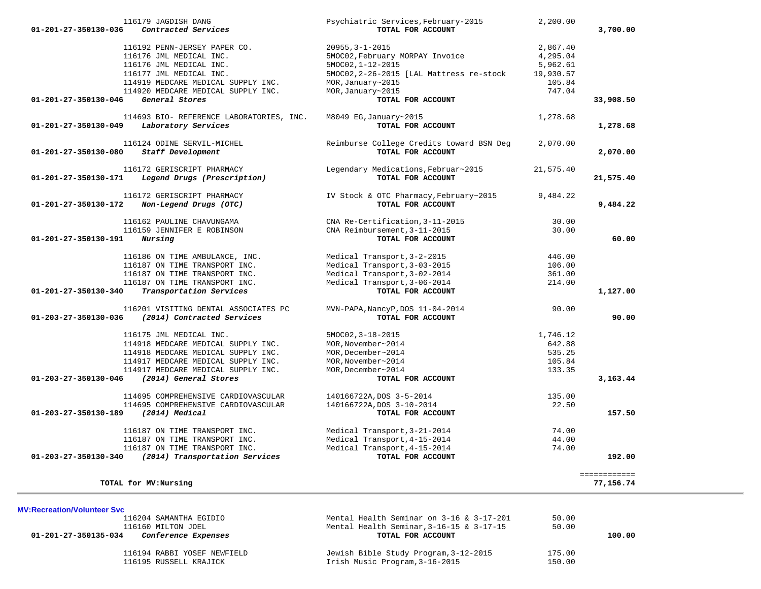| 116179 JAGDISH DANG<br>01-201-27-350130-036<br>Contracted Services | Psychiatric Services, February-2015<br>TOTAL FOR ACCOUNT | 2,200.00  | 3,700.00                  |
|--------------------------------------------------------------------|----------------------------------------------------------|-----------|---------------------------|
| 116192 PENN-JERSEY PAPER CO.                                       | $20955, 3 - 1 - 2015$                                    | 2,867.40  |                           |
| 116176 JML MEDICAL INC.                                            | 5MOC02, February MORPAY Invoice                          | 4,295.04  |                           |
| 116176 JML MEDICAL INC.                                            | 5MOC02, 1-12-2015                                        |           |                           |
|                                                                    |                                                          | 5,962.61  |                           |
| 116177 JML MEDICAL INC.                                            | 5MOC02, 2-26-2015 [LAL Mattress re-stock                 | 19,930.57 |                           |
| 114919 MEDCARE MEDICAL SUPPLY INC.                                 | MOR, January~2015                                        | 105.84    |                           |
| 114920 MEDCARE MEDICAL SUPPLY INC.                                 | MOR, January~2015                                        | 747.04    |                           |
| 01-201-27-350130-046<br>General Stores                             | TOTAL FOR ACCOUNT                                        |           | 33,908.50                 |
| 114693 BIO- REFERENCE LABORATORIES, INC.                           | M8049 EG, January~2015                                   | 1,278.68  |                           |
| Laboratory Services<br>01-201-27-350130-049                        | TOTAL FOR ACCOUNT                                        |           | 1,278.68                  |
| 116124 ODINE SERVIL-MICHEL                                         | Reimburse College Credits toward BSN Deg                 | 2,070.00  |                           |
| Staff Development<br>01-201-27-350130-080                          | TOTAL FOR ACCOUNT                                        |           | 2,070.00                  |
| 116172 GERISCRIPT PHARMACY                                         | Legendary Medications, Februar~2015                      | 21,575.40 |                           |
| Legend Drugs (Prescription)<br>01-201-27-350130-171                | TOTAL FOR ACCOUNT                                        |           | 21,575.40                 |
| 116172 GERISCRIPT PHARMACY                                         | IV Stock & OTC Pharmacy, February~2015                   | 9,484.22  |                           |
| 01-201-27-350130-172<br>Non-Legend Drugs (OTC)                     | TOTAL FOR ACCOUNT                                        |           | 9,484.22                  |
| 116162 PAULINE CHAVUNGAMA                                          | CNA Re-Certification, 3-11-2015                          | 30.00     |                           |
| 116159 JENNIFER E ROBINSON                                         | CNA Reimbursement, 3-11-2015                             | 30.00     |                           |
| Nursing<br>01-201-27-350130-191                                    | TOTAL FOR ACCOUNT                                        |           | 60.00                     |
| 116186 ON TIME AMBULANCE, INC.                                     | Medical Transport, 3-2-2015                              | 446.00    |                           |
| 116187 ON TIME TRANSPORT INC.                                      | Medical Transport, 3-03-2015                             | 106.00    |                           |
| 116187 ON TIME TRANSPORT INC.                                      | Medical Transport, 3-02-2014                             | 361.00    |                           |
| 116187 ON TIME TRANSPORT INC.                                      | Medical Transport, 3-06-2014                             | 214.00    |                           |
| Transportation Services<br>01-201-27-350130-340                    | TOTAL FOR ACCOUNT                                        |           | 1,127.00                  |
| 116201 VISITING DENTAL ASSOCIATES PC                               | MVN-PAPA, NancyP, DOS 11-04-2014                         | 90.00     |                           |
| $01 - 203 - 27 - 350130 - 036$<br>(2014) Contracted Services       | TOTAL FOR ACCOUNT                                        |           | 90.00                     |
| 116175 JML MEDICAL INC.                                            | 5MOC02, 3-18-2015                                        | 1,746.12  |                           |
| 114918 MEDCARE MEDICAL SUPPLY INC.                                 | MOR, November~2014                                       | 642.88    |                           |
| 114918 MEDCARE MEDICAL SUPPLY INC.                                 | MOR, December~2014                                       | 535.25    |                           |
| 114917 MEDCARE MEDICAL SUPPLY INC.                                 | MOR, November~2014                                       | 105.84    |                           |
| 114917 MEDCARE MEDICAL SUPPLY INC.                                 | MOR, December~2014                                       | 133.35    |                           |
| (2014) General Stores<br>01-203-27-350130-046                      | TOTAL FOR ACCOUNT                                        |           | 3,163.44                  |
| 114695 COMPREHENSIVE CARDIOVASCULAR                                | 140166722A, DOS 3-5-2014                                 | 135.00    |                           |
| 114695 COMPREHENSIVE CARDIOVASCULAR                                | 140166722A, DOS 3-10-2014                                | 22.50     |                           |
| 01-203-27-350130-189<br>(2014) Medical                             | TOTAL FOR ACCOUNT                                        |           | 157.50                    |
| 116187 ON TIME TRANSPORT INC.                                      | Medical Transport, 3-21-2014                             | 74.00     |                           |
| 116187 ON TIME TRANSPORT INC.                                      |                                                          | 44.00     |                           |
|                                                                    | Medical Transport, 4-15-2014                             |           |                           |
| 116187 ON TIME TRANSPORT INC.                                      | Medical Transport, 4-15-2014                             | 74.00     |                           |
| (2014) Transportation Services<br>01-203-27-350130-340             | TOTAL FOR ACCOUNT                                        |           | 192.00                    |
| TOTAL for MV: Nursing                                              |                                                          |           | ============<br>77,156.74 |

116204 SAMANTHA EGIDIO Mental Health Seminar on 3-16 & 3-17-201 50.00 50.00 116160 MILTON JOEL  $\blacksquare$  Mental Health Seminar, 3-16-15 & 3-17-15  **01-201-27-350135-034** *Conference Expenses* **TOTAL FOR ACCOUNT 100.00** 116194 RABBI YOSEF NEWFIELD Jewish Bible Study Program, 3-12-2015 175.00<br>116195 RUSSELL KRAJICK Irish Music Program, 3-16-2015 150 Irish Music Program, 3-16-2015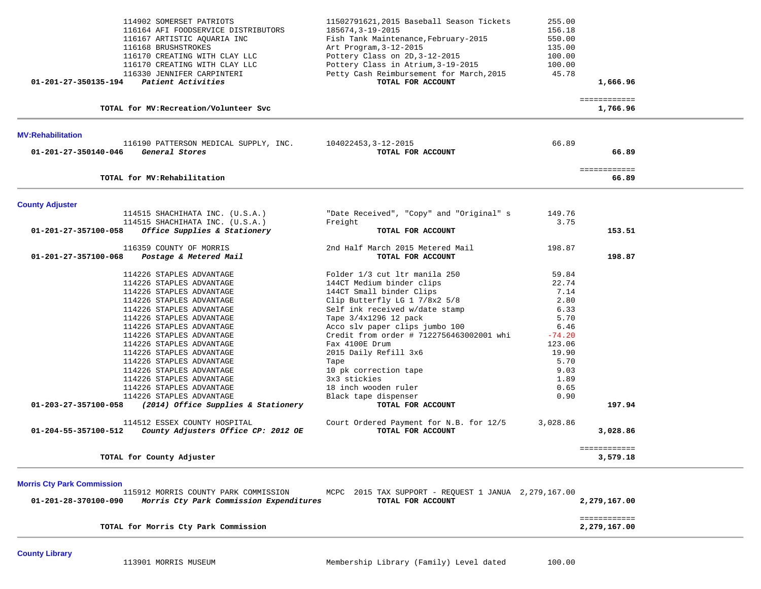|                          | 114902 SOMERSET PATRIOTS                                           | 11502791621,2015 Baseball Season Tickets<br>185674, 3-19-2015 | 255.00<br>156.18 |                          |  |
|--------------------------|--------------------------------------------------------------------|---------------------------------------------------------------|------------------|--------------------------|--|
|                          | 116164 AFI FOODSERVICE DISTRIBUTORS<br>116167 ARTISTIC AQUARIA INC | Fish Tank Maintenance, February-2015                          | 550.00           |                          |  |
|                          | 116168 BRUSHSTROKES                                                | Art Program, 3-12-2015                                        | 135.00           |                          |  |
|                          | 116170 CREATING WITH CLAY LLC                                      | Pottery Class on 2D, 3-12-2015                                | 100.00           |                          |  |
|                          | 116170 CREATING WITH CLAY LLC                                      | Pottery Class in Atrium, 3-19-2015                            | 100.00           |                          |  |
|                          | 116330 JENNIFER CARPINTERI                                         | Petty Cash Reimbursement for March, 2015                      | 45.78            |                          |  |
| 01-201-27-350135-194     | Patient Activities                                                 | TOTAL FOR ACCOUNT                                             |                  | 1,666.96                 |  |
|                          |                                                                    |                                                               |                  |                          |  |
|                          | TOTAL for MV: Recreation/Volunteer Svc                             |                                                               |                  | ============<br>1,766.96 |  |
|                          |                                                                    |                                                               |                  |                          |  |
| <b>MV:Rehabilitation</b> | 116190 PATTERSON MEDICAL SUPPLY, INC.                              | 104022453, 3-12-2015                                          | 66.89            |                          |  |
| 01-201-27-350140-046     | General Stores                                                     | TOTAL FOR ACCOUNT                                             |                  | 66.89                    |  |
|                          |                                                                    |                                                               |                  | ============             |  |
|                          | TOTAL for MV: Rehabilitation                                       |                                                               |                  | 66.89                    |  |
| <b>County Adjuster</b>   |                                                                    |                                                               |                  |                          |  |
|                          | 114515 SHACHIHATA INC. (U.S.A.)                                    | "Date Received", "Copy" and "Original" s                      | 149.76           |                          |  |
|                          | 114515 SHACHIHATA INC. (U.S.A.)                                    | Freight                                                       | 3.75             |                          |  |
| 01-201-27-357100-058     | Office Supplies & Stationery                                       | TOTAL FOR ACCOUNT                                             |                  | 153.51                   |  |
|                          | 116359 COUNTY OF MORRIS                                            | 2nd Half March 2015 Metered Mail                              | 198.87           |                          |  |
| 01-201-27-357100-068     | Postage & Metered Mail                                             | TOTAL FOR ACCOUNT                                             |                  | 198.87                   |  |
|                          | 114226 STAPLES ADVANTAGE                                           | Folder 1/3 cut ltr manila 250                                 | 59.84            |                          |  |
|                          | 114226 STAPLES ADVANTAGE                                           | 144CT Medium binder clips                                     | 22.74            |                          |  |
|                          | 114226 STAPLES ADVANTAGE                                           | 144CT Small binder Clips                                      | 7.14             |                          |  |
|                          | 114226 STAPLES ADVANTAGE                                           | Clip Butterfly LG 1 7/8x2 5/8                                 | 2.80             |                          |  |
|                          | 114226 STAPLES ADVANTAGE                                           | Self ink received w/date stamp                                | 6.33             |                          |  |
|                          | 114226 STAPLES ADVANTAGE                                           | Tape 3/4x1296 12 pack                                         | 5.70             |                          |  |
|                          | 114226 STAPLES ADVANTAGE                                           | Acco slv paper clips jumbo 100                                | 6.46             |                          |  |
|                          | 114226 STAPLES ADVANTAGE                                           | Credit from order # 7122756463002001 whi                      | $-74.20$         |                          |  |
|                          | 114226 STAPLES ADVANTAGE                                           | Fax 4100E Drum                                                | 123.06           |                          |  |
|                          | 114226 STAPLES ADVANTAGE                                           | 2015 Daily Refill 3x6                                         | 19.90            |                          |  |
|                          | 114226 STAPLES ADVANTAGE                                           | Tape                                                          | 5.70             |                          |  |
|                          | 114226 STAPLES ADVANTAGE                                           | 10 pk correction tape                                         | 9.03             |                          |  |
|                          | 114226 STAPLES ADVANTAGE                                           | 3x3 stickies                                                  | 1.89             |                          |  |
|                          | 114226 STAPLES ADVANTAGE                                           | 18 inch wooden ruler                                          | 0.65             |                          |  |
|                          | 114226 STAPLES ADVANTAGE                                           | Black tape dispenser                                          | 0.90             |                          |  |
| 01-203-27-357100-058     | (2014) Office Supplies & Stationery                                | TOTAL FOR ACCOUNT                                             |                  | 197.94                   |  |
|                          | 114512 ESSEX COUNTY HOSPITAL                                       | Court Ordered Payment for N.B. for 12/5                       | 3,028.86         |                          |  |
| 01-204-55-357100-512     | County Adjusters Office CP: 2012 OE                                | TOTAL FOR ACCOUNT                                             |                  | 3,028.86                 |  |
|                          | TOTAL for County Adjuster                                          |                                                               |                  | ============<br>3,579.18 |  |

**County Library**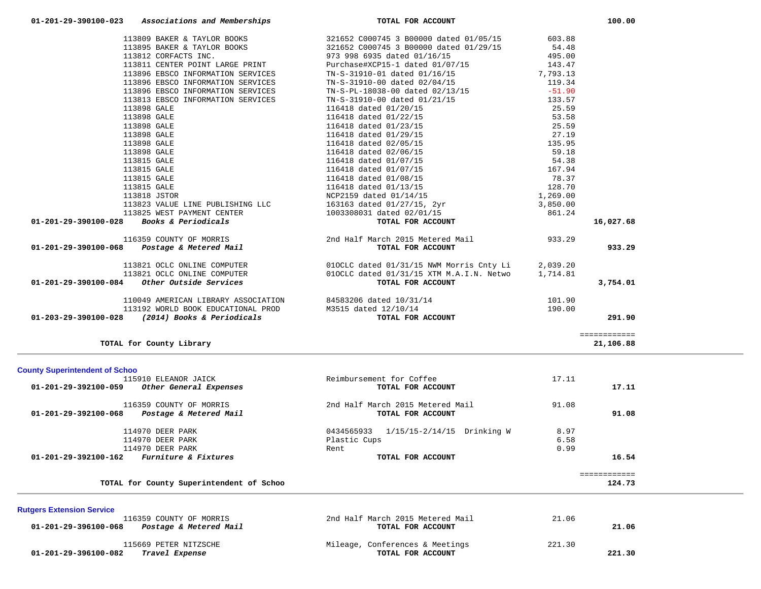| 01-201-29-390100-023<br>Associations and Memberships                                                                                              | TOTAL FOR ACCOUNT                                                                                                                                |          | 100.00       |
|---------------------------------------------------------------------------------------------------------------------------------------------------|--------------------------------------------------------------------------------------------------------------------------------------------------|----------|--------------|
|                                                                                                                                                   | 113809 BAKER & TAYLOR BOOKS 321652 C000745 3 B00000 dated 01/05/15 603.88                                                                        |          |              |
|                                                                                                                                                   | 113895 BAKER & TAYLOR BOOKS 321652 C000745 3 B00000 dated 01/29/15 54.48                                                                         |          |              |
| 113812 CORFACTS INC.                                                                                                                              | 973 998 6935 dated 01/16/15                                                                                                                      | 495.00   |              |
| 113811 CENTER POINT LARGE PRINT                                                                                                                   | Purchase#XCP15-1 dated 01/07/15 143.47                                                                                                           |          |              |
| 113896 EBSCO INFORMATION SERVICES                                                                                                                 | TN-S-31910-01 dated 01/16/15                                                                                                                     | 7,793.13 |              |
| 113896 EBSCO INFORMATION SERVICES                                                                                                                 | TN-S-31910-00 dated 02/04/15                                                                                                                     | 119.34   |              |
| 113896 EBSCO INFORMATION SERVICES                                                                                                                 | TN-S-PL-18038-00 dated 02/13/15                                                                                                                  | $-51.90$ |              |
| 113813 EBSCO INFORMATION SERVICES                                                                                                                 | TN-S-31910-00 dated 01/21/15                                                                                                                     | 133.57   |              |
| 113898 GALE                                                                                                                                       | 116418 dated 01/20/15                                                                                                                            | 25.59    |              |
| 113898 GALE                                                                                                                                       | 116418 dated 01/22/15                                                                                                                            | 53.58    |              |
| 113898 GALE                                                                                                                                       | 116418 dated 01/23/15                                                                                                                            | 25.59    |              |
| 113898 GALE                                                                                                                                       | 116418 dated 01/29/15                                                                                                                            | 27.19    |              |
| 113898 GALE                                                                                                                                       | 116418 dated 02/05/15                                                                                                                            | 135.95   |              |
| 113898 GALE                                                                                                                                       | 116418 dated 02/06/15                                                                                                                            | 59.18    |              |
| 113815 GALE                                                                                                                                       | 116418 dated 01/07/15                                                                                                                            | 54.38    |              |
| 113815 GALE                                                                                                                                       | 116418 dated 01/07/15                                                                                                                            | 167.94   |              |
| 113815 GALE                                                                                                                                       | 116418 dated 01/08/15                                                                                                                            | 78.37    |              |
| 113815 GALE                                                                                                                                       | 116418 dated 01/13/15                                                                                                                            | 128.70   |              |
| 113818 JSTOR                                                                                                                                      | NCP2159 dated 01/14/15                                                                                                                           | 1,269.00 |              |
|                                                                                                                                                   | 113823 VALUE LINE PUBLISHING LLC 163163 dated $01/27/15$ , $2yr$                                                                                 | 3,850.00 |              |
| 113825 WEST PAYMENT CENTER                                                                                                                        | 1003308031 dated 02/01/15<br>861.24                                                                                                              |          |              |
| 01-201-29-390100-028 Books & Periodicals                                                                                                          | TOTAL FOR ACCOUNT                                                                                                                                |          | 16,027.68    |
|                                                                                                                                                   |                                                                                                                                                  |          |              |
| 116359 COUNTY OF MORRIS 2015 Mail Proposed Mail 116359 COUNTY OF MORRIS<br>201-201-29-390100-068 Postage & Metered Mail 1933.29 TOTAL FOR ACCOUNT |                                                                                                                                                  |          | 933.29       |
|                                                                                                                                                   | 113821 OCLC ONLINE COMPUTER 010CLC dated $01/31/15$ NWM Morris Cnty Li<br>113821 OCLC ONLINE COMPUTER 010CLC dated $01/31/15$ XTM M.A.I.N. Netwo | 2,039.20 |              |
|                                                                                                                                                   |                                                                                                                                                  | 1,714.81 |              |
| 01-201-29-390100-084 Other Outside Services                                                                                                       | TOTAL FOR ACCOUNT                                                                                                                                |          | 3,754.01     |
|                                                                                                                                                   |                                                                                                                                                  |          |              |
| 110049 AMERICAN LIBRARY ASSOCIATION 84583206 dated 10/31/14                                                                                       |                                                                                                                                                  | 101.90   |              |
|                                                                                                                                                   |                                                                                                                                                  | 190.00   |              |
| 113192 WORLD BOOK EDUCATIONAL PROD<br>3 (2014) Books & Periodicals TOTAL FOR<br>01-203-29-390100-028 (2014) Books & Periodicals                   | TOTAL FOR ACCOUNT                                                                                                                                |          | 291.90       |
|                                                                                                                                                   |                                                                                                                                                  |          | ============ |
| TOTAL for County Library                                                                                                                          |                                                                                                                                                  |          | 21,106.88    |

# **County Superintendent of Schoo** Reimbursement for Coffee 17.11  **01-201-29-392100-059** *Other General Expenses* **TOTAL FOR ACCOUNT 17.11** 116359 COUNTY OF MORRIS 2nd Half March 2015 Metered Mail 91.08  **01-201-29-392100-068** *Postage & Metered Mail* **TOTAL FOR ACCOUNT 91.08** 114970 DEER PARK 8.97<br>114970 DEER PARK 8.97<br>6.58 114970 DEER PARK 114970 DEER PARK Plastic Cups 114970 DEER PARK 6.99  **01-201-29-392100-162** *Furniture & Fixtures* **TOTAL FOR ACCOUNT 16.54** ============ TOTAL for County Superintendent of Schoo 124.73

## **Rutgers Extension Service**

| 116359 COUNTY OF MORRIS<br>01-201-29-396100-068<br>Postage & Metered Mail | 2nd Half March 2015 Metered Mail<br>TOTAL FOR ACCOUNT | 21.06<br>21.06   |
|---------------------------------------------------------------------------|-------------------------------------------------------|------------------|
| 115669 PETER NITZSCHE<br>01-201-29-396100-082<br>Travel Expense           | Mileage, Conferences & Meetings<br>TOTAL FOR ACCOUNT  | 221.30<br>221.30 |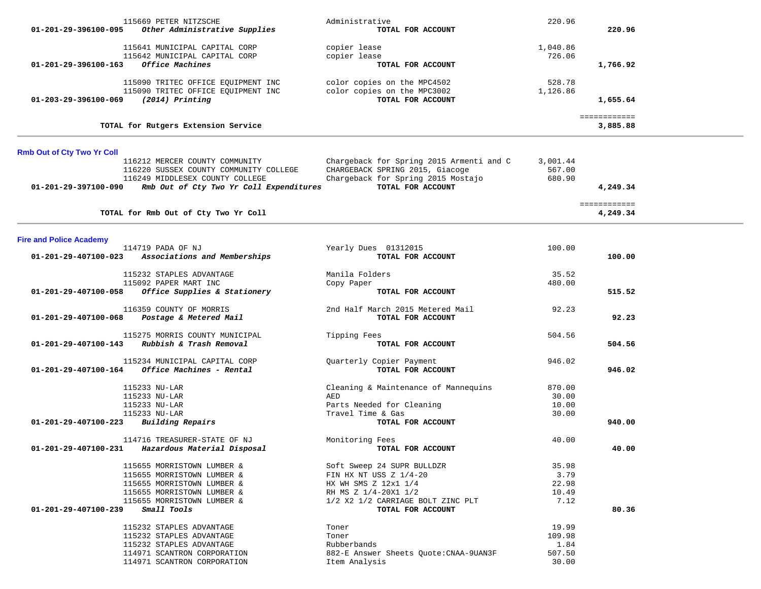| 01-201-29-396100-095              | 115669 PETER NITZSCHE<br>Other Administrative Supplies                                                                                                            | Administrative<br>TOTAL FOR ACCOUNT                                                                                                                            | 220.96                                     | 220.96                   |  |
|-----------------------------------|-------------------------------------------------------------------------------------------------------------------------------------------------------------------|----------------------------------------------------------------------------------------------------------------------------------------------------------------|--------------------------------------------|--------------------------|--|
| 01-201-29-396100-163              | 115641 MUNICIPAL CAPITAL CORP<br>115642 MUNICIPAL CAPITAL CORP<br>Office Machines                                                                                 | copier lease<br>copier lease<br>TOTAL FOR ACCOUNT                                                                                                              | 1,040.86<br>726.06                         | 1,766.92                 |  |
| 01-203-29-396100-069              | 115090 TRITEC OFFICE EQUIPMENT INC<br>115090 TRITEC OFFICE EQUIPMENT INC<br>$(2014)$ Printing                                                                     | color copies on the MPC4502<br>color copies on the MPC3002<br>TOTAL FOR ACCOUNT                                                                                | 528.78<br>1,126.86                         | 1,655.64                 |  |
|                                   | TOTAL for Rutgers Extension Service                                                                                                                               |                                                                                                                                                                |                                            | ============<br>3,885.88 |  |
| <b>Rmb Out of Cty Two Yr Coll</b> |                                                                                                                                                                   |                                                                                                                                                                |                                            |                          |  |
| 01-201-29-397100-090              | 116212 MERCER COUNTY COMMUNITY<br>116220 SUSSEX COUNTY COMMUNITY COLLEGE<br>116249 MIDDLESEX COUNTY COLLEGE<br>Rmb Out of Cty Two Yr Coll Expenditures            | Chargeback for Spring 2015 Armenti and C<br>CHARGEBACK SPRING 2015, Giacoge<br>Chargeback for Spring 2015 Mostajo<br>TOTAL FOR ACCOUNT                         | 3,001.44<br>567.00<br>680.90               | 4,249.34                 |  |
|                                   | TOTAL for Rmb Out of Cty Two Yr Coll                                                                                                                              |                                                                                                                                                                |                                            | ============<br>4,249.34 |  |
| <b>Fire and Police Academy</b>    |                                                                                                                                                                   |                                                                                                                                                                |                                            |                          |  |
| 01-201-29-407100-023              | 114719 PADA OF NJ<br>Associations and Memberships                                                                                                                 | Yearly Dues 01312015<br>TOTAL FOR ACCOUNT                                                                                                                      | 100.00                                     | 100.00                   |  |
|                                   | 115232 STAPLES ADVANTAGE<br>115092 PAPER MART INC                                                                                                                 | Manila Folders<br>Copy Paper                                                                                                                                   | 35.52<br>480.00                            |                          |  |
| 01-201-29-407100-058              | Office Supplies & Stationery                                                                                                                                      | TOTAL FOR ACCOUNT                                                                                                                                              |                                            | 515.52                   |  |
| 01-201-29-407100-068              | 116359 COUNTY OF MORRIS<br>Postage & Metered Mail                                                                                                                 | 2nd Half March 2015 Metered Mail<br>TOTAL FOR ACCOUNT                                                                                                          | 92.23                                      | 92.23                    |  |
| 01-201-29-407100-143              | 115275 MORRIS COUNTY MUNICIPAL<br>Rubbish & Trash Removal                                                                                                         | Tipping Fees<br>TOTAL FOR ACCOUNT                                                                                                                              | 504.56                                     | 504.56                   |  |
| 01-201-29-407100-164              | 115234 MUNICIPAL CAPITAL CORP<br>Office Machines - Rental                                                                                                         | Quarterly Copier Payment<br>TOTAL FOR ACCOUNT                                                                                                                  | 946.02                                     | 946.02                   |  |
|                                   | 115233 NU-LAR<br>115233 NU-LAR                                                                                                                                    | Cleaning & Maintenance of Mannequins<br>AED                                                                                                                    | 870.00<br>30.00                            |                          |  |
| 01-201-29-407100-223              | 115233 NU-LAR<br>115233 NU-LAR<br><b>Building Repairs</b>                                                                                                         | Parts Needed for Cleaning<br>Travel Time & Gas<br>TOTAL FOR ACCOUNT                                                                                            | 10.00<br>30.00                             | 940.00                   |  |
| 01-201-29-407100-231              | 114716 TREASURER-STATE OF NJ<br>Hazardous Material Disposal                                                                                                       | Monitoring Fees<br>TOTAL FOR ACCOUNT                                                                                                                           | 40.00                                      | 40.00                    |  |
| 01-201-29-407100-239              | 115655 MORRISTOWN LUMBER &<br>115655 MORRISTOWN LUMBER &<br>115655 MORRISTOWN LUMBER &<br>115655 MORRISTOWN LUMBER &<br>115655 MORRISTOWN LUMBER &<br>Small Tools | Soft Sweep 24 SUPR BULLDZR<br>FIN HX NT USS Z 1/4-20<br>HX WH SMS Z 12x1 1/4<br>RH MS Z 1/4-20X1 1/2<br>1/2 X2 1/2 CARRIAGE BOLT ZINC PLT<br>TOTAL FOR ACCOUNT | 35.98<br>3.79<br>22.98<br>10.49<br>7.12    | 80.36                    |  |
|                                   | 115232 STAPLES ADVANTAGE<br>115232 STAPLES ADVANTAGE<br>115232 STAPLES ADVANTAGE<br>114971 SCANTRON CORPORATION<br>114971 SCANTRON CORPORATION                    | Toner<br>Toner<br>Rubberbands<br>882-E Answer Sheets Quote: CNAA-9UAN3F<br>Item Analysis                                                                       | 19.99<br>109.98<br>1.84<br>507.50<br>30.00 |                          |  |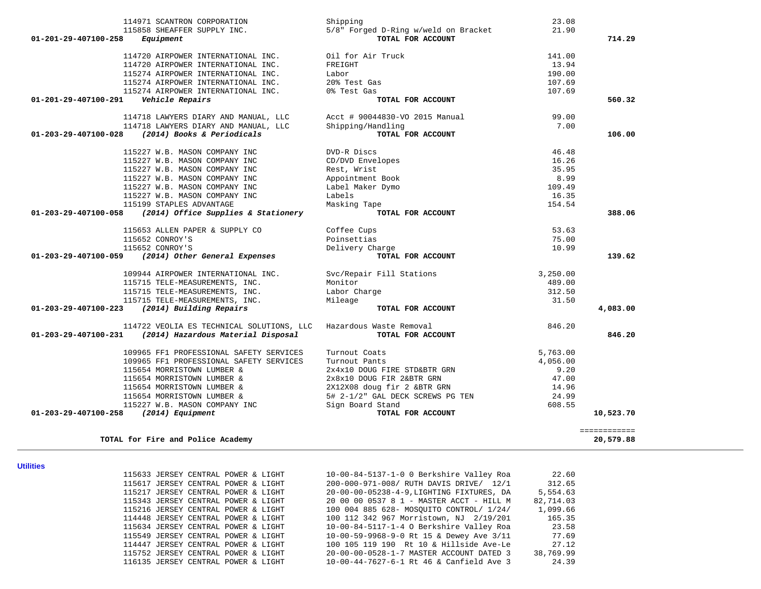| 114971 SCANTRON CORPORATION                                         | Shipping                                                  | 23.08    |              |
|---------------------------------------------------------------------|-----------------------------------------------------------|----------|--------------|
| 115858 SHEAFFER SUPPLY INC.<br>01-201-29-407100-258<br>Equipment    | 5/8" Forged D-Ring w/weld on Bracket<br>TOTAL FOR ACCOUNT | 21.90    | 714.29       |
| 114720 AIRPOWER INTERNATIONAL INC.                                  | Oil for Air Truck                                         | 141.00   |              |
| 114720 AIRPOWER INTERNATIONAL INC.                                  | FREIGHT                                                   | 13.94    |              |
| 115274 AIRPOWER INTERNATIONAL INC.                                  | Labor                                                     | 190.00   |              |
| 115274 AIRPOWER INTERNATIONAL INC.                                  | 20% Test Gas                                              | 107.69   |              |
| 115274 AIRPOWER INTERNATIONAL INC. 0% Test Gas                      |                                                           | 107.69   |              |
| Vehicle Repairs<br>01-201-29-407100-291                             | TOTAL FOR ACCOUNT                                         |          | 560.32       |
| 114718 LAWYERS DIARY AND MANUAL, LLC Acct # 90044830-VO 2015 Manual |                                                           | 99.00    |              |
| 114718 LAWYERS DIARY AND MANUAL, LLC                                | Shipping/Handling                                         | 7.00     |              |
| (2014) Books & Periodicals<br>01-203-29-407100-028                  | TOTAL FOR ACCOUNT                                         |          | 106.00       |
| 115227 W.B. MASON COMPANY INC                                       | DVD-R Discs                                               | 46.48    |              |
| 115227 W.B. MASON COMPANY INC                                       | CD/DVD Envelopes                                          | 16.26    |              |
| 115227 W.B. MASON COMPANY INC                                       | Rest, Wrist                                               | 35.95    |              |
| 115227 W.B. MASON COMPANY INC                                       | Appointment Book                                          | 8.99     |              |
| 115227 W.B. MASON COMPANY INC                                       | Label Maker Dymo                                          | 109.49   |              |
| 115227 W.B. MASON COMPANY INC                                       | Labels                                                    | 16.35    |              |
| 115199 STAPLES ADVANTAGE                                            | Masking Tape                                              | 154.54   |              |
| 01-203-29-407100-058<br>(2014) Office Supplies & Stationery         | TOTAL FOR ACCOUNT                                         |          | 388.06       |
| 115653 ALLEN PAPER & SUPPLY CO                                      | Coffee Cups                                               | 53.63    |              |
| 115652 CONROY'S                                                     | Poinsettias                                               | 75.00    |              |
| 115652 CONROY'S                                                     | Delivery Charge                                           | 10.99    |              |
| (2014) Other General Expenses<br>01-203-29-407100-059               | TOTAL FOR ACCOUNT                                         |          | 139.62       |
| 109944 AIRPOWER INTERNATIONAL INC.                                  | Svc/Repair Fill Stations                                  | 3,250.00 |              |
| 115715 TELE-MEASUREMENTS, INC.                                      | Monitor                                                   | 489.00   |              |
| 115715 TELE-MEASUREMENTS, INC.                                      | Labor Charge                                              | 312.50   |              |
| 115715 TELE-MEASUREMENTS, INC.                                      | Mileage                                                   | 31.50    |              |
| 01-203-29-407100-223 (2014) Building Repairs                        | TOTAL FOR ACCOUNT                                         |          | 4,083.00     |
| 114722 VEOLIA ES TECHNICAL SOLUTIONS, LLC                           | Hazardous Waste Removal                                   | 846.20   |              |
| $01 - 203 - 29 - 407100 - 231$ (2014) Hazardous Material Disposal   | TOTAL FOR ACCOUNT                                         |          | 846.20       |
| 109965 FF1 PROFESSIONAL SAFETY SERVICES                             | Turnout Coats                                             | 5,763.00 |              |
| 109965 FF1 PROFESSIONAL SAFETY SERVICES                             | Turnout Pants                                             | 4,056.00 |              |
| 115654 MORRISTOWN LUMBER &                                          | 2x4x10 DOUG FIRE STD&BTR GRN                              | 9.20     |              |
| 115654 MORRISTOWN LUMBER &                                          | 2x8x10 DOUG FIR 2&BTR GRN                                 | 47.00    |              |
| 115654 MORRISTOWN LUMBER &                                          | 2X12X08 doug fir 2 &BTR GRN                               | 14.96    |              |
| 115654 MORRISTOWN LUMBER &                                          | 5# 2-1/2" GAL DECK SCREWS PG TEN                          | 24.99    |              |
| 115227 W.B. MASON COMPANY INC                                       | Sign Board Stand                                          | 608.55   |              |
| (2014) Equipment<br>01-203-29-407100-258                            | TOTAL FOR ACCOUNT                                         |          | 10,523.70    |
|                                                                     |                                                           |          | ============ |
| TOTAL for Fire and Police Academy                                   |                                                           |          | 20,579.88    |

**Utilities** 

|  | 115633 JERSEY CENTRAL POWER & LIGHT |  |  |
|--|-------------------------------------|--|--|
|  | 115617 JERSEY CENTRAL POWER & LIGHT |  |  |
|  | 115217 JERSEY CENTRAL POWER & LIGHT |  |  |
|  | 115343 JERSEY CENTRAL POWER & LIGHT |  |  |
|  | 115216 JERSEY CENTRAL POWER & LIGHT |  |  |
|  | 114448 JERSEY CENTRAL POWER & LIGHT |  |  |
|  | 115634 JERSEY CENTRAL POWER & LIGHT |  |  |
|  | 115549 JERSEY CENTRAL POWER & LIGHT |  |  |
|  | 114447 JERSEY CENTRAL POWER & LIGHT |  |  |
|  | 115752 JERSEY CENTRAL POWER & LIGHT |  |  |
|  | 116135 JERSEY CENTRAL POWER & LIGHT |  |  |

| 115633 JERSEY CENTRAL POWER & LIGHT | 10-00-84-5137-1-0 0 Berkshire Valley Roa  | 22.60     |
|-------------------------------------|-------------------------------------------|-----------|
| 115617 JERSEY CENTRAL POWER & LIGHT | 200-000-971-008/ RUTH DAVIS DRIVE/ 12/1   | 312.65    |
| 115217 JERSEY CENTRAL POWER & LIGHT | 20-00-00-05238-4-9. LIGHTING FIXTURES, DA | 5,554.63  |
| 115343 JERSEY CENTRAL POWER & LIGHT | 20 00 00 0537 8 1 - MASTER ACCT - HILL M  | 82,714.03 |
| 115216 JERSEY CENTRAL POWER & LIGHT | 100 004 885 628- MOSOUITO CONTROL/ 1/24/  | 1,099.66  |
| 114448 JERSEY CENTRAL POWER & LIGHT | 100 112 342 967 Morristown, NJ 2/19/201   | 165.35    |
| 115634 JERSEY CENTRAL POWER & LIGHT | 10-00-84-5117-1-4 O Berkshire Valley Roa  | 23.58     |
| 115549 JERSEY CENTRAL POWER & LIGHT | 10-00-59-9968-9-0 Rt 15 & Dewey Ave 3/11  | 77.69     |
| 114447 JERSEY CENTRAL POWER & LIGHT | 100 105 119 190 Rt 10 & Hillside Ave-Le   | 27.12     |
| 115752 JERSEY CENTRAL POWER & LIGHT | 20-00-00-0528-1-7 MASTER ACCOUNT DATED 3  | 38,769.99 |
| 116135 JERSEY CENTRAL POWER & LIGHT | 10-00-44-7627-6-1 Rt 46 & Canfield Ave 3  | 24.39     |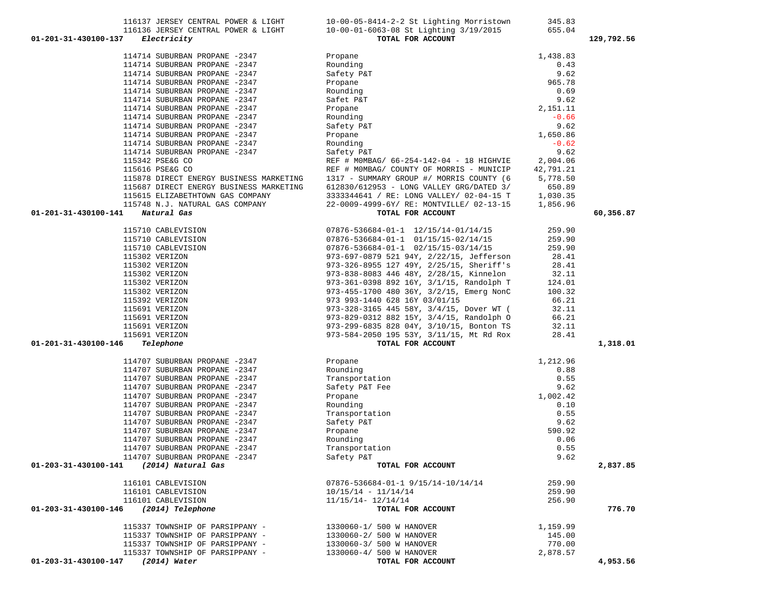| 114714 SUBURBAN PROPANE -2347                        | Rounding                                        | 0.43      |           |
|------------------------------------------------------|-------------------------------------------------|-----------|-----------|
| 114714 SUBURBAN PROPANE -2347                        | Safety P&T                                      | 9.62      |           |
| 114714 SUBURBAN PROPANE -2347                        | Propane                                         | 965.78    |           |
| 114714 SUBURBAN PROPANE -2347                        | Rounding                                        | 0.69      |           |
| 114714 SUBURBAN PROPANE -2347                        | Safet P&T                                       | 9.62      |           |
| 114714 SUBURBAN PROPANE -2347                        | Propane                                         | 2,151.11  |           |
| 114714 SUBURBAN PROPANE -2347                        | Rounding                                        | $-0.66$   |           |
| 114714 SUBURBAN PROPANE -2347                        | Safety P&T                                      | 9.62      |           |
| 114714 SUBURBAN PROPANE -2347                        | Propane                                         | 1,650.86  |           |
| 114714 SUBURBAN PROPANE -2347                        | Rounding                                        | $-0.62$   |           |
| 114714 SUBURBAN PROPANE -2347                        | Safety P&T                                      | 9.62      |           |
| 115342 PSE&G CO                                      | REF # MOMBAG/ 66-254-142-04 - 18 HIGHVIE        | 2,004.06  |           |
| 115616 PSE&G CO                                      | REF # MOMBAG/ COUNTY OF MORRIS - MUNICIP        | 42,791.21 |           |
| 115878 DIRECT ENERGY BUSINESS MARKETING              | 1317 - SUMMARY GROUP #/ MORRIS COUNTY (6        | 5,778.50  |           |
| 115687 DIRECT ENERGY BUSINESS MARKETING              | 612830/612953 - LONG VALLEY GRG/DATED 3/        | 650.89    |           |
| 115615 ELIZABETHTOWN GAS COMPANY                     | 3333344641 / RE: LONG VALLEY/ 02-04-15 T        | 1,030.35  |           |
| 115748 N.J. NATURAL GAS COMPANY                      | 22-0009-4999-6Y/ RE: MONTVILLE/ 02-13-15        | 1,856.96  |           |
| 01-201-31-430100-141<br>Natural Gas                  | TOTAL FOR ACCOUNT                               |           | 60,356.87 |
| 115710 CABLEVISION                                   | 07876-536684-01-1 12/15/14-01/14/15             | 259.90    |           |
| 115710 CABLEVISION                                   | 07876-536684-01-1 01/15/15-02/14/15             | 259.90    |           |
| 115710 CABLEVISION                                   | $07876 - 536684 - 01 - 1$ $02/15/15 - 03/14/15$ | 259.90    |           |
| 115302 VERIZON                                       | 973-697-0879 521 94Y, 2/22/15, Jefferson        | 28.41     |           |
| 115302 VERIZON                                       | 973-326-8955 127 49Y, 2/25/15, Sheriff's        | 28.41     |           |
| 115302 VERIZON                                       | 973-838-8083 446 48Y, 2/28/15, Kinnelon         | 32.11     |           |
| 115302 VERIZON                                       | 973-361-0398 892 16Y, 3/1/15, Randolph T        | 124.01    |           |
| 115302 VERIZON                                       | 973-455-1700 480 36Y, 3/2/15, Emerg NonC        | 100.32    |           |
| 115392 VERIZON                                       | 973 993-1440 628 16Y 03/01/15                   | 66.21     |           |
| 115691 VERIZON                                       | 973-328-3165 445 58Y, 3/4/15, Dover WT (        | 32.11     |           |
| 115691 VERIZON                                       | 973-829-0312 882 15Y, 3/4/15, Randolph O        | 66.21     |           |
| 115691 VERIZON                                       | 973-299-6835 828 04Y, 3/10/15, Bonton TS        | 32.11     |           |
| 115691 VERIZON                                       | 973-584-2050 195 53Y, 3/11/15, Mt Rd Rox        | 28.41     |           |
| 01-201-31-430100-146<br>Telephone                    | TOTAL FOR ACCOUNT                               |           | 1,318.01  |
| 114707 SUBURBAN PROPANE -2347                        | Propane                                         | 1,212.96  |           |
| 114707 SUBURBAN PROPANE -2347                        | Rounding                                        | 0.88      |           |
| 114707 SUBURBAN PROPANE -2347                        | Transportation                                  | 0.55      |           |
| 114707 SUBURBAN PROPANE -2347                        | Safety P&T Fee                                  | 9.62      |           |
| 114707 SUBURBAN PROPANE -2347                        | Propane                                         | 1,002.42  |           |
| 114707 SUBURBAN PROPANE -2347                        | Rounding                                        | 0.10      |           |
| 114707 SUBURBAN PROPANE -2347                        | Transportation                                  | 0.55      |           |
| 114707 SUBURBAN PROPANE -2347                        | Safety P&T                                      | 9.62      |           |
| 114707 SUBURBAN PROPANE -2347                        | Propane                                         | 590.92    |           |
| 114707 SUBURBAN PROPANE -2347                        | Rounding                                        | 0.06      |           |
| 114707 SUBURBAN PROPANE -2347                        | Transportation                                  | 0.55      |           |
| 114707 SUBURBAN PROPANE -2347                        | Safety P&T                                      | 9.62      |           |
| $01 - 203 - 31 - 430100 - 141$<br>(2014) Natural Gas | TOTAL FOR ACCOUNT                               |           | 2,837.85  |
| 116101 CABLEVISION                                   | 07876-536684-01-1 9/15/14-10/14/14              | 259.90    |           |
| 116101 CABLEVISION                                   | $10/15/14 - 11/14/14$                           | 259.90    |           |
| 116101 CABLEVISION                                   | $11/15/14 - 12/14/14$                           | 256.90    |           |
| 01-203-31-430100-146<br>(2014) Telephone             | TOTAL FOR ACCOUNT                               |           | 776.70    |
|                                                      |                                                 |           |           |
| 115337 TOWNSHIP OF PARSIPPANY -                      | 1330060-1/ 500 W HANOVER                        | 1,159.99  |           |
| 115337 TOWNSHIP OF PARSIPPANY -                      | 1330060-2/ 500 W HANOVER                        | 145.00    |           |
| 115337 TOWNSHIP OF PARSIPPANY -                      | 1330060-3/ 500 W HANOVER                        | 770.00    |           |
| 115337 TOWNSHIP OF PARSIPPANY -                      | 1330060-4/ 500 W HANOVER                        | 2,878.57  |           |
| 01-203-31-430100-147 (2014) Water                    | TOTAL FOR ACCOUNT                               |           | 4,953.56  |

114714 SUBURBAN PROPANE -2347 Propane 1,438.83

 **01-201-31-430100-137** *Electricity* **TOTAL FOR ACCOUNT 129,792.56**

116137 JERSEY CENTRAL POWER & LIGHT 10-00-05-8414-2-2 St Lighting Morristown 345.83

116136 JERSEY CENTRAL POWER & LIGHT 10-00-01-6063-08 St Lighting 3/19/2015 655.04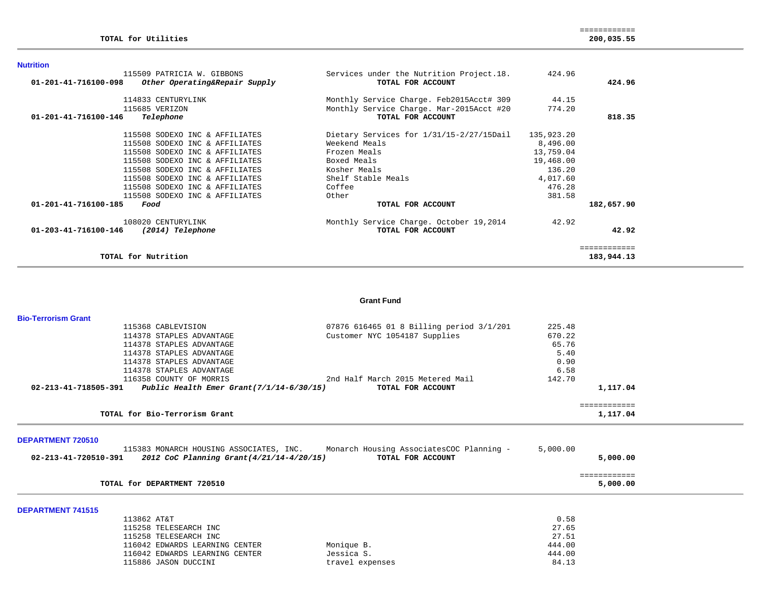#### **Nutrition**

| 115509 PATRICIA W. GIBBONS<br>01-201-41-716100-098<br>Other Operating&Repair Supply | Services under the Nutrition Project.18.<br>TOTAL FOR ACCOUNT | 424.96     | 424.96     |
|-------------------------------------------------------------------------------------|---------------------------------------------------------------|------------|------------|
| 114833 CENTURYLINK                                                                  | Monthly Service Charge. Feb2015Acct# 309                      | 44.15      |            |
| 115685 VERIZON                                                                      | Monthly Service Charge. Mar-2015Acct #20                      | 774.20     |            |
| 01-201-41-716100-146<br>Telephone                                                   | TOTAL FOR ACCOUNT                                             |            | 818.35     |
| 115508 SODEXO INC & AFFILIATES                                                      | Dietary Services for 1/31/15-2/27/15Dail                      | 135,923.20 |            |
| 115508 SODEXO INC & AFFILIATES                                                      | Weekend Meals                                                 | 8,496.00   |            |
| 115508 SODEXO INC & AFFILIATES                                                      | Frozen Meals                                                  | 13,759.04  |            |
| 115508 SODEXO INC & AFFILIATES                                                      | Boxed Meals                                                   | 19,468.00  |            |
| 115508 SODEXO INC & AFFILIATES                                                      | Kosher Meals                                                  | 136.20     |            |
| 115508 SODEXO INC & AFFILIATES                                                      | Shelf Stable Meals                                            | 4,017.60   |            |
| 115508 SODEXO INC & AFFILIATES                                                      | Coffee                                                        | 476.28     |            |
| 115508 SODEXO INC & AFFILIATES                                                      | Other                                                         | 381.58     |            |
| 01-201-41-716100-185<br>Food                                                        | TOTAL FOR ACCOUNT                                             |            | 182,657.90 |
| 108020 CENTURYLINK                                                                  | Monthly Service Charge. October 19,2014                       | 42.92      |            |
| 01-203-41-716100-146<br>(2014) Telephone                                            | TOTAL FOR ACCOUNT                                             |            | 42.92      |
|                                                                                     |                                                               |            |            |
| TOTAL for Nutrition                                                                 |                                                               |            | 183,944.13 |

#### **Grant Fund**

| <b>Bio-Terrorism Grant</b> |                                                                                  |                                          |          |              |  |
|----------------------------|----------------------------------------------------------------------------------|------------------------------------------|----------|--------------|--|
|                            | 115368 CABLEVISION                                                               | 07876 616465 01 8 Billing period 3/1/201 | 225.48   |              |  |
|                            | 114378 STAPLES ADVANTAGE                                                         | Customer NYC 1054187 Supplies            | 670.22   |              |  |
|                            | 114378 STAPLES ADVANTAGE                                                         |                                          | 65.76    |              |  |
|                            | 114378 STAPLES ADVANTAGE                                                         |                                          | 5.40     |              |  |
|                            | 114378 STAPLES ADVANTAGE                                                         |                                          | 0.90     |              |  |
|                            | 114378 STAPLES ADVANTAGE                                                         |                                          | 6.58     |              |  |
|                            | 116358 COUNTY OF MORRIS                                                          | 2nd Half March 2015 Metered Mail         | 142.70   |              |  |
|                            | 02-213-41-718505-391 Public Health Emer Grant(7/1/14-6/30/15)                    | TOTAL FOR ACCOUNT                        |          | 1,117.04     |  |
|                            |                                                                                  |                                          |          | ============ |  |
|                            | TOTAL for Bio-Terrorism Grant                                                    |                                          |          | 1,117.04     |  |
| <b>DEPARTMENT 720510</b>   |                                                                                  |                                          |          |              |  |
|                            | 115383 MONARCH HOUSING ASSOCIATES, INC. Monarch Housing AssociatesCOC Planning - |                                          | 5,000.00 |              |  |
|                            | $02 - 213 - 41 - 720510 - 391$ 2012 CoC Planning Grant( $4/21/14 - 4/20/15$ )    | TOTAL FOR ACCOUNT                        |          | 5,000.00     |  |
|                            |                                                                                  |                                          |          | ============ |  |
|                            | TOTAL for DEPARTMENT 720510                                                      |                                          |          | 5,000.00     |  |
|                            |                                                                                  |                                          |          |              |  |
| <b>DEPARTMENT 741515</b>   |                                                                                  |                                          |          |              |  |
|                            | 113862 AT&T                                                                      |                                          | 0.58     |              |  |

| 115258 TELESEARCH INC          |            | 27.65                    |
|--------------------------------|------------|--------------------------|
| 115258 TELESEARCH INC          |            | 27.51                    |
| 116042 EDWARDS LEARNING CENTER | Monique B. | 444.00                   |
| 116042 EDWARDS LEARNING CENTER | Jessica S. | 444.00                   |
| 115886 JASON DUCCINI           |            | 84.13<br>travel expenses |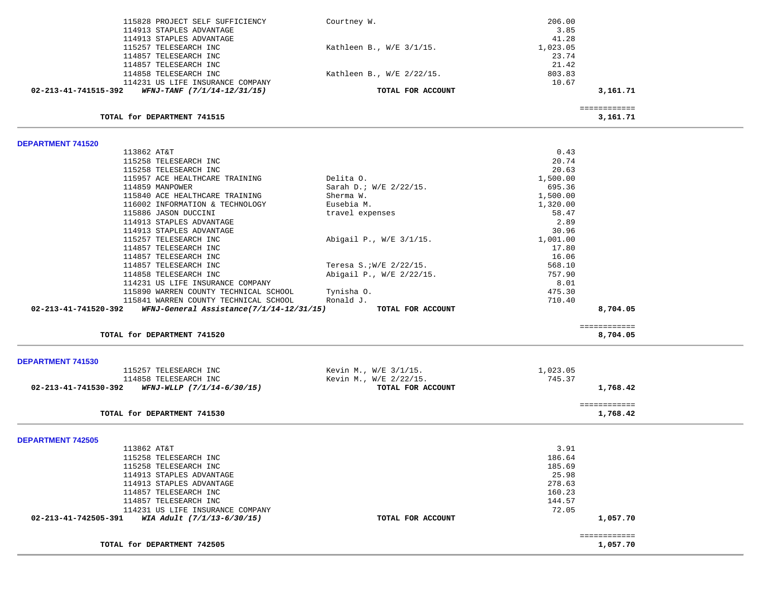| 115828 PROJECT SELF SUFFICIENCY                                  | Courtney W.                | 206.00                   |  |
|------------------------------------------------------------------|----------------------------|--------------------------|--|
| 114913 STAPLES ADVANTAGE                                         |                            | 3.85                     |  |
| 114913 STAPLES ADVANTAGE                                         |                            | 41.28                    |  |
| 115257 TELESEARCH INC                                            | Kathleen B., $W/E$ 3/1/15. | 1,023.05                 |  |
| 114857 TELESEARCH INC                                            |                            | 23.74                    |  |
| 114857 TELESEARCH INC                                            |                            | 21.42                    |  |
| 114858 TELESEARCH INC                                            | Kathleen B., W/E 2/22/15.  | 803.83                   |  |
| 114231 US LIFE INSURANCE COMPANY                                 |                            | 10.67                    |  |
| 02-213-41-741515-392<br>WFNJ-TANF (7/1/14-12/31/15)              | TOTAL FOR ACCOUNT          | 3,161.71                 |  |
|                                                                  |                            | ============             |  |
| TOTAL for DEPARTMENT 741515                                      |                            | 3,161.71                 |  |
| <b>DEPARTMENT 741520</b>                                         |                            |                          |  |
| 113862 AT&T                                                      |                            | 0.43                     |  |
| 115258 TELESEARCH INC                                            |                            | 20.74                    |  |
| 115258 TELESEARCH INC                                            |                            | 20.63                    |  |
| 115957 ACE HEALTHCARE TRAINING                                   | Delita O.                  | 1,500.00                 |  |
| 114859 MANPOWER                                                  | Sarah D.; W/E 2/22/15.     | 695.36                   |  |
| 115840 ACE HEALTHCARE TRAINING                                   | Sherma W.                  | 1,500.00                 |  |
| 116002 INFORMATION & TECHNOLOGY                                  | Eusebia M.                 | 1,320.00                 |  |
| 115886 JASON DUCCINI                                             | travel expenses            | 58.47                    |  |
| 114913 STAPLES ADVANTAGE                                         |                            | 2.89                     |  |
| 114913 STAPLES ADVANTAGE                                         |                            | 30.96                    |  |
| 115257 TELESEARCH INC                                            | Abigail P., W/E 3/1/15.    | 1,001.00                 |  |
| 114857 TELESEARCH INC                                            |                            | 17.80                    |  |
| 114857 TELESEARCH INC                                            |                            | 16.06                    |  |
| 114857 TELESEARCH INC                                            | Teresa S.; W/E 2/22/15.    | 568.10                   |  |
| 114858 TELESEARCH INC                                            | Abigail P., W/E 2/22/15.   | 757.90                   |  |
| 114231 US LIFE INSURANCE COMPANY                                 |                            | 8.01                     |  |
| 115890 WARREN COUNTY TECHNICAL SCHOOL                            | Tynisha 0.                 | 475.30                   |  |
| 115841 WARREN COUNTY TECHNICAL SCHOOL                            | Ronald J.                  | 710.40                   |  |
| 02-213-41-741520-392<br>WFNJ-General Assistance(7/1/14-12/31/15) | TOTAL FOR ACCOUNT          | 8,704.05                 |  |
| TOTAL for DEPARTMENT 741520                                      |                            | ============<br>8,704.05 |  |
|                                                                  |                            |                          |  |
| <b>DEPARTMENT 741530</b>                                         |                            |                          |  |
| 115257 TELESEARCH INC                                            | Kevin M., W/E 3/1/15.      | 1,023.05                 |  |
| 114858 TELESEARCH INC                                            | Kevin M., W/E 2/22/15.     | 745.37                   |  |
| WFNJ-WLLP (7/1/14-6/30/15)<br>02-213-41-741530-392               | TOTAL FOR ACCOUNT          | 1,768.42                 |  |
| TOTAL for DEPARTMENT 741530                                      |                            | ============<br>1,768.42 |  |
|                                                                  |                            |                          |  |
| <b>DEPARTMENT 742505</b>                                         |                            |                          |  |
| 113862 AT&T                                                      |                            | 3.91                     |  |
| 115258 TELESEARCH INC                                            |                            | 186.64                   |  |
| 115258 TELESEARCH INC                                            |                            | 185.69                   |  |
| 114913 STAPLES ADVANTAGE                                         |                            | 25.98                    |  |
| 114913 STAPLES ADVANTAGE                                         |                            | 278.63                   |  |
| 114857 TELESEARCH INC                                            |                            | 160.23                   |  |
| 114857 TELESEARCH INC                                            |                            | 144.57                   |  |
| 114231 US LIFE INSURANCE COMPANY                                 |                            | 72.05                    |  |
| 02-213-41-742505-391<br>WIA Adult (7/1/13-6/30/15)               | TOTAL FOR ACCOUNT          | 1,057.70                 |  |
|                                                                  |                            | ============             |  |
| TOTAL for DEPARTMENT 742505                                      |                            | 1,057.70                 |  |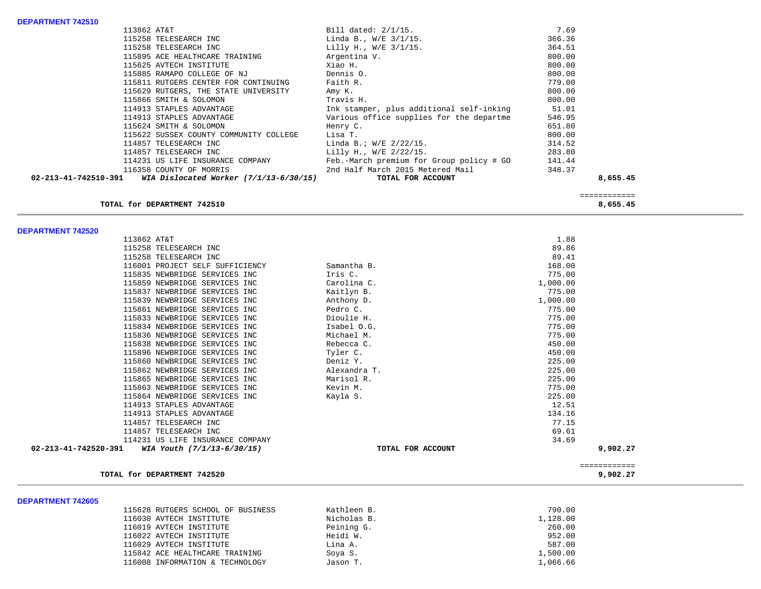| DEPARTMENT 742510                                                |                                          |          |
|------------------------------------------------------------------|------------------------------------------|----------|
| 113862 AT&T                                                      | Bill dated: $2/1/15$ .                   | 7.69     |
| 115258 TELESEARCH INC                                            | Linda B., W/E 3/1/15.                    | 366.36   |
| 115258 TELESEARCH INC                                            | Lilly H., W/E 3/1/15.                    | 364.51   |
| 115895 ACE HEALTHCARE TRAINING                                   | Argentina V.                             | 800.00   |
| 115625 AVTECH INSTITUTE                                          | Xiao H.                                  | 800.00   |
| 115885 RAMAPO COLLEGE OF NJ                                      | Dennis O.                                | 800.00   |
| 115811 RUTGERS CENTER FOR CONTINUING                             | Faith R.                                 | 779.00   |
| 115629 RUTGERS, THE STATE UNIVERSITY                             | Amy K.                                   | 800.00   |
| 115866 SMITH & SOLOMON                                           | Travis H.                                | 800.00   |
| 114913 STAPLES ADVANTAGE                                         | Ink stamper, plus additional self-inking | 51.01    |
| 114913 STAPLES ADVANTAGE                                         | Various office supplies for the departme | 546.95   |
| 115624 SMITH & SOLOMON                                           | Henry C.                                 | 651.80   |
| 115622 SUSSEX COUNTY COMMUNITY COLLEGE                           | Lisa T.                                  | 800.00   |
| 114857 TELESEARCH INC                                            | Linda B.; W/E 2/22/15.                   | 314.52   |
| 114857 TELESEARCH INC                                            | Lilly H., W/E 2/22/15.                   | 283.80   |
| 114231 US LIFE INSURANCE COMPANY                                 | Feb.-March premium for Group policy # GO | 141.44   |
| 116358 COUNTY OF MORRIS                                          | 2nd Half March 2015 Metered Mail         | 348.37   |
| 02-213-41-742510-391<br>WIA Dislocated Worker $(7/1/13-6/30/15)$ | TOTAL FOR ACCOUNT                        | 8,655.45 |

## **TOTAL for DEPARTMENT 742510 8,655.45**

 ============  $\begin{array}{cccc} \texttt{-----} \texttt{-----} \end{array} \end{array} \hspace{1.5cm} \begin{array}{c} \texttt{-----} \texttt{-----} \end{array} \hspace{1.5cm} \begin{array}{c} \texttt{-----} \texttt{-----} \end{array} \label{eq:1}$ 

### **DEPARTMENT 742520**

| 113862 AT&T                                                  |                   | 1.88         |  |
|--------------------------------------------------------------|-------------------|--------------|--|
| 115258 TELESEARCH INC                                        |                   | 89.86        |  |
| 115258 TELESEARCH INC                                        |                   | 89.41        |  |
| 116001 PROJECT SELF SUFFICIENCY                              | Samantha B.       | 168.00       |  |
| 115835 NEWBRIDGE SERVICES INC                                | Iris C.           | 775.00       |  |
| 115859 NEWBRIDGE SERVICES INC                                | Carolina C.       | 1,000.00     |  |
| 115837 NEWBRIDGE SERVICES INC                                | Kaitlyn B.        | 775.00       |  |
| 115839 NEWBRIDGE SERVICES INC                                | Anthony D.        | 1,000.00     |  |
| 115861 NEWBRIDGE SERVICES INC                                | Pedro C.          | 775.00       |  |
| 115833 NEWBRIDGE SERVICES INC                                | Dioulie H.        | 775.00       |  |
| 115834 NEWBRIDGE SERVICES INC                                | Isabel O.G.       | 775.00       |  |
| 115836 NEWBRIDGE SERVICES INC                                | Michael M.        | 775.00       |  |
| 115838 NEWBRIDGE SERVICES INC                                | Rebecca C.        | 450.00       |  |
| 115896 NEWBRIDGE SERVICES INC                                | Tyler C.          | 450.00       |  |
| 115860 NEWBRIDGE SERVICES INC                                | Deniz Y.          | 225.00       |  |
| 115862 NEWBRIDGE SERVICES INC                                | Alexandra T.      | 225.00       |  |
| 115865 NEWBRIDGE SERVICES INC                                | Marisol R.        | 225.00       |  |
| 115863 NEWBRIDGE SERVICES INC                                | Kevin M.          | 775.00       |  |
| 115864 NEWBRIDGE SERVICES INC                                | Kayla S.          | 225.00       |  |
| 114913 STAPLES ADVANTAGE                                     |                   | 12.51        |  |
| 114913 STAPLES ADVANTAGE                                     |                   | 134.16       |  |
| 114857 TELESEARCH INC                                        |                   | 77.15        |  |
| 114857 TELESEARCH INC                                        |                   | 69.61        |  |
| 114231 US LIFE INSURANCE COMPANY                             |                   | 34.69        |  |
| $02 - 213 - 41 - 742520 - 391$<br>WIA Youth (7/1/13-6/30/15) | TOTAL FOR ACCOUNT | 9,902.27     |  |
|                                                              |                   | ============ |  |
| TOTAL for DEPARTMENT 742520                                  |                   | 9,902.27     |  |

#### **DEPARTMENT 742605**

| PLI ANIWENI 19200J |                                   |             |          |
|--------------------|-----------------------------------|-------------|----------|
|                    | 115628 RUTGERS SCHOOL OF BUSINESS | Kathleen B. | 790.00   |
|                    | 116030 AVTECH INSTITUTE           | Nicholas B. | 1,128.00 |
|                    | 116019 AVTECH INSTITUTE           | Peining G.  | 260.00   |
|                    | 116022 AVTECH INSTITUTE           | Heidi W.    | 952.00   |
|                    | 116029 AVTECH INSTITUTE           | Lina A.     | 587.00   |
|                    | 115842 ACE HEALTHCARE TRAINING    | Soya S.     | 1,500.00 |
|                    | 116008 INFORMATION & TECHNOLOGY   | Jason T.    | 1,066.66 |
|                    |                                   |             |          |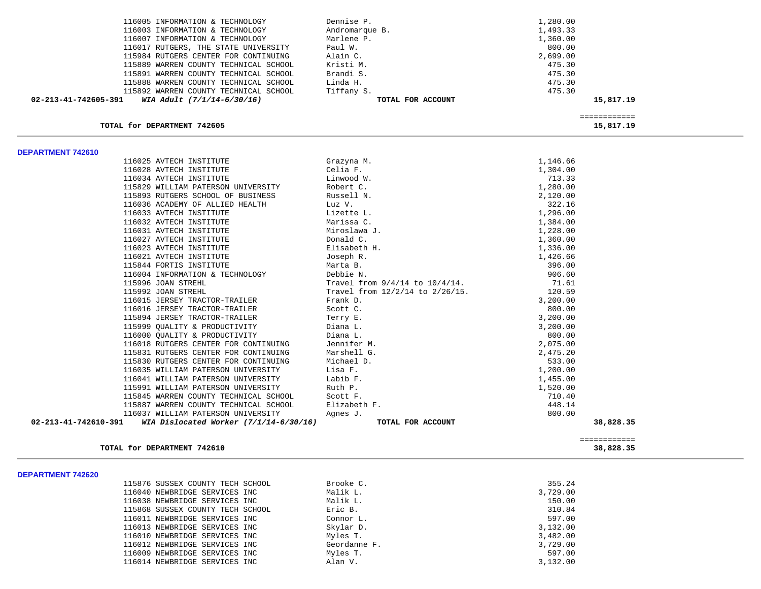| 116005 INFORMATION & TECHNOLOGY                    | Dennise P.                           | 1,280.00     |  |
|----------------------------------------------------|--------------------------------------|--------------|--|
| 116003 INFORMATION & TECHNOLOGY                    | Andromarque B.                       | 1,493.33     |  |
| 116007 INFORMATION & TECHNOLOGY                    | Marlene P.                           | 1,360.00     |  |
| 116017 RUTGERS, THE STATE UNIVERSITY               | Paul W.                              | 800.00       |  |
| 115984 RUTGERS CENTER FOR CONTINUING               | Alain C.                             | 2,699.00     |  |
| 115889 WARREN COUNTY TECHNICAL SCHOOL              | Kristi M.                            | 475.30       |  |
| 115891 WARREN COUNTY TECHNICAL SCHOOL              | Brandi S.                            | 475.30       |  |
| 115888 WARREN COUNTY TECHNICAL SCHOOL              | Linda H.                             | 475.30       |  |
| 115892 WARREN COUNTY TECHNICAL SCHOOL              | Tiffany S.                           | 475.30       |  |
| 02-213-41-742605-391<br>WIA Adult (7/1/14-6/30/16) | TOTAL FOR ACCOUNT                    | 15,817.19    |  |
|                                                    |                                      | ============ |  |
| TOTAL for DEPARTMENT 742605                        |                                      | 15,817.19    |  |
| DEPARTMENT 742610                                  |                                      |              |  |
| 116025 AVTECH INSTITUTE                            | Grazyna M.                           | 1,146.66     |  |
| 116028 AVTECH INSTITUTE                            | Celia F.                             | 1,304.00     |  |
| 116034 AVTECH INSTITUTE                            | Linwood W.                           | 713.33       |  |
| 115829 WILLIAM PATERSON UNIVERSITY                 | Robert C.                            | 1,280.00     |  |
| 115893 RUTGERS SCHOOL OF BUSINESS                  | Russell N.                           | 2,120.00     |  |
| 116036 ACADEMY OF ALLIED HEALTH                    | Luz V.                               | 322.16       |  |
| 116033 AVTECH INSTITUTE                            | Lizette L.                           | 1,296.00     |  |
| 116032 AVTECH INSTITUTE                            | Marissa C.                           | 1,384.00     |  |
| 116031 AVTECH INSTITUTE                            | Miroslawa J.                         | 1,228.00     |  |
| 116027 AVTECH INSTITUTE                            | Donald C.                            | 1,360.00     |  |
| 116023 AVTECH INSTITUTE                            | Elisabeth H.                         | 1,336.00     |  |
| 116021 AVTECH INSTITUTE                            | Joseph R.                            | 1,426.66     |  |
| 115844 FORTIS INSTITUTE                            | Marta B.                             | 396.00       |  |
| 116004 INFORMATION & TECHNOLOGY                    | Debbie N.                            | 906.60       |  |
| 115996 JOAN STREHL                                 | Travel from $9/4/14$ to $10/4/14$ .  | 71.61        |  |
| 115992 JOAN STREHL                                 | Travel from $12/2/14$ to $2/26/15$ . | 120.59       |  |
| 116015 JERSEY TRACTOR-TRAILER                      | Frank D.                             | 3,200.00     |  |
| 116016 JERSEY TRACTOR-TRAILER                      | Scott C.                             | 800.00       |  |
| 115894 JERSEY TRACTOR-TRAILER                      | Terry E.                             | 3,200.00     |  |
| 115999 OUALITY & PRODUCTIVITY                      | Diana L.                             | 3,200.00     |  |
| 116000 OUALITY & PRODUCTIVITY                      | Diana L.                             | 800.00       |  |
| 116018 RUTGERS CENTER FOR CONTINUING               | Jennifer M.                          | 2,075.00     |  |
| 115831 RUTGERS CENTER FOR CONTINUING               | Marshell G.                          | 2,475.20     |  |
| 115830 RUTGERS CENTER FOR CONTINUING               | Michael D.                           | 533.00       |  |
| 116035 WILLIAM PATERSON UNIVERSITY                 | Lisa F.                              | 1,200.00     |  |
| 116041 WILLIAM PATERSON UNIVERSITY                 | Labib F.                             | 1,455.00     |  |
| 115991 WILLIAM PATERSON UNIVERSITY                 | Ruth P.                              | 1,520.00     |  |
| 115845 WARREN COUNTY TECHNICAL SCHOOL              | Scott F.                             | 710.40       |  |
| 115887 WARREN COUNTY TECHNICAL SCHOOL              | Elizabeth F.                         | 448.14       |  |
| 116037 WILLIAM PATERSON UNIVERSITY                 | Agnes J.                             | 800.00       |  |

**TOTAL for DEPARTMENT 742610 38,828.35**

#### **DEPARTMENT 742620**

| 115876 SUSSEX COUNTY TECH SCHOOL | Brooke C.    | 355.24   |
|----------------------------------|--------------|----------|
| 116040 NEWBRIDGE SERVICES INC    | Malik L.     | 3,729.00 |
| 116038 NEWBRIDGE SERVICES INC    | Malik L.     | 150.00   |
| 115868 SUSSEX COUNTY TECH SCHOOL | Eric B.      | 310.84   |
| 116011 NEWBRIDGE SERVICES INC    | Connor L.    | 597.00   |
| 116013 NEWBRIDGE SERVICES INC    | Skylar D.    | 3,132.00 |
| 116010 NEWBRIDGE SERVICES INC    | Myles T.     | 3,482.00 |
| 116012 NEWBRIDGE SERVICES INC    | Geordanne F. | 3,729.00 |
| 116009 NEWBRIDGE SERVICES INC    | Myles T.     | 597.00   |
| 116014 NEWBRIDGE SERVICES INC    | Alan V.      | 3,132.00 |
|                                  |              |          |

 **02-213-41-742610-391** *WIA Dislocated Worker (7/1/14-6/30/16)* **TOTAL FOR ACCOUNT 38,828.35**

 ============ 38,828.35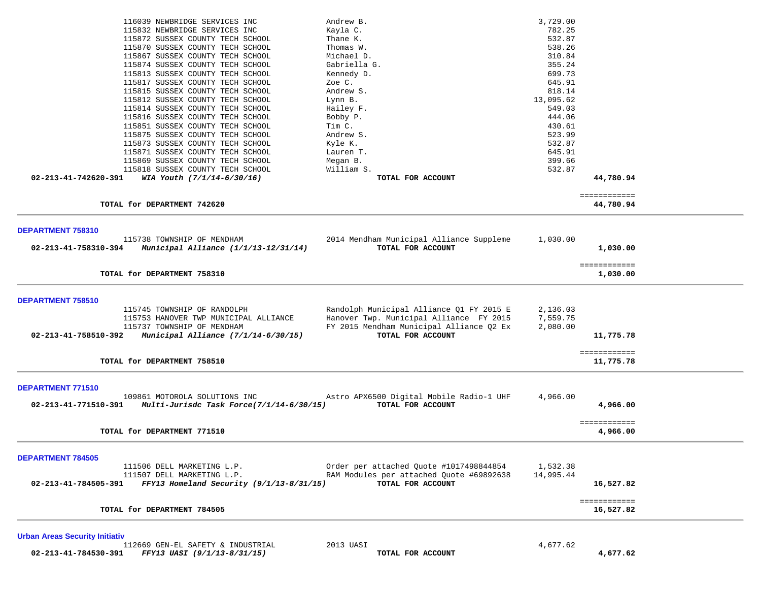| 116039 NEWBRIDGE SERVICES INC                                            | Andrew B.                                | 3,729.00                  |  |
|--------------------------------------------------------------------------|------------------------------------------|---------------------------|--|
| 115832 NEWBRIDGE SERVICES INC                                            | Kayla C.                                 | 782.25                    |  |
| 115872 SUSSEX COUNTY TECH SCHOOL                                         | Thane K.                                 | 532.87                    |  |
| 115870 SUSSEX COUNTY TECH SCHOOL                                         | Thomas W.<br>Michael D.                  | 538.26                    |  |
| 115867 SUSSEX COUNTY TECH SCHOOL<br>115874 SUSSEX COUNTY TECH SCHOOL     | Gabriella G.                             | 310.84<br>355.24          |  |
| 115813 SUSSEX COUNTY TECH SCHOOL                                         | Kennedy D.                               | 699.73                    |  |
| 115817 SUSSEX COUNTY TECH SCHOOL                                         | Zoe C.                                   | 645.91                    |  |
| 115815 SUSSEX COUNTY TECH SCHOOL                                         | Andrew S.                                | 818.14                    |  |
| 115812 SUSSEX COUNTY TECH SCHOOL                                         | Lynn B.                                  | 13,095.62                 |  |
| 115814 SUSSEX COUNTY TECH SCHOOL                                         | Hailey F.                                | 549.03                    |  |
| 115816 SUSSEX COUNTY TECH SCHOOL                                         | Bobby P.                                 | 444.06                    |  |
| 115851 SUSSEX COUNTY TECH SCHOOL                                         | Tim C.                                   | 430.61                    |  |
| 115875 SUSSEX COUNTY TECH SCHOOL                                         | Andrew S.                                | 523.99                    |  |
| 115873 SUSSEX COUNTY TECH SCHOOL                                         | Kyle K.                                  | 532.87                    |  |
| 115871 SUSSEX COUNTY TECH SCHOOL                                         | Lauren T.                                | 645.91                    |  |
| 115869 SUSSEX COUNTY TECH SCHOOL                                         | Megan B.                                 | 399.66                    |  |
| 115818 SUSSEX COUNTY TECH SCHOOL                                         | William S.                               | 532.87                    |  |
| 02-213-41-742620-391<br>WIA Youth (7/1/14-6/30/16)                       | TOTAL FOR ACCOUNT                        | 44,780.94                 |  |
|                                                                          |                                          | ============              |  |
| TOTAL for DEPARTMENT 742620                                              |                                          | 44,780.94                 |  |
|                                                                          |                                          |                           |  |
| DEPARTMENT 758310<br>115738 TOWNSHIP OF MENDHAM                          | 2014 Mendham Municipal Alliance Suppleme | 1,030.00                  |  |
| 02-213-41-758310-394<br>Municipal Alliance (1/1/13-12/31/14)             | TOTAL FOR ACCOUNT                        | 1,030.00                  |  |
|                                                                          |                                          |                           |  |
|                                                                          |                                          | ============              |  |
| TOTAL for DEPARTMENT 758310                                              |                                          | 1,030.00                  |  |
| DEPARTMENT 758510                                                        |                                          |                           |  |
| 115745 TOWNSHIP OF RANDOLPH                                              | Randolph Municipal Alliance Q1 FY 2015 E | 2,136.03                  |  |
| 115753 HANOVER TWP MUNICIPAL ALLIANCE                                    | Hanover Twp. Municipal Alliance FY 2015  | 7,559.75                  |  |
| 115737 TOWNSHIP OF MENDHAM                                               | FY 2015 Mendham Municipal Alliance Q2 Ex | 2,080.00                  |  |
| Municipal Alliance (7/1/14-6/30/15)<br>02-213-41-758510-392              | TOTAL FOR ACCOUNT                        | 11,775.78                 |  |
|                                                                          |                                          |                           |  |
| TOTAL for DEPARTMENT 758510                                              |                                          | ============<br>11,775.78 |  |
|                                                                          |                                          |                           |  |
| DEPARTMENT 771510                                                        |                                          |                           |  |
| 109861 MOTOROLA SOLUTIONS INC                                            | Astro APX6500 Digital Mobile Radio-1 UHF | 4,966.00                  |  |
| 02-213-41-771510-391<br>Multi-Jurisdc Task Force(7/1/14-6/30/15)         | TOTAL FOR ACCOUNT                        | 4,966.00                  |  |
|                                                                          |                                          | ============              |  |
| TOTAL for DEPARTMENT 771510                                              |                                          | 4,966.00                  |  |
|                                                                          |                                          |                           |  |
| <b>DEPARTMENT 784505</b>                                                 |                                          |                           |  |
| 111506 DELL MARKETING L.P.                                               | Order per attached Quote #1017498844854  | 1,532.38                  |  |
| 111507 DELL MARKETING L.P.<br>$FFY13$ Homeland Security (9/1/13-8/31/15) | RAM Modules per attached Quote #69892638 | 14,995.44                 |  |
| 02-213-41-784505-391                                                     | TOTAL FOR ACCOUNT                        | 16,527.82                 |  |
|                                                                          |                                          | ============              |  |
| TOTAL for DEPARTMENT 784505                                              |                                          | 16,527.82                 |  |
| <b>Urban Areas Security Initiativ</b>                                    |                                          |                           |  |
| 112669 GEN-EL SAFETY & INDUSTRIAL                                        | 2013 UASI                                | 4,677.62                  |  |
| 02-213-41-784530-391<br>FFY13 UASI (9/1/13-8/31/15)                      | TOTAL FOR ACCOUNT                        | 4,677.62                  |  |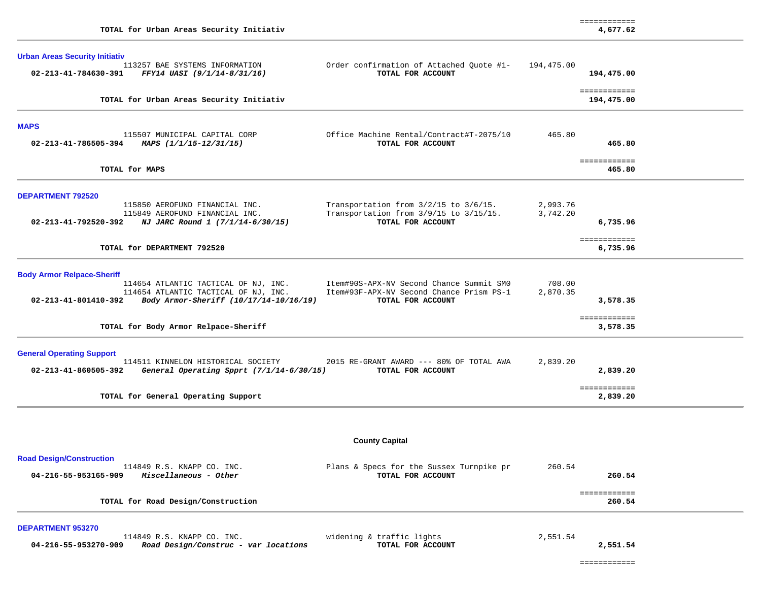|                                                               | TOTAL for Urban Areas Security Initiativ                                                                                                                       |                                                                                                           |                      | 4,677.62                             |  |
|---------------------------------------------------------------|----------------------------------------------------------------------------------------------------------------------------------------------------------------|-----------------------------------------------------------------------------------------------------------|----------------------|--------------------------------------|--|
| <b>Urban Areas Security Initiativ</b><br>02-213-41-784630-391 | 113257 BAE SYSTEMS INFORMATION<br>FFY14 UASI (9/1/14-8/31/16)                                                                                                  | Order confirmation of Attached Quote #1-<br>TOTAL FOR ACCOUNT                                             | 194,475.00           | 194,475.00                           |  |
|                                                               | TOTAL for Urban Areas Security Initiativ                                                                                                                       |                                                                                                           |                      | ============<br>194,475.00           |  |
| <b>MAPS</b><br>02-213-41-786505-394                           | 115507 MUNICIPAL CAPITAL CORP<br>MAPS (1/1/15-12/31/15)                                                                                                        | Office Machine Rental/Contract#T-2075/10<br>TOTAL FOR ACCOUNT                                             | 465.80               | 465.80                               |  |
| TOTAL for MAPS                                                |                                                                                                                                                                |                                                                                                           |                      | ============<br>465.80               |  |
| <b>DEPARTMENT 792520</b><br>02-213-41-792520-392              | 115850 AEROFUND FINANCIAL INC.<br>115849 AEROFUND FINANCIAL INC.<br>NJ JARC Round 1 (7/1/14-6/30/15)                                                           | Transportation from 3/2/15 to 3/6/15.<br>Transportation from 3/9/15 to 3/15/15.<br>TOTAL FOR ACCOUNT      | 2,993.76<br>3,742.20 | 6,735.96                             |  |
|                                                               | TOTAL for DEPARTMENT 792520                                                                                                                                    |                                                                                                           |                      | ============<br>6,735.96             |  |
| <b>Body Armor Relpace-Sheriff</b><br>02-213-41-801410-392     | 114654 ATLANTIC TACTICAL OF NJ, INC.<br>114654 ATLANTIC TACTICAL OF NJ, INC.<br>Body Armor-Sheriff (10/17/14-10/16/19)<br>TOTAL for Body Armor Relpace-Sheriff | Item#90S-APX-NV Second Chance Summit SM0<br>Item#93F-APX-NV Second Chance Prism PS-1<br>TOTAL FOR ACCOUNT | 708.00<br>2,870.35   | 3,578.35<br>============<br>3,578.35 |  |
| <b>General Operating Support</b><br>02-213-41-860505-392      | 114511 KINNELON HISTORICAL SOCIETY<br>General Operating Spprt (7/1/14-6/30/15)                                                                                 | 2015 RE-GRANT AWARD --- 80% OF TOTAL AWA<br>TOTAL FOR ACCOUNT                                             | 2,839.20             | 2,839.20<br>============             |  |
|                                                               | TOTAL for General Operating Support                                                                                                                            |                                                                                                           |                      | 2,839.20                             |  |
|                                                               |                                                                                                                                                                | <b>County Capital</b>                                                                                     |                      |                                      |  |
| <b>Road Design/Construction</b><br>04-216-55-953165-909       | 114849 R.S. KNAPP CO. INC.<br>Miscellaneous - Other                                                                                                            | Plans & Specs for the Sussex Turnpike pr<br>TOTAL FOR ACCOUNT                                             | 260.54               | 260.54                               |  |
|                                                               | TOTAL for Road Design/Construction                                                                                                                             |                                                                                                           |                      | ============<br>260.54               |  |
| <b>DEPARTMENT 953270</b><br>04-216-55-953270-909              | 114849 R.S. KNAPP CO. INC.<br>Road Design/Construc - var locations                                                                                             | widening & traffic lights<br>TOTAL FOR ACCOUNT                                                            | 2,551.54             | 2,551.54                             |  |

============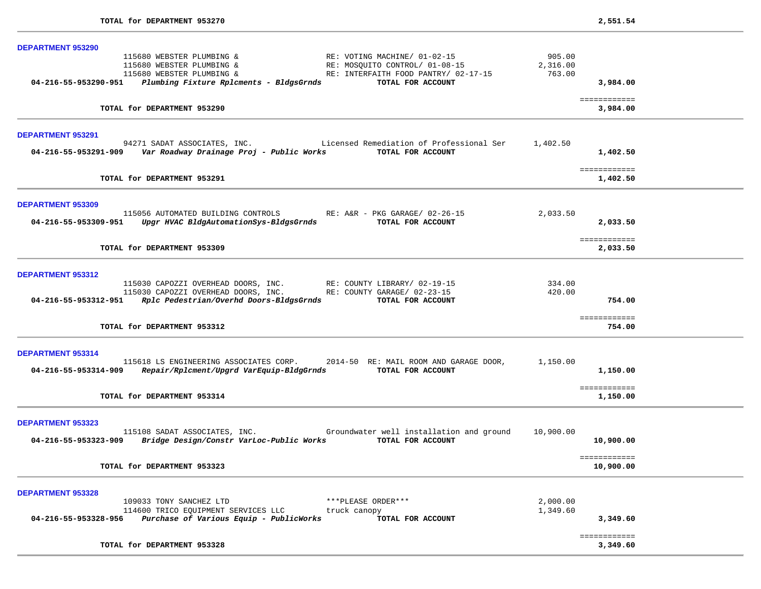| <b>DEPARTMENT 953290</b>                                                                                                                                                                      |                              |                           |
|-----------------------------------------------------------------------------------------------------------------------------------------------------------------------------------------------|------------------------------|---------------------------|
| 115680 WEBSTER PLUMBING &<br>RE: VOTING MACHINE/ 01-02-15<br>RE: MOSQUITO CONTROL/ 01-08-15<br>115680 WEBSTER PLUMBING &<br>RE: INTERFAITH FOOD PANTRY/ 02-17-15<br>115680 WEBSTER PLUMBING & | 905.00<br>2,316.00<br>763.00 |                           |
| 04-216-55-953290-951 Plumbing Fixture Rplcments - BldgsGrnds<br>TOTAL FOR ACCOUNT                                                                                                             |                              | 3,984.00                  |
| TOTAL for DEPARTMENT 953290                                                                                                                                                                   |                              | ============<br>3,984.00  |
| <b>DEPARTMENT 953291</b>                                                                                                                                                                      |                              |                           |
| 94271 SADAT ASSOCIATES, INC. Licensed Remediation of Professional Ser<br>TOTAL FOR ACCOUNT                                                                                                    | 1,402.50                     | 1,402.50                  |
| TOTAL for DEPARTMENT 953291                                                                                                                                                                   |                              | ============<br>1,402.50  |
| <b>DEPARTMENT 953309</b>                                                                                                                                                                      |                              |                           |
| 115056 AUTOMATED BUILDING CONTROLS<br>RE: A&R - PKG GARAGE/ 02-26-15<br>Upgr HVAC BldgAutomationSys-BldgsGrnds<br>TOTAL FOR ACCOUNT<br>04-216-55-953309-951                                   | 2,033.50                     | 2,033.50                  |
| TOTAL for DEPARTMENT 953309                                                                                                                                                                   |                              | ============<br>2,033.50  |
| <b>DEPARTMENT 953312</b>                                                                                                                                                                      |                              |                           |
| 115030 CAPOZZI OVERHEAD DOORS, INC. RE: COUNTY LIBRARY/ 02-19-15<br>115030 CAPOZZI OVERHEAD DOORS, INC. RE: COUNTY GARAGE/ 02-23-15                                                           | 334.00<br>420.00             |                           |
| 04-216-55-953312-951 Rplc Pedestrian/Overhd Doors-BldgsGrnds<br>TOTAL FOR ACCOUNT                                                                                                             |                              | 754.00                    |
| TOTAL for DEPARTMENT 953312                                                                                                                                                                   |                              | ============<br>754.00    |
| DEPARTMENT 953314                                                                                                                                                                             |                              |                           |
| 115618 LS ENGINEERING ASSOCIATES CORP. 2014-50 RE: MAIL ROOM AND GARAGE DOOR,<br>04-216-55-953314-909 Repair/Rplcment/Upgrd VarEquip-BldgGrnds<br>TOTAL FOR ACCOUNT                           | 1,150.00                     | 1,150.00                  |
| TOTAL for DEPARTMENT 953314                                                                                                                                                                   |                              | ============<br>1,150.00  |
| <b>DEPARTMENT 953323</b>                                                                                                                                                                      |                              |                           |
| 115108 SADAT ASSOCIATES, INC. The Groundwater well installation and ground<br>04-216-55-953323-909 Bridge Design/Constr VarLoc-Public Works TOTAL FOR ACCOUNT                                 | 10,900.00                    | 10,900.00                 |
| TOTAL for DEPARTMENT 953323                                                                                                                                                                   |                              | ============<br>10,900.00 |
| <b>DEPARTMENT 953328</b>                                                                                                                                                                      |                              |                           |
| ***PLEASE ORDER***<br>109033 TONY SANCHEZ LTD<br>114600 TRICO EQUIPMENT SERVICES LLC<br>truck canopy                                                                                          | 2,000.00<br>1,349.60         |                           |
| Purchase of Various Equip - PublicWorks<br>04-216-55-953328-956<br>TOTAL FOR ACCOUNT                                                                                                          |                              | 3,349.60                  |
| TOTAL for DEPARTMENT 953328                                                                                                                                                                   |                              | ============              |
|                                                                                                                                                                                               |                              | 3,349.60                  |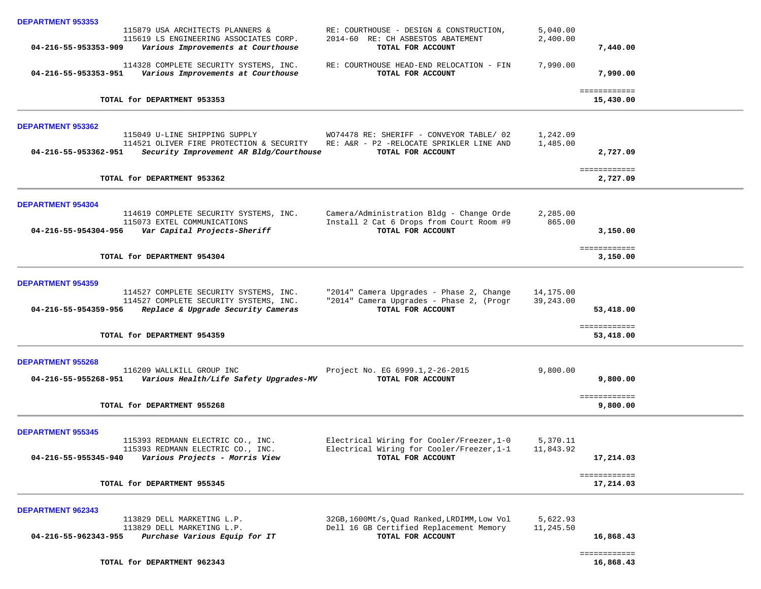|                          | 115879 USA ARCHITECTS PLANNERS &<br>115619 LS ENGINEERING ASSOCIATES CORP.                        | RE: COURTHOUSE - DESIGN & CONSTRUCTION,<br>2014-60 RE: CH ASBESTOS ABATEMENT | 5,040.00<br>2,400.00 |                           |
|--------------------------|---------------------------------------------------------------------------------------------------|------------------------------------------------------------------------------|----------------------|---------------------------|
| 04-216-55-953353-909     | Various Improvements at Courthouse                                                                | TOTAL FOR ACCOUNT                                                            |                      | 7,440.00                  |
|                          | 114328 COMPLETE SECURITY SYSTEMS, INC.<br>04-216-55-953353-951 Various Improvements at Courthouse | RE: COURTHOUSE HEAD-END RELOCATION - FIN<br>TOTAL FOR ACCOUNT                | 7,990.00             | 7,990.00                  |
|                          | TOTAL for DEPARTMENT 953353                                                                       |                                                                              |                      | ============<br>15,430.00 |
|                          |                                                                                                   |                                                                              |                      |                           |
| <b>DEPARTMENT 953362</b> | 115049 U-LINE SHIPPING SUPPLY                                                                     | WO74478 RE: SHERIFF - CONVEYOR TABLE/ 02                                     | 1,242.09             |                           |
|                          | 114521 OLIVER FIRE PROTECTION & SECURITY RE: A&R - P2 -RELOCATE SPRIKLER LINE AND                 |                                                                              | 1,485.00             |                           |
| 04-216-55-953362-951     | Security Improvement AR Bldg/Courthouse                                                           | TOTAL FOR ACCOUNT                                                            |                      | 2,727.09                  |
|                          | TOTAL for DEPARTMENT 953362                                                                       |                                                                              |                      | ============<br>2,727.09  |
| <b>DEPARTMENT 954304</b> |                                                                                                   |                                                                              |                      |                           |
|                          | 114619 COMPLETE SECURITY SYSTEMS, INC.                                                            | Camera/Administration Bldg - Change Orde                                     | 2,285.00             |                           |
|                          | 115073 EXTEL COMMUNICATIONS                                                                       | Install 2 Cat 6 Drops from Court Room #9                                     | 865.00               |                           |
|                          | 04-216-55-954304-956 Var Capital Projects-Sheriff                                                 | TOTAL FOR ACCOUNT                                                            |                      | 3,150.00                  |
|                          | TOTAL for DEPARTMENT 954304                                                                       |                                                                              |                      | ============<br>3,150.00  |
|                          |                                                                                                   |                                                                              |                      |                           |
| <b>DEPARTMENT 954359</b> |                                                                                                   |                                                                              |                      |                           |
|                          | 114527 COMPLETE SECURITY SYSTEMS, INC.                                                            | "2014" Camera Upgrades - Phase 2, Change                                     | 14,175.00            |                           |
| 04-216-55-954359-956     | 114527 COMPLETE SECURITY SYSTEMS, INC.<br>Replace & Upgrade Security Cameras                      | "2014" Camera Upgrades - Phase 2, (Progr<br>TOTAL FOR ACCOUNT                | 39,243.00            | 53,418.00                 |
|                          |                                                                                                   |                                                                              |                      |                           |
|                          | TOTAL for DEPARTMENT 954359                                                                       |                                                                              |                      | ============<br>53,418.00 |
| <b>DEPARTMENT 955268</b> |                                                                                                   |                                                                              |                      |                           |
|                          | 116209 WALLKILL GROUP INC                                                                         | Project No. EG 6999.1, 2-26-2015                                             | 9,800.00             |                           |
|                          |                                                                                                   | TOTAL FOR ACCOUNT                                                            |                      | 9,800.00                  |
|                          | TOTAL for DEPARTMENT 955268                                                                       |                                                                              |                      | ============              |
|                          |                                                                                                   |                                                                              |                      | 9,800.00                  |
| <b>DEPARTMENT 955345</b> |                                                                                                   |                                                                              |                      |                           |
|                          | 115393 REDMANN ELECTRIC CO., INC.                                                                 | Electrical Wiring for Cooler/Freezer, 1-0                                    | 5,370.11             |                           |
| 04-216-55-955345-940     | 115393 REDMANN ELECTRIC CO., INC.<br>Various Projects - Morris View                               | Electrical Wiring for Cooler/Freezer, 1-1<br>TOTAL FOR ACCOUNT               | 11,843.92            | 17,214.03                 |
|                          |                                                                                                   |                                                                              |                      |                           |
|                          | TOTAL for DEPARTMENT 955345                                                                       |                                                                              |                      | ============<br>17,214.03 |
|                          |                                                                                                   |                                                                              |                      |                           |
| <b>DEPARTMENT 962343</b> | 113829 DELL MARKETING L.P.                                                                        | 32GB, 1600Mt/s, Quad Ranked, LRDIMM, Low Vol                                 | 5,622.93             |                           |
|                          | 113829 DELL MARKETING L.P.                                                                        | Dell 16 GB Certified Replacement Memory                                      | 11,245.50            |                           |
| 04-216-55-962343-955     | Purchase Various Equip for IT                                                                     | TOTAL FOR ACCOUNT                                                            |                      | 16,868.43                 |
|                          |                                                                                                   |                                                                              |                      | ============              |
|                          | TOTAL for DEPARTMENT 962343                                                                       |                                                                              |                      | 16,868.43                 |

**DEPARTMENT 953353**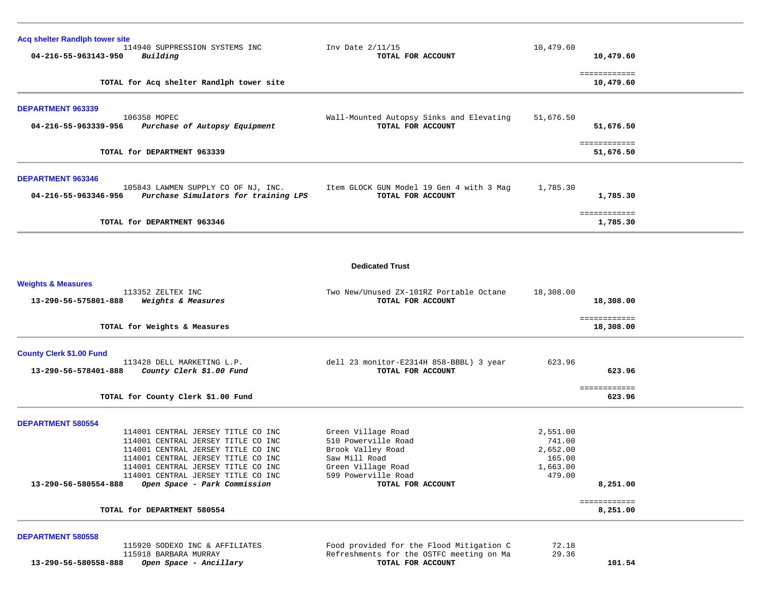| <b>Acq shelter Randlph tower site</b> | 114940 SUPPRESSION SYSTEMS INC                                              | Inv Date $2/11/15$                                            | 10,479.60          |                           |
|---------------------------------------|-----------------------------------------------------------------------------|---------------------------------------------------------------|--------------------|---------------------------|
| 04-216-55-963143-950                  | Building                                                                    | TOTAL FOR ACCOUNT                                             |                    | 10,479.60                 |
|                                       | TOTAL for Acq shelter Randlph tower site                                    |                                                               |                    | ============<br>10,479.60 |
|                                       |                                                                             |                                                               |                    |                           |
| <b>DEPARTMENT 963339</b>              | 106358 MOPEC                                                                | Wall-Mounted Autopsy Sinks and Elevating                      | 51,676.50          |                           |
| 04-216-55-963339-956                  | Purchase of Autopsy Equipment                                               | TOTAL FOR ACCOUNT                                             |                    | 51,676.50                 |
|                                       | TOTAL for DEPARTMENT 963339                                                 |                                                               |                    | ============<br>51,676.50 |
| <b>DEPARTMENT 963346</b>              |                                                                             |                                                               |                    |                           |
| 04-216-55-963346-956                  | 105843 LAWMEN SUPPLY CO OF NJ, INC.<br>Purchase Simulators for training LPS | Item GLOCK GUN Model 19 Gen 4 with 3 Mag<br>TOTAL FOR ACCOUNT | 1,785.30           | 1,785.30                  |
|                                       | TOTAL for DEPARTMENT 963346                                                 |                                                               |                    | ============<br>1,785.30  |
|                                       |                                                                             |                                                               |                    |                           |
|                                       |                                                                             | <b>Dedicated Trust</b>                                        |                    |                           |
| <b>Weights &amp; Measures</b>         |                                                                             |                                                               |                    |                           |
| 13-290-56-575801-888                  | 113352 ZELTEX INC<br>Weights & Measures                                     | Two New/Unused ZX-101RZ Portable Octane<br>TOTAL FOR ACCOUNT  | 18,308.00          | 18,308.00                 |
|                                       | TOTAL for Weights & Measures                                                |                                                               |                    | ============<br>18,308.00 |
| <b>County Clerk \$1.00 Fund</b>       |                                                                             |                                                               |                    |                           |
| 13-290-56-578401-888                  | 113428 DELL MARKETING L.P.<br>County Clerk \$1.00 Fund                      | dell 23 monitor-E2314H 858-BBBL) 3 year<br>TOTAL FOR ACCOUNT  | 623.96             | 623.96                    |
|                                       | TOTAL for County Clerk \$1.00 Fund                                          |                                                               |                    | ============<br>623.96    |
| <b>DEPARTMENT 580554</b>              |                                                                             |                                                               |                    |                           |
|                                       | 114001 CENTRAL JERSEY TITLE CO INC                                          | Green Village Road                                            | 2,551.00           |                           |
|                                       | 114001 CENTRAL JERSEY TITLE CO INC<br>114001 CENTRAL JERSEY TITLE CO INC    | 510 Powerville Road<br>Brook Valley Road                      | 741.00<br>2,652.00 |                           |
|                                       | 114001 CENTRAL JERSEY TITLE CO INC                                          | Saw Mill Road                                                 | 165.00             |                           |
|                                       | 114001 CENTRAL JERSEY TITLE CO INC                                          | Green Village Road                                            | 1,663.00           |                           |
| 13-290-56-580554-888                  | 114001 CENTRAL JERSEY TITLE CO INC<br>Open Space - Park Commission          | 599 Powerville Road<br>TOTAL FOR ACCOUNT                      | 479.00             | 8,251.00                  |
|                                       | TOTAL for DEPARTMENT 580554                                                 |                                                               |                    | ============<br>8,251.00  |
|                                       |                                                                             |                                                               |                    |                           |
| <b>DEPARTMENT 580558</b>              |                                                                             |                                                               |                    |                           |
|                                       | 115920 SODEXO INC & AFFILIATES                                              | Food provided for the Flood Mitigation C                      | 72.18              |                           |

13-290-56-580558-888 *Open Space - Ancillary* TOTAL FOR ACCOUNT 101.54

115918 BARBARA MURRAY Refreshments for the OSTFC meeting on Ma 29.36